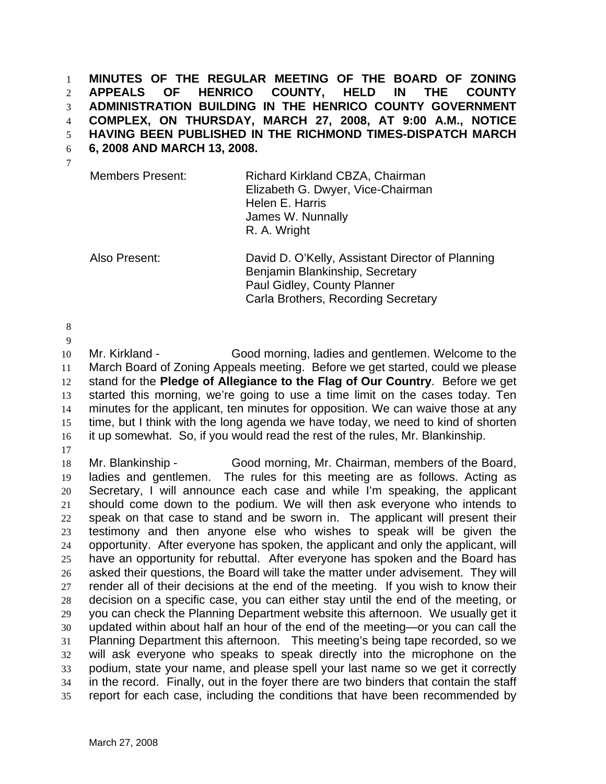**MINUTES OF THE REGULAR MEETING OF THE BOARD OF ZONING APPEALS OF HENRICO COUNTY, HELD IN THE COUNTY ADMINISTRATION BUILDING IN THE HENRICO COUNTY GOVERNMENT COMPLEX, ON THURSDAY, MARCH 27, 2008, AT 9:00 A.M., NOTICE HAVING BEEN PUBLISHED IN THE RICHMOND TIMES-DISPATCH MARCH** 

**6, 2008 AND MARCH 13, 2008.** 

| <b>Members Present:</b> | Richard Kirkland CBZA, Chairman   |
|-------------------------|-----------------------------------|
|                         | Elizabeth G. Dwyer, Vice-Chairman |
|                         | Helen E. Harris                   |
|                         | James W. Nunnally                 |
|                         | R. A. Wright                      |

Also Present: David D. O'Kelly, Assistant Director of Planning Benjamin Blankinship, Secretary Paul Gidley, County Planner Carla Brothers, Recording Secretary

Mr. Kirkland - Good morning, ladies and gentlemen. Welcome to the March Board of Zoning Appeals meeting. Before we get started, could we please stand for the **Pledge of Allegiance to the Flag of Our Country**. Before we get started this morning, we're going to use a time limit on the cases today. Ten minutes for the applicant, ten minutes for opposition. We can waive those at any time, but I think with the long agenda we have today, we need to kind of shorten it up somewhat. So, if you would read the rest of the rules, Mr. Blankinship.

Mr. Blankinship - Good morning, Mr. Chairman, members of the Board, ladies and gentlemen. The rules for this meeting are as follows. Acting as Secretary, I will announce each case and while I'm speaking, the applicant should come down to the podium. We will then ask everyone who intends to speak on that case to stand and be sworn in. The applicant will present their testimony and then anyone else who wishes to speak will be given the opportunity. After everyone has spoken, the applicant and only the applicant, will have an opportunity for rebuttal. After everyone has spoken and the Board has asked their questions, the Board will take the matter under advisement. They will render all of their decisions at the end of the meeting. If you wish to know their decision on a specific case, you can either stay until the end of the meeting, or you can check the Planning Department website this afternoon. We usually get it updated within about half an hour of the end of the meeting—or you can call the Planning Department this afternoon. This meeting's being tape recorded, so we will ask everyone who speaks to speak directly into the microphone on the podium, state your name, and please spell your last name so we get it correctly in the record. Finally, out in the foyer there are two binders that contain the staff report for each case, including the conditions that have been recommended by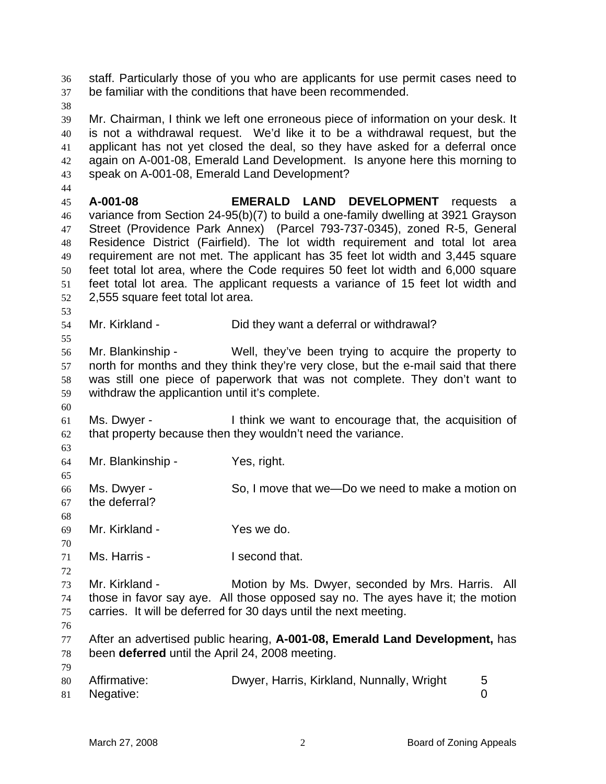staff. Particularly those of you who are applicants for use permit cases need to be familiar with the conditions that have been recommended. Mr. Chairman, I think we left one erroneous piece of information on your desk. It is not a withdrawal request. We'd like it to be a withdrawal request, but the applicant has not yet closed the deal, so they have asked for a deferral once again on A-001-08, Emerald Land Development. Is anyone here this morning to speak on A-001-08, Emerald Land Development? **A-001-08 EMERALD LAND DEVELOPMENT** requests a variance from Section 24-95(b)(7) to build a one-family dwelling at 3921 Grayson Street (Providence Park Annex) (Parcel 793-737-0345), zoned R-5, General Residence District (Fairfield). The lot width requirement and total lot area requirement are not met. The applicant has 35 feet lot width and 3,445 square feet total lot area, where the Code requires 50 feet lot width and 6,000 square feet total lot area. The applicant requests a variance of 15 feet lot width and 2,555 square feet total lot area. Mr. Kirkland - Did they want a deferral or withdrawal? Mr. Blankinship - Well, they've been trying to acquire the property to north for months and they think they're very close, but the e-mail said that there was still one piece of paperwork that was not complete. They don't want to withdraw the applicantion until it's complete. Ms. Dwyer - I think we want to encourage that, the acquisition of that property because then they wouldn't need the variance. Mr. Blankinship - Yes, right. Ms. Dwyer - So, I move that we—Do we need to make a motion on the deferral? Mr. Kirkland - Yes we do. Ms. Harris - I second that. Mr. Kirkland - Motion by Ms. Dwyer, seconded by Mrs. Harris. All those in favor say aye. All those opposed say no. The ayes have it; the motion carries. It will be deferred for 30 days until the next meeting. After an advertised public hearing, **A-001-08, Emerald Land Development,** has been **deferred** until the April 24, 2008 meeting. 80 Affirmative: Dwyer, Harris, Kirkland, Nunnally, Wright 5 Negative: 0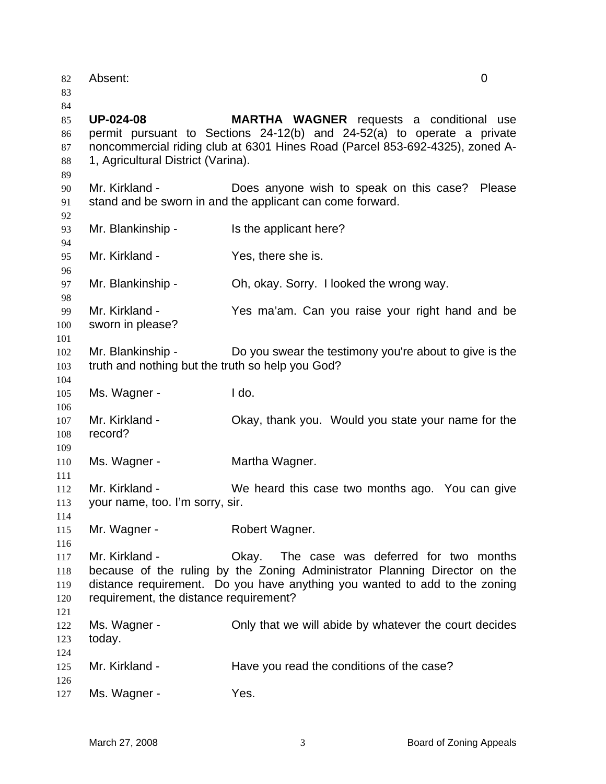| 82<br>83                         | Absent:                                                               |                                                                                                                                                                                                           | $\overline{0}$ |
|----------------------------------|-----------------------------------------------------------------------|-----------------------------------------------------------------------------------------------------------------------------------------------------------------------------------------------------------|----------------|
| 84<br>85<br>86<br>87<br>88<br>89 | <b>UP-024-08</b><br>1, Agricultural District (Varina).                | <b>MARTHA WAGNER</b> requests a conditional use<br>permit pursuant to Sections 24-12(b) and 24-52(a) to operate a private<br>noncommercial riding club at 6301 Hines Road (Parcel 853-692-4325), zoned A- |                |
| 90<br>91                         | Mr. Kirkland -                                                        | Does anyone wish to speak on this case? Please<br>stand and be sworn in and the applicant can come forward.                                                                                               |                |
| 92<br>93                         | Mr. Blankinship -                                                     | Is the applicant here?                                                                                                                                                                                    |                |
| 94<br>95                         | Mr. Kirkland -                                                        | Yes, there she is.                                                                                                                                                                                        |                |
| 96<br>97<br>98                   | Mr. Blankinship -                                                     | Oh, okay. Sorry. I looked the wrong way.                                                                                                                                                                  |                |
| 99<br>100<br>101                 | Mr. Kirkland -<br>sworn in please?                                    | Yes ma'am. Can you raise your right hand and be                                                                                                                                                           |                |
| 102<br>103<br>104                | Mr. Blankinship -<br>truth and nothing but the truth so help you God? | Do you swear the testimony you're about to give is the                                                                                                                                                    |                |
| 105<br>106                       | Ms. Wagner -                                                          | I do.                                                                                                                                                                                                     |                |
| 107<br>108<br>109                | Mr. Kirkland -<br>record?                                             | Okay, thank you. Would you state your name for the                                                                                                                                                        |                |
| 110                              | Ms. Wagner -                                                          | Martha Wagner.                                                                                                                                                                                            |                |
| 111<br>112<br>113<br>114         | Mr. Kirkland -<br>your name, too. I'm sorry, sir.                     | We heard this case two months ago. You can give                                                                                                                                                           |                |
| 115                              | Mr. Wagner -                                                          | Robert Wagner.                                                                                                                                                                                            |                |
| 116<br>117<br>118<br>119<br>120  | Mr. Kirkland -<br>requirement, the distance requirement?              | The case was deferred for two months<br>Okay.<br>because of the ruling by the Zoning Administrator Planning Director on the<br>distance requirement. Do you have anything you wanted to add to the zoning |                |
| 121<br>122<br>123                | Ms. Wagner -<br>today.                                                | Only that we will abide by whatever the court decides                                                                                                                                                     |                |
| 124<br>125<br>126                | Mr. Kirkland -                                                        | Have you read the conditions of the case?                                                                                                                                                                 |                |
| 127                              | Ms. Wagner -                                                          | Yes.                                                                                                                                                                                                      |                |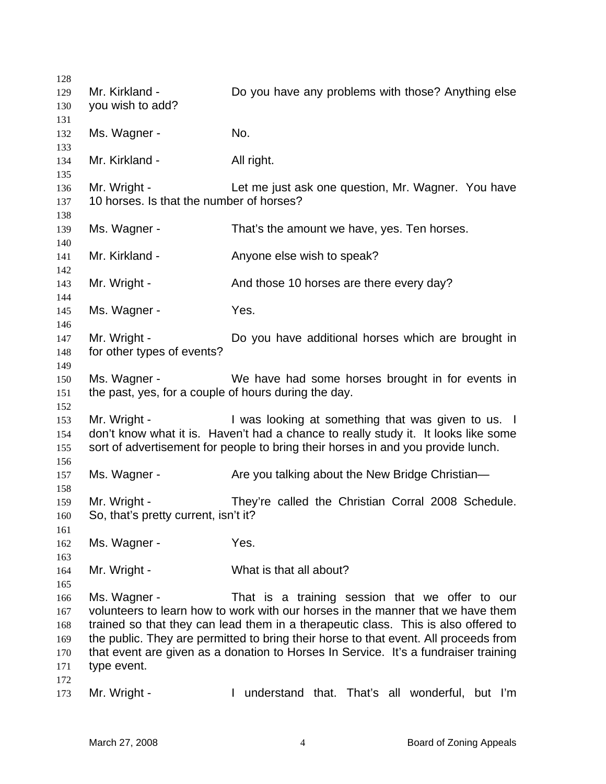| 128 |                                                      |                                                                                      |
|-----|------------------------------------------------------|--------------------------------------------------------------------------------------|
| 129 | Mr. Kirkland -                                       | Do you have any problems with those? Anything else                                   |
| 130 | you wish to add?                                     |                                                                                      |
| 131 |                                                      |                                                                                      |
| 132 | Ms. Wagner -                                         | No.                                                                                  |
| 133 |                                                      |                                                                                      |
| 134 | Mr. Kirkland -                                       | All right.                                                                           |
| 135 |                                                      |                                                                                      |
| 136 | Mr. Wright -                                         | Let me just ask one question, Mr. Wagner. You have                                   |
| 137 | 10 horses. Is that the number of horses?             |                                                                                      |
| 138 |                                                      |                                                                                      |
| 139 | Ms. Wagner -                                         | That's the amount we have, yes. Ten horses.                                          |
| 140 |                                                      |                                                                                      |
| 141 | Mr. Kirkland -                                       | Anyone else wish to speak?                                                           |
|     |                                                      |                                                                                      |
| 142 |                                                      |                                                                                      |
| 143 | Mr. Wright -                                         | And those 10 horses are there every day?                                             |
| 144 |                                                      |                                                                                      |
| 145 | Ms. Wagner -                                         | Yes.                                                                                 |
| 146 |                                                      |                                                                                      |
| 147 | Mr. Wright -                                         | Do you have additional horses which are brought in                                   |
| 148 | for other types of events?                           |                                                                                      |
| 149 |                                                      |                                                                                      |
| 150 | Ms. Wagner -                                         | We have had some horses brought in for events in                                     |
| 151 | the past, yes, for a couple of hours during the day. |                                                                                      |
| 152 |                                                      |                                                                                      |
| 153 | Mr. Wright -                                         | I was looking at something that was given to us. I                                   |
| 154 |                                                      | don't know what it is. Haven't had a chance to really study it. It looks like some   |
| 155 |                                                      | sort of advertisement for people to bring their horses in and you provide lunch.     |
| 156 |                                                      |                                                                                      |
| 157 | Ms. Wagner -                                         | Are you talking about the New Bridge Christian-                                      |
| 158 |                                                      |                                                                                      |
| 159 | Mr. Wright -                                         | They're called the Christian Corral 2008 Schedule.                                   |
| 160 | So, that's pretty current, isn't it?                 |                                                                                      |
| 161 |                                                      |                                                                                      |
| 162 | Ms. Wagner -                                         | Yes.                                                                                 |
| 163 |                                                      |                                                                                      |
| 164 | Mr. Wright -                                         | What is that all about?                                                              |
| 165 |                                                      |                                                                                      |
| 166 | Ms. Wagner -                                         | That is a training session that we offer to our                                      |
| 167 |                                                      | volunteers to learn how to work with our horses in the manner that we have them      |
| 168 |                                                      | trained so that they can lead them in a therapeutic class. This is also offered to   |
| 169 |                                                      | the public. They are permitted to bring their horse to that event. All proceeds from |
| 170 |                                                      | that event are given as a donation to Horses In Service. It's a fundraiser training  |
| 171 | type event.                                          |                                                                                      |
| 172 |                                                      |                                                                                      |
| 173 | Mr. Wright -                                         | understand that. That's all wonderful, but I'm<br>$\mathbf{I}$                       |
|     |                                                      |                                                                                      |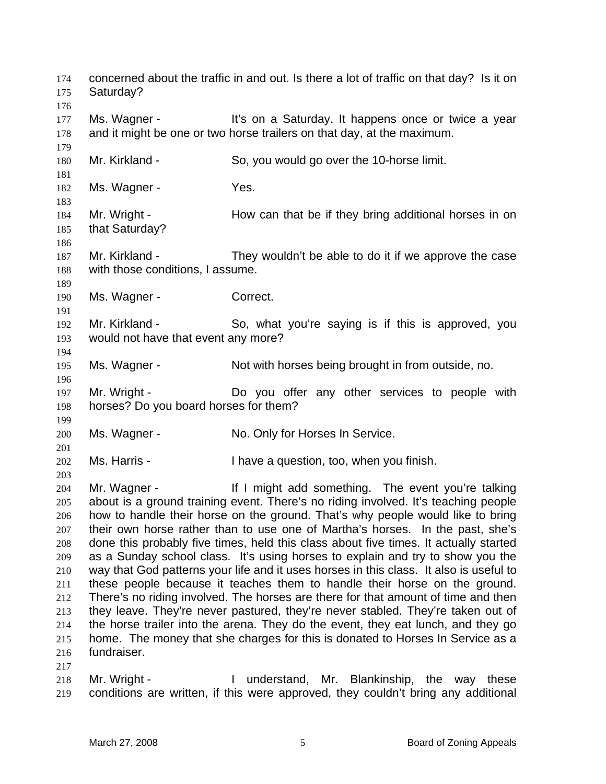concerned about the traffic in and out. Is there a lot of traffic on that day? Is it on Saturday? 177 Ms. Wagner - It's on a Saturday. It happens once or twice a year and it might be one or two horse trailers on that day, at the maximum. Mr. Kirkland - So, you would go over the 10-horse limit. 182 Ms. Wagner - Yes. 184 Mr. Wright - How can that be if they bring additional horses in on that Saturday? Mr. Kirkland - They wouldn't be able to do it if we approve the case with those conditions, I assume. 190 Ms. Wagner - Correct. Mr. Kirkland - So, what you're saying is if this is approved, you would not have that event any more? Ms. Wagner - Not with horses being brought in from outside, no. Mr. Wright - Do you offer any other services to people with horses? Do you board horses for them? Ms. Wagner - No. Only for Horses In Service. Ms. Harris - I have a question, too, when you finish. 204 Mr. Wagner - If I might add something. The event you're talking about is a ground training event. There's no riding involved. It's teaching people how to handle their horse on the ground. That's why people would like to bring their own horse rather than to use one of Martha's horses. In the past, she's done this probably five times, held this class about five times. It actually started as a Sunday school class. It's using horses to explain and try to show you the way that God patterns your life and it uses horses in this class. It also is useful to these people because it teaches them to handle their horse on the ground. There's no riding involved. The horses are there for that amount of time and then they leave. They're never pastured, they're never stabled. They're taken out of the horse trailer into the arena. They do the event, they eat lunch, and they go home. The money that she charges for this is donated to Horses In Service as a fundraiser. Mr. Wright - I understand, Mr. Blankinship, the way these

conditions are written, if this were approved, they couldn't bring any additional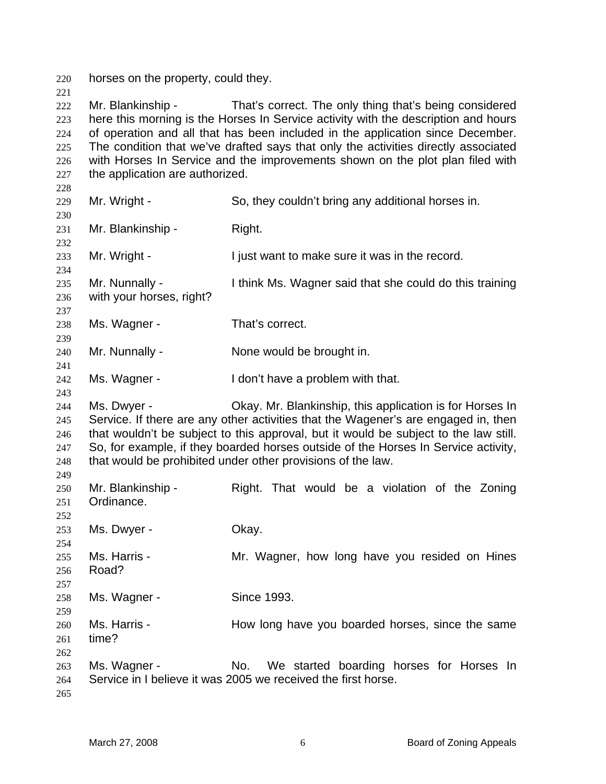horses on the property, could they.

222 Mr. Blankinship - That's correct. The only thing that's being considered here this morning is the Horses In Service activity with the description and hours of operation and all that has been included in the application since December. The condition that we've drafted says that only the activities directly associated 226 with Horses In Service and the improvements shown on the plot plan filed with the application are authorized.

| ∠∠∪        |                          |                                                                                      |
|------------|--------------------------|--------------------------------------------------------------------------------------|
| 229        | Mr. Wright -             | So, they couldn't bring any additional horses in.                                    |
| 230        |                          |                                                                                      |
| 231        | Mr. Blankinship -        | Right.                                                                               |
| 232        |                          |                                                                                      |
| 233        | Mr. Wright -             | I just want to make sure it was in the record.                                       |
| 234        |                          |                                                                                      |
| 235        | Mr. Nunnally -           | I think Ms. Wagner said that she could do this training                              |
| 236        | with your horses, right? |                                                                                      |
| 237<br>238 | Ms. Wagner -             | That's correct.                                                                      |
| 239        |                          |                                                                                      |
| 240        | Mr. Nunnally -           | None would be brought in.                                                            |
| 241        |                          |                                                                                      |
| 242        | Ms. Wagner -             | I don't have a problem with that.                                                    |
| 243        |                          |                                                                                      |
| 244        | Ms. Dwyer -              | Okay. Mr. Blankinship, this application is for Horses In                             |
| 245        |                          | Service. If there are any other activities that the Wagener's are engaged in, then   |
| 246        |                          | that wouldn't be subject to this approval, but it would be subject to the law still. |
| 247        |                          | So, for example, if they boarded horses outside of the Horses In Service activity,   |
| 248        |                          | that would be prohibited under other provisions of the law.                          |
| 249        |                          |                                                                                      |
| 250        | Mr. Blankinship -        | Right. That would be a violation of the Zoning                                       |
| 251        | Ordinance.               |                                                                                      |
| 252        |                          |                                                                                      |
| 253        | Ms. Dwyer -              | Okay.                                                                                |
| 254        |                          |                                                                                      |
| 255        | Ms. Harris -             | Mr. Wagner, how long have you resided on Hines                                       |
| 256        | Road?                    |                                                                                      |
| 257        |                          | Since 1993.                                                                          |
| 258        | Ms. Wagner -             |                                                                                      |
| 259<br>260 | Ms. Harris -             | How long have you boarded horses, since the same                                     |
| 261        | time?                    |                                                                                      |
| 262        |                          |                                                                                      |
| 263        | Ms. Wagner -             | No.<br>We started boarding horses for Horses In                                      |
| 264        |                          | Service in I believe it was 2005 we received the first horse.                        |
| 265        |                          |                                                                                      |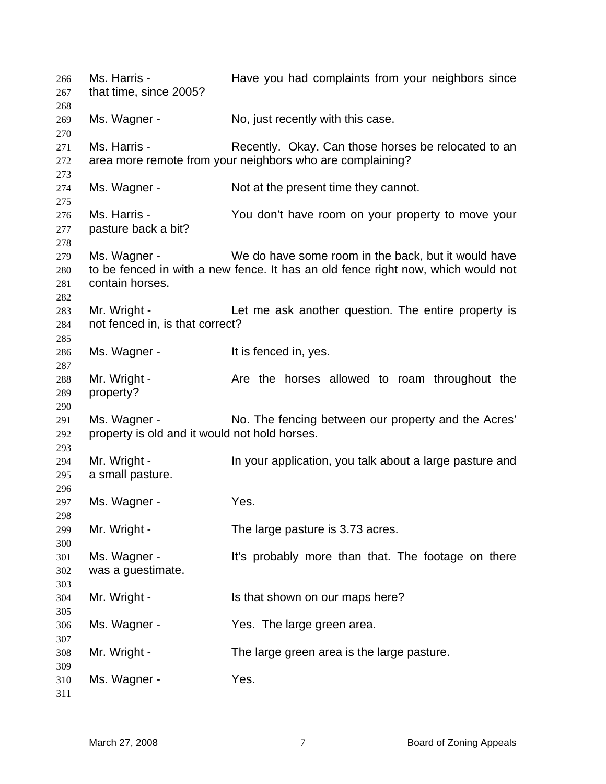266 Ms. Harris - Have you had complaints from your neighbors since that time, since 2005? 269 Ms. Wagner - No, just recently with this case. 271 Ms. Harris - Recently. Okay. Can those horses be relocated to an area more remote from your neighbors who are complaining? Ms. Wagner - Not at the present time they cannot. Ms. Harris - You don't have room on your property to move your pasture back a bit? Ms. Wagner - We do have some room in the back, but it would have to be fenced in with a new fence. It has an old fence right now, which would not contain horses. Mr. Wright - Let me ask another question. The entire property is not fenced in, is that correct? 286 Ms. Wagner - The Music State of the Section Music Music Music Music Music Music Music Music Music Music Mu 288 Mr. Wright - Are the horses allowed to roam throughout the property? Ms. Wagner - No. The fencing between our property and the Acres' property is old and it would not hold horses. 294 Mr. Wright - In your application, you talk about a large pasture and a small pasture. 297 Ms. Wagner - Yes. Mr. Wright - The large pasture is 3.73 acres. Ms. Wagner - It's probably more than that. The footage on there was a guestimate. Mr. Wright - Is that shown on our maps here? Ms. Wagner - Yes. The large green area. Mr. Wright - The large green area is the large pasture. Ms. Wagner - Yes.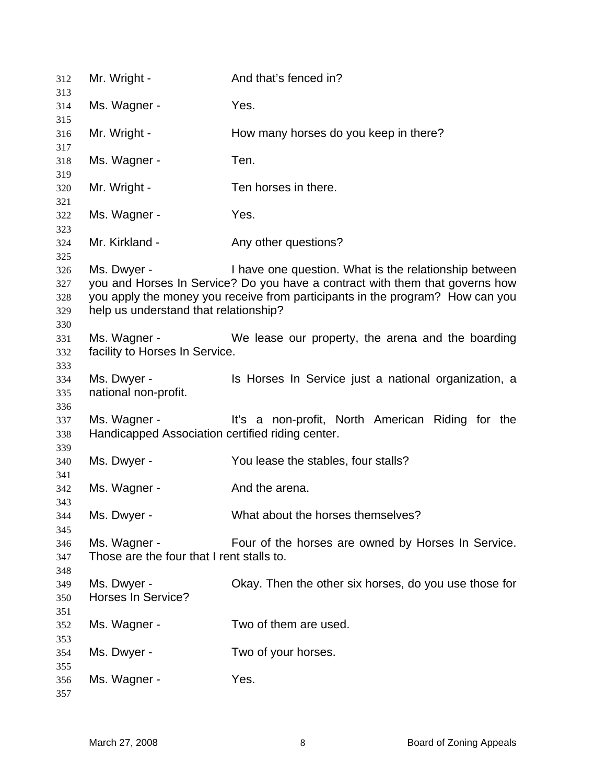| 312        | Mr. Wright -                                     | And that's fenced in?                                                         |
|------------|--------------------------------------------------|-------------------------------------------------------------------------------|
| 313<br>314 | Ms. Wagner -                                     | Yes.                                                                          |
| 315        |                                                  |                                                                               |
| 316        | Mr. Wright -                                     | How many horses do you keep in there?                                         |
| 317<br>318 | Ms. Wagner -                                     | Ten.                                                                          |
| 319        |                                                  |                                                                               |
| 320        | Mr. Wright -                                     | Ten horses in there.                                                          |
| 321        |                                                  | Yes.                                                                          |
| 322<br>323 | Ms. Wagner -                                     |                                                                               |
| 324        | Mr. Kirkland -                                   | Any other questions?                                                          |
| 325<br>326 | Ms. Dwyer -                                      | I have one question. What is the relationship between                         |
| 327        |                                                  | you and Horses In Service? Do you have a contract with them that governs how  |
| 328        |                                                  | you apply the money you receive from participants in the program? How can you |
| 329        | help us understand that relationship?            |                                                                               |
| 330        |                                                  |                                                                               |
| 331        | Ms. Wagner -                                     | We lease our property, the arena and the boarding                             |
| 332        | facility to Horses In Service.                   |                                                                               |
| 333        |                                                  |                                                                               |
| 334        | Ms. Dwyer -                                      | Is Horses In Service just a national organization, a                          |
| 335        | national non-profit.                             |                                                                               |
| 336        |                                                  |                                                                               |
| 337        | Ms. Wagner -                                     | It's a non-profit, North American Riding for the                              |
| 338        | Handicapped Association certified riding center. |                                                                               |
| 339        |                                                  |                                                                               |
| 340        | Ms. Dwyer -                                      | You lease the stables, four stalls?                                           |
| 341        |                                                  |                                                                               |
| 342        | Ms. Wagner -                                     | And the arena.                                                                |
| 343        |                                                  |                                                                               |
| 344        | Ms. Dwyer -                                      | What about the horses themselves?                                             |
| 345        |                                                  |                                                                               |
| 346        | Ms. Wagner -                                     | Four of the horses are owned by Horses In Service.                            |
| 347        | Those are the four that I rent stalls to.        |                                                                               |
| 348        |                                                  |                                                                               |
| 349        | Ms. Dwyer -                                      | Okay. Then the other six horses, do you use those for                         |
| 350        | Horses In Service?                               |                                                                               |
| 351        |                                                  |                                                                               |
| 352        | Ms. Wagner -                                     | Two of them are used.                                                         |
| 353        |                                                  |                                                                               |
| 354        | Ms. Dwyer -                                      | Two of your horses.                                                           |
| 355        |                                                  |                                                                               |
| 356        | Ms. Wagner -                                     | Yes.                                                                          |
| 357        |                                                  |                                                                               |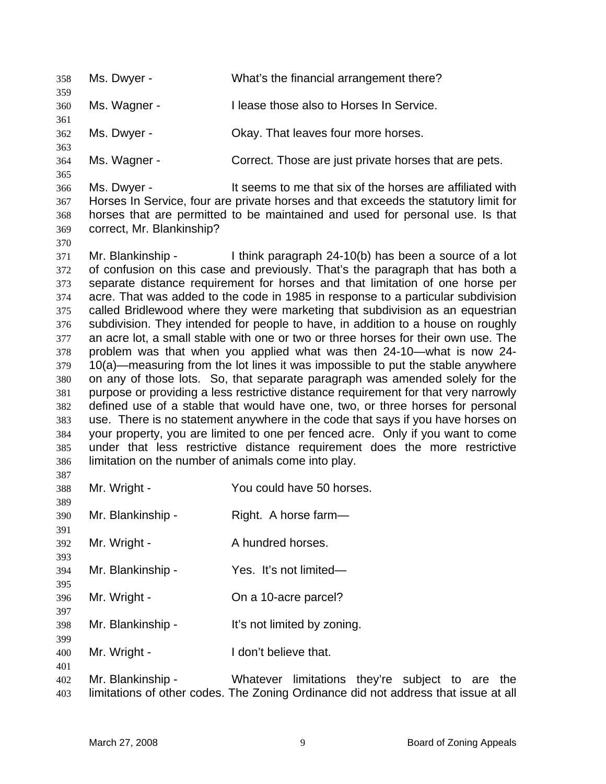| 358<br>359                                                                                                          | Ms. Dwyer -                                                              | What's the financial arrangement there?                                                                                                                                                                                                                                                                                                                                                                                                                                                                                                                                                                                                                                                                                                                                                                                                                                                                                                                                                                                                                                                                                                                                                                                                          |
|---------------------------------------------------------------------------------------------------------------------|--------------------------------------------------------------------------|--------------------------------------------------------------------------------------------------------------------------------------------------------------------------------------------------------------------------------------------------------------------------------------------------------------------------------------------------------------------------------------------------------------------------------------------------------------------------------------------------------------------------------------------------------------------------------------------------------------------------------------------------------------------------------------------------------------------------------------------------------------------------------------------------------------------------------------------------------------------------------------------------------------------------------------------------------------------------------------------------------------------------------------------------------------------------------------------------------------------------------------------------------------------------------------------------------------------------------------------------|
| 360                                                                                                                 | Ms. Wagner -                                                             | I lease those also to Horses In Service.                                                                                                                                                                                                                                                                                                                                                                                                                                                                                                                                                                                                                                                                                                                                                                                                                                                                                                                                                                                                                                                                                                                                                                                                         |
| 361<br>362                                                                                                          | Ms. Dwyer -                                                              | Okay. That leaves four more horses.                                                                                                                                                                                                                                                                                                                                                                                                                                                                                                                                                                                                                                                                                                                                                                                                                                                                                                                                                                                                                                                                                                                                                                                                              |
| 363<br>364                                                                                                          | Ms. Wagner -                                                             | Correct. Those are just private horses that are pets.                                                                                                                                                                                                                                                                                                                                                                                                                                                                                                                                                                                                                                                                                                                                                                                                                                                                                                                                                                                                                                                                                                                                                                                            |
| 365                                                                                                                 |                                                                          |                                                                                                                                                                                                                                                                                                                                                                                                                                                                                                                                                                                                                                                                                                                                                                                                                                                                                                                                                                                                                                                                                                                                                                                                                                                  |
| 366<br>367<br>368<br>369<br>370                                                                                     | Ms. Dwyer -<br>correct, Mr. Blankinship?                                 | It seems to me that six of the horses are affiliated with<br>Horses In Service, four are private horses and that exceeds the statutory limit for<br>horses that are permitted to be maintained and used for personal use. Is that                                                                                                                                                                                                                                                                                                                                                                                                                                                                                                                                                                                                                                                                                                                                                                                                                                                                                                                                                                                                                |
| 371<br>372<br>373<br>374<br>375<br>376<br>377<br>378<br>379<br>380<br>381<br>382<br>383<br>384<br>385<br>386<br>387 | Mr. Blankinship -<br>limitation on the number of animals come into play. | I think paragraph 24-10(b) has been a source of a lot<br>of confusion on this case and previously. That's the paragraph that has both a<br>separate distance requirement for horses and that limitation of one horse per<br>acre. That was added to the code in 1985 in response to a particular subdivision<br>called Bridlewood where they were marketing that subdivision as an equestrian<br>subdivision. They intended for people to have, in addition to a house on roughly<br>an acre lot, a small stable with one or two or three horses for their own use. The<br>problem was that when you applied what was then 24-10—what is now 24-<br>10(a)—measuring from the lot lines it was impossible to put the stable anywhere<br>on any of those lots. So, that separate paragraph was amended solely for the<br>purpose or providing a less restrictive distance requirement for that very narrowly<br>defined use of a stable that would have one, two, or three horses for personal<br>use. There is no statement anywhere in the code that says if you have horses on<br>your property, you are limited to one per fenced acre. Only if you want to come<br>under that less restrictive distance requirement does the more restrictive |
| 388<br>389                                                                                                          | Mr. Wright -                                                             | You could have 50 horses.                                                                                                                                                                                                                                                                                                                                                                                                                                                                                                                                                                                                                                                                                                                                                                                                                                                                                                                                                                                                                                                                                                                                                                                                                        |
| 390<br>391                                                                                                          | Mr. Blankinship -                                                        | Right. A horse farm-                                                                                                                                                                                                                                                                                                                                                                                                                                                                                                                                                                                                                                                                                                                                                                                                                                                                                                                                                                                                                                                                                                                                                                                                                             |
| 392<br>393                                                                                                          | Mr. Wright -                                                             | A hundred horses.                                                                                                                                                                                                                                                                                                                                                                                                                                                                                                                                                                                                                                                                                                                                                                                                                                                                                                                                                                                                                                                                                                                                                                                                                                |
| 394<br>395                                                                                                          | Mr. Blankinship -                                                        | Yes. It's not limited-                                                                                                                                                                                                                                                                                                                                                                                                                                                                                                                                                                                                                                                                                                                                                                                                                                                                                                                                                                                                                                                                                                                                                                                                                           |
| 396<br>397                                                                                                          | Mr. Wright -                                                             | On a 10-acre parcel?                                                                                                                                                                                                                                                                                                                                                                                                                                                                                                                                                                                                                                                                                                                                                                                                                                                                                                                                                                                                                                                                                                                                                                                                                             |
| 398                                                                                                                 | Mr. Blankinship -                                                        | It's not limited by zoning.                                                                                                                                                                                                                                                                                                                                                                                                                                                                                                                                                                                                                                                                                                                                                                                                                                                                                                                                                                                                                                                                                                                                                                                                                      |
| 399<br>400<br>401                                                                                                   | Mr. Wright -                                                             | I don't believe that.                                                                                                                                                                                                                                                                                                                                                                                                                                                                                                                                                                                                                                                                                                                                                                                                                                                                                                                                                                                                                                                                                                                                                                                                                            |
| 402<br>403                                                                                                          | Mr. Blankinship -                                                        | Whatever limitations they're subject to are the<br>limitations of other codes. The Zoning Ordinance did not address that issue at all                                                                                                                                                                                                                                                                                                                                                                                                                                                                                                                                                                                                                                                                                                                                                                                                                                                                                                                                                                                                                                                                                                            |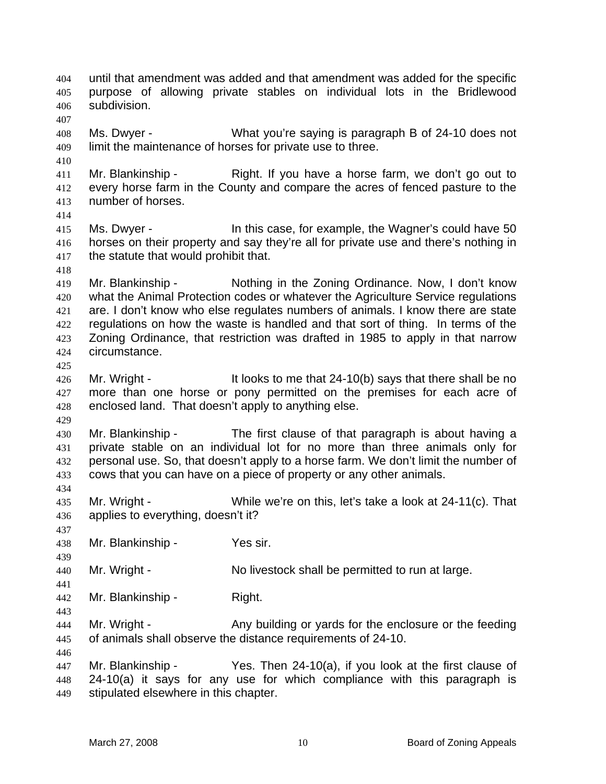until that amendment was added and that amendment was added for the specific purpose of allowing private stables on individual lots in the Bridlewood subdivision. Ms. Dwyer - What you're saying is paragraph B of 24-10 does not limit the maintenance of horses for private use to three. 411 Mr. Blankinship - Right. If you have a horse farm, we don't go out to every horse farm in the County and compare the acres of fenced pasture to the number of horses. 415 Ms. Dwyer - In this case, for example, the Wagner's could have 50 horses on their property and say they're all for private use and there's nothing in the statute that would prohibit that. Mr. Blankinship - Nothing in the Zoning Ordinance. Now, I don't know what the Animal Protection codes or whatever the Agriculture Service regulations are. I don't know who else regulates numbers of animals. I know there are state regulations on how the waste is handled and that sort of thing. In terms of the Zoning Ordinance, that restriction was drafted in 1985 to apply in that narrow circumstance. 426 Mr. Wright - It looks to me that 24-10(b) says that there shall be no 427 more than one horse or pony permitted on the premises for each acre of enclosed land. That doesn't apply to anything else. Mr. Blankinship - The first clause of that paragraph is about having a private stable on an individual lot for no more than three animals only for personal use. So, that doesn't apply to a horse farm. We don't limit the number of cows that you can have on a piece of property or any other animals. Mr. Wright - While we're on this, let's take a look at 24-11(c). That applies to everything, doesn't it? Mr. Blankinship - Yes sir. Mr. Wright - No livestock shall be permitted to run at large. Mr. Blankinship - Right. Mr. Wright - Any building or yards for the enclosure or the feeding of animals shall observe the distance requirements of 24-10. Mr. Blankinship - Yes. Then 24-10(a), if you look at the first clause of 24-10(a) it says for any use for which compliance with this paragraph is stipulated elsewhere in this chapter.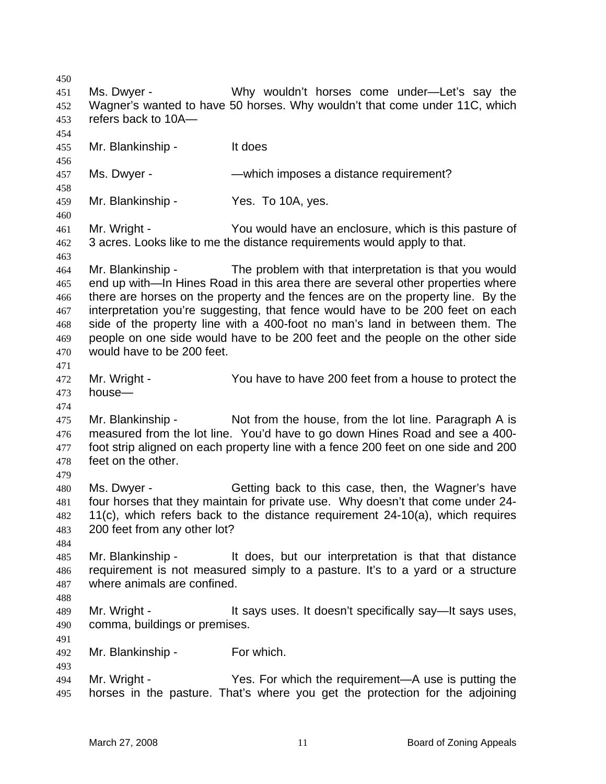Ms. Dwyer - Why wouldn't horses come under—Let's say the Wagner's wanted to have 50 horses. Why wouldn't that come under 11C, which refers back to 10A— Mr. Blankinship - It does 457 Ms. Dwyer - — —which imposes a distance requirement? Mr. Blankinship - Yes. To 10A, yes. Mr. Wright - You would have an enclosure, which is this pasture of 3 acres. Looks like to me the distance requirements would apply to that. Mr. Blankinship - The problem with that interpretation is that you would end up with—In Hines Road in this area there are several other properties where there are horses on the property and the fences are on the property line. By the interpretation you're suggesting, that fence would have to be 200 feet on each side of the property line with a 400-foot no man's land in between them. The people on one side would have to be 200 feet and the people on the other side would have to be 200 feet. Mr. Wright - You have to have 200 feet from a house to protect the house— Mr. Blankinship - Not from the house, from the lot line. Paragraph A is measured from the lot line. You'd have to go down Hines Road and see a 400- foot strip aligned on each property line with a fence 200 feet on one side and 200 feet on the other. Ms. Dwyer - Getting back to this case, then, the Wagner's have four horses that they maintain for private use. Why doesn't that come under 24- 11(c), which refers back to the distance requirement 24-10(a), which requires 200 feet from any other lot? Mr. Blankinship - It does, but our interpretation is that that distance requirement is not measured simply to a pasture. It's to a yard or a structure where animals are confined. Mr. Wright - It says uses. It doesn't specifically say—It says uses, comma, buildings or premises. Mr. Blankinship - For which. Mr. Wright - Yes. For which the requirement—A use is putting the horses in the pasture. That's where you get the protection for the adjoining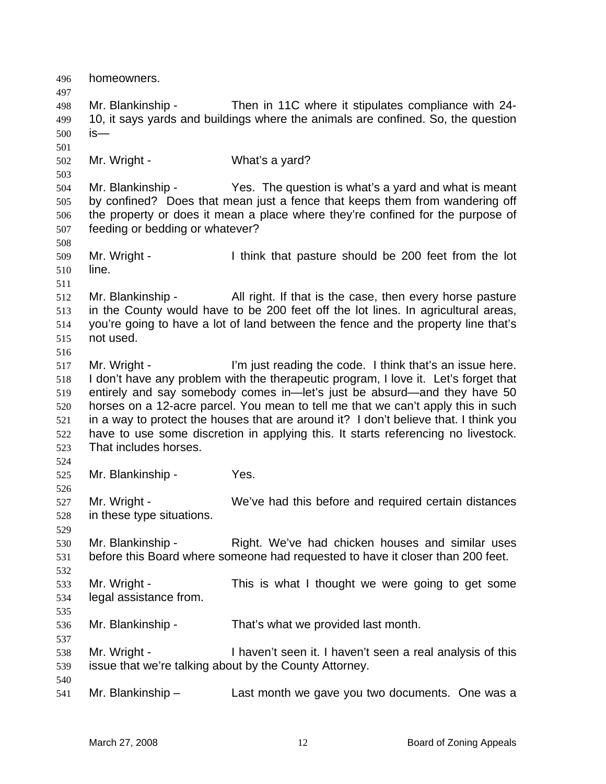homeowners. Mr. Blankinship - Then in 11C where it stipulates compliance with 24- 10, it says yards and buildings where the animals are confined. So, the question is— Mr. Wright - What's a yard? Mr. Blankinship - Yes. The question is what's a yard and what is meant by confined? Does that mean just a fence that keeps them from wandering off the property or does it mean a place where they're confined for the purpose of feeding or bedding or whatever? Mr. Wright - I think that pasture should be 200 feet from the lot line. Mr. Blankinship - All right. If that is the case, then every horse pasture in the County would have to be 200 feet off the lot lines. In agricultural areas, you're going to have a lot of land between the fence and the property line that's not used. 517 Mr. Wright - I'm just reading the code. I think that's an issue here. I don't have any problem with the therapeutic program, I love it. Let's forget that entirely and say somebody comes in—let's just be absurd—and they have 50 horses on a 12-acre parcel. You mean to tell me that we can't apply this in such in a way to protect the houses that are around it? I don't believe that. I think you have to use some discretion in applying this. It starts referencing no livestock. That includes horses. Mr. Blankinship - Yes. Mr. Wright - We've had this before and required certain distances in these type situations. Mr. Blankinship - Right. We've had chicken houses and similar uses before this Board where someone had requested to have it closer than 200 feet. Mr. Wright - This is what I thought we were going to get some legal assistance from. Mr. Blankinship - That's what we provided last month. Mr. Wright - I haven't seen it. I haven't seen a real analysis of this issue that we're talking about by the County Attorney. Mr. Blankinship – Last month we gave you two documents. One was a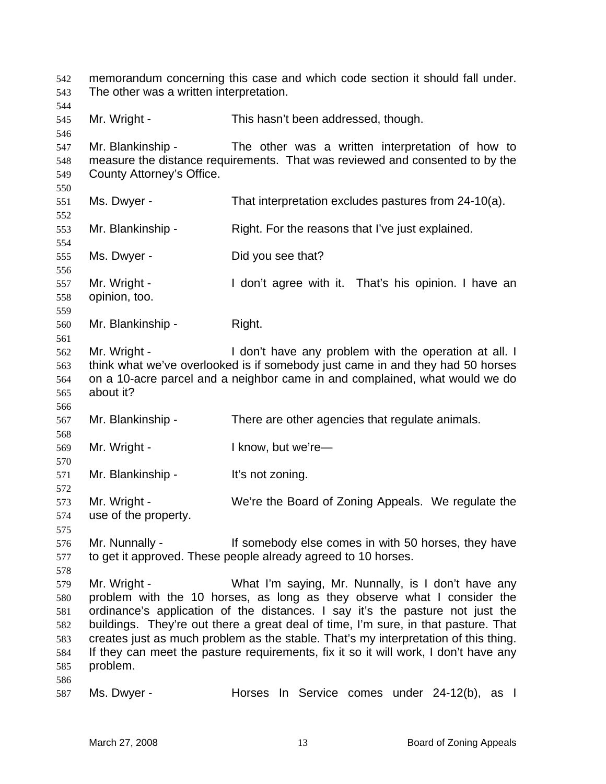memorandum concerning this case and which code section it should fall under. The other was a written interpretation. Mr. Wright - This hasn't been addressed, though. Mr. Blankinship - The other was a written interpretation of how to measure the distance requirements. That was reviewed and consented to by the County Attorney's Office. Ms. Dwyer - That interpretation excludes pastures from 24-10(a). Mr. Blankinship - Right. For the reasons that I've just explained. Ms. Dwyer - Did you see that? Mr. Wright - I don't agree with it. That's his opinion. I have an opinion, too. Mr. Blankinship - Right. Mr. Wright - I don't have any problem with the operation at all. I think what we've overlooked is if somebody just came in and they had 50 horses on a 10-acre parcel and a neighbor came in and complained, what would we do about it? Mr. Blankinship - There are other agencies that regulate animals. Mr. Wright - I know, but we're— Mr. Blankinship - It's not zoning. Mr. Wright - We're the Board of Zoning Appeals. We regulate the use of the property. 576 Mr. Nunnally - If somebody else comes in with 50 horses, they have to get it approved. These people already agreed to 10 horses. Mr. Wright - What I'm saying, Mr. Nunnally, is I don't have any problem with the 10 horses, as long as they observe what I consider the ordinance's application of the distances. I say it's the pasture not just the buildings. They're out there a great deal of time, I'm sure, in that pasture. That creates just as much problem as the stable. That's my interpretation of this thing. If they can meet the pasture requirements, fix it so it will work, I don't have any problem. Ms. Dwyer - Horses In Service comes under 24-12(b), as I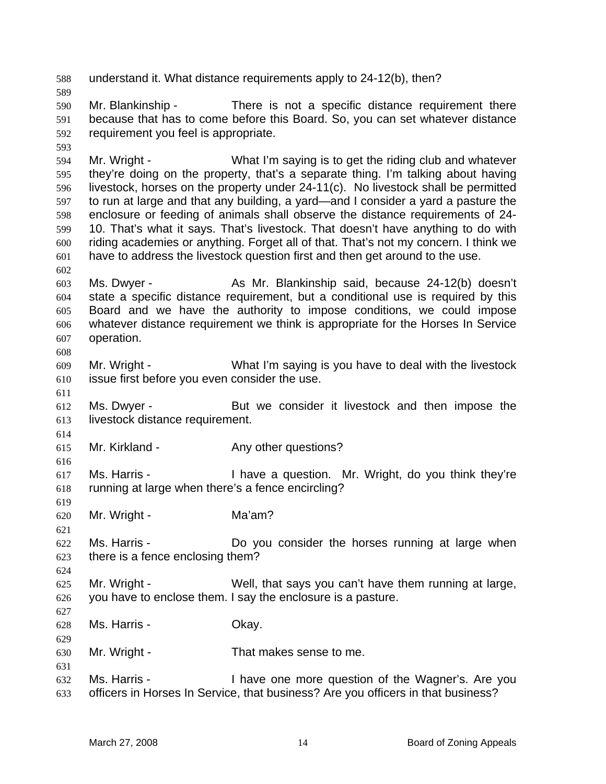understand it. What distance requirements apply to 24-12(b), then? Mr. Blankinship - There is not a specific distance requirement there because that has to come before this Board. So, you can set whatever distance requirement you feel is appropriate. Mr. Wright - What I'm saying is to get the riding club and whatever they're doing on the property, that's a separate thing. I'm talking about having livestock, horses on the property under 24-11(c). No livestock shall be permitted to run at large and that any building, a yard—and I consider a yard a pasture the enclosure or feeding of animals shall observe the distance requirements of 24- 10. That's what it says. That's livestock. That doesn't have anything to do with riding academies or anything. Forget all of that. That's not my concern. I think we have to address the livestock question first and then get around to the use. Ms. Dwyer - As Mr. Blankinship said, because 24-12(b) doesn't state a specific distance requirement, but a conditional use is required by this Board and we have the authority to impose conditions, we could impose whatever distance requirement we think is appropriate for the Horses In Service operation. Mr. Wright - What I'm saying is you have to deal with the livestock issue first before you even consider the use. Ms. Dwyer - But we consider it livestock and then impose the livestock distance requirement. Mr. Kirkland - Any other questions? Ms. Harris - I have a question. Mr. Wright, do you think they're running at large when there's a fence encircling? Mr. Wright - Ma'am? Ms. Harris - Do you consider the horses running at large when there is a fence enclosing them? Mr. Wright - Well, that says you can't have them running at large, you have to enclose them. I say the enclosure is a pasture. Ms. Harris - Okay. Mr. Wright - That makes sense to me. Ms. Harris - I have one more question of the Wagner's. Are you officers in Horses In Service, that business? Are you officers in that business?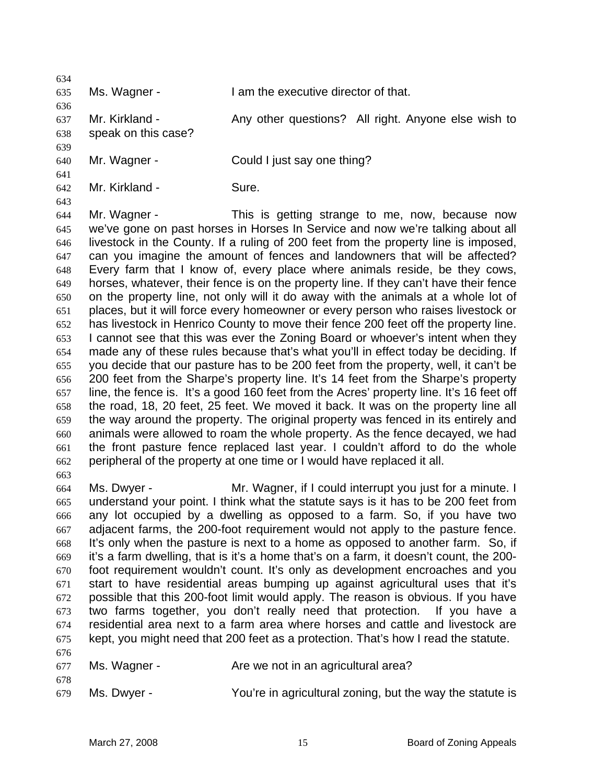| 634        |                     |                                                                                          |
|------------|---------------------|------------------------------------------------------------------------------------------|
| 635        | Ms. Wagner -        | I am the executive director of that.                                                     |
| 636<br>637 | Mr. Kirkland -      | Any other questions? All right. Anyone else wish to                                      |
|            |                     |                                                                                          |
| 638        | speak on this case? |                                                                                          |
| 639        |                     |                                                                                          |
| 640        | Mr. Wagner -        | Could I just say one thing?                                                              |
| 641<br>642 | Mr. Kirkland -      | Sure.                                                                                    |
| 643        |                     |                                                                                          |
| 644        | Mr. Wagner -        | This is getting strange to me, now, because now                                          |
| 645        |                     | we've gone on past horses in Horses In Service and now we're talking about all           |
| 646        |                     | livestock in the County. If a ruling of 200 feet from the property line is imposed,      |
| 647        |                     | can you imagine the amount of fences and landowners that will be affected?               |
| 648        |                     | Every farm that I know of, every place where animals reside, be they cows,               |
| 649        |                     | horses, whatever, their fence is on the property line. If they can't have their fence    |
| 650        |                     | on the property line, not only will it do away with the animals at a whole lot of        |
| 651        |                     | places, but it will force every homeowner or every person who raises livestock or        |
| 652        |                     | has livestock in Henrico County to move their fence 200 feet off the property line.      |
| 653        |                     | I cannot see that this was ever the Zoning Board or whoever's intent when they           |
| 654        |                     | made any of these rules because that's what you'll in effect today be deciding. If       |
| 655        |                     | you decide that our pasture has to be 200 feet from the property, well, it can't be      |
| 656        |                     | 200 feet from the Sharpe's property line. It's 14 feet from the Sharpe's property        |
| 657        |                     | line, the fence is. It's a good 160 feet from the Acres' property line. It's 16 feet off |
| 658        |                     | the road, 18, 20 feet, 25 feet. We moved it back. It was on the property line all        |
| 659        |                     | the way around the property. The original property was fenced in its entirely and        |
| 660        |                     | animals were allowed to roam the whole property. As the fence decayed, we had            |
| 661        |                     | the front pasture fence replaced last year. I couldn't afford to do the whole            |
| 662        |                     | peripheral of the property at one time or I would have replaced it all.                  |

Ms. Dwyer - Mr. Wagner, if I could interrupt you just for a minute. I understand your point. I think what the statute says is it has to be 200 feet from any lot occupied by a dwelling as opposed to a farm. So, if you have two adjacent farms, the 200-foot requirement would not apply to the pasture fence. It's only when the pasture is next to a home as opposed to another farm. So, if it's a farm dwelling, that is it's a home that's on a farm, it doesn't count, the 200- foot requirement wouldn't count. It's only as development encroaches and you start to have residential areas bumping up against agricultural uses that it's possible that this 200-foot limit would apply. The reason is obvious. If you have two farms together, you don't really need that protection. If you have a residential area next to a farm area where horses and cattle and livestock are kept, you might need that 200 feet as a protection. That's how I read the statute. 

677 Ms. Wagner - Are we not in an agricultural area?

Ms. Dwyer - You're in agricultural zoning, but the way the statute is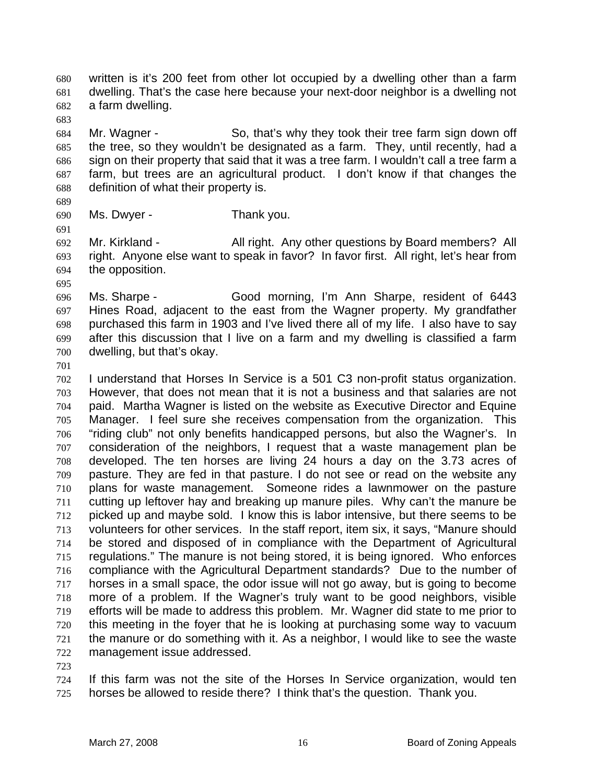written is it's 200 feet from other lot occupied by a dwelling other than a farm dwelling. That's the case here because your next-door neighbor is a dwelling not a farm dwelling.

Mr. Wagner - So, that's why they took their tree farm sign down off the tree, so they wouldn't be designated as a farm. They, until recently, had a sign on their property that said that it was a tree farm. I wouldn't call a tree farm a farm, but trees are an agricultural product. I don't know if that changes the definition of what their property is.

Ms. Dwyer - Thank you.

Mr. Kirkland - All right. Any other questions by Board members? All right. Anyone else want to speak in favor? In favor first. All right, let's hear from the opposition.

Ms. Sharpe - Good morning, I'm Ann Sharpe, resident of 6443 Hines Road, adjacent to the east from the Wagner property. My grandfather purchased this farm in 1903 and I've lived there all of my life. I also have to say after this discussion that I live on a farm and my dwelling is classified a farm dwelling, but that's okay.

I understand that Horses In Service is a 501 C3 non-profit status organization. However, that does not mean that it is not a business and that salaries are not paid. Martha Wagner is listed on the website as Executive Director and Equine Manager. I feel sure she receives compensation from the organization. This "riding club" not only benefits handicapped persons, but also the Wagner's. In consideration of the neighbors, I request that a waste management plan be developed. The ten horses are living 24 hours a day on the 3.73 acres of pasture. They are fed in that pasture. I do not see or read on the website any plans for waste management. Someone rides a lawnmower on the pasture cutting up leftover hay and breaking up manure piles. Why can't the manure be picked up and maybe sold. I know this is labor intensive, but there seems to be volunteers for other services. In the staff report, item six, it says, "Manure should be stored and disposed of in compliance with the Department of Agricultural regulations." The manure is not being stored, it is being ignored. Who enforces compliance with the Agricultural Department standards? Due to the number of horses in a small space, the odor issue will not go away, but is going to become more of a problem. If the Wagner's truly want to be good neighbors, visible efforts will be made to address this problem. Mr. Wagner did state to me prior to this meeting in the foyer that he is looking at purchasing some way to vacuum the manure or do something with it. As a neighbor, I would like to see the waste management issue addressed.

If this farm was not the site of the Horses In Service organization, would ten horses be allowed to reside there? I think that's the question. Thank you.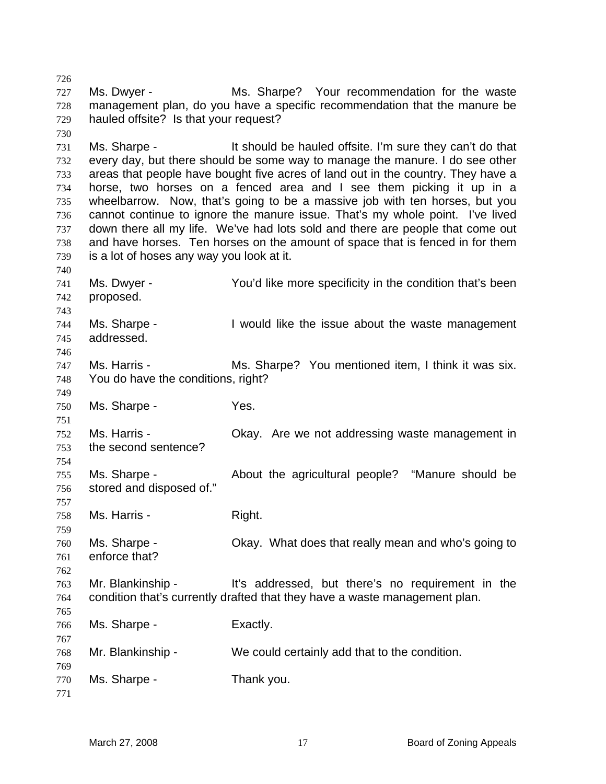Ms. Dwyer - Ms. Sharpe? Your recommendation for the waste management plan, do you have a specific recommendation that the manure be hauled offsite? Is that your request? Ms. Sharpe - It should be hauled offsite. I'm sure they can't do that every day, but there should be some way to manage the manure. I do see other areas that people have bought five acres of land out in the country. They have a horse, two horses on a fenced area and I see them picking it up in a wheelbarrow. Now, that's going to be a massive job with ten horses, but you cannot continue to ignore the manure issue. That's my whole point. I've lived down there all my life. We've had lots sold and there are people that come out and have horses. Ten horses on the amount of space that is fenced in for them is a lot of hoses any way you look at it. Ms. Dwyer - You'd like more specificity in the condition that's been proposed. Ms. Sharpe - I would like the issue about the waste management addressed. Ms. Harris - Ms. Sharpe? You mentioned item, I think it was six. You do have the conditions, right? Ms. Sharpe - Yes. Ms. Harris - Okay. Are we not addressing waste management in the second sentence? Ms. Sharpe - About the agricultural people? "Manure should be stored and disposed of." Ms. Harris - Right. Ms. Sharpe - Okay. What does that really mean and who's going to enforce that? Mr. Blankinship - It's addressed, but there's no requirement in the condition that's currently drafted that they have a waste management plan. Ms. Sharpe - Exactly. Mr. Blankinship - We could certainly add that to the condition. Ms. Sharpe - Thank you.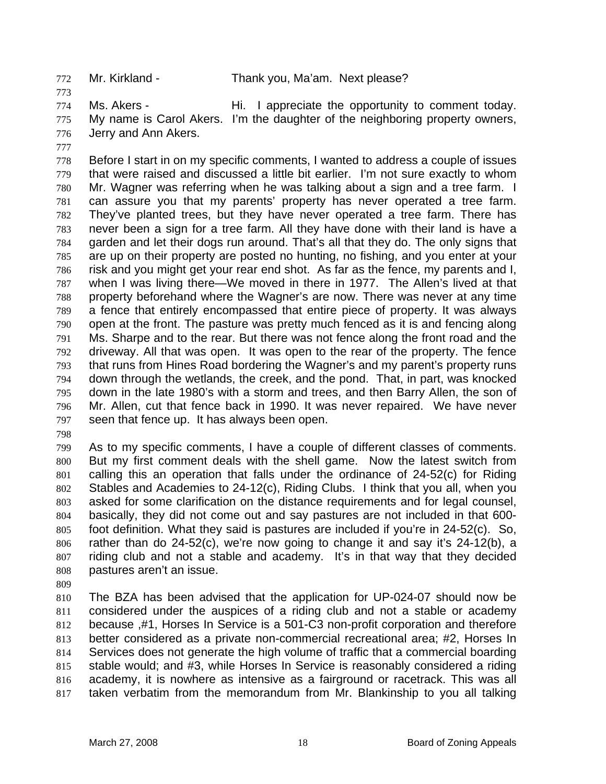Ms. Akers - Hi. I appreciate the opportunity to comment today. 775 My name is Carol Akers. I'm the daughter of the neighboring property owners, Jerry and Ann Akers.

Before I start in on my specific comments, I wanted to address a couple of issues that were raised and discussed a little bit earlier. I'm not sure exactly to whom Mr. Wagner was referring when he was talking about a sign and a tree farm. I can assure you that my parents' property has never operated a tree farm. They've planted trees, but they have never operated a tree farm. There has never been a sign for a tree farm. All they have done with their land is have a garden and let their dogs run around. That's all that they do. The only signs that are up on their property are posted no hunting, no fishing, and you enter at your risk and you might get your rear end shot. As far as the fence, my parents and I, when I was living there—We moved in there in 1977. The Allen's lived at that property beforehand where the Wagner's are now. There was never at any time a fence that entirely encompassed that entire piece of property. It was always open at the front. The pasture was pretty much fenced as it is and fencing along Ms. Sharpe and to the rear. But there was not fence along the front road and the driveway. All that was open. It was open to the rear of the property. The fence that runs from Hines Road bordering the Wagner's and my parent's property runs down through the wetlands, the creek, and the pond. That, in part, was knocked down in the late 1980's with a storm and trees, and then Barry Allen, the son of Mr. Allen, cut that fence back in 1990. It was never repaired. We have never seen that fence up. It has always been open.

As to my specific comments, I have a couple of different classes of comments. But my first comment deals with the shell game. Now the latest switch from calling this an operation that falls under the ordinance of 24-52(c) for Riding Stables and Academies to 24-12(c), Riding Clubs. I think that you all, when you asked for some clarification on the distance requirements and for legal counsel, basically, they did not come out and say pastures are not included in that 600- foot definition. What they said is pastures are included if you're in 24-52(c). So, rather than do 24-52(c), we're now going to change it and say it's 24-12(b), a riding club and not a stable and academy. It's in that way that they decided pastures aren't an issue.

The BZA has been advised that the application for UP-024-07 should now be considered under the auspices of a riding club and not a stable or academy because ,#1, Horses In Service is a 501-C3 non-profit corporation and therefore better considered as a private non-commercial recreational area; #2, Horses In Services does not generate the high volume of traffic that a commercial boarding stable would; and #3, while Horses In Service is reasonably considered a riding academy, it is nowhere as intensive as a fairground or racetrack. This was all taken verbatim from the memorandum from Mr. Blankinship to you all talking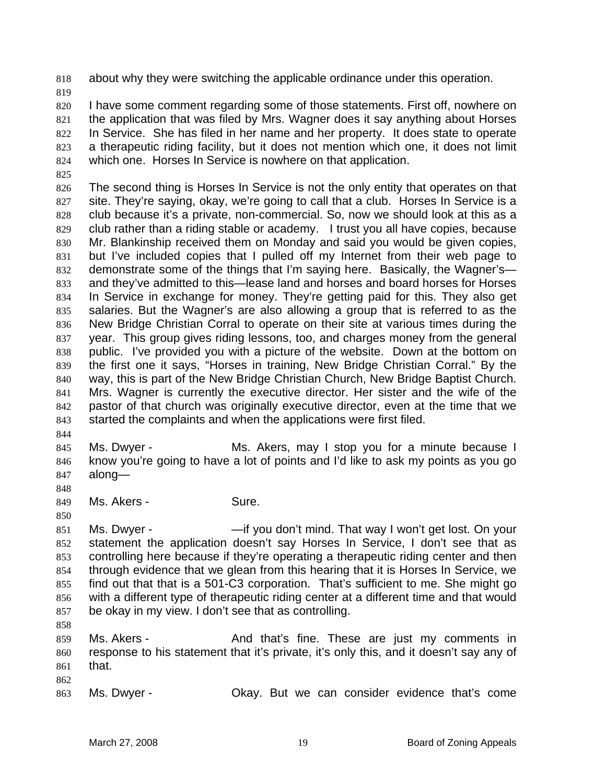about why they were switching the applicable ordinance under this operation.

I have some comment regarding some of those statements. First off, nowhere on the application that was filed by Mrs. Wagner does it say anything about Horses In Service. She has filed in her name and her property. It does state to operate a therapeutic riding facility, but it does not mention which one, it does not limit which one. Horses In Service is nowhere on that application.

The second thing is Horses In Service is not the only entity that operates on that site. They're saying, okay, we're going to call that a club. Horses In Service is a club because it's a private, non-commercial. So, now we should look at this as a club rather than a riding stable or academy. I trust you all have copies, because Mr. Blankinship received them on Monday and said you would be given copies, but I've included copies that I pulled off my Internet from their web page to demonstrate some of the things that I'm saying here. Basically, the Wagner's— and they've admitted to this—lease land and horses and board horses for Horses In Service in exchange for money. They're getting paid for this. They also get salaries. But the Wagner's are also allowing a group that is referred to as the New Bridge Christian Corral to operate on their site at various times during the year. This group gives riding lessons, too, and charges money from the general public. I've provided you with a picture of the website. Down at the bottom on the first one it says, "Horses in training, New Bridge Christian Corral." By the way, this is part of the New Bridge Christian Church, New Bridge Baptist Church. Mrs. Wagner is currently the executive director. Her sister and the wife of the pastor of that church was originally executive director, even at the time that we started the complaints and when the applications were first filed.

Ms. Dwyer - Ms. Akers, may I stop you for a minute because I know you're going to have a lot of points and I'd like to ask my points as you go along—

849 Ms. Akers - Sure.

851 Ms. Dwyer - — —if you don't mind. That way I won't get lost. On your statement the application doesn't say Horses In Service, I don't see that as controlling here because if they're operating a therapeutic riding center and then through evidence that we glean from this hearing that it is Horses In Service, we find out that that is a 501-C3 corporation. That's sufficient to me. She might go with a different type of therapeutic riding center at a different time and that would be okay in my view. I don't see that as controlling.

Ms. Akers - And that's fine. These are just my comments in response to his statement that it's private, it's only this, and it doesn't say any of that.

Ms. Dwyer - Okay. But we can consider evidence that's come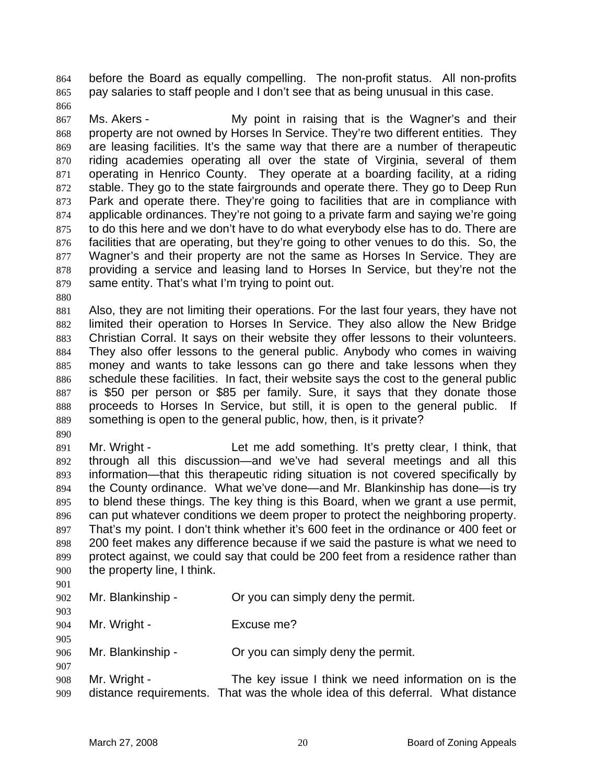before the Board as equally compelling. The non-profit status. All non-profits pay salaries to staff people and I don't see that as being unusual in this case.

Ms. Akers - My point in raising that is the Wagner's and their property are not owned by Horses In Service. They're two different entities. They are leasing facilities. It's the same way that there are a number of therapeutic riding academies operating all over the state of Virginia, several of them operating in Henrico County. They operate at a boarding facility, at a riding stable. They go to the state fairgrounds and operate there. They go to Deep Run Park and operate there. They're going to facilities that are in compliance with applicable ordinances. They're not going to a private farm and saying we're going to do this here and we don't have to do what everybody else has to do. There are facilities that are operating, but they're going to other venues to do this. So, the Wagner's and their property are not the same as Horses In Service. They are providing a service and leasing land to Horses In Service, but they're not the same entity. That's what I'm trying to point out.

Also, they are not limiting their operations. For the last four years, they have not limited their operation to Horses In Service. They also allow the New Bridge Christian Corral. It says on their website they offer lessons to their volunteers. They also offer lessons to the general public. Anybody who comes in waiving money and wants to take lessons can go there and take lessons when they schedule these facilities. In fact, their website says the cost to the general public is \$50 per person or \$85 per family. Sure, it says that they donate those proceeds to Horses In Service, but still, it is open to the general public. If something is open to the general public, how, then, is it private?

- Mr. Wright - Let me add something. It's pretty clear, I think, that through all this discussion—and we've had several meetings and all this information—that this therapeutic riding situation is not covered specifically by the County ordinance. What we've done—and Mr. Blankinship has done—is try to blend these things. The key thing is this Board, when we grant a use permit, can put whatever conditions we deem proper to protect the neighboring property. That's my point. I don't think whether it's 600 feet in the ordinance or 400 feet or 200 feet makes any difference because if we said the pasture is what we need to protect against, we could say that could be 200 feet from a residence rather than the property line, I think.
	-

- Mr. Blankinship Or you can simply deny the permit.
- 904 Mr. Wright Excuse me?
- Mr. Blankinship Or you can simply deny the permit.
- Mr. Wright The key issue I think we need information on is the distance requirements. That was the whole idea of this deferral. What distance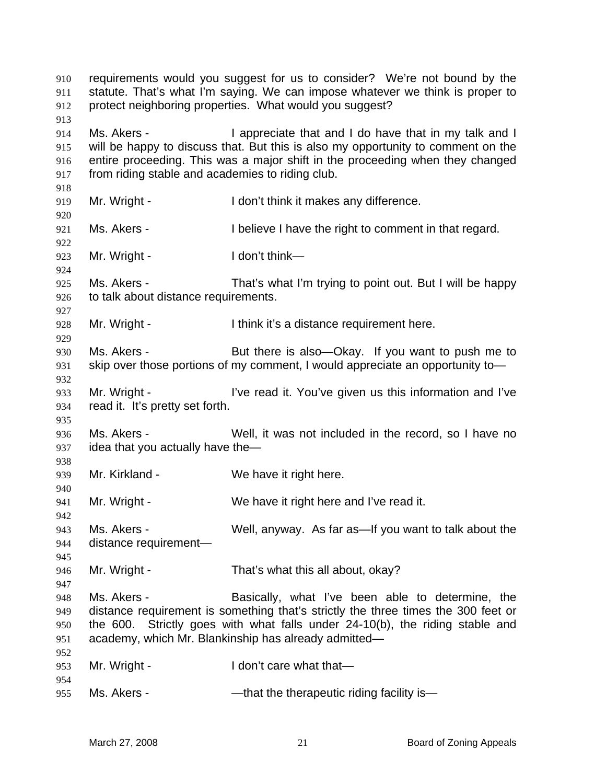| 910<br>911<br>912<br>913        | requirements would you suggest for us to consider? We're not bound by the<br>statute. That's what I'm saying. We can impose whatever we think is proper to<br>protect neighboring properties. What would you suggest?                                                                         |                                                                                                                                                                                                                                                                      |  |
|---------------------------------|-----------------------------------------------------------------------------------------------------------------------------------------------------------------------------------------------------------------------------------------------------------------------------------------------|----------------------------------------------------------------------------------------------------------------------------------------------------------------------------------------------------------------------------------------------------------------------|--|
| 914<br>915<br>916<br>917<br>918 | Ms. Akers -<br>I appreciate that and I do have that in my talk and I<br>will be happy to discuss that. But this is also my opportunity to comment on the<br>entire proceeding. This was a major shift in the proceeding when they changed<br>from riding stable and academies to riding club. |                                                                                                                                                                                                                                                                      |  |
| 919<br>920                      | Mr. Wright -                                                                                                                                                                                                                                                                                  | I don't think it makes any difference.                                                                                                                                                                                                                               |  |
| 921<br>922                      | Ms. Akers -                                                                                                                                                                                                                                                                                   | I believe I have the right to comment in that regard.                                                                                                                                                                                                                |  |
| 923<br>924                      | Mr. Wright -                                                                                                                                                                                                                                                                                  | I don't think-                                                                                                                                                                                                                                                       |  |
| 925<br>926<br>927               | Ms. Akers -<br>to talk about distance requirements.                                                                                                                                                                                                                                           | That's what I'm trying to point out. But I will be happy                                                                                                                                                                                                             |  |
| 928<br>929                      | Mr. Wright -                                                                                                                                                                                                                                                                                  | I think it's a distance requirement here.                                                                                                                                                                                                                            |  |
| 930<br>931<br>932               | Ms. Akers -                                                                                                                                                                                                                                                                                   | But there is also—Okay. If you want to push me to<br>skip over those portions of my comment, I would appreciate an opportunity to-                                                                                                                                   |  |
| 933<br>934<br>935               | Mr. Wright -<br>read it. It's pretty set forth.                                                                                                                                                                                                                                               | I've read it. You've given us this information and I've                                                                                                                                                                                                              |  |
| 936<br>937<br>938               | Ms. Akers -<br>idea that you actually have the-                                                                                                                                                                                                                                               | Well, it was not included in the record, so I have no                                                                                                                                                                                                                |  |
| 939<br>940                      | Mr. Kirkland -                                                                                                                                                                                                                                                                                | We have it right here.                                                                                                                                                                                                                                               |  |
| 941<br>942                      | Mr. Wright -                                                                                                                                                                                                                                                                                  | We have it right here and I've read it.                                                                                                                                                                                                                              |  |
| 943<br>944<br>945               | Ms. Akers -<br>distance requirement-                                                                                                                                                                                                                                                          | Well, anyway. As far as—If you want to talk about the                                                                                                                                                                                                                |  |
| 946<br>947                      | Mr. Wright -                                                                                                                                                                                                                                                                                  | That's what this all about, okay?                                                                                                                                                                                                                                    |  |
| 948<br>949<br>950<br>951        | Ms. Akers -<br>the 600.                                                                                                                                                                                                                                                                       | Basically, what I've been able to determine, the<br>distance requirement is something that's strictly the three times the 300 feet or<br>Strictly goes with what falls under 24-10(b), the riding stable and<br>academy, which Mr. Blankinship has already admitted- |  |
| 952<br>953<br>954               | Mr. Wright -                                                                                                                                                                                                                                                                                  | I don't care what that-                                                                                                                                                                                                                                              |  |
| 955                             | Ms. Akers -                                                                                                                                                                                                                                                                                   | -that the therapeutic riding facility is-                                                                                                                                                                                                                            |  |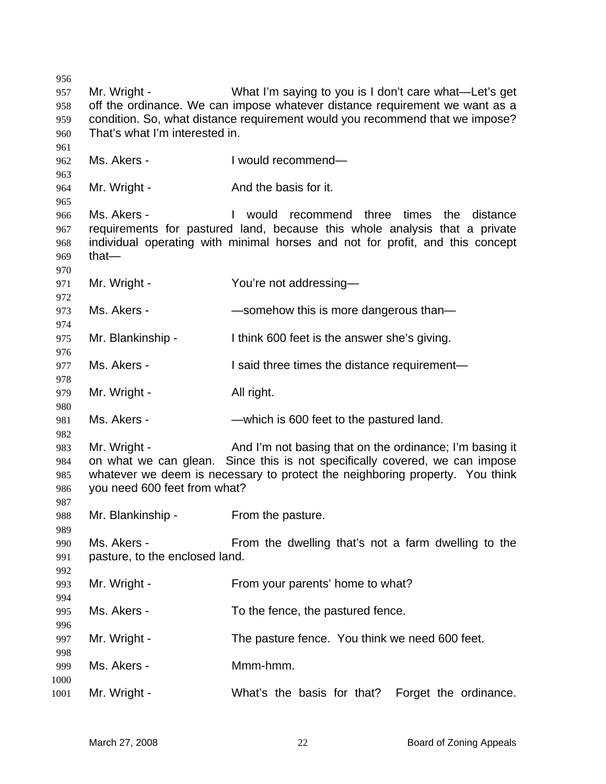Mr. Wright - What I'm saying to you is I don't care what—Let's get off the ordinance. We can impose whatever distance requirement we want as a condition. So, what distance requirement would you recommend that we impose? That's what I'm interested in. Ms. Akers - I would recommend— 964 Mr. Wright - And the basis for it. Ms. Akers - I would recommend three times the distance requirements for pastured land, because this whole analysis that a private individual operating with minimal horses and not for profit, and this concept that— 971 Mr. Wright - You're not addressing- Ms. Akers - —somehow this is more dangerous than— Mr. Blankinship - I think 600 feet is the answer she's giving. 977 Ms. Akers - I said three times the distance requirement— 979 Mr. Wright - All right. Ms. Akers - —which is 600 feet to the pastured land. Mr. Wright - And I'm not basing that on the ordinance; I'm basing it on what we can glean. Since this is not specifically covered, we can impose whatever we deem is necessary to protect the neighboring property. You think you need 600 feet from what? Mr. Blankinship - From the pasture. Ms. Akers - From the dwelling that's not a farm dwelling to the pasture, to the enclosed land. Mr. Wright - From your parents' home to what? Ms. Akers - To the fence, the pastured fence. Mr. Wright - The pasture fence. You think we need 600 feet. Ms. Akers - Mmm-hmm. Mr. Wright - What's the basis for that? Forget the ordinance.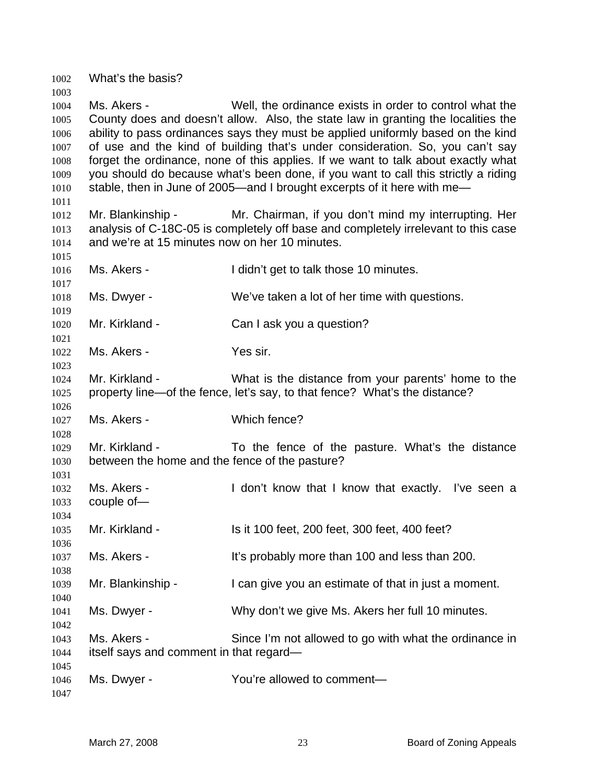What's the basis?

Ms. Akers - Well, the ordinance exists in order to control what the County does and doesn't allow. Also, the state law in granting the localities the ability to pass ordinances says they must be applied uniformly based on the kind of use and the kind of building that's under consideration. So, you can't say forget the ordinance, none of this applies. If we want to talk about exactly what you should do because what's been done, if you want to call this strictly a riding 1010 stable, then in June of 2005—and I brought excerpts of it here with me— Mr. Blankinship - Mr. Chairman, if you don't mind my interrupting. Her analysis of C-18C-05 is completely off base and completely irrelevant to this case and we're at 15 minutes now on her 10 minutes. Ms. Akers - I didn't get to talk those 10 minutes. Ms. Dwyer - We've taken a lot of her time with questions. Mr. Kirkland - Can I ask you a question? Ms. Akers - Yes sir. Mr. Kirkland - What is the distance from your parents' home to the property line—of the fence, let's say, to that fence? What's the distance? Ms. Akers - Which fence? Mr. Kirkland - To the fence of the pasture. What's the distance between the home and the fence of the pasture? Ms. Akers - I don't know that I know that exactly. I've seen a couple of— Mr. Kirkland - Is it 100 feet, 200 feet, 300 feet, 400 feet? Ms. Akers - It's probably more than 100 and less than 200. Mr. Blankinship - I can give you an estimate of that in just a moment. Ms. Dwyer - Why don't we give Ms. Akers her full 10 minutes. Ms. Akers - Since I'm not allowed to go with what the ordinance in itself says and comment in that regard— Ms. Dwyer - You're allowed to comment—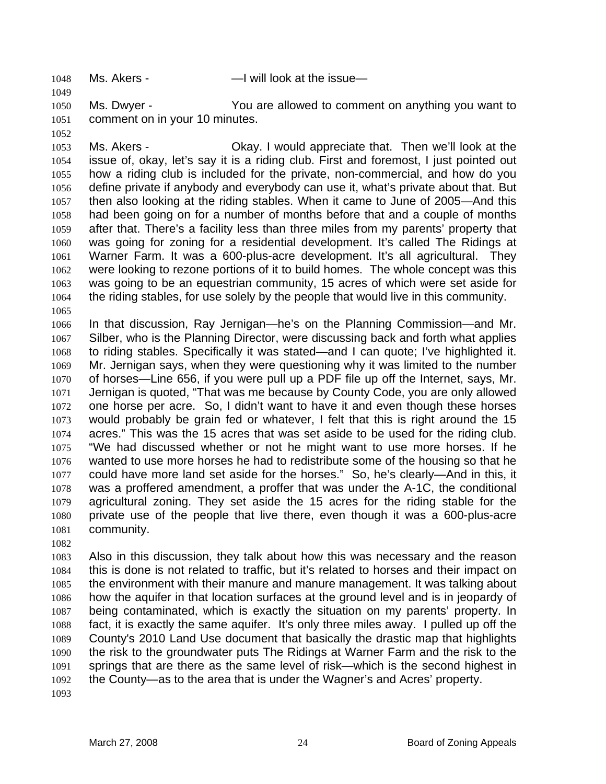1048 Ms. Akers - The Mull look at the issue—

Ms. Dwyer - You are allowed to comment on anything you want to comment on in your 10 minutes.

Ms. Akers - Okay. I would appreciate that. Then we'll look at the issue of, okay, let's say it is a riding club. First and foremost, I just pointed out how a riding club is included for the private, non-commercial, and how do you define private if anybody and everybody can use it, what's private about that. But then also looking at the riding stables. When it came to June of 2005—And this had been going on for a number of months before that and a couple of months after that. There's a facility less than three miles from my parents' property that was going for zoning for a residential development. It's called The Ridings at Warner Farm. It was a 600-plus-acre development. It's all agricultural. They were looking to rezone portions of it to build homes. The whole concept was this was going to be an equestrian community, 15 acres of which were set aside for the riding stables, for use solely by the people that would live in this community. 

In that discussion, Ray Jernigan—he's on the Planning Commission—and Mr. Silber, who is the Planning Director, were discussing back and forth what applies to riding stables. Specifically it was stated—and I can quote; I've highlighted it. Mr. Jernigan says, when they were questioning why it was limited to the number of horses—Line 656, if you were pull up a PDF file up off the Internet, says, Mr. Jernigan is quoted, "That was me because by County Code, you are only allowed one horse per acre. So, I didn't want to have it and even though these horses would probably be grain fed or whatever, I felt that this is right around the 15 acres." This was the 15 acres that was set aside to be used for the riding club. "We had discussed whether or not he might want to use more horses. If he wanted to use more horses he had to redistribute some of the housing so that he could have more land set aside for the horses." So, he's clearly—And in this, it was a proffered amendment, a proffer that was under the A-1C, the conditional agricultural zoning. They set aside the 15 acres for the riding stable for the private use of the people that live there, even though it was a 600-plus-acre community.

Also in this discussion, they talk about how this was necessary and the reason this is done is not related to traffic, but it's related to horses and their impact on the environment with their manure and manure management. It was talking about how the aquifer in that location surfaces at the ground level and is in jeopardy of being contaminated, which is exactly the situation on my parents' property. In fact, it is exactly the same aquifer. It's only three miles away. I pulled up off the County's 2010 Land Use document that basically the drastic map that highlights the risk to the groundwater puts The Ridings at Warner Farm and the risk to the springs that are there as the same level of risk—which is the second highest in the County—as to the area that is under the Wagner's and Acres' property.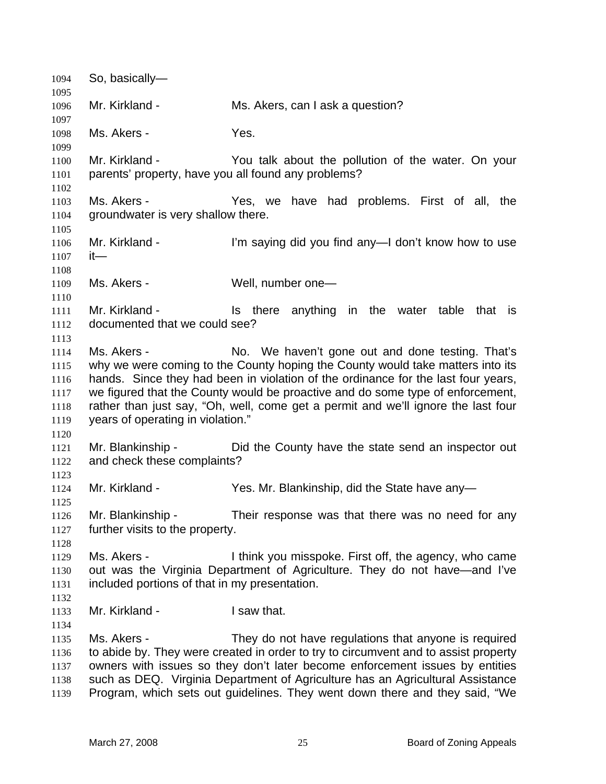So, basically— Mr. Kirkland - Ms. Akers, can I ask a question? Ms. Akers - Yes. Mr. Kirkland - You talk about the pollution of the water. On your parents' property, have you all found any problems? Ms. Akers - Yes, we have had problems. First of all, the groundwater is very shallow there. Mr. Kirkland - I'm saying did you find any—I don't know how to use it— 1109 Ms. Akers - Well, number one- 1111 Mr. Kirkland - Is there anything in the water table that is documented that we could see? Ms. Akers - No. We haven't gone out and done testing. That's why we were coming to the County hoping the County would take matters into its hands. Since they had been in violation of the ordinance for the last four years, we figured that the County would be proactive and do some type of enforcement, rather than just say, "Oh, well, come get a permit and we'll ignore the last four years of operating in violation." Mr. Blankinship - Did the County have the state send an inspector out and check these complaints? Mr. Kirkland - Yes. Mr. Blankinship, did the State have any— Mr. Blankinship - Their response was that there was no need for any further visits to the property. Ms. Akers - I think you misspoke. First off, the agency, who came out was the Virginia Department of Agriculture. They do not have—and I've included portions of that in my presentation. Mr. Kirkland - I saw that. Ms. Akers - They do not have regulations that anyone is required to abide by. They were created in order to try to circumvent and to assist property owners with issues so they don't later become enforcement issues by entities such as DEQ. Virginia Department of Agriculture has an Agricultural Assistance Program, which sets out guidelines. They went down there and they said, "We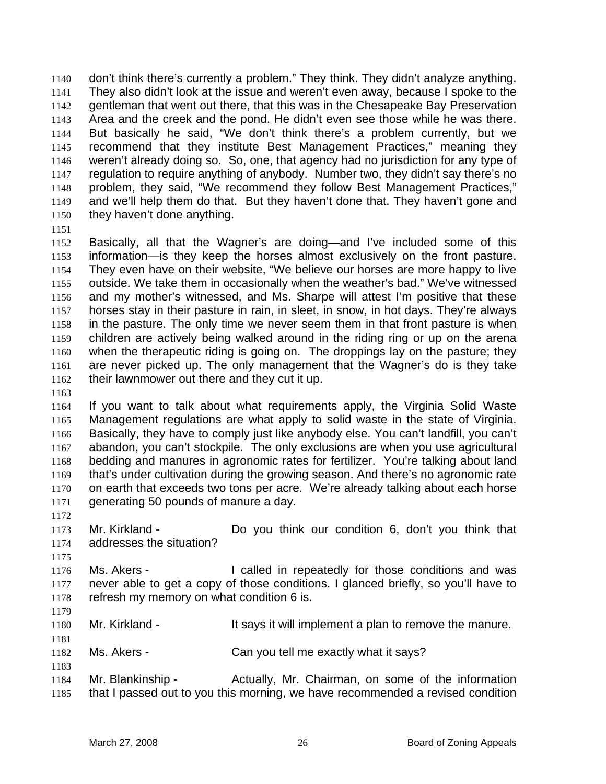don't think there's currently a problem." They think. They didn't analyze anything. They also didn't look at the issue and weren't even away, because I spoke to the gentleman that went out there, that this was in the Chesapeake Bay Preservation Area and the creek and the pond. He didn't even see those while he was there. But basically he said, "We don't think there's a problem currently, but we recommend that they institute Best Management Practices," meaning they weren't already doing so. So, one, that agency had no jurisdiction for any type of regulation to require anything of anybody. Number two, they didn't say there's no problem, they said, "We recommend they follow Best Management Practices," and we'll help them do that. But they haven't done that. They haven't gone and they haven't done anything.

Basically, all that the Wagner's are doing—and I've included some of this information—is they keep the horses almost exclusively on the front pasture. They even have on their website, "We believe our horses are more happy to live outside. We take them in occasionally when the weather's bad." We've witnessed and my mother's witnessed, and Ms. Sharpe will attest I'm positive that these horses stay in their pasture in rain, in sleet, in snow, in hot days. They're always in the pasture. The only time we never seem them in that front pasture is when children are actively being walked around in the riding ring or up on the arena when the therapeutic riding is going on. The droppings lay on the pasture; they are never picked up. The only management that the Wagner's do is they take 1162 their lawnmower out there and they cut it up.

If you want to talk about what requirements apply, the Virginia Solid Waste Management regulations are what apply to solid waste in the state of Virginia. Basically, they have to comply just like anybody else. You can't landfill, you can't abandon, you can't stockpile. The only exclusions are when you use agricultural bedding and manures in agronomic rates for fertilizer. You're talking about land that's under cultivation during the growing season. And there's no agronomic rate on earth that exceeds two tons per acre. We're already talking about each horse generating 50 pounds of manure a day.

Mr. Kirkland - Do you think our condition 6, don't you think that addresses the situation?

1176 Ms. Akers - I called in repeatedly for those conditions and was never able to get a copy of those conditions. I glanced briefly, so you'll have to 1178 refresh my memory on what condition 6 is.

1180 Mr. Kirkland - It says it will implement a plan to remove the manure.

Ms. Akers - Can you tell me exactly what it says?

Mr. Blankinship - Actually, Mr. Chairman, on some of the information that I passed out to you this morning, we have recommended a revised condition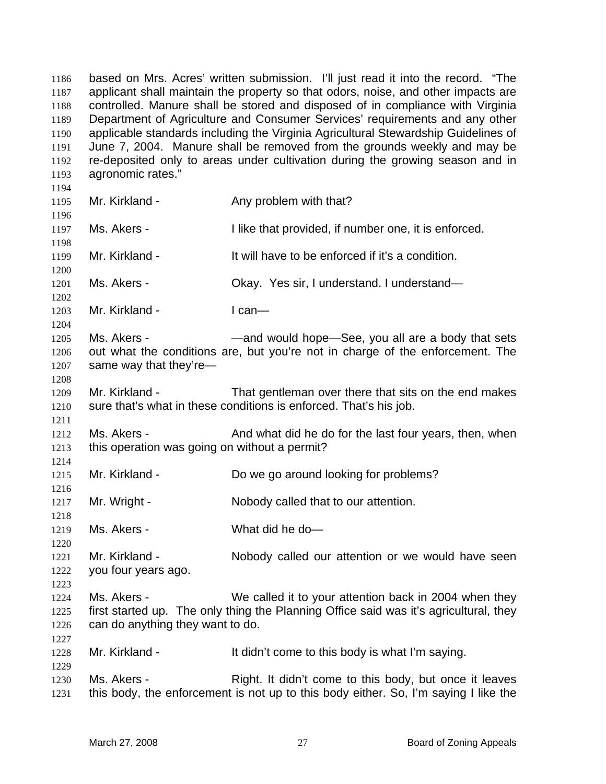based on Mrs. Acres' written submission. I'll just read it into the record. "The applicant shall maintain the property so that odors, noise, and other impacts are controlled. Manure shall be stored and disposed of in compliance with Virginia Department of Agriculture and Consumer Services' requirements and any other applicable standards including the Virginia Agricultural Stewardship Guidelines of June 7, 2004. Manure shall be removed from the grounds weekly and may be re-deposited only to areas under cultivation during the growing season and in agronomic rates." 1195 Mr. Kirkland - Any problem with that? 1197 Ms. Akers - I like that provided, if number one, it is enforced. Mr. Kirkland - It will have to be enforced if it's a condition. Ms. Akers - Okay. Yes sir, I understand. I understand— 1203 Mr. Kirkland - I can— 1205 Ms. Akers - — — — — and would hope—See, you all are a body that sets out what the conditions are, but you're not in charge of the enforcement. The same way that they're— Mr. Kirkland - That gentleman over there that sits on the end makes sure that's what in these conditions is enforced. That's his job. 1212 Ms. Akers - And what did he do for the last four years, then, when this operation was going on without a permit? Mr. Kirkland - Do we go around looking for problems? 1217 Mr. Wright - Nobody called that to our attention. Ms. Akers - What did he do— Mr. Kirkland - Nobody called our attention or we would have seen you four years ago. Ms. Akers - We called it to your attention back in 2004 when they first started up. The only thing the Planning Office said was it's agricultural, they can do anything they want to do. 1228 Mr. Kirkland - It didn't come to this body is what I'm saying. 1230 Ms. Akers - Right. It didn't come to this body, but once it leaves this body, the enforcement is not up to this body either. So, I'm saying I like the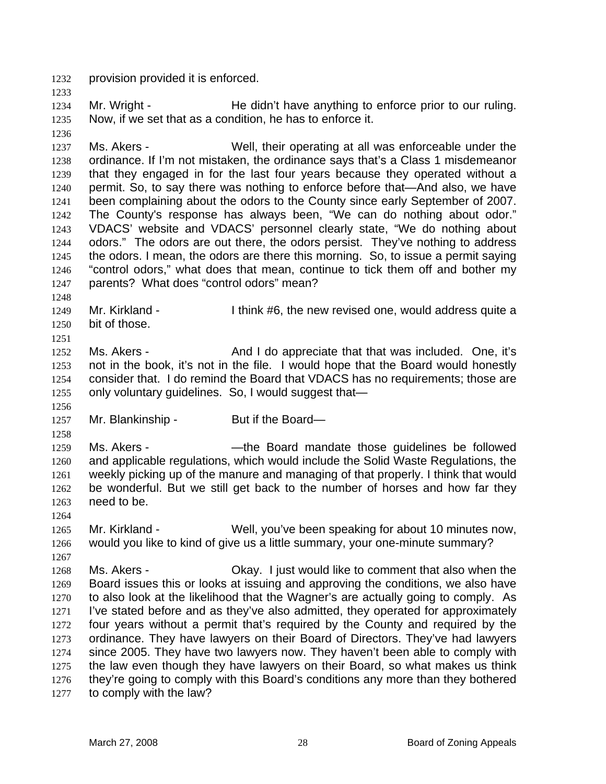provision provided it is enforced.

1234 Mr. Wright - He didn't have anything to enforce prior to our ruling. Now, if we set that as a condition, he has to enforce it.

Ms. Akers - Well, their operating at all was enforceable under the ordinance. If I'm not mistaken, the ordinance says that's a Class 1 misdemeanor that they engaged in for the last four years because they operated without a permit. So, to say there was nothing to enforce before that—And also, we have been complaining about the odors to the County since early September of 2007. The County's response has always been, "We can do nothing about odor." VDACS' website and VDACS' personnel clearly state, "We do nothing about odors." The odors are out there, the odors persist. They've nothing to address the odors. I mean, the odors are there this morning. So, to issue a permit saying "control odors," what does that mean, continue to tick them off and bother my parents? What does "control odors" mean?

1249 Mr. Kirkland - I think #6, the new revised one, would address quite a bit of those.

Ms. Akers - And I do appreciate that that was included. One, it's not in the book, it's not in the file. I would hope that the Board would honestly consider that. I do remind the Board that VDACS has no requirements; those are only voluntary guidelines. So, I would suggest that—

1257 Mr. Blankinship - But if the Board—

Ms. Akers - —the Board mandate those guidelines be followed and applicable regulations, which would include the Solid Waste Regulations, the weekly picking up of the manure and managing of that properly. I think that would be wonderful. But we still get back to the number of horses and how far they need to be.

 Mr. Kirkland - Well, you've been speaking for about 10 minutes now, would you like to kind of give us a little summary, your one-minute summary?

Ms. Akers - Okay. I just would like to comment that also when the Board issues this or looks at issuing and approving the conditions, we also have to also look at the likelihood that the Wagner's are actually going to comply. As I've stated before and as they've also admitted, they operated for approximately four years without a permit that's required by the County and required by the ordinance. They have lawyers on their Board of Directors. They've had lawyers since 2005. They have two lawyers now. They haven't been able to comply with the law even though they have lawyers on their Board, so what makes us think they're going to comply with this Board's conditions any more than they bothered to comply with the law?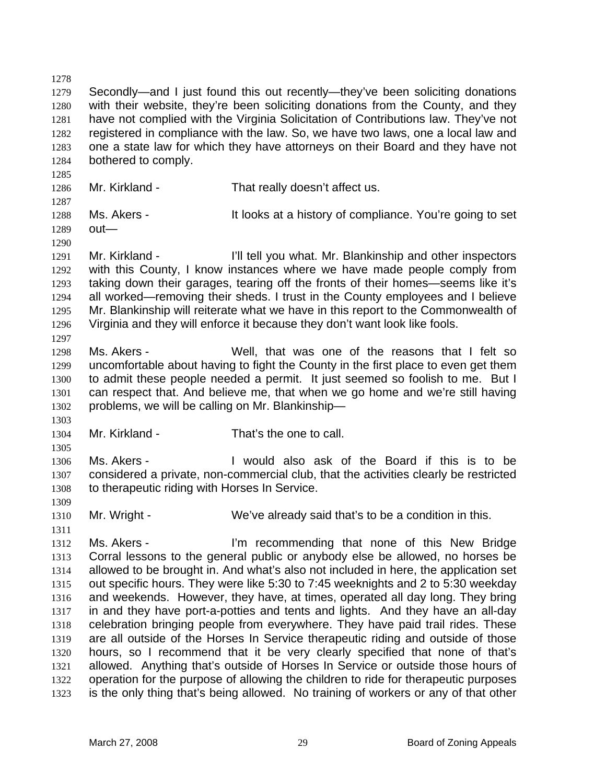Secondly—and I just found this out recently—they've been soliciting donations with their website, they're been soliciting donations from the County, and they have not complied with the Virginia Solicitation of Contributions law. They've not registered in compliance with the law. So, we have two laws, one a local law and one a state law for which they have attorneys on their Board and they have not bothered to comply. Mr. Kirkland - That really doesn't affect us. Ms. Akers - It looks at a history of compliance. You're going to set out— Mr. Kirkland - I'll tell you what. Mr. Blankinship and other inspectors with this County, I know instances where we have made people comply from taking down their garages, tearing off the fronts of their homes—seems like it's all worked—removing their sheds. I trust in the County employees and I believe

Mr. Blankinship will reiterate what we have in this report to the Commonwealth of Virginia and they will enforce it because they don't want look like fools. 

Ms. Akers - Well, that was one of the reasons that I felt so uncomfortable about having to fight the County in the first place to even get them to admit these people needed a permit. It just seemed so foolish to me. But I can respect that. And believe me, that when we go home and we're still having problems, we will be calling on Mr. Blankinship—

Mr. Kirkland - That's the one to call.

Ms. Akers - I would also ask of the Board if this is to be considered a private, non-commercial club, that the activities clearly be restricted to therapeutic riding with Horses In Service.

1310 Mr. Wright - We've already said that's to be a condition in this.

Ms. Akers - I'm recommending that none of this New Bridge Corral lessons to the general public or anybody else be allowed, no horses be allowed to be brought in. And what's also not included in here, the application set out specific hours. They were like 5:30 to 7:45 weeknights and 2 to 5:30 weekday and weekends. However, they have, at times, operated all day long. They bring in and they have port-a-potties and tents and lights. And they have an all-day celebration bringing people from everywhere. They have paid trail rides. These are all outside of the Horses In Service therapeutic riding and outside of those hours, so I recommend that it be very clearly specified that none of that's allowed. Anything that's outside of Horses In Service or outside those hours of operation for the purpose of allowing the children to ride for therapeutic purposes is the only thing that's being allowed. No training of workers or any of that other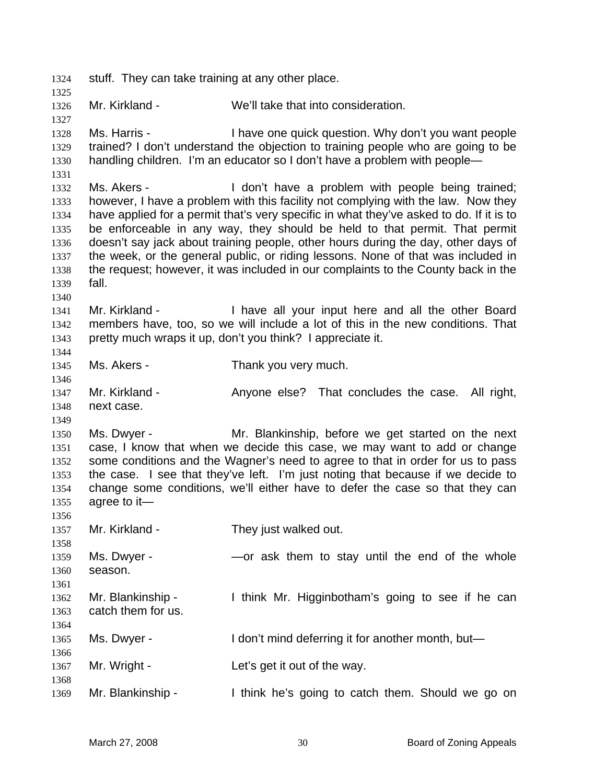stuff. They can take training at any other place. Mr. Kirkland - We'll take that into consideration. Ms. Harris - I have one quick question. Why don't you want people trained? I don't understand the objection to training people who are going to be handling children. I'm an educator so I don't have a problem with people— 1332 Ms. Akers - I don't have a problem with people being trained; however, I have a problem with this facility not complying with the law. Now they have applied for a permit that's very specific in what they've asked to do. If it is to be enforceable in any way, they should be held to that permit. That permit doesn't say jack about training people, other hours during the day, other days of the week, or the general public, or riding lessons. None of that was included in the request; however, it was included in our complaints to the County back in the fall. Mr. Kirkland - I have all your input here and all the other Board members have, too, so we will include a lot of this in the new conditions. That pretty much wraps it up, don't you think? I appreciate it. Ms. Akers - Thank you very much. 1347 Mr. Kirkland - Anyone else? That concludes the case. All right, next case. Ms. Dwyer - Mr. Blankinship, before we get started on the next case, I know that when we decide this case, we may want to add or change some conditions and the Wagner's need to agree to that in order for us to pass the case. I see that they've left. I'm just noting that because if we decide to change some conditions, we'll either have to defer the case so that they can agree to it— 1357 Mr. Kirkland - They just walked out. Ms. Dwyer - —or ask them to stay until the end of the whole season. Mr. Blankinship - I think Mr. Higginbotham's going to see if he can catch them for us. Ms. Dwyer - I don't mind deferring it for another month, but— 1367 Mr. Wright - Let's get it out of the way. Mr. Blankinship - I think he's going to catch them. Should we go on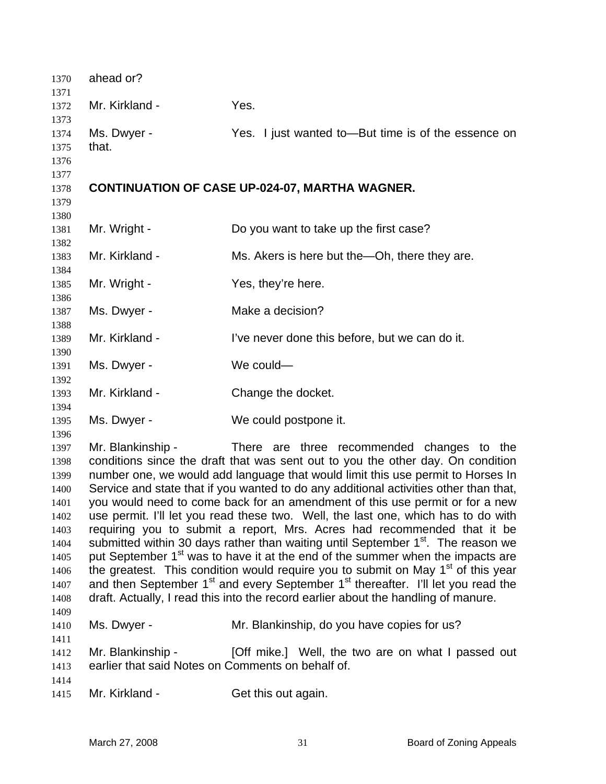| 1370                                                                                                 | ahead or?                                                                                                                                                                                                                                                                                                                                                                                                                                                                                                                                                                                                                                                                                                                                                                                                                                                                                                                                                                                                                                                                      |                                                       |
|------------------------------------------------------------------------------------------------------|--------------------------------------------------------------------------------------------------------------------------------------------------------------------------------------------------------------------------------------------------------------------------------------------------------------------------------------------------------------------------------------------------------------------------------------------------------------------------------------------------------------------------------------------------------------------------------------------------------------------------------------------------------------------------------------------------------------------------------------------------------------------------------------------------------------------------------------------------------------------------------------------------------------------------------------------------------------------------------------------------------------------------------------------------------------------------------|-------------------------------------------------------|
| 1371<br>1372                                                                                         | Mr. Kirkland -                                                                                                                                                                                                                                                                                                                                                                                                                                                                                                                                                                                                                                                                                                                                                                                                                                                                                                                                                                                                                                                                 | Yes.                                                  |
| 1373<br>1374<br>1375<br>1376                                                                         | Ms. Dwyer -<br>that.                                                                                                                                                                                                                                                                                                                                                                                                                                                                                                                                                                                                                                                                                                                                                                                                                                                                                                                                                                                                                                                           | Yes. I just wanted to—But time is of the essence on   |
| 1377<br>1378<br>1379                                                                                 |                                                                                                                                                                                                                                                                                                                                                                                                                                                                                                                                                                                                                                                                                                                                                                                                                                                                                                                                                                                                                                                                                | <b>CONTINUATION OF CASE UP-024-07, MARTHA WAGNER.</b> |
| 1380<br>1381                                                                                         | Mr. Wright -                                                                                                                                                                                                                                                                                                                                                                                                                                                                                                                                                                                                                                                                                                                                                                                                                                                                                                                                                                                                                                                                   | Do you want to take up the first case?                |
| 1382<br>1383                                                                                         | Mr. Kirkland -                                                                                                                                                                                                                                                                                                                                                                                                                                                                                                                                                                                                                                                                                                                                                                                                                                                                                                                                                                                                                                                                 | Ms. Akers is here but the—Oh, there they are.         |
| 1384<br>1385<br>1386                                                                                 | Mr. Wright -                                                                                                                                                                                                                                                                                                                                                                                                                                                                                                                                                                                                                                                                                                                                                                                                                                                                                                                                                                                                                                                                   | Yes, they're here.                                    |
| 1387                                                                                                 | Ms. Dwyer -                                                                                                                                                                                                                                                                                                                                                                                                                                                                                                                                                                                                                                                                                                                                                                                                                                                                                                                                                                                                                                                                    | Make a decision?                                      |
| 1388<br>1389                                                                                         | Mr. Kirkland -                                                                                                                                                                                                                                                                                                                                                                                                                                                                                                                                                                                                                                                                                                                                                                                                                                                                                                                                                                                                                                                                 | I've never done this before, but we can do it.        |
| 1390<br>1391                                                                                         | Ms. Dwyer -                                                                                                                                                                                                                                                                                                                                                                                                                                                                                                                                                                                                                                                                                                                                                                                                                                                                                                                                                                                                                                                                    | We could-                                             |
| 1392<br>1393                                                                                         | Mr. Kirkland -                                                                                                                                                                                                                                                                                                                                                                                                                                                                                                                                                                                                                                                                                                                                                                                                                                                                                                                                                                                                                                                                 | Change the docket.                                    |
| 1394<br>1395                                                                                         | Ms. Dwyer -                                                                                                                                                                                                                                                                                                                                                                                                                                                                                                                                                                                                                                                                                                                                                                                                                                                                                                                                                                                                                                                                    | We could postpone it.                                 |
| 1396<br>1397<br>1398<br>1399<br>1400<br>1401<br>1402<br>1403<br>1404<br>1405<br>1406<br>1407<br>1408 | Mr. Blankinship -<br>There are three recommended changes to the<br>conditions since the draft that was sent out to you the other day. On condition<br>number one, we would add language that would limit this use permit to Horses In<br>Service and state that if you wanted to do any additional activities other than that,<br>you would need to come back for an amendment of this use permit or for a new<br>use permit. I'll let you read these two. Well, the last one, which has to do with<br>requiring you to submit a report, Mrs. Acres had recommended that it be<br>submitted within 30 days rather than waiting until September 1 <sup>st</sup> . The reason we<br>put September 1 <sup>st</sup> was to have it at the end of the summer when the impacts are<br>the greatest. This condition would require you to submit on May 1 <sup>st</sup> of this year<br>and then September 1 <sup>st</sup> and every September 1 <sup>st</sup> thereafter. I'll let you read the<br>draft. Actually, I read this into the record earlier about the handling of manure. |                                                       |
| 1409<br>1410                                                                                         | Ms. Dwyer -                                                                                                                                                                                                                                                                                                                                                                                                                                                                                                                                                                                                                                                                                                                                                                                                                                                                                                                                                                                                                                                                    | Mr. Blankinship, do you have copies for us?           |
| 1411<br>1412<br>1413<br>1414                                                                         | Mr. Blankinship -<br>earlier that said Notes on Comments on behalf of.                                                                                                                                                                                                                                                                                                                                                                                                                                                                                                                                                                                                                                                                                                                                                                                                                                                                                                                                                                                                         | [Off mike.] Well, the two are on what I passed out    |
| 1415                                                                                                 | Mr. Kirkland -                                                                                                                                                                                                                                                                                                                                                                                                                                                                                                                                                                                                                                                                                                                                                                                                                                                                                                                                                                                                                                                                 | Get this out again.                                   |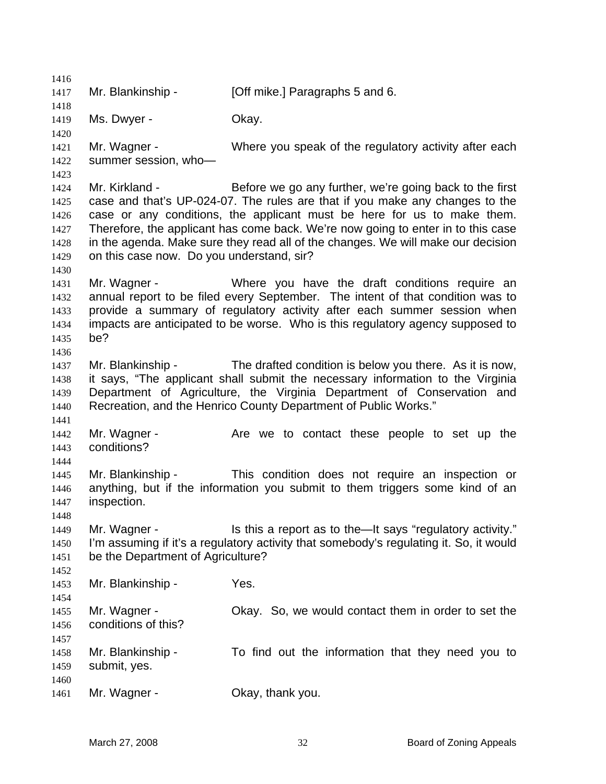1417 Mr. Blankinship - [Off mike.] Paragraphs 5 and 6. 1419 Ms. Dwyer - Ckay. 1421 Mr. Wagner - Where you speak of the regulatory activity after each summer session, who— Mr. Kirkland - Before we go any further, we're going back to the first case and that's UP-024-07. The rules are that if you make any changes to the case or any conditions, the applicant must be here for us to make them. Therefore, the applicant has come back. We're now going to enter in to this case in the agenda. Make sure they read all of the changes. We will make our decision on this case now. Do you understand, sir? Mr. Wagner - Where you have the draft conditions require an annual report to be filed every September. The intent of that condition was to provide a summary of regulatory activity after each summer session when impacts are anticipated to be worse. Who is this regulatory agency supposed to be? Mr. Blankinship - The drafted condition is below you there. As it is now, it says, "The applicant shall submit the necessary information to the Virginia Department of Agriculture, the Virginia Department of Conservation and Recreation, and the Henrico County Department of Public Works." 1442 Mr. Wagner - The Mannet over to contact these people to set up the conditions? Mr. Blankinship - This condition does not require an inspection or anything, but if the information you submit to them triggers some kind of an inspection. 1449 Mr. Wagner - Is this a report as to the—It says "regulatory activity." I'm assuming if it's a regulatory activity that somebody's regulating it. So, it would be the Department of Agriculture? Mr. Blankinship - Yes. Mr. Wagner - Okay. So, we would contact them in order to set the conditions of this? Mr. Blankinship - To find out the information that they need you to submit, yes. 1461 Mr. Wagner - Ckay, thank you.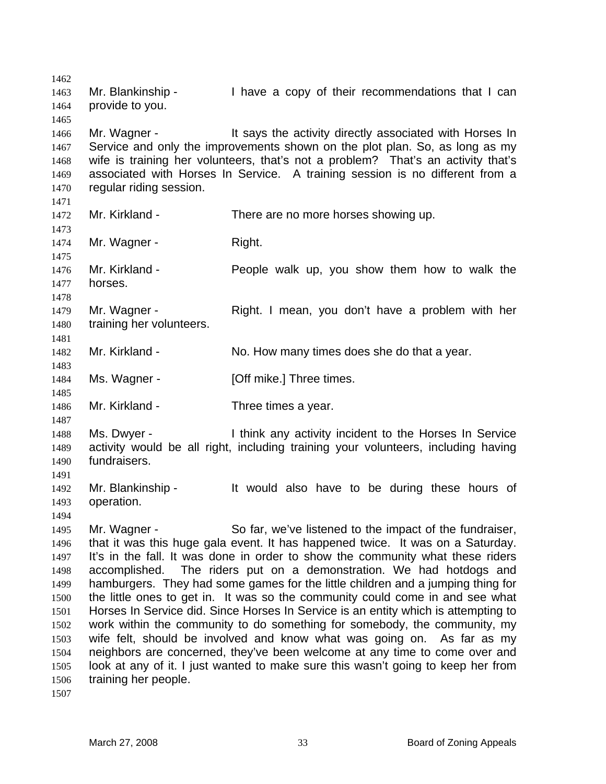1463 Mr. Blankinship - I have a copy of their recommendations that I can provide to you. 1466 Mr. Wagner - The Says the activity directly associated with Horses In 1467 Service and only the improvements shown on the plot plan. So, as long as my wife is training her volunteers, that's not a problem? That's an activity that's associated with Horses In Service. A training session is no different from a regular riding session. 1472 Mr. Kirkland - There are no more horses showing up. 1474 Mr. Wagner - Right. Mr. Kirkland - People walk up, you show them how to walk the horses. Mr. Wagner - Right. I mean, you don't have a problem with her training her volunteers. Mr. Kirkland - No. How many times does she do that a year. 1484 Ms. Wagner - [Off mike.] Three times. Mr. Kirkland - Three times a year. Ms. Dwyer - I think any activity incident to the Horses In Service activity would be all right, including training your volunteers, including having fundraisers. Mr. Blankinship - It would also have to be during these hours of operation. Mr. Wagner - So far, we've listened to the impact of the fundraiser, that it was this huge gala event. It has happened twice. It was on a Saturday. It's in the fall. It was done in order to show the community what these riders accomplished. The riders put on a demonstration. We had hotdogs and hamburgers. They had some games for the little children and a jumping thing for the little ones to get in. It was so the community could come in and see what Horses In Service did. Since Horses In Service is an entity which is attempting to work within the community to do something for somebody, the community, my wife felt, should be involved and know what was going on. As far as my neighbors are concerned, they've been welcome at any time to come over and look at any of it. I just wanted to make sure this wasn't going to keep her from training her people.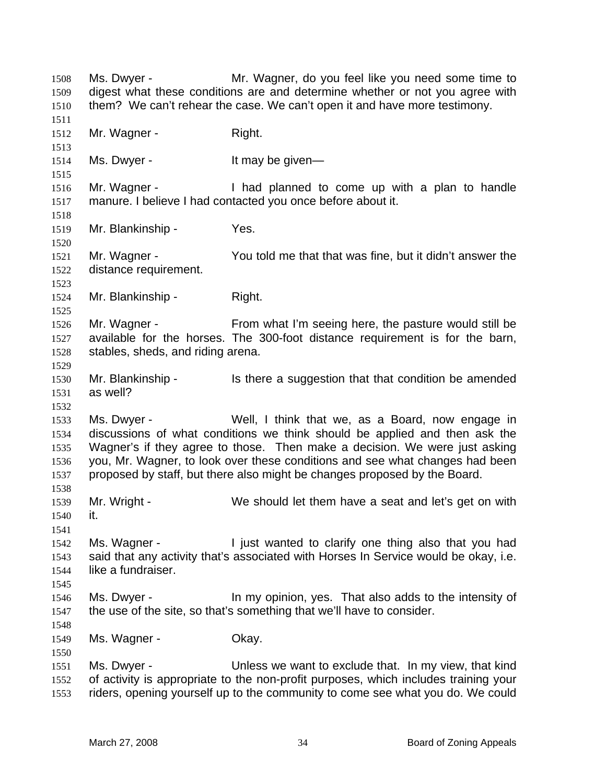Ms. Dwyer - Mr. Wagner, do you feel like you need some time to digest what these conditions are and determine whether or not you agree with them? We can't rehear the case. We can't open it and have more testimony. 1512 Mr. Wagner - Right. 1514 Ms. Dwyer - It may be given— Mr. Wagner - I had planned to come up with a plan to handle manure. I believe I had contacted you once before about it. 1519 Mr. Blankinship - Yes. Mr. Wagner - You told me that that was fine, but it didn't answer the distance requirement. Mr. Blankinship - Right. Mr. Wagner - From what I'm seeing here, the pasture would still be available for the horses. The 300-foot distance requirement is for the barn, stables, sheds, and riding arena. 1530 Mr. Blankinship - Is there a suggestion that that condition be amended as well? Ms. Dwyer - Well, I think that we, as a Board, now engage in discussions of what conditions we think should be applied and then ask the Wagner's if they agree to those. Then make a decision. We were just asking you, Mr. Wagner, to look over these conditions and see what changes had been proposed by staff, but there also might be changes proposed by the Board. Mr. Wright - We should let them have a seat and let's get on with it. 1542 Ms. Wagner - I just wanted to clarify one thing also that you had said that any activity that's associated with Horses In Service would be okay, i.e. like a fundraiser. Ms. Dwyer - In my opinion, yes. That also adds to the intensity of the use of the site, so that's something that we'll have to consider. 1549 Ms. Wagner - Ckay. Ms. Dwyer - Unless we want to exclude that. In my view, that kind of activity is appropriate to the non-profit purposes, which includes training your riders, opening yourself up to the community to come see what you do. We could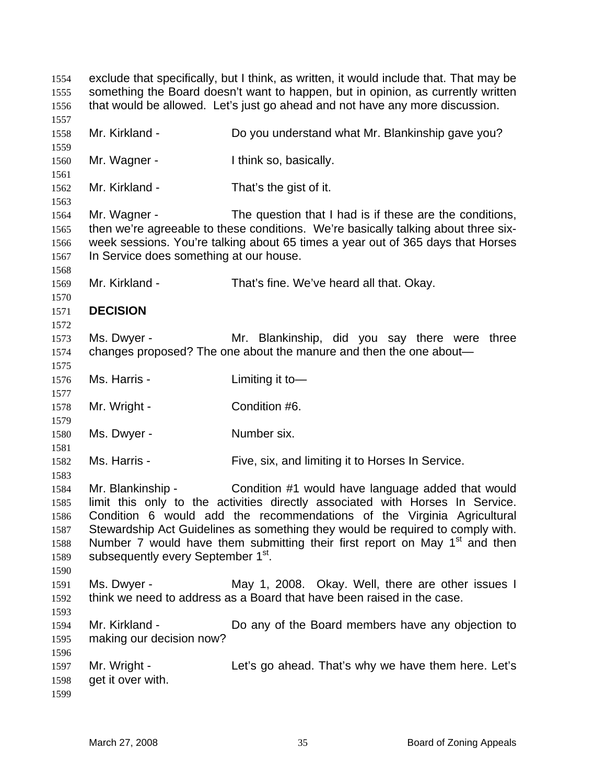exclude that specifically, but I think, as written, it would include that. That may be something the Board doesn't want to happen, but in opinion, as currently written that would be allowed. Let's just go ahead and not have any more discussion. Mr. Kirkland - Do you understand what Mr. Blankinship gave you? Mr. Wagner - I think so, basically. Mr. Kirkland - That's the gist of it. Mr. Wagner - The question that I had is if these are the conditions, then we're agreeable to these conditions. We're basically talking about three six-week sessions. You're talking about 65 times a year out of 365 days that Horses In Service does something at our house. Mr. Kirkland - That's fine. We've heard all that. Okay. **DECISION**  Ms. Dwyer - Mr. Blankinship, did you say there were three changes proposed? The one about the manure and then the one about— Ms. Harris - Limiting it to— Mr. Wright - Condition #6. 1580 Ms. Dwyer - Number six. Ms. Harris - Five, six, and limiting it to Horses In Service. Mr. Blankinship - Condition #1 would have language added that would limit this only to the activities directly associated with Horses In Service. Condition 6 would add the recommendations of the Virginia Agricultural Stewardship Act Guidelines as something they would be required to comply with. 1588 Number 7 would have them submitting their first report on May  $1<sup>st</sup>$  and then 1589 subsequently every September 1<sup>st</sup>. Ms. Dwyer - May 1, 2008. Okay. Well, there are other issues I think we need to address as a Board that have been raised in the case. Mr. Kirkland - Do any of the Board members have any objection to making our decision now? Mr. Wright - Let's go ahead. That's why we have them here. Let's get it over with.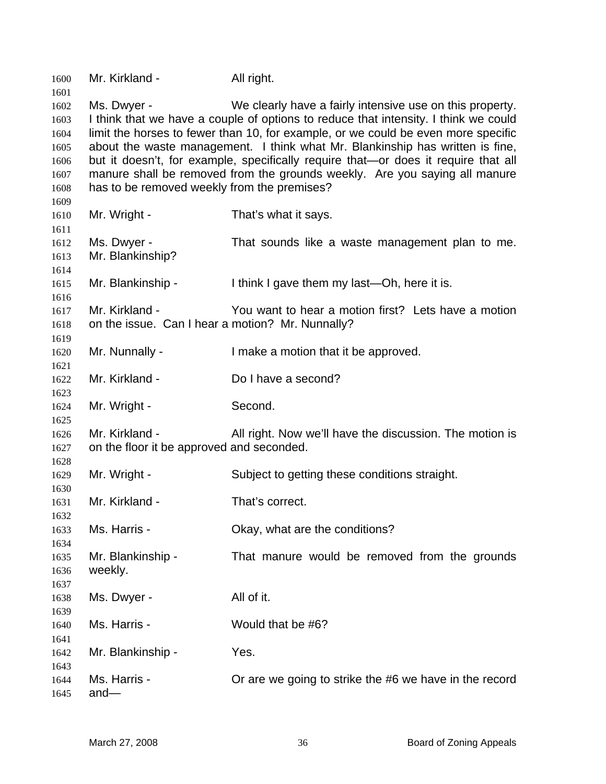| 1600<br>1601 | Mr. Kirkland -                                                                    | All right.                                                                          |  |
|--------------|-----------------------------------------------------------------------------------|-------------------------------------------------------------------------------------|--|
| 1602         | Ms. Dwyer -                                                                       | We clearly have a fairly intensive use on this property.                            |  |
| 1603         |                                                                                   | I think that we have a couple of options to reduce that intensity. I think we could |  |
| 1604         | limit the horses to fewer than 10, for example, or we could be even more specific |                                                                                     |  |
| 1605         | about the waste management. I think what Mr. Blankinship has written is fine,     |                                                                                     |  |
| 1606         |                                                                                   | but it doesn't, for example, specifically require that—or does it require that all  |  |
| 1607         |                                                                                   | manure shall be removed from the grounds weekly. Are you saying all manure          |  |
| 1608         | has to be removed weekly from the premises?                                       |                                                                                     |  |
| 1609         |                                                                                   |                                                                                     |  |
| 1610         | Mr. Wright -                                                                      | That's what it says.                                                                |  |
| 1611         |                                                                                   |                                                                                     |  |
| 1612         | Ms. Dwyer -<br>Mr. Blankinship?                                                   | That sounds like a waste management plan to me.                                     |  |
| 1613<br>1614 |                                                                                   |                                                                                     |  |
| 1615         | Mr. Blankinship -                                                                 | I think I gave them my last—Oh, here it is.                                         |  |
| 1616         |                                                                                   |                                                                                     |  |
| 1617         | Mr. Kirkland -                                                                    | You want to hear a motion first? Lets have a motion                                 |  |
| 1618         | on the issue. Can I hear a motion? Mr. Nunnally?                                  |                                                                                     |  |
| 1619         |                                                                                   |                                                                                     |  |
| 1620         | Mr. Nunnally -                                                                    | I make a motion that it be approved.                                                |  |
| 1621         |                                                                                   |                                                                                     |  |
| 1622         | Mr. Kirkland -                                                                    | Do I have a second?                                                                 |  |
| 1623         |                                                                                   |                                                                                     |  |
| 1624<br>1625 | Mr. Wright -                                                                      | Second.                                                                             |  |
| 1626         | Mr. Kirkland -                                                                    | All right. Now we'll have the discussion. The motion is                             |  |
| 1627         | on the floor it be approved and seconded.                                         |                                                                                     |  |
| 1628         |                                                                                   |                                                                                     |  |
| 1629         | Mr. Wright -                                                                      | Subject to getting these conditions straight.                                       |  |
| 1630         |                                                                                   |                                                                                     |  |
| 1631         | Mr. Kirkland -                                                                    | That's correct.                                                                     |  |
| 1632         |                                                                                   |                                                                                     |  |
| 1633         | Ms. Harris -                                                                      | Okay, what are the conditions?                                                      |  |
| 1634         |                                                                                   |                                                                                     |  |
| 1635         | Mr. Blankinship -                                                                 | That manure would be removed from the grounds                                       |  |
| 1636         | weekly.                                                                           |                                                                                     |  |
| 1637<br>1638 | Ms. Dwyer -                                                                       | All of it.                                                                          |  |
| 1639         |                                                                                   |                                                                                     |  |
| 1640         | Ms. Harris -                                                                      | Would that be #6?                                                                   |  |
| 1641         |                                                                                   |                                                                                     |  |
| 1642         | Mr. Blankinship -                                                                 | Yes.                                                                                |  |
| 1643         |                                                                                   |                                                                                     |  |
| 1644         | Ms. Harris -                                                                      | Or are we going to strike the #6 we have in the record                              |  |
| 1645         | $and -$                                                                           |                                                                                     |  |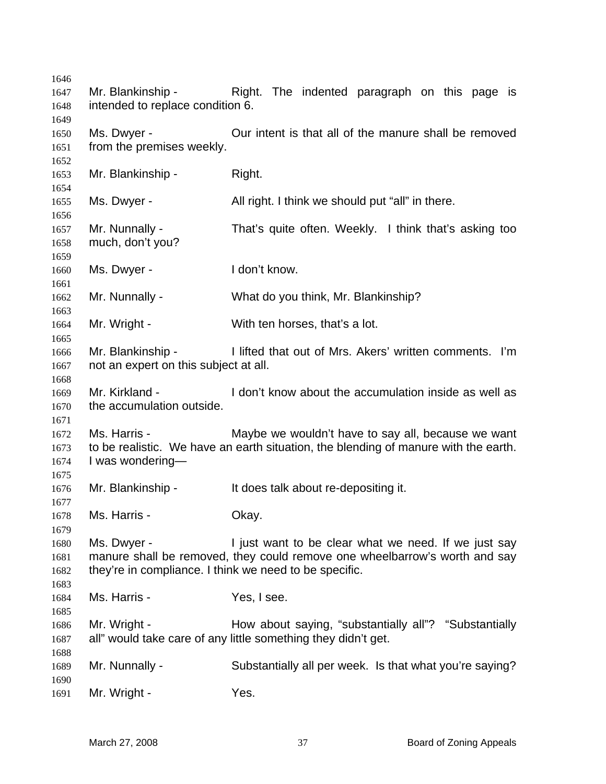|                   | Right. The indented paragraph on this page is                                                                                                                                                                                                                                                                                                                                                                                                                        |
|-------------------|----------------------------------------------------------------------------------------------------------------------------------------------------------------------------------------------------------------------------------------------------------------------------------------------------------------------------------------------------------------------------------------------------------------------------------------------------------------------|
|                   |                                                                                                                                                                                                                                                                                                                                                                                                                                                                      |
|                   |                                                                                                                                                                                                                                                                                                                                                                                                                                                                      |
|                   | Our intent is that all of the manure shall be removed                                                                                                                                                                                                                                                                                                                                                                                                                |
|                   |                                                                                                                                                                                                                                                                                                                                                                                                                                                                      |
|                   |                                                                                                                                                                                                                                                                                                                                                                                                                                                                      |
|                   | Right.                                                                                                                                                                                                                                                                                                                                                                                                                                                               |
|                   |                                                                                                                                                                                                                                                                                                                                                                                                                                                                      |
|                   |                                                                                                                                                                                                                                                                                                                                                                                                                                                                      |
|                   | All right. I think we should put "all" in there.                                                                                                                                                                                                                                                                                                                                                                                                                     |
|                   |                                                                                                                                                                                                                                                                                                                                                                                                                                                                      |
|                   | That's quite often. Weekly. I think that's asking too                                                                                                                                                                                                                                                                                                                                                                                                                |
|                   |                                                                                                                                                                                                                                                                                                                                                                                                                                                                      |
|                   |                                                                                                                                                                                                                                                                                                                                                                                                                                                                      |
|                   | I don't know.                                                                                                                                                                                                                                                                                                                                                                                                                                                        |
|                   |                                                                                                                                                                                                                                                                                                                                                                                                                                                                      |
|                   | What do you think, Mr. Blankinship?                                                                                                                                                                                                                                                                                                                                                                                                                                  |
|                   |                                                                                                                                                                                                                                                                                                                                                                                                                                                                      |
| Mr. Wright -      | With ten horses, that's a lot.                                                                                                                                                                                                                                                                                                                                                                                                                                       |
|                   |                                                                                                                                                                                                                                                                                                                                                                                                                                                                      |
| Mr. Blankinship - | I lifted that out of Mrs. Akers' written comments. I'm                                                                                                                                                                                                                                                                                                                                                                                                               |
|                   |                                                                                                                                                                                                                                                                                                                                                                                                                                                                      |
|                   |                                                                                                                                                                                                                                                                                                                                                                                                                                                                      |
| Mr. Kirkland -    | I don't know about the accumulation inside as well as                                                                                                                                                                                                                                                                                                                                                                                                                |
|                   |                                                                                                                                                                                                                                                                                                                                                                                                                                                                      |
|                   |                                                                                                                                                                                                                                                                                                                                                                                                                                                                      |
|                   | Maybe we wouldn't have to say all, because we want                                                                                                                                                                                                                                                                                                                                                                                                                   |
|                   | to be realistic. We have an earth situation, the blending of manure with the earth.                                                                                                                                                                                                                                                                                                                                                                                  |
|                   |                                                                                                                                                                                                                                                                                                                                                                                                                                                                      |
|                   |                                                                                                                                                                                                                                                                                                                                                                                                                                                                      |
|                   | It does talk about re-depositing it.                                                                                                                                                                                                                                                                                                                                                                                                                                 |
|                   |                                                                                                                                                                                                                                                                                                                                                                                                                                                                      |
|                   | Okay.                                                                                                                                                                                                                                                                                                                                                                                                                                                                |
|                   |                                                                                                                                                                                                                                                                                                                                                                                                                                                                      |
|                   |                                                                                                                                                                                                                                                                                                                                                                                                                                                                      |
|                   | I just want to be clear what we need. If we just say                                                                                                                                                                                                                                                                                                                                                                                                                 |
|                   | manure shall be removed, they could remove one wheelbarrow's worth and say                                                                                                                                                                                                                                                                                                                                                                                           |
|                   |                                                                                                                                                                                                                                                                                                                                                                                                                                                                      |
|                   |                                                                                                                                                                                                                                                                                                                                                                                                                                                                      |
|                   | Yes, I see.                                                                                                                                                                                                                                                                                                                                                                                                                                                          |
|                   |                                                                                                                                                                                                                                                                                                                                                                                                                                                                      |
|                   | How about saying, "substantially all"? "Substantially                                                                                                                                                                                                                                                                                                                                                                                                                |
|                   | all" would take care of any little something they didn't get.                                                                                                                                                                                                                                                                                                                                                                                                        |
|                   |                                                                                                                                                                                                                                                                                                                                                                                                                                                                      |
| Mr. Nunnally -    | Substantially all per week. Is that what you're saying?                                                                                                                                                                                                                                                                                                                                                                                                              |
|                   |                                                                                                                                                                                                                                                                                                                                                                                                                                                                      |
| Mr. Wright -      | Yes.                                                                                                                                                                                                                                                                                                                                                                                                                                                                 |
|                   | Mr. Blankinship -<br>intended to replace condition 6.<br>Ms. Dwyer -<br>from the premises weekly.<br>Mr. Blankinship -<br>Ms. Dwyer -<br>Mr. Nunnally -<br>much, don't you?<br>Ms. Dwyer -<br>Mr. Nunnally -<br>not an expert on this subject at all.<br>the accumulation outside.<br>Ms. Harris -<br>I was wondering-<br>Mr. Blankinship -<br>Ms. Harris -<br>Ms. Dwyer -<br>they're in compliance. I think we need to be specific.<br>Ms. Harris -<br>Mr. Wright - |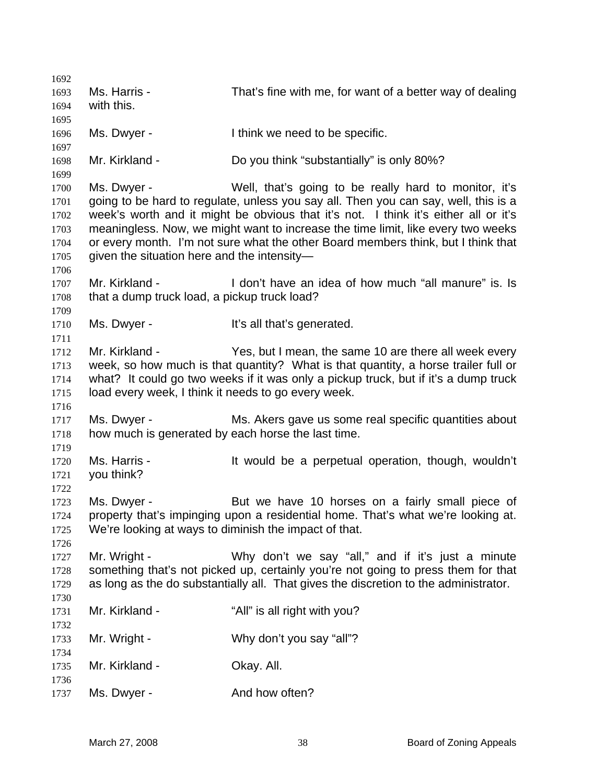| 1692         |                                                       |                                                                                      |
|--------------|-------------------------------------------------------|--------------------------------------------------------------------------------------|
| 1693         | Ms. Harris -                                          | That's fine with me, for want of a better way of dealing                             |
| 1694         | with this.                                            |                                                                                      |
| 1695         |                                                       |                                                                                      |
| 1696         | Ms. Dwyer -                                           | I think we need to be specific.                                                      |
| 1697         |                                                       |                                                                                      |
| 1698         | Mr. Kirkland -                                        | Do you think "substantially" is only 80%?                                            |
| 1699         |                                                       |                                                                                      |
| 1700         | Ms. Dwyer -                                           | Well, that's going to be really hard to monitor, it's                                |
| 1701         |                                                       | going to be hard to regulate, unless you say all. Then you can say, well, this is a  |
| 1702         |                                                       | week's worth and it might be obvious that it's not. I think it's either all or it's  |
| 1703         |                                                       | meaningless. Now, we might want to increase the time limit, like every two weeks     |
| 1704         |                                                       | or every month. I'm not sure what the other Board members think, but I think that    |
| 1705         | given the situation here and the intensity-           |                                                                                      |
| 1706         |                                                       |                                                                                      |
| 1707         | Mr. Kirkland -                                        | I don't have an idea of how much "all manure" is. Is                                 |
| 1708         | that a dump truck load, a pickup truck load?          |                                                                                      |
| 1709         |                                                       |                                                                                      |
| 1710         | Ms. Dwyer -                                           | It's all that's generated.                                                           |
| 1711         |                                                       |                                                                                      |
| 1712         | Mr. Kirkland -                                        | Yes, but I mean, the same 10 are there all week every                                |
| 1713         |                                                       | week, so how much is that quantity? What is that quantity, a horse trailer full or   |
| 1714         |                                                       | what? It could go two weeks if it was only a pickup truck, but if it's a dump truck  |
| 1715         | load every week, I think it needs to go every week.   |                                                                                      |
| 1716         |                                                       |                                                                                      |
| 1717         | Ms. Dwyer -                                           | Ms. Akers gave us some real specific quantities about                                |
| 1718<br>1719 | how much is generated by each horse the last time.    |                                                                                      |
| 1720         | Ms. Harris -                                          | It would be a perpetual operation, though, wouldn't                                  |
| 1721         | you think?                                            |                                                                                      |
| 1722         |                                                       |                                                                                      |
| 1723         | Ms. Dwyer -                                           | But we have 10 horses on a fairly small piece of                                     |
| 1724         |                                                       | property that's impinging upon a residential home. That's what we're looking at.     |
| 1725         | We're looking at ways to diminish the impact of that. |                                                                                      |
| 1726         |                                                       |                                                                                      |
| 1727         | Mr. Wright -                                          | Why don't we say "all," and if it's just a minute                                    |
| 1728         |                                                       | something that's not picked up, certainly you're not going to press them for that    |
| 1729         |                                                       | as long as the do substantially all. That gives the discretion to the administrator. |
| 1730         |                                                       |                                                                                      |
| 1731         | Mr. Kirkland -                                        | "All" is all right with you?                                                         |
| 1732         |                                                       |                                                                                      |
| 1733         | Mr. Wright -                                          | Why don't you say "all"?                                                             |
| 1734         |                                                       |                                                                                      |
| 1735         | Mr. Kirkland -                                        | Okay. All.                                                                           |
| 1736         |                                                       |                                                                                      |
| 1737         | Ms. Dwyer -                                           | And how often?                                                                       |
|              |                                                       |                                                                                      |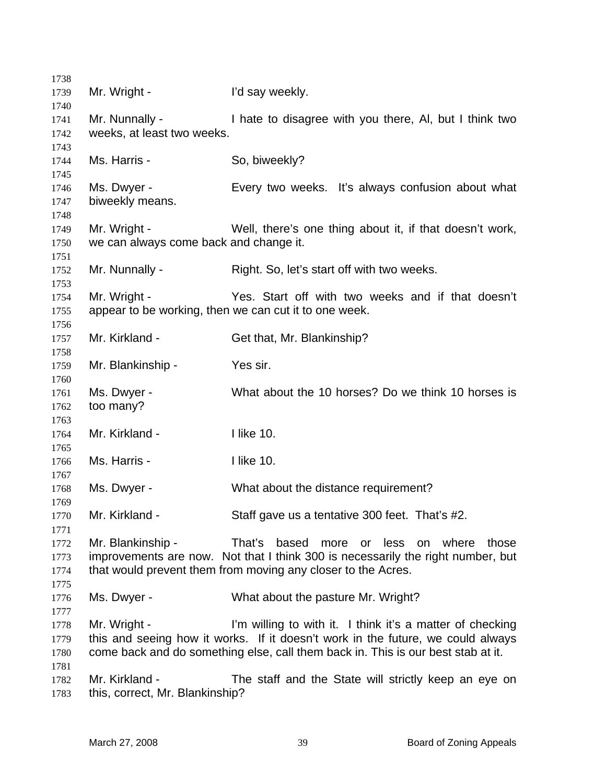| 1738         |                                        |                                                                                                                                              |
|--------------|----------------------------------------|----------------------------------------------------------------------------------------------------------------------------------------------|
| 1739         | Mr. Wright -                           | I'd say weekly.                                                                                                                              |
| 1740         |                                        |                                                                                                                                              |
| 1741         | Mr. Nunnally -                         | I hate to disagree with you there, AI, but I think two                                                                                       |
| 1742         | weeks, at least two weeks.             |                                                                                                                                              |
| 1743         |                                        |                                                                                                                                              |
| 1744         | Ms. Harris -                           | So, biweekly?                                                                                                                                |
| 1745         | Ms. Dwyer -                            | Every two weeks. It's always confusion about what                                                                                            |
| 1746<br>1747 | biweekly means.                        |                                                                                                                                              |
| 1748         |                                        |                                                                                                                                              |
| 1749         | Mr. Wright -                           | Well, there's one thing about it, if that doesn't work,                                                                                      |
| 1750         | we can always come back and change it. |                                                                                                                                              |
| 1751         |                                        |                                                                                                                                              |
| 1752         | Mr. Nunnally -                         | Right. So, let's start off with two weeks.                                                                                                   |
| 1753         |                                        |                                                                                                                                              |
| 1754         | Mr. Wright -                           | Yes. Start off with two weeks and if that doesn't                                                                                            |
| 1755         |                                        | appear to be working, then we can cut it to one week.                                                                                        |
| 1756         |                                        |                                                                                                                                              |
| 1757         | Mr. Kirkland -                         | Get that, Mr. Blankinship?                                                                                                                   |
| 1758         |                                        |                                                                                                                                              |
| 1759         | Mr. Blankinship -                      | Yes sir.                                                                                                                                     |
| 1760         |                                        |                                                                                                                                              |
| 1761         | Ms. Dwyer -                            | What about the 10 horses? Do we think 10 horses is                                                                                           |
| 1762         | too many?                              |                                                                                                                                              |
| 1763<br>1764 | Mr. Kirkland -                         | I like 10.                                                                                                                                   |
| 1765         |                                        |                                                                                                                                              |
| 1766         | Ms. Harris -                           | I like 10.                                                                                                                                   |
| 1767         |                                        |                                                                                                                                              |
| 1768         | Ms. Dwyer -                            | What about the distance requirement?                                                                                                         |
| 1769         |                                        |                                                                                                                                              |
| 1770         | Mr. Kirkland -                         | Staff gave us a tentative 300 feet. That's #2.                                                                                               |
| 1771         |                                        |                                                                                                                                              |
| 1772         | Mr. Blankinship -                      | That's<br>based more or less on where those                                                                                                  |
| 1773         |                                        | improvements are now. Not that I think 300 is necessarily the right number, but                                                              |
| 1774         |                                        | that would prevent them from moving any closer to the Acres.                                                                                 |
| 1775         |                                        |                                                                                                                                              |
| 1776         | Ms. Dwyer -                            | What about the pasture Mr. Wright?                                                                                                           |
| 1777         |                                        |                                                                                                                                              |
| 1778         | Mr. Wright -                           | I'm willing to with it. I think it's a matter of checking<br>this and seeing how it works. If it doesn't work in the future, we could always |
| 1779<br>1780 |                                        | come back and do something else, call them back in. This is our best stab at it.                                                             |
| 1781         |                                        |                                                                                                                                              |
| 1782         | Mr. Kirkland -                         | The staff and the State will strictly keep an eye on                                                                                         |
| 1783         | this, correct, Mr. Blankinship?        |                                                                                                                                              |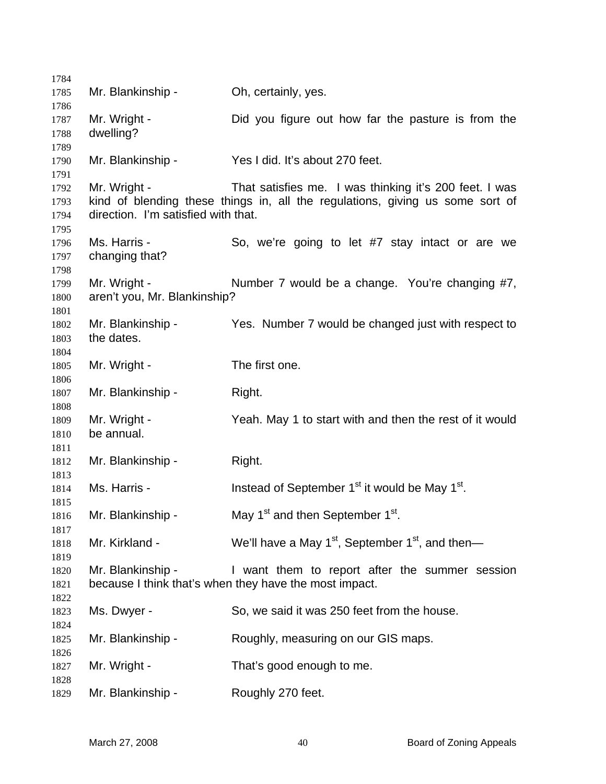| 1784         |                                     |                                                                               |
|--------------|-------------------------------------|-------------------------------------------------------------------------------|
| 1785         | Mr. Blankinship -                   | Oh, certainly, yes.                                                           |
| 1786         |                                     |                                                                               |
| 1787         | Mr. Wright -                        | Did you figure out how far the pasture is from the                            |
| 1788         | dwelling?                           |                                                                               |
| 1789         |                                     |                                                                               |
| 1790         | Mr. Blankinship -                   | Yes I did. It's about 270 feet.                                               |
| 1791         | Mr. Wright -                        | That satisfies me. I was thinking it's 200 feet. I was                        |
| 1792<br>1793 |                                     | kind of blending these things in, all the regulations, giving us some sort of |
| 1794         | direction. I'm satisfied with that. |                                                                               |
| 1795         |                                     |                                                                               |
| 1796         | Ms. Harris -                        | So, we're going to let #7 stay intact or are we                               |
| 1797         | changing that?                      |                                                                               |
| 1798         |                                     |                                                                               |
| 1799         | Mr. Wright -                        | Number 7 would be a change. You're changing #7,                               |
| 1800         | aren't you, Mr. Blankinship?        |                                                                               |
| 1801         |                                     |                                                                               |
| 1802         | Mr. Blankinship -                   | Yes. Number 7 would be changed just with respect to                           |
| 1803         | the dates.                          |                                                                               |
| 1804         |                                     |                                                                               |
| 1805         | Mr. Wright -                        | The first one.                                                                |
| 1806<br>1807 | Mr. Blankinship -                   | Right.                                                                        |
| 1808         |                                     |                                                                               |
| 1809         | Mr. Wright -                        | Yeah. May 1 to start with and then the rest of it would                       |
| 1810         | be annual.                          |                                                                               |
| 1811         |                                     |                                                                               |
| 1812         | Mr. Blankinship -                   | Right.                                                                        |
| 1813         |                                     |                                                                               |
| 1814         | Ms. Harris -                        | Instead of September 1 <sup>st</sup> it would be May 1 <sup>st</sup> .        |
| 1815         |                                     |                                                                               |
| 1816         | Mr. Blankinship -                   | May 1 <sup>st</sup> and then September 1 <sup>st</sup> .                      |
| 1817         | Mr. Kirkland -                      | We'll have a May $1st$ , September $1st$ , and then-                          |
| 1818<br>1819 |                                     |                                                                               |
| 1820         | Mr. Blankinship -                   | I want them to report after the summer session                                |
| 1821         |                                     | because I think that's when they have the most impact.                        |
| 1822         |                                     |                                                                               |
| 1823         | Ms. Dwyer -                         | So, we said it was 250 feet from the house.                                   |
| 1824         |                                     |                                                                               |
| 1825         | Mr. Blankinship -                   | Roughly, measuring on our GIS maps.                                           |
| 1826         |                                     |                                                                               |
| 1827         | Mr. Wright -                        | That's good enough to me.                                                     |
| 1828         |                                     |                                                                               |
| 1829         | Mr. Blankinship -                   | Roughly 270 feet.                                                             |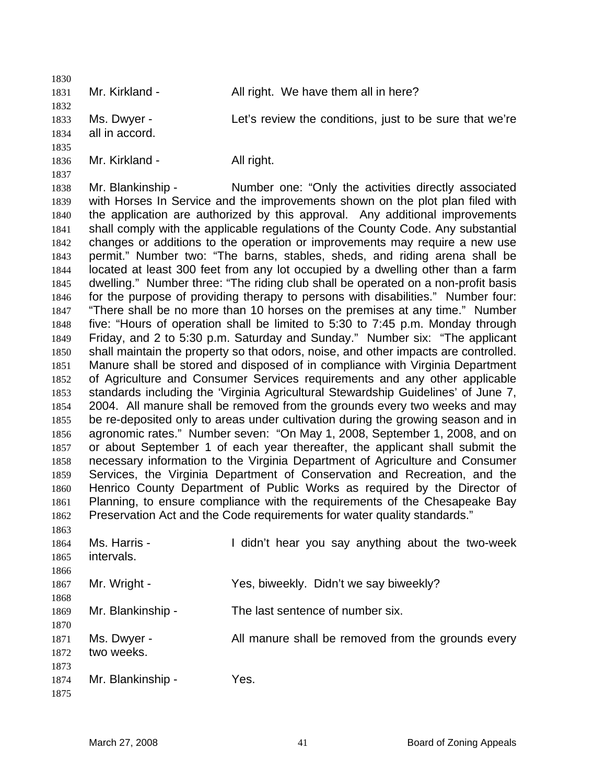1831 Mr. Kirkland - All right. We have them all in here? Ms. Dwyer - Let's review the conditions, just to be sure that we're all in accord. 1836 Mr. Kirkland - All right.

Mr. Blankinship - Number one: "Only the activities directly associated with Horses In Service and the improvements shown on the plot plan filed with the application are authorized by this approval. Any additional improvements shall comply with the applicable regulations of the County Code. Any substantial changes or additions to the operation or improvements may require a new use permit." Number two: "The barns, stables, sheds, and riding arena shall be located at least 300 feet from any lot occupied by a dwelling other than a farm dwelling." Number three: "The riding club shall be operated on a non-profit basis for the purpose of providing therapy to persons with disabilities." Number four: "There shall be no more than 10 horses on the premises at any time." Number five: "Hours of operation shall be limited to 5:30 to 7:45 p.m. Monday through Friday, and 2 to 5:30 p.m. Saturday and Sunday." Number six: "The applicant shall maintain the property so that odors, noise, and other impacts are controlled. Manure shall be stored and disposed of in compliance with Virginia Department of Agriculture and Consumer Services requirements and any other applicable standards including the 'Virginia Agricultural Stewardship Guidelines' of June 7, 2004. All manure shall be removed from the grounds every two weeks and may be re-deposited only to areas under cultivation during the growing season and in agronomic rates." Number seven: "On May 1, 2008, September 1, 2008, and on or about September 1 of each year thereafter, the applicant shall submit the necessary information to the Virginia Department of Agriculture and Consumer Services, the Virginia Department of Conservation and Recreation, and the Henrico County Department of Public Works as required by the Director of Planning, to ensure compliance with the requirements of the Chesapeake Bay Preservation Act and the Code requirements for water quality standards." 

| 1864<br>1865         | Ms. Harris -<br>intervals. | I didn't hear you say anything about the two-week  |
|----------------------|----------------------------|----------------------------------------------------|
| 1866<br>1867<br>1868 | Mr. Wright -               | Yes, biweekly. Didn't we say biweekly?             |
| 1869<br>1870         | Mr. Blankinship -          | The last sentence of number six.                   |
| 1871<br>1872<br>1873 | Ms. Dwyer -<br>two weeks.  | All manure shall be removed from the grounds every |
| 1874<br>1875         | Mr. Blankinship -          | Yes.                                               |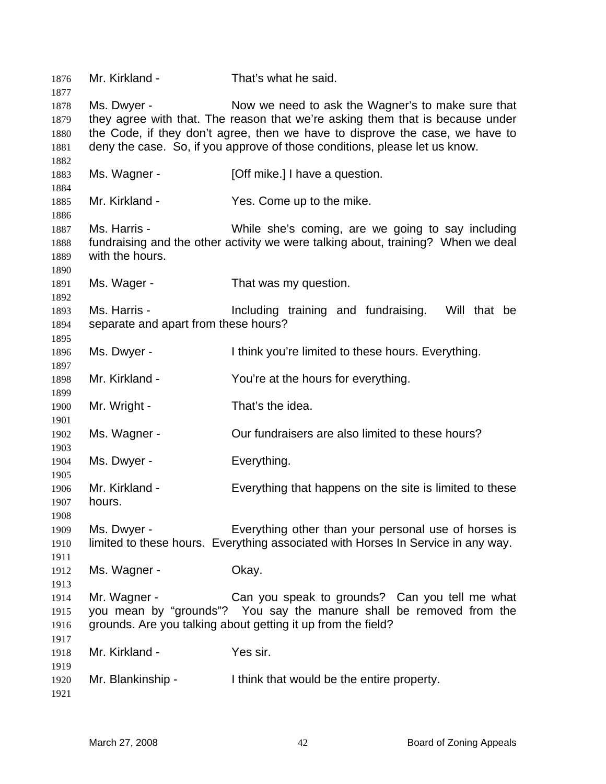| 1876<br>1877                         | Mr. Kirkland -                                       | That's what he said.                                                                                                                                                                                                                                                                             |
|--------------------------------------|------------------------------------------------------|--------------------------------------------------------------------------------------------------------------------------------------------------------------------------------------------------------------------------------------------------------------------------------------------------|
| 1878<br>1879<br>1880<br>1881<br>1882 | Ms. Dwyer -                                          | Now we need to ask the Wagner's to make sure that<br>they agree with that. The reason that we're asking them that is because under<br>the Code, if they don't agree, then we have to disprove the case, we have to<br>deny the case. So, if you approve of those conditions, please let us know. |
| 1883<br>1884                         | Ms. Wagner -                                         | [Off mike.] I have a question.                                                                                                                                                                                                                                                                   |
| 1885<br>1886                         | Mr. Kirkland -                                       | Yes. Come up to the mike.                                                                                                                                                                                                                                                                        |
| 1887<br>1888<br>1889                 | Ms. Harris -<br>with the hours.                      | While she's coming, are we going to say including<br>fundraising and the other activity we were talking about, training? When we deal                                                                                                                                                            |
| 1890<br>1891<br>1892                 | Ms. Wager -                                          | That was my question.                                                                                                                                                                                                                                                                            |
| 1893<br>1894<br>1895                 | Ms. Harris -<br>separate and apart from these hours? | Including training and fundraising.<br>Will that be                                                                                                                                                                                                                                              |
| 1896<br>1897                         | Ms. Dwyer -                                          | I think you're limited to these hours. Everything.                                                                                                                                                                                                                                               |
| 1898<br>1899                         | Mr. Kirkland -                                       | You're at the hours for everything.                                                                                                                                                                                                                                                              |
| 1900<br>1901                         | Mr. Wright -                                         | That's the idea.                                                                                                                                                                                                                                                                                 |
| 1902<br>1903                         | Ms. Wagner -                                         | Our fundraisers are also limited to these hours?                                                                                                                                                                                                                                                 |
| 1904<br>1905                         | Ms. Dwyer -                                          | Everything.                                                                                                                                                                                                                                                                                      |
| 1906<br>1907<br>1908                 | Mr. Kirkland -<br>hours.                             | Everything that happens on the site is limited to these                                                                                                                                                                                                                                          |
| 1909<br>1910                         | Ms. Dwyer -                                          | Everything other than your personal use of horses is<br>limited to these hours. Everything associated with Horses In Service in any way.                                                                                                                                                         |
| 1911<br>1912<br>1913                 | Ms. Wagner -                                         | Okay.                                                                                                                                                                                                                                                                                            |
| 1914<br>1915<br>1916                 | Mr. Wagner -                                         | Can you speak to grounds? Can you tell me what<br>you mean by "grounds"? You say the manure shall be removed from the<br>grounds. Are you talking about getting it up from the field?                                                                                                            |
| 1917<br>1918                         | Mr. Kirkland -                                       | Yes sir.                                                                                                                                                                                                                                                                                         |
| 1919<br>1920<br>1921                 | Mr. Blankinship -                                    | I think that would be the entire property.                                                                                                                                                                                                                                                       |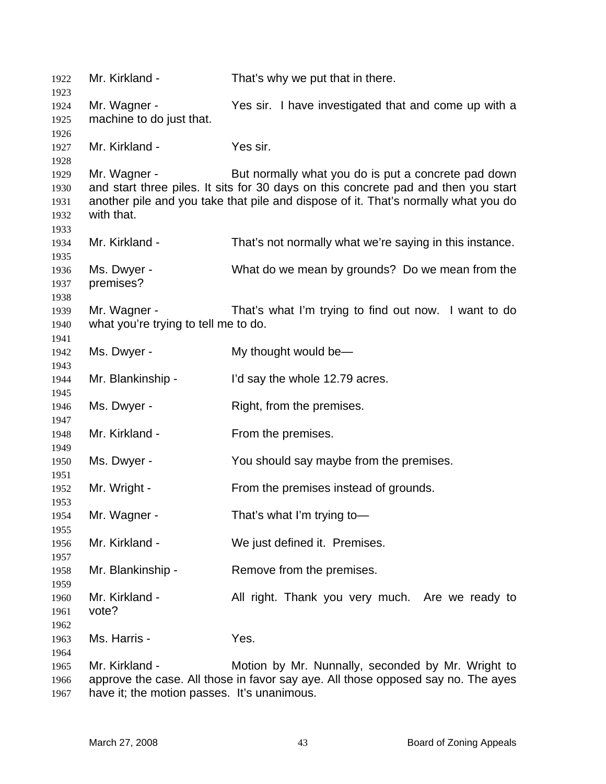Mr. Kirkland - That's why we put that in there. Mr. Wagner - Yes sir. I have investigated that and come up with a machine to do just that. Mr. Kirkland - Yes sir. Mr. Wagner - But normally what you do is put a concrete pad down and start three piles. It sits for 30 days on this concrete pad and then you start another pile and you take that pile and dispose of it. That's normally what you do with that. Mr. Kirkland - That's not normally what we're saying in this instance. Ms. Dwyer - What do we mean by grounds? Do we mean from the premises? Mr. Wagner - That's what I'm trying to find out now. I want to do what you're trying to tell me to do. 1942 Ms. Dwyer - My thought would be— Mr. Blankinship - I'd say the whole 12.79 acres. 1946 Ms. Dwyer - Right, from the premises. 1948 Mr. Kirkland - From the premises. Ms. Dwyer - You should say maybe from the premises. Mr. Wright - From the premises instead of grounds. Mr. Wagner - That's what I'm trying to— Mr. Kirkland - We just defined it. Premises. Mr. Blankinship - Remove from the premises. 1960 Mr. Kirkland - All right. Thank you very much. Are we ready to vote? Ms. Harris - Yes. Mr. Kirkland - Motion by Mr. Nunnally, seconded by Mr. Wright to approve the case. All those in favor say aye. All those opposed say no. The ayes have it; the motion passes. It's unanimous.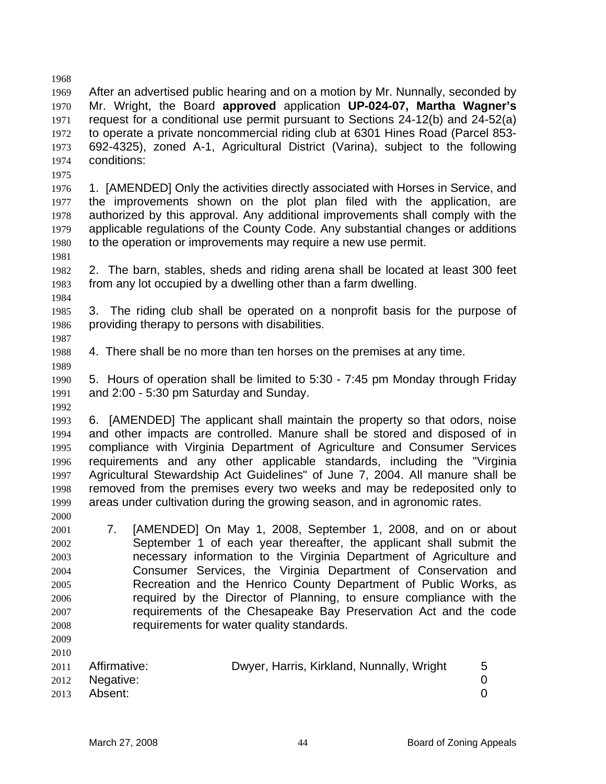After an advertised public hearing and on a motion by Mr. Nunnally, seconded by Mr. Wright, the Board **approved** application **UP-024-07, Martha Wagner's** request for a conditional use permit pursuant to Sections 24-12(b) and 24-52(a) to operate a private noncommercial riding club at 6301 Hines Road (Parcel 853- 692-4325), zoned A-1, Agricultural District (Varina), subject to the following conditions: 

- 1. [AMENDED] Only the activities directly associated with Horses in Service, and the improvements shown on the plot plan filed with the application, are authorized by this approval. Any additional improvements shall comply with the applicable regulations of the County Code. Any substantial changes or additions to the operation or improvements may require a new use permit.
- 2. The barn, stables, sheds and riding arena shall be located at least 300 feet from any lot occupied by a dwelling other than a farm dwelling.
- 3. The riding club shall be operated on a nonprofit basis for the purpose of providing therapy to persons with disabilities.
- 4. There shall be no more than ten horses on the premises at any time.
- 5. Hours of operation shall be limited to 5:30 7:45 pm Monday through Friday and 2:00 - 5:30 pm Saturday and Sunday.

6. [AMENDED] The applicant shall maintain the property so that odors, noise and other impacts are controlled. Manure shall be stored and disposed of in compliance with Virginia Department of Agriculture and Consumer Services requirements and any other applicable standards, including the "Virginia Agricultural Stewardship Act Guidelines" of June 7, 2004. All manure shall be removed from the premises every two weeks and may be redeposited only to areas under cultivation during the growing season, and in agronomic rates.

- 7. [AMENDED] On May 1, 2008, September 1, 2008, and on or about September 1 of each year thereafter, the applicant shall submit the necessary information to the Virginia Department of Agriculture and Consumer Services, the Virginia Department of Conservation and Recreation and the Henrico County Department of Public Works, as required by the Director of Planning, to ensure compliance with the requirements of the Chesapeake Bay Preservation Act and the code requirements for water quality standards.
- 

Affirmative: Dwyer, Harris, Kirkland, Nunnally, Wright 5 Negative: 0 Absent: 0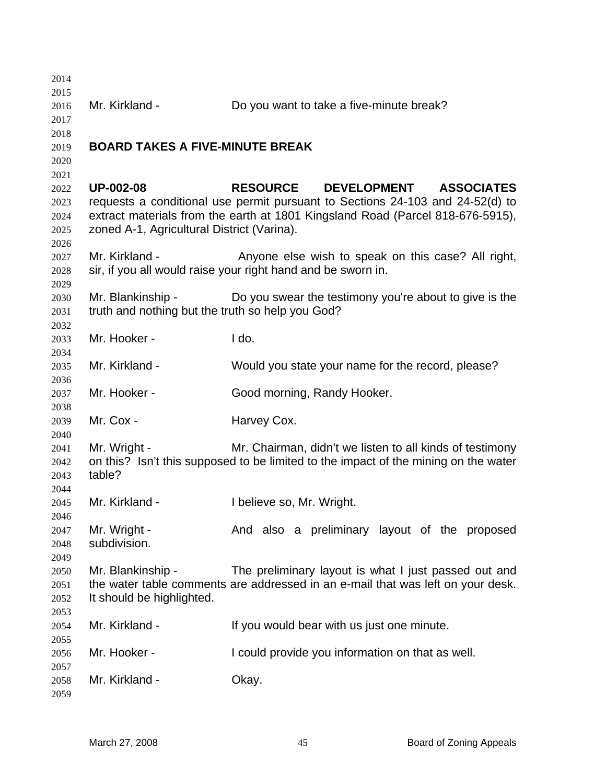| 2014 |                                                  |                                                                                     |
|------|--------------------------------------------------|-------------------------------------------------------------------------------------|
| 2015 |                                                  |                                                                                     |
| 2016 | Mr. Kirkland -                                   | Do you want to take a five-minute break?                                            |
| 2017 |                                                  |                                                                                     |
| 2018 |                                                  |                                                                                     |
| 2019 | <b>BOARD TAKES A FIVE-MINUTE BREAK</b>           |                                                                                     |
| 2020 |                                                  |                                                                                     |
| 2021 |                                                  |                                                                                     |
| 2022 | <b>UP-002-08</b>                                 | RESOURCE DEVELOPMENT<br><b>ASSOCIATES</b>                                           |
| 2023 |                                                  | requests a conditional use permit pursuant to Sections 24-103 and 24-52(d) to       |
| 2024 |                                                  | extract materials from the earth at 1801 Kingsland Road (Parcel 818-676-5915),      |
| 2025 | zoned A-1, Agricultural District (Varina).       |                                                                                     |
| 2026 |                                                  |                                                                                     |
| 2027 | Mr. Kirkland -                                   | Anyone else wish to speak on this case? All right,                                  |
| 2028 |                                                  | sir, if you all would raise your right hand and be sworn in.                        |
| 2029 |                                                  |                                                                                     |
| 2030 | Mr. Blankinship -                                | Do you swear the testimony you're about to give is the                              |
| 2031 | truth and nothing but the truth so help you God? |                                                                                     |
| 2032 |                                                  |                                                                                     |
| 2033 | Mr. Hooker -                                     | Ido.                                                                                |
| 2034 |                                                  |                                                                                     |
| 2035 | Mr. Kirkland -                                   | Would you state your name for the record, please?                                   |
| 2036 |                                                  |                                                                                     |
| 2037 | Mr. Hooker -                                     | Good morning, Randy Hooker.                                                         |
| 2038 |                                                  |                                                                                     |
| 2039 | Mr. Cox -                                        | Harvey Cox.                                                                         |
| 2040 |                                                  |                                                                                     |
| 2041 | Mr. Wright -                                     | Mr. Chairman, didn't we listen to all kinds of testimony                            |
| 2042 |                                                  | on this? Isn't this supposed to be limited to the impact of the mining on the water |
| 2043 | table?                                           |                                                                                     |
| 2044 |                                                  |                                                                                     |
| 2045 | Mr. Kirkland -                                   | I believe so, Mr. Wright.                                                           |
| 2046 |                                                  |                                                                                     |
| 2047 | Mr. Wright -                                     | And also a preliminary layout of the proposed                                       |
| 2048 | subdivision.                                     |                                                                                     |
| 2049 |                                                  |                                                                                     |
| 2050 | Mr. Blankinship -                                | The preliminary layout is what I just passed out and                                |
| 2051 |                                                  | the water table comments are addressed in an e-mail that was left on your desk.     |
| 2052 | It should be highlighted.                        |                                                                                     |
| 2053 |                                                  |                                                                                     |
| 2054 | Mr. Kirkland -                                   | If you would bear with us just one minute.                                          |
| 2055 |                                                  |                                                                                     |
| 2056 | Mr. Hooker -                                     | I could provide you information on that as well.                                    |
| 2057 |                                                  |                                                                                     |
| 2058 | Mr. Kirkland -                                   | Okay.                                                                               |
| 2059 |                                                  |                                                                                     |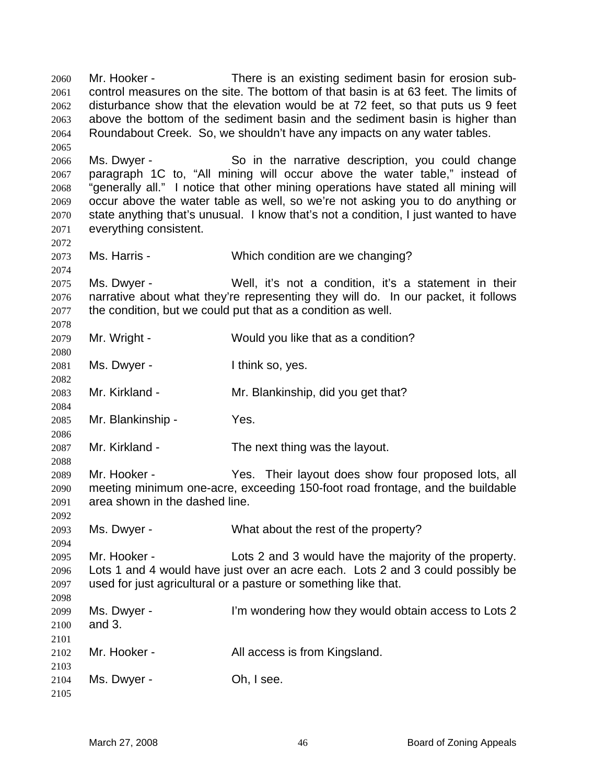Mr. Hooker - There is an existing sediment basin for erosion sub-control measures on the site. The bottom of that basin is at 63 feet. The limits of disturbance show that the elevation would be at 72 feet, so that puts us 9 feet above the bottom of the sediment basin and the sediment basin is higher than Roundabout Creek. So, we shouldn't have any impacts on any water tables. Ms. Dwyer - So in the narrative description, you could change paragraph 1C to, "All mining will occur above the water table," instead of "generally all." I notice that other mining operations have stated all mining will occur above the water table as well, so we're not asking you to do anything or state anything that's unusual. I know that's not a condition, I just wanted to have everything consistent. Ms. Harris - Which condition are we changing? Ms. Dwyer - Well, it's not a condition, it's a statement in their narrative about what they're representing they will do. In our packet, it follows the condition, but we could put that as a condition as well. Mr. Wright - Would you like that as a condition? 2081 Ms. Dwyer - Ithink so, yes. Mr. Kirkland - Mr. Blankinship, did you get that? Mr. Blankinship - Yes. Mr. Kirkland - The next thing was the layout. Mr. Hooker - Yes. Their layout does show four proposed lots, all meeting minimum one-acre, exceeding 150-foot road frontage, and the buildable area shown in the dashed line. Ms. Dwyer - What about the rest of the property? Mr. Hooker - Lots 2 and 3 would have the majority of the property. Lots 1 and 4 would have just over an acre each. Lots 2 and 3 could possibly be used for just agricultural or a pasture or something like that. Ms. Dwyer - I'm wondering how they would obtain access to Lots 2 and 3. Mr. Hooker - All access is from Kingsland. Ms. Dwyer - Oh, I see.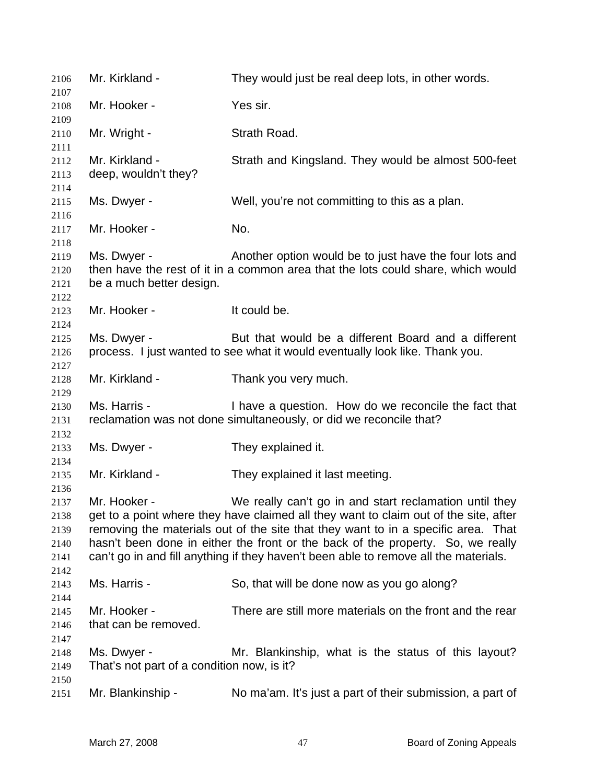| 2106                                 | Mr. Kirkland -                                            | They would just be real deep lots, in other words.                                                                                                                                                                                                                                                                                                                                                             |
|--------------------------------------|-----------------------------------------------------------|----------------------------------------------------------------------------------------------------------------------------------------------------------------------------------------------------------------------------------------------------------------------------------------------------------------------------------------------------------------------------------------------------------------|
| 2107<br>2108                         | Mr. Hooker -                                              | Yes sir.                                                                                                                                                                                                                                                                                                                                                                                                       |
| 2109                                 | Mr. Wright -                                              | Strath Road.                                                                                                                                                                                                                                                                                                                                                                                                   |
| 2110<br>2111                         |                                                           |                                                                                                                                                                                                                                                                                                                                                                                                                |
| 2112<br>2113                         | Mr. Kirkland -<br>deep, wouldn't they?                    | Strath and Kingsland. They would be almost 500-feet                                                                                                                                                                                                                                                                                                                                                            |
| 2114                                 |                                                           |                                                                                                                                                                                                                                                                                                                                                                                                                |
| 2115                                 | Ms. Dwyer -                                               | Well, you're not committing to this as a plan.                                                                                                                                                                                                                                                                                                                                                                 |
| 2116<br>2117<br>2118                 | Mr. Hooker -                                              | No.                                                                                                                                                                                                                                                                                                                                                                                                            |
| 2119<br>2120<br>2121                 | Ms. Dwyer -<br>be a much better design.                   | Another option would be to just have the four lots and<br>then have the rest of it in a common area that the lots could share, which would                                                                                                                                                                                                                                                                     |
| 2122<br>2123                         | Mr. Hooker -                                              | It could be.                                                                                                                                                                                                                                                                                                                                                                                                   |
| 2124<br>2125<br>2126                 | Ms. Dwyer -                                               | But that would be a different Board and a different<br>process. I just wanted to see what it would eventually look like. Thank you.                                                                                                                                                                                                                                                                            |
| 2127                                 |                                                           |                                                                                                                                                                                                                                                                                                                                                                                                                |
| 2128<br>2129                         | Mr. Kirkland -                                            | Thank you very much.                                                                                                                                                                                                                                                                                                                                                                                           |
| 2130<br>2131                         | Ms. Harris -                                              | I have a question. How do we reconcile the fact that<br>reclamation was not done simultaneously, or did we reconcile that?                                                                                                                                                                                                                                                                                     |
| 2132<br>2133                         | Ms. Dwyer -                                               | They explained it.                                                                                                                                                                                                                                                                                                                                                                                             |
| 2134<br>2135<br>2136                 | Mr. Kirkland -                                            | They explained it last meeting.                                                                                                                                                                                                                                                                                                                                                                                |
| 2137<br>2138<br>2139<br>2140<br>2141 | Mr. Hooker -                                              | We really can't go in and start reclamation until they<br>get to a point where they have claimed all they want to claim out of the site, after<br>removing the materials out of the site that they want to in a specific area. That<br>hasn't been done in either the front or the back of the property. So, we really<br>can't go in and fill anything if they haven't been able to remove all the materials. |
| 2142<br>2143<br>2144                 | Ms. Harris -                                              | So, that will be done now as you go along?                                                                                                                                                                                                                                                                                                                                                                     |
| 2145<br>2146                         | Mr. Hooker -<br>that can be removed.                      | There are still more materials on the front and the rear                                                                                                                                                                                                                                                                                                                                                       |
| 2147<br>2148<br>2149                 | Ms. Dwyer -<br>That's not part of a condition now, is it? | Mr. Blankinship, what is the status of this layout?                                                                                                                                                                                                                                                                                                                                                            |
| 2150<br>2151                         | Mr. Blankinship -                                         | No ma'am. It's just a part of their submission, a part of                                                                                                                                                                                                                                                                                                                                                      |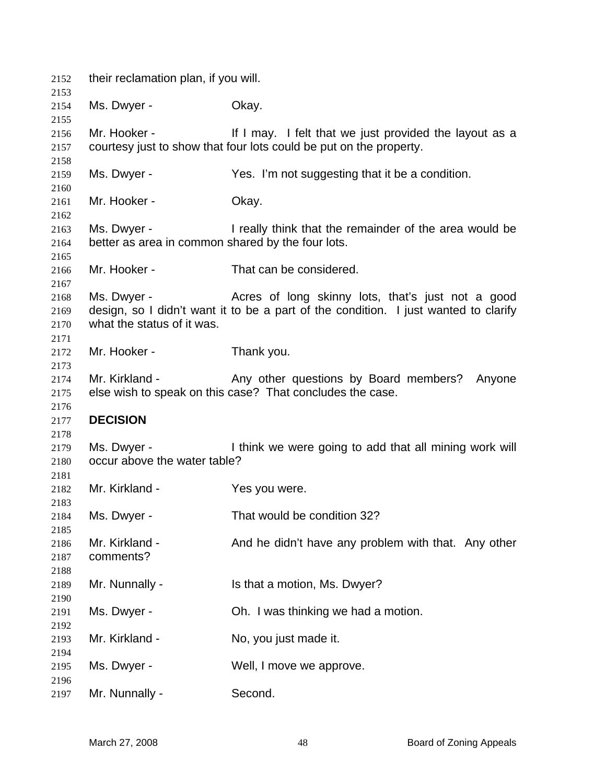| 2152         | their reclamation plan, if you will.              |                                                                                                                              |
|--------------|---------------------------------------------------|------------------------------------------------------------------------------------------------------------------------------|
| 2153         |                                                   |                                                                                                                              |
| 2154         | Ms. Dwyer -                                       | Okay.                                                                                                                        |
| 2155         |                                                   |                                                                                                                              |
| 2156<br>2157 | Mr. Hooker -                                      | If I may. I felt that we just provided the layout as a<br>courtesy just to show that four lots could be put on the property. |
| 2158         |                                                   |                                                                                                                              |
| 2159         | Ms. Dwyer -                                       | Yes. I'm not suggesting that it be a condition.                                                                              |
| 2160         |                                                   |                                                                                                                              |
| 2161         | Mr. Hooker -                                      | Okay.                                                                                                                        |
| 2162         |                                                   |                                                                                                                              |
| 2163         | Ms. Dwyer -                                       | I really think that the remainder of the area would be                                                                       |
| 2164         | better as area in common shared by the four lots. |                                                                                                                              |
| 2165         |                                                   |                                                                                                                              |
| 2166         | Mr. Hooker -                                      | That can be considered.                                                                                                      |
| 2167         |                                                   |                                                                                                                              |
| 2168         | Ms. Dwyer -                                       | Acres of long skinny lots, that's just not a good                                                                            |
| 2169         |                                                   | design, so I didn't want it to be a part of the condition. I just wanted to clarify                                          |
| 2170         | what the status of it was.                        |                                                                                                                              |
| 2171         |                                                   |                                                                                                                              |
|              | Mr. Hooker -                                      |                                                                                                                              |
| 2172         |                                                   | Thank you.                                                                                                                   |
| 2173         |                                                   |                                                                                                                              |
| 2174         | Mr. Kirkland -                                    | Any other questions by Board members? Anyone                                                                                 |
| 2175         |                                                   | else wish to speak on this case? That concludes the case.                                                                    |
| 2176         |                                                   |                                                                                                                              |
| 2177         | <b>DECISION</b>                                   |                                                                                                                              |
| 2178         |                                                   |                                                                                                                              |
| 2179         | Ms. Dwyer -                                       | I think we were going to add that all mining work will                                                                       |
| 2180         | occur above the water table?                      |                                                                                                                              |
| 2181         |                                                   |                                                                                                                              |
| 2182         | Mr. Kirkland -                                    | Yes you were.                                                                                                                |
| 2183         |                                                   |                                                                                                                              |
| 2184         | Ms. Dwyer -                                       | That would be condition 32?                                                                                                  |
| 2185         |                                                   |                                                                                                                              |
| 2186         | Mr. Kirkland -                                    | And he didn't have any problem with that. Any other                                                                          |
| 2187         | comments?                                         |                                                                                                                              |
| 2188         |                                                   |                                                                                                                              |
| 2189         | Mr. Nunnally -                                    | Is that a motion, Ms. Dwyer?                                                                                                 |
|              |                                                   |                                                                                                                              |
| 2190         |                                                   |                                                                                                                              |
| 2191         | Ms. Dwyer -                                       | Oh. I was thinking we had a motion.                                                                                          |
| 2192         |                                                   |                                                                                                                              |
| 2193         | Mr. Kirkland -                                    | No, you just made it.                                                                                                        |
| 2194         |                                                   |                                                                                                                              |
| 2195         | Ms. Dwyer -                                       | Well, I move we approve.                                                                                                     |
| 2196         |                                                   |                                                                                                                              |
|              | Mr. Nunnally -                                    | Second.                                                                                                                      |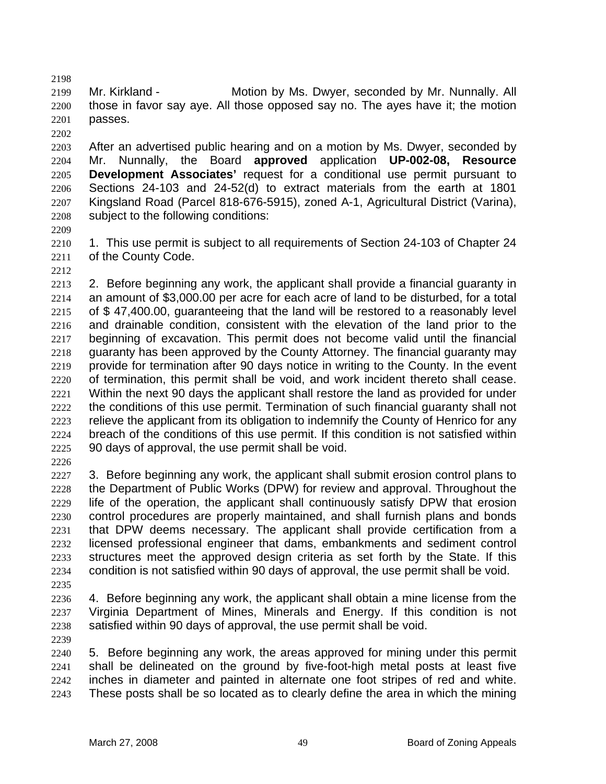Mr. Kirkland - Motion by Ms. Dwyer, seconded by Mr. Nunnally. All those in favor say aye. All those opposed say no. The ayes have it; the motion passes. 

After an advertised public hearing and on a motion by Ms. Dwyer, seconded by Mr. Nunnally, the Board **approved** application **UP-002-08, Resource Development Associates'** request for a conditional use permit pursuant to Sections 24-103 and 24-52(d) to extract materials from the earth at 1801 Kingsland Road (Parcel 818-676-5915), zoned A-1, Agricultural District (Varina), subject to the following conditions:

1. This use permit is subject to all requirements of Section 24-103 of Chapter 24 of the County Code.

- 2. Before beginning any work, the applicant shall provide a financial guaranty in an amount of \$3,000.00 per acre for each acre of land to be disturbed, for a total of \$ 47,400.00, guaranteeing that the land will be restored to a reasonably level and drainable condition, consistent with the elevation of the land prior to the beginning of excavation. This permit does not become valid until the financial guaranty has been approved by the County Attorney. The financial guaranty may provide for termination after 90 days notice in writing to the County. In the event of termination, this permit shall be void, and work incident thereto shall cease. Within the next 90 days the applicant shall restore the land as provided for under the conditions of this use permit. Termination of such financial guaranty shall not relieve the applicant from its obligation to indemnify the County of Henrico for any breach of the conditions of this use permit. If this condition is not satisfied within 90 days of approval, the use permit shall be void.
- 

2227 3. Before beginning any work, the applicant shall submit erosion control plans to the Department of Public Works (DPW) for review and approval. Throughout the life of the operation, the applicant shall continuously satisfy DPW that erosion control procedures are properly maintained, and shall furnish plans and bonds that DPW deems necessary. The applicant shall provide certification from a licensed professional engineer that dams, embankments and sediment control structures meet the approved design criteria as set forth by the State. If this condition is not satisfied within 90 days of approval, the use permit shall be void.

4. Before beginning any work, the applicant shall obtain a mine license from the Virginia Department of Mines, Minerals and Energy. If this condition is not satisfied within 90 days of approval, the use permit shall be void.

5. Before beginning any work, the areas approved for mining under this permit shall be delineated on the ground by five-foot-high metal posts at least five inches in diameter and painted in alternate one foot stripes of red and white. These posts shall be so located as to clearly define the area in which the mining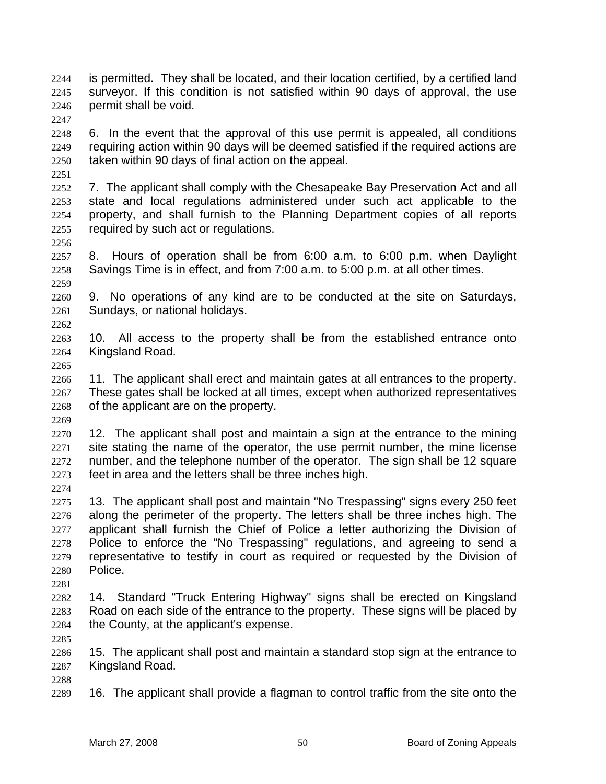is permitted. They shall be located, and their location certified, by a certified land surveyor. If this condition is not satisfied within 90 days of approval, the use permit shall be void.

6. In the event that the approval of this use permit is appealed, all conditions requiring action within 90 days will be deemed satisfied if the required actions are taken within 90 days of final action on the appeal.

7. The applicant shall comply with the Chesapeake Bay Preservation Act and all state and local regulations administered under such act applicable to the property, and shall furnish to the Planning Department copies of all reports required by such act or regulations.

8. Hours of operation shall be from 6:00 a.m. to 6:00 p.m. when Daylight Savings Time is in effect, and from 7:00 a.m. to 5:00 p.m. at all other times.

9. No operations of any kind are to be conducted at the site on Saturdays, Sundays, or national holidays.

10. All access to the property shall be from the established entrance onto Kingsland Road.

11. The applicant shall erect and maintain gates at all entrances to the property. These gates shall be locked at all times, except when authorized representatives of the applicant are on the property.

12. The applicant shall post and maintain a sign at the entrance to the mining site stating the name of the operator, the use permit number, the mine license 2272 number, and the telephone number of the operator. The sign shall be 12 square feet in area and the letters shall be three inches high.

13. The applicant shall post and maintain "No Trespassing" signs every 250 feet along the perimeter of the property. The letters shall be three inches high. The applicant shall furnish the Chief of Police a letter authorizing the Division of Police to enforce the "No Trespassing" regulations, and agreeing to send a representative to testify in court as required or requested by the Division of Police.

14. Standard "Truck Entering Highway" signs shall be erected on Kingsland Road on each side of the entrance to the property. These signs will be placed by the County, at the applicant's expense.

15. The applicant shall post and maintain a standard stop sign at the entrance to Kingsland Road.

16. The applicant shall provide a flagman to control traffic from the site onto the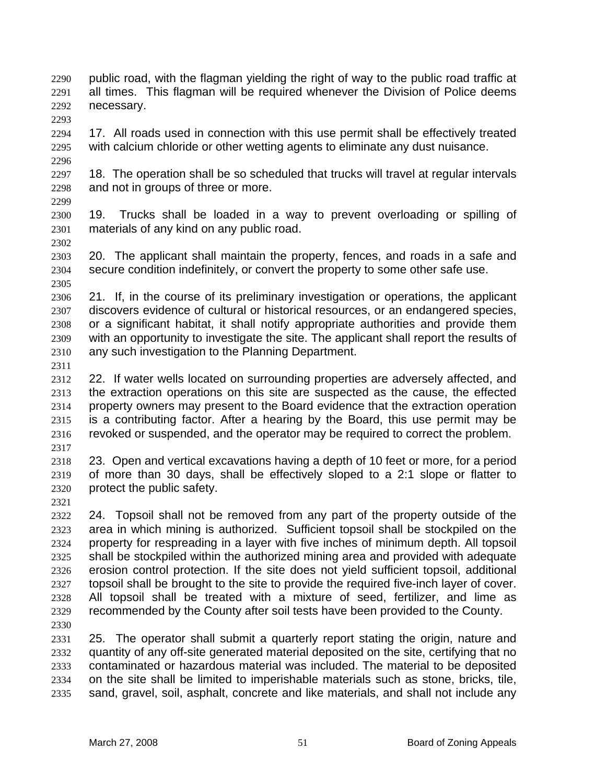public road, with the flagman yielding the right of way to the public road traffic at all times. This flagman will be required whenever the Division of Police deems necessary. 

17. All roads used in connection with this use permit shall be effectively treated with calcium chloride or other wetting agents to eliminate any dust nuisance.

18. The operation shall be so scheduled that trucks will travel at regular intervals and not in groups of three or more.

19. Trucks shall be loaded in a way to prevent overloading or spilling of materials of any kind on any public road.

20. The applicant shall maintain the property, fences, and roads in a safe and secure condition indefinitely, or convert the property to some other safe use. 

21. If, in the course of its preliminary investigation or operations, the applicant discovers evidence of cultural or historical resources, or an endangered species, or a significant habitat, it shall notify appropriate authorities and provide them with an opportunity to investigate the site. The applicant shall report the results of any such investigation to the Planning Department.

22. If water wells located on surrounding properties are adversely affected, and the extraction operations on this site are suspected as the cause, the effected property owners may present to the Board evidence that the extraction operation is a contributing factor. After a hearing by the Board, this use permit may be revoked or suspended, and the operator may be required to correct the problem.

23. Open and vertical excavations having a depth of 10 feet or more, for a period of more than 30 days, shall be effectively sloped to a 2:1 slope or flatter to protect the public safety.

24. Topsoil shall not be removed from any part of the property outside of the area in which mining is authorized. Sufficient topsoil shall be stockpiled on the property for respreading in a layer with five inches of minimum depth. All topsoil shall be stockpiled within the authorized mining area and provided with adequate erosion control protection. If the site does not yield sufficient topsoil, additional topsoil shall be brought to the site to provide the required five-inch layer of cover. All topsoil shall be treated with a mixture of seed, fertilizer, and lime as recommended by the County after soil tests have been provided to the County.

25. The operator shall submit a quarterly report stating the origin, nature and quantity of any off-site generated material deposited on the site, certifying that no contaminated or hazardous material was included. The material to be deposited on the site shall be limited to imperishable materials such as stone, bricks, tile, sand, gravel, soil, asphalt, concrete and like materials, and shall not include any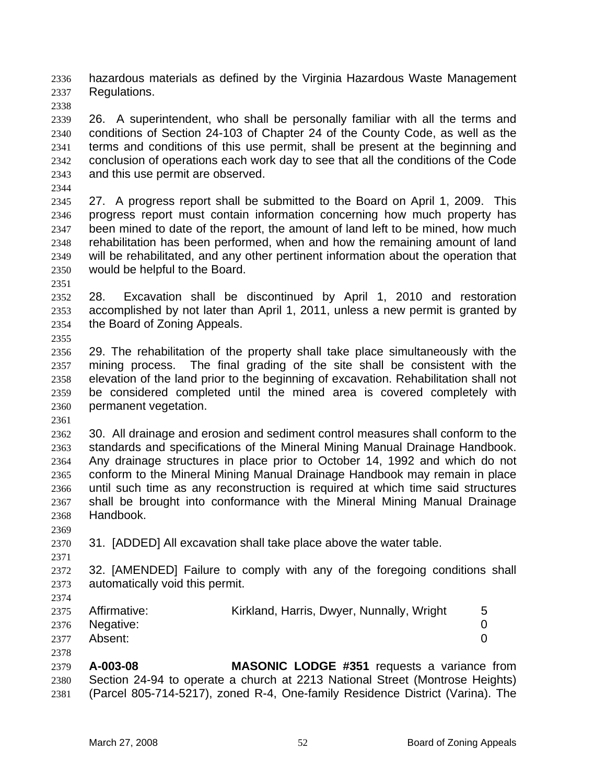hazardous materials as defined by the Virginia Hazardous Waste Management Regulations.

- 26. A superintendent, who shall be personally familiar with all the terms and conditions of Section 24-103 of Chapter 24 of the County Code, as well as the terms and conditions of this use permit, shall be present at the beginning and conclusion of operations each work day to see that all the conditions of the Code and this use permit are observed.
- 

27. A progress report shall be submitted to the Board on April 1, 2009. This progress report must contain information concerning how much property has been mined to date of the report, the amount of land left to be mined, how much rehabilitation has been performed, when and how the remaining amount of land will be rehabilitated, and any other pertinent information about the operation that would be helpful to the Board.

28. Excavation shall be discontinued by April 1, 2010 and restoration accomplished by not later than April 1, 2011, unless a new permit is granted by the Board of Zoning Appeals. 

29. The rehabilitation of the property shall take place simultaneously with the mining process. The final grading of the site shall be consistent with the elevation of the land prior to the beginning of excavation. Rehabilitation shall not be considered completed until the mined area is covered completely with permanent vegetation.

30. All drainage and erosion and sediment control measures shall conform to the standards and specifications of the Mineral Mining Manual Drainage Handbook. Any drainage structures in place prior to October 14, 1992 and which do not conform to the Mineral Mining Manual Drainage Handbook may remain in place until such time as any reconstruction is required at which time said structures shall be brought into conformance with the Mineral Mining Manual Drainage Handbook.

31. [ADDED] All excavation shall take place above the water table.

32. [AMENDED] Failure to comply with any of the foregoing conditions shall automatically void this permit.

| 2375 Affirmative: | Kirkland, Harris, Dwyer, Nunnally, Wright |  |
|-------------------|-------------------------------------------|--|
| 2376 Negative:    |                                           |  |
| 2377 Absent:      |                                           |  |

**A-003-08 MASONIC LODGE #351** requests a variance from Section 24-94 to operate a church at 2213 National Street (Montrose Heights) (Parcel 805-714-5217), zoned R-4, One-family Residence District (Varina). The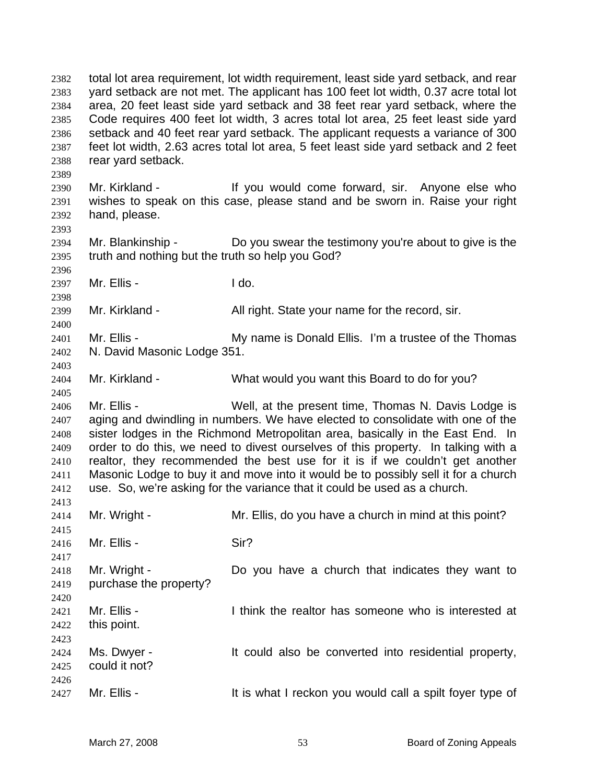total lot area requirement, lot width requirement, least side yard setback, and rear yard setback are not met. The applicant has 100 feet lot width, 0.37 acre total lot area, 20 feet least side yard setback and 38 feet rear yard setback, where the Code requires 400 feet lot width, 3 acres total lot area, 25 feet least side yard setback and 40 feet rear yard setback. The applicant requests a variance of 300 feet lot width, 2.63 acres total lot area, 5 feet least side yard setback and 2 feet rear yard setback. Mr. Kirkland - If you would come forward, sir. Anyone else who wishes to speak on this case, please stand and be sworn in. Raise your right hand, please. Mr. Blankinship - Do you swear the testimony you're about to give is the truth and nothing but the truth so help you God? Mr. Ellis - I do. 2399 Mr. Kirkland - All right. State your name for the record, sir. 2401 Mr. Ellis - My name is Donald Ellis. I'm a trustee of the Thomas N. David Masonic Lodge 351. Mr. Kirkland - What would you want this Board to do for you? 2406 Mr. Ellis - Well, at the present time, Thomas N. Davis Lodge is aging and dwindling in numbers. We have elected to consolidate with one of the sister lodges in the Richmond Metropolitan area, basically in the East End. In order to do this, we need to divest ourselves of this property. In talking with a realtor, they recommended the best use for it is if we couldn't get another Masonic Lodge to buy it and move into it would be to possibly sell it for a church use. So, we're asking for the variance that it could be used as a church. 2414 Mr. Wright - Mr. Ellis, do you have a church in mind at this point? 2416 Mr. Ellis - Sir? Mr. Wright - Do you have a church that indicates they want to purchase the property? 2421 Mr. Ellis - Think the realtor has someone who is interested at this point. Ms. Dwyer - It could also be converted into residential property, could it not? 2427 Mr. Ellis - It is what I reckon you would call a spilt foyer type of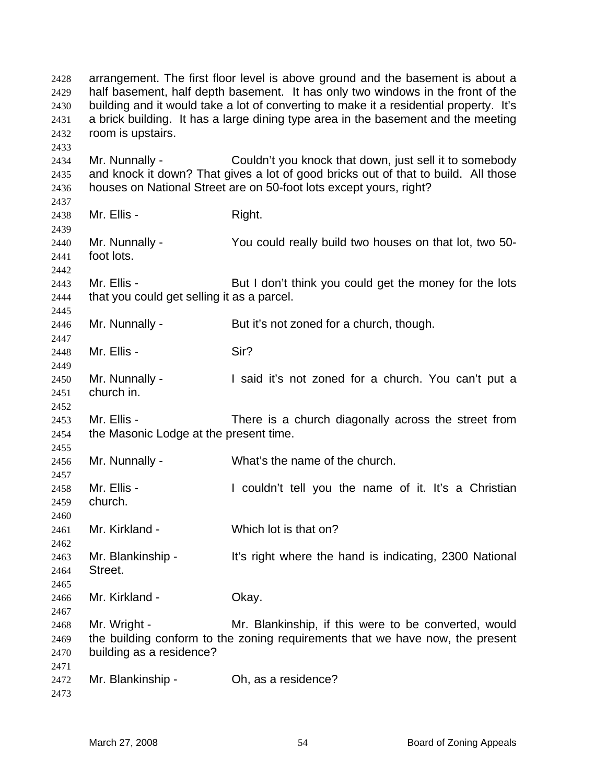| 2428<br>2429<br>2430<br>2431<br>2432 | arrangement. The first floor level is above ground and the basement is about a<br>half basement, half depth basement. It has only two windows in the front of the<br>building and it would take a lot of converting to make it a residential property. It's<br>a brick building. It has a large dining type area in the basement and the meeting<br>room is upstairs. |                                                                                                                                                                                                                    |
|--------------------------------------|-----------------------------------------------------------------------------------------------------------------------------------------------------------------------------------------------------------------------------------------------------------------------------------------------------------------------------------------------------------------------|--------------------------------------------------------------------------------------------------------------------------------------------------------------------------------------------------------------------|
| 2433<br>2434<br>2435<br>2436         | Mr. Nunnally -                                                                                                                                                                                                                                                                                                                                                        | Couldn't you knock that down, just sell it to somebody<br>and knock it down? That gives a lot of good bricks out of that to build. All those<br>houses on National Street are on 50-foot lots except yours, right? |
| 2437<br>2438                         | Mr. Ellis -                                                                                                                                                                                                                                                                                                                                                           | Right.                                                                                                                                                                                                             |
| 2439<br>2440<br>2441<br>2442         | Mr. Nunnally -<br>foot lots.                                                                                                                                                                                                                                                                                                                                          | You could really build two houses on that lot, two 50-                                                                                                                                                             |
| 2443<br>2444<br>2445                 | Mr. Ellis -<br>that you could get selling it as a parcel.                                                                                                                                                                                                                                                                                                             | But I don't think you could get the money for the lots                                                                                                                                                             |
| 2446<br>2447                         | Mr. Nunnally -                                                                                                                                                                                                                                                                                                                                                        | But it's not zoned for a church, though.                                                                                                                                                                           |
| 2448<br>2449                         | Mr. Ellis -                                                                                                                                                                                                                                                                                                                                                           | Sir?                                                                                                                                                                                                               |
| 2450<br>2451<br>2452                 | Mr. Nunnally -<br>church in.                                                                                                                                                                                                                                                                                                                                          | I said it's not zoned for a church. You can't put a                                                                                                                                                                |
| 2453<br>2454<br>2455                 | Mr. Ellis -<br>the Masonic Lodge at the present time.                                                                                                                                                                                                                                                                                                                 | There is a church diagonally across the street from                                                                                                                                                                |
| 2456<br>2457                         | Mr. Nunnally -                                                                                                                                                                                                                                                                                                                                                        | What's the name of the church.                                                                                                                                                                                     |
| 2458<br>2459<br>2460                 | Mr. Ellis -<br>church.                                                                                                                                                                                                                                                                                                                                                | I couldn't tell you the name of it. It's a Christian                                                                                                                                                               |
| 2461<br>2462                         | Mr. Kirkland -                                                                                                                                                                                                                                                                                                                                                        | Which lot is that on?                                                                                                                                                                                              |
| 2463<br>2464<br>2465                 | Mr. Blankinship -<br>Street.                                                                                                                                                                                                                                                                                                                                          | It's right where the hand is indicating, 2300 National                                                                                                                                                             |
| 2466<br>2467                         | Mr. Kirkland -                                                                                                                                                                                                                                                                                                                                                        | Okay.                                                                                                                                                                                                              |
| 2468<br>2469<br>2470                 | Mr. Wright -<br>building as a residence?                                                                                                                                                                                                                                                                                                                              | Mr. Blankinship, if this were to be converted, would<br>the building conform to the zoning requirements that we have now, the present                                                                              |
| 2471<br>2472<br>2473                 | Mr. Blankinship -                                                                                                                                                                                                                                                                                                                                                     | Oh, as a residence?                                                                                                                                                                                                |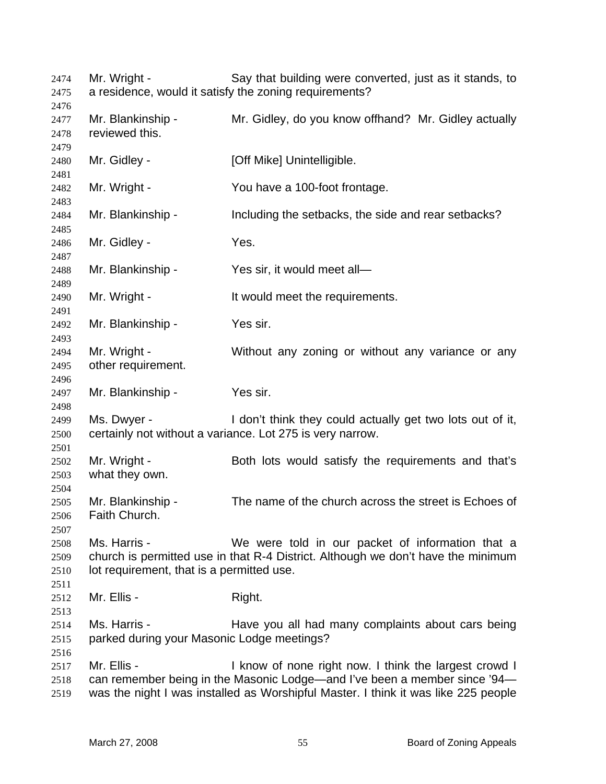Mr. Wright - Say that building were converted, just as it stands, to a residence, would it satisfy the zoning requirements? 2477 Mr. Blankinship - Mr. Gidley, do you know offhand? Mr. Gidley actually reviewed this. 2480 Mr. Gidley - **[Off Mike] Unintelligible.**  Mr. Wright - You have a 100-foot frontage. Mr. Blankinship - Including the setbacks, the side and rear setbacks? Mr. Gidley - Yes. Mr. Blankinship - Yes sir, it would meet all— 2490 Mr. Wright - It would meet the requirements. Mr. Blankinship - Yes sir. 2494 Mr. Wright - Without any zoning or without any variance or any other requirement. Mr. Blankinship - Yes sir. Ms. Dwyer - I don't think they could actually get two lots out of it, certainly not without a variance. Lot 275 is very narrow. 2502 Mr. Wright - Both lots would satisfy the requirements and that's what they own. Mr. Blankinship - The name of the church across the street is Echoes of Faith Church. Ms. Harris - We were told in our packet of information that a church is permitted use in that R-4 District. Although we don't have the minimum lot requirement, that is a permitted use. Mr. Ellis - Right. 2514 Ms. Harris - Have you all had many complaints about cars being parked during your Masonic Lodge meetings? 2517 Mr. Ellis - I know of none right now. I think the largest crowd I can remember being in the Masonic Lodge—and I've been a member since '94— was the night I was installed as Worshipful Master. I think it was like 225 people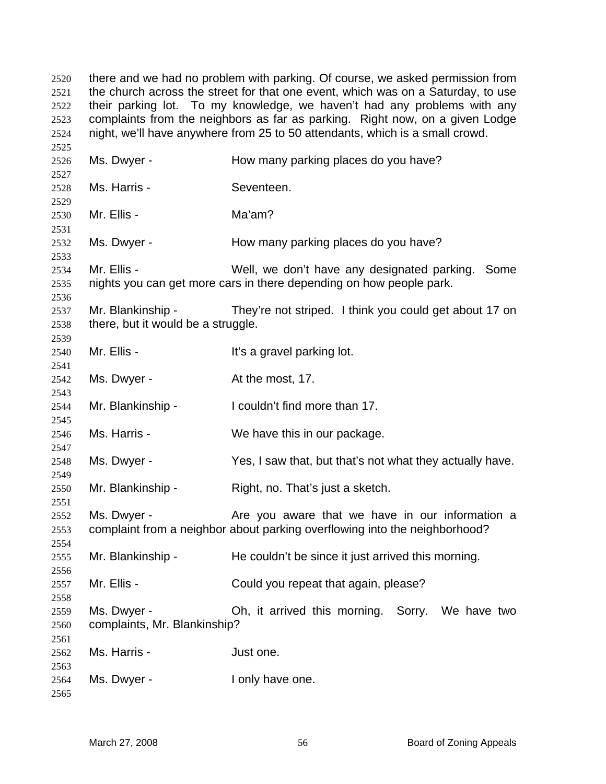there and we had no problem with parking. Of course, we asked permission from the church across the street for that one event, which was on a Saturday, to use their parking lot. To my knowledge, we haven't had any problems with any complaints from the neighbors as far as parking. Right now, on a given Lodge night, we'll have anywhere from 25 to 50 attendants, which is a small crowd. 2526 Ms. Dwyer - How many parking places do you have? Ms. Harris - Seventeen. Mr. Ellis - Ma'am? 2532 Ms. Dwyer - How many parking places do you have? Mr. Ellis - Well, we don't have any designated parking. Some nights you can get more cars in there depending on how people park. Mr. Blankinship - They're not striped. I think you could get about 17 on there, but it would be a struggle. 2540 Mr. Ellis - It's a gravel parking lot. 2542 Ms. Dwyer - At the most, 17. Mr. Blankinship - I couldn't find more than 17. Ms. Harris - We have this in our package. Ms. Dwyer - Yes, I saw that, but that's not what they actually have. Mr. Blankinship - Right, no. That's just a sketch. Ms. Dwyer - Are you aware that we have in our information a complaint from a neighbor about parking overflowing into the neighborhood? Mr. Blankinship - He couldn't be since it just arrived this morning. 2557 Mr. Ellis - Could you repeat that again, please? Ms. Dwyer - Oh, it arrived this morning. Sorry. We have two complaints, Mr. Blankinship? Ms. Harris - Just one. Ms. Dwyer - I only have one.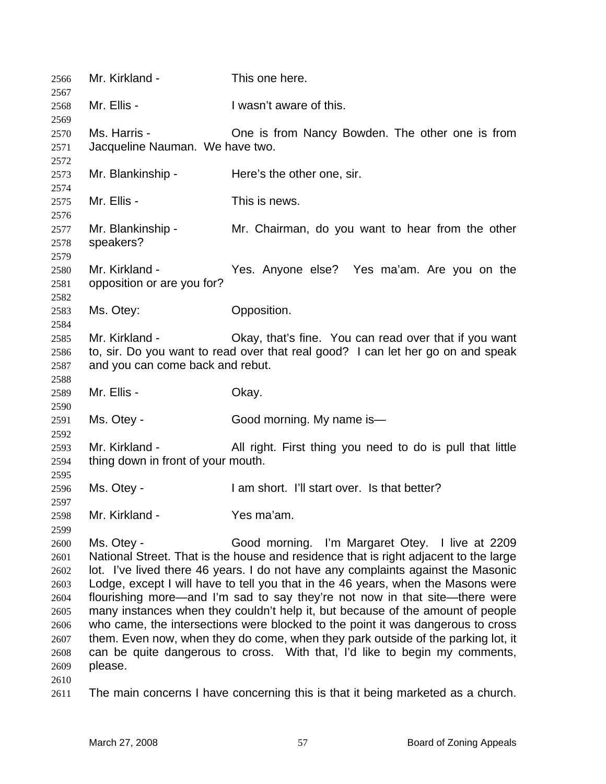| 2566                                                                                         | Mr. Kirkland -                                       | This one here.                                                                                                                                                                                                                                                                                                                                                                                                                                                                                                                                                                                                                                                                                                                        |
|----------------------------------------------------------------------------------------------|------------------------------------------------------|---------------------------------------------------------------------------------------------------------------------------------------------------------------------------------------------------------------------------------------------------------------------------------------------------------------------------------------------------------------------------------------------------------------------------------------------------------------------------------------------------------------------------------------------------------------------------------------------------------------------------------------------------------------------------------------------------------------------------------------|
| 2567<br>2568                                                                                 | Mr. Ellis -                                          | I wasn't aware of this.                                                                                                                                                                                                                                                                                                                                                                                                                                                                                                                                                                                                                                                                                                               |
| 2569<br>2570<br>2571                                                                         | Ms. Harris -<br>Jacqueline Nauman. We have two.      | One is from Nancy Bowden. The other one is from                                                                                                                                                                                                                                                                                                                                                                                                                                                                                                                                                                                                                                                                                       |
| 2572<br>2573<br>2574                                                                         | Mr. Blankinship -                                    | Here's the other one, sir.                                                                                                                                                                                                                                                                                                                                                                                                                                                                                                                                                                                                                                                                                                            |
| 2575<br>2576                                                                                 | Mr. Ellis -                                          | This is news.                                                                                                                                                                                                                                                                                                                                                                                                                                                                                                                                                                                                                                                                                                                         |
| 2577<br>2578<br>2579                                                                         | Mr. Blankinship -<br>speakers?                       | Mr. Chairman, do you want to hear from the other                                                                                                                                                                                                                                                                                                                                                                                                                                                                                                                                                                                                                                                                                      |
| 2580<br>2581<br>2582                                                                         | Mr. Kirkland -<br>opposition or are you for?         | Yes. Anyone else? Yes ma'am. Are you on the                                                                                                                                                                                                                                                                                                                                                                                                                                                                                                                                                                                                                                                                                           |
| 2583<br>2584                                                                                 | Ms. Otey:                                            | Opposition.                                                                                                                                                                                                                                                                                                                                                                                                                                                                                                                                                                                                                                                                                                                           |
| 2585<br>2586<br>2587                                                                         | Mr. Kirkland -<br>and you can come back and rebut.   | Okay, that's fine. You can read over that if you want<br>to, sir. Do you want to read over that real good? I can let her go on and speak                                                                                                                                                                                                                                                                                                                                                                                                                                                                                                                                                                                              |
| 2588<br>2589                                                                                 | Mr. Ellis -                                          | Okay.                                                                                                                                                                                                                                                                                                                                                                                                                                                                                                                                                                                                                                                                                                                                 |
| 2590<br>2591                                                                                 | Ms. Otey -                                           | Good morning. My name is-                                                                                                                                                                                                                                                                                                                                                                                                                                                                                                                                                                                                                                                                                                             |
| 2592<br>2593<br>2594<br>2595                                                                 | Mr. Kirkland -<br>thing down in front of your mouth. | All right. First thing you need to do is pull that little                                                                                                                                                                                                                                                                                                                                                                                                                                                                                                                                                                                                                                                                             |
| 2596                                                                                         | Ms. Otey -                                           | I am short. I'll start over. Is that better?                                                                                                                                                                                                                                                                                                                                                                                                                                                                                                                                                                                                                                                                                          |
| 2597<br>2598                                                                                 | Mr. Kirkland -                                       | Yes ma'am.                                                                                                                                                                                                                                                                                                                                                                                                                                                                                                                                                                                                                                                                                                                            |
| 2599<br>2600<br>2601<br>2602<br>2603<br>2604<br>2605<br>2606<br>2607<br>2608<br>2609<br>2610 | Ms. Otey -<br>please.                                | Good morning. I'm Margaret Otey. I live at 2209<br>National Street. That is the house and residence that is right adjacent to the large<br>lot. I've lived there 46 years. I do not have any complaints against the Masonic<br>Lodge, except I will have to tell you that in the 46 years, when the Masons were<br>flourishing more—and I'm sad to say they're not now in that site—there were<br>many instances when they couldn't help it, but because of the amount of people<br>who came, the intersections were blocked to the point it was dangerous to cross<br>them. Even now, when they do come, when they park outside of the parking lot, it<br>can be quite dangerous to cross. With that, I'd like to begin my comments, |
| 2611                                                                                         |                                                      | The main concerns I have concerning this is that it being marketed as a church.                                                                                                                                                                                                                                                                                                                                                                                                                                                                                                                                                                                                                                                       |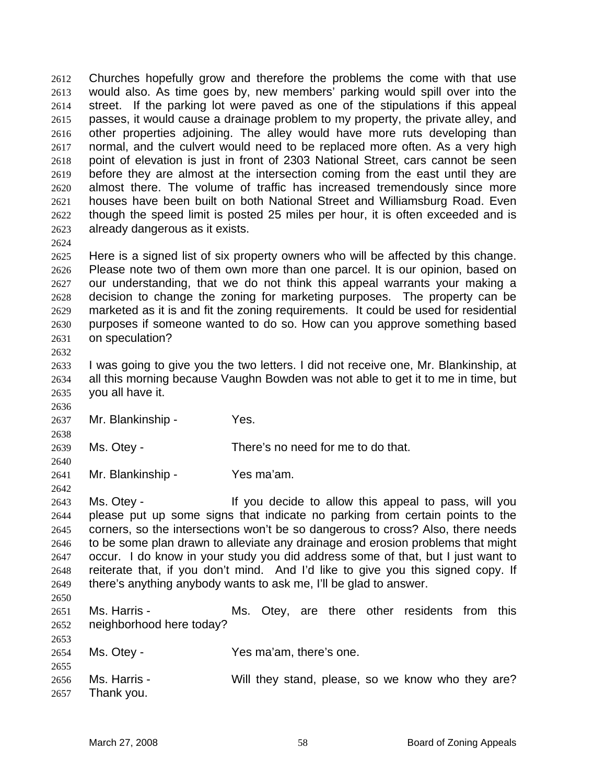Churches hopefully grow and therefore the problems the come with that use would also. As time goes by, new members' parking would spill over into the street. If the parking lot were paved as one of the stipulations if this appeal passes, it would cause a drainage problem to my property, the private alley, and other properties adjoining. The alley would have more ruts developing than normal, and the culvert would need to be replaced more often. As a very high point of elevation is just in front of 2303 National Street, cars cannot be seen before they are almost at the intersection coming from the east until they are almost there. The volume of traffic has increased tremendously since more houses have been built on both National Street and Williamsburg Road. Even though the speed limit is posted 25 miles per hour, it is often exceeded and is already dangerous as it exists.

Here is a signed list of six property owners who will be affected by this change. Please note two of them own more than one parcel. It is our opinion, based on our understanding, that we do not think this appeal warrants your making a decision to change the zoning for marketing purposes. The property can be marketed as it is and fit the zoning requirements. It could be used for residential purposes if someone wanted to do so. How can you approve something based on speculation?

I was going to give you the two letters. I did not receive one, Mr. Blankinship, at all this morning because Vaughn Bowden was not able to get it to me in time, but you all have it.

Mr. Blankinship - Yes.

Ms. Otey - There's no need for me to do that.

Mr. Blankinship - Yes ma'am.

Ms. Otey - If you decide to allow this appeal to pass, will you please put up some signs that indicate no parking from certain points to the corners, so the intersections won't be so dangerous to cross? Also, there needs to be some plan drawn to alleviate any drainage and erosion problems that might occur. I do know in your study you did address some of that, but I just want to reiterate that, if you don't mind. And I'd like to give you this signed copy. If there's anything anybody wants to ask me, I'll be glad to answer. 

Ms. Harris - Ms. Otey, are there other residents from this neighborhood here today?

Ms. Otey - Yes ma'am, there's one.

 Ms. Harris - Will they stand, please, so we know who they are? Thank you.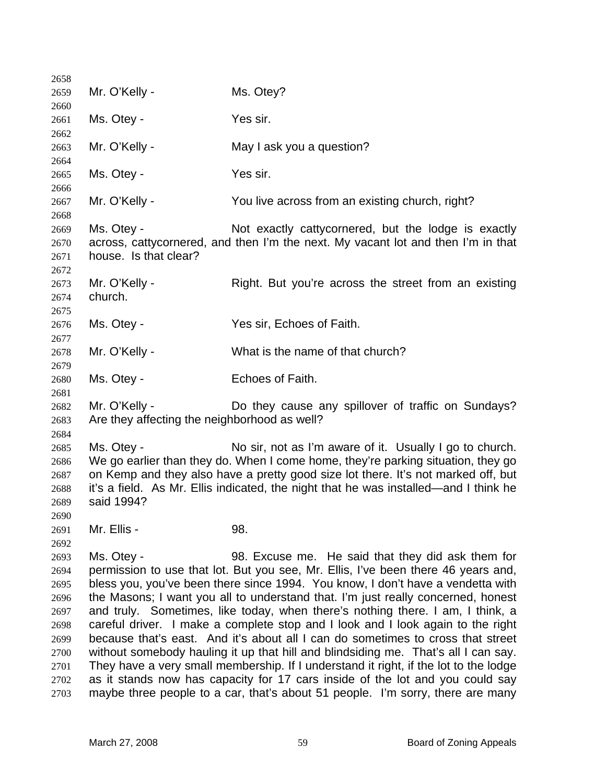| 2658         |                                                                                                                                                                   |                                                                                                                                          |  |
|--------------|-------------------------------------------------------------------------------------------------------------------------------------------------------------------|------------------------------------------------------------------------------------------------------------------------------------------|--|
| 2659         | Mr. O'Kelly -                                                                                                                                                     | Ms. Otey?                                                                                                                                |  |
| 2660         |                                                                                                                                                                   |                                                                                                                                          |  |
| 2661         | Ms. Otey -                                                                                                                                                        | Yes sir.                                                                                                                                 |  |
| 2662         |                                                                                                                                                                   |                                                                                                                                          |  |
| 2663         | Mr. O'Kelly -                                                                                                                                                     | May I ask you a question?                                                                                                                |  |
| 2664         |                                                                                                                                                                   |                                                                                                                                          |  |
| 2665         | Ms. Otey -                                                                                                                                                        | Yes sir.                                                                                                                                 |  |
| 2666         |                                                                                                                                                                   |                                                                                                                                          |  |
| 2667         | Mr. O'Kelly -                                                                                                                                                     | You live across from an existing church, right?                                                                                          |  |
| 2668         |                                                                                                                                                                   |                                                                                                                                          |  |
| 2669         | Ms. Otey -                                                                                                                                                        | Not exactly catty cornered, but the lodge is exactly<br>across, cattycornered, and then I'm the next. My vacant lot and then I'm in that |  |
| 2670<br>2671 | house. Is that clear?                                                                                                                                             |                                                                                                                                          |  |
| 2672         |                                                                                                                                                                   |                                                                                                                                          |  |
| 2673         | Mr. O'Kelly -                                                                                                                                                     | Right. But you're across the street from an existing                                                                                     |  |
| 2674         | church.                                                                                                                                                           |                                                                                                                                          |  |
| 2675         |                                                                                                                                                                   |                                                                                                                                          |  |
| 2676         | Ms. Otey -                                                                                                                                                        | Yes sir, Echoes of Faith.                                                                                                                |  |
| 2677         |                                                                                                                                                                   |                                                                                                                                          |  |
| 2678         | Mr. O'Kelly -                                                                                                                                                     | What is the name of that church?                                                                                                         |  |
| 2679         |                                                                                                                                                                   |                                                                                                                                          |  |
| 2680         | Ms. Otey -                                                                                                                                                        | Echoes of Faith.                                                                                                                         |  |
| 2681         |                                                                                                                                                                   |                                                                                                                                          |  |
| 2682         | Mr. O'Kelly -                                                                                                                                                     | Do they cause any spillover of traffic on Sundays?                                                                                       |  |
| 2683         | Are they affecting the neighborhood as well?                                                                                                                      |                                                                                                                                          |  |
| 2684         |                                                                                                                                                                   |                                                                                                                                          |  |
| 2685         | Ms. Otey -                                                                                                                                                        | No sir, not as I'm aware of it. Usually I go to church.                                                                                  |  |
| 2686         |                                                                                                                                                                   | We go earlier than they do. When I come home, they're parking situation, they go                                                         |  |
| 2687         |                                                                                                                                                                   | on Kemp and they also have a pretty good size lot there. It's not marked off, but                                                        |  |
| 2688         |                                                                                                                                                                   | it's a field. As Mr. Ellis indicated, the night that he was installed-and I think he                                                     |  |
| 2689         | said 1994?                                                                                                                                                        |                                                                                                                                          |  |
| 2690         |                                                                                                                                                                   |                                                                                                                                          |  |
| 2691         | Mr. Ellis -                                                                                                                                                       | 98.                                                                                                                                      |  |
| 2692         |                                                                                                                                                                   |                                                                                                                                          |  |
| 2693         | Ms. Otey -                                                                                                                                                        | 98. Excuse me. He said that they did ask them for                                                                                        |  |
| 2694         |                                                                                                                                                                   | permission to use that lot. But you see, Mr. Ellis, I've been there 46 years and,                                                        |  |
| 2695         |                                                                                                                                                                   | bless you, you've been there since 1994. You know, I don't have a vendetta with                                                          |  |
| 2696<br>2697 | the Masons; I want you all to understand that. I'm just really concerned, honest                                                                                  |                                                                                                                                          |  |
| 2698         | and truly. Sometimes, like today, when there's nothing there. I am, I think, a<br>careful driver. I make a complete stop and I look and I look again to the right |                                                                                                                                          |  |
| 2699         | because that's east. And it's about all I can do sometimes to cross that street                                                                                   |                                                                                                                                          |  |
| 2700         | without somebody hauling it up that hill and blindsiding me. That's all I can say.                                                                                |                                                                                                                                          |  |
| 2701         | They have a very small membership. If I understand it right, if the lot to the lodge                                                                              |                                                                                                                                          |  |
| 2702         |                                                                                                                                                                   | as it stands now has capacity for 17 cars inside of the lot and you could say                                                            |  |
| 2703         |                                                                                                                                                                   | maybe three people to a car, that's about 51 people. I'm sorry, there are many                                                           |  |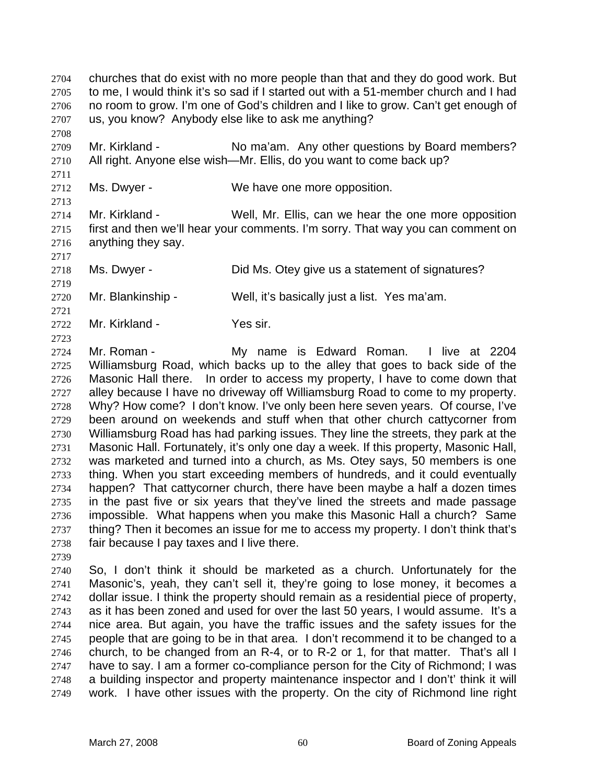churches that do exist with no more people than that and they do good work. But to me, I would think it's so sad if I started out with a 51-member church and I had no room to grow. I'm one of God's children and I like to grow. Can't get enough of us, you know? Anybody else like to ask me anything?

Mr. Kirkland - No ma'am. Any other questions by Board members? All right. Anyone else wish—Mr. Ellis, do you want to come back up?

Ms. Dwyer - We have one more opposition.

Mr. Kirkland - Well, Mr. Ellis, can we hear the one more opposition first and then we'll hear your comments. I'm sorry. That way you can comment on anything they say.

Ms. Dwyer - Did Ms. Otey give us a statement of signatures?

Mr. Blankinship - Well, it's basically just a list. Yes ma'am.

Mr. Kirkland - Yes sir.

Mr. Roman - My name is Edward Roman. I live at 2204 Williamsburg Road, which backs up to the alley that goes to back side of the Masonic Hall there. In order to access my property, I have to come down that alley because I have no driveway off Williamsburg Road to come to my property. Why? How come? I don't know. I've only been here seven years. Of course, I've been around on weekends and stuff when that other church cattycorner from Williamsburg Road has had parking issues. They line the streets, they park at the Masonic Hall. Fortunately, it's only one day a week. If this property, Masonic Hall, was marketed and turned into a church, as Ms. Otey says, 50 members is one thing. When you start exceeding members of hundreds, and it could eventually happen? That cattycorner church, there have been maybe a half a dozen times in the past five or six years that they've lined the streets and made passage impossible. What happens when you make this Masonic Hall a church? Same 2737 thing? Then it becomes an issue for me to access my property. I don't think that's fair because I pay taxes and I live there.

So, I don't think it should be marketed as a church. Unfortunately for the Masonic's, yeah, they can't sell it, they're going to lose money, it becomes a dollar issue. I think the property should remain as a residential piece of property, as it has been zoned and used for over the last 50 years, I would assume. It's a nice area. But again, you have the traffic issues and the safety issues for the people that are going to be in that area. I don't recommend it to be changed to a church, to be changed from an R-4, or to R-2 or 1, for that matter. That's all I have to say. I am a former co-compliance person for the City of Richmond; I was a building inspector and property maintenance inspector and I don't' think it will work. I have other issues with the property. On the city of Richmond line right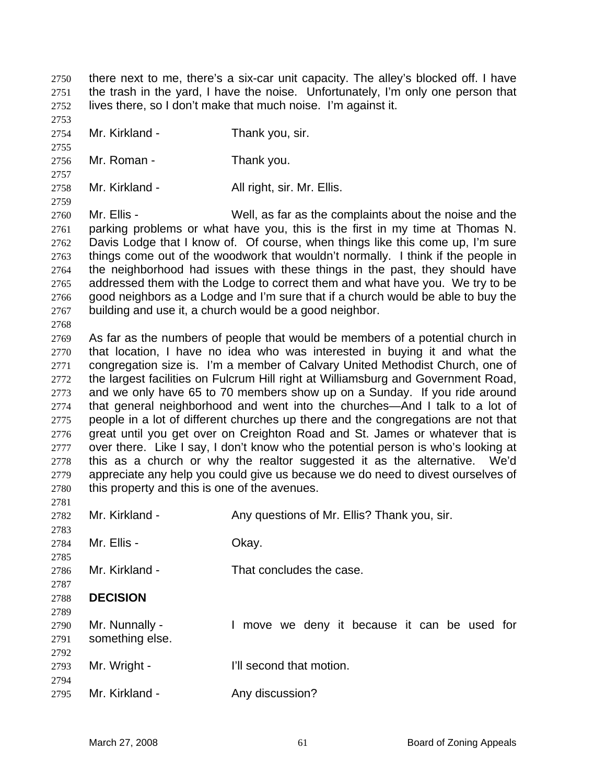there next to me, there's a six-car unit capacity. The alley's blocked off. I have the trash in the yard, I have the noise. Unfortunately, I'm only one person that lives there, so I don't make that much noise. I'm against it.

Mr. Kirkland - Thank you, sir.

Mr. Roman - Thank you.

2758 Mr. Kirkland - All right, sir. Mr. Ellis.

Mr. Ellis - Well, as far as the complaints about the noise and the parking problems or what have you, this is the first in my time at Thomas N. Davis Lodge that I know of. Of course, when things like this come up, I'm sure things come out of the woodwork that wouldn't normally. I think if the people in the neighborhood had issues with these things in the past, they should have addressed them with the Lodge to correct them and what have you. We try to be good neighbors as a Lodge and I'm sure that if a church would be able to buy the building and use it, a church would be a good neighbor.

As far as the numbers of people that would be members of a potential church in that location, I have no idea who was interested in buying it and what the congregation size is. I'm a member of Calvary United Methodist Church, one of the largest facilities on Fulcrum Hill right at Williamsburg and Government Road, and we only have 65 to 70 members show up on a Sunday. If you ride around that general neighborhood and went into the churches—And I talk to a lot of people in a lot of different churches up there and the congregations are not that great until you get over on Creighton Road and St. James or whatever that is over there. Like I say, I don't know who the potential person is who's looking at this as a church or why the realtor suggested it as the alternative. We'd appreciate any help you could give us because we do need to divest ourselves of this property and this is one of the avenues.

2782 Mr. Kirkland - Any questions of Mr. Ellis? Thank you, sir. Mr. Ellis - Okay. Mr. Kirkland - That concludes the case. **DECISION**  Mr. Nunnally - I move we deny it because it can be used for something else. Mr. Wright - I'll second that motion. 2795 Mr. Kirkland - Any discussion?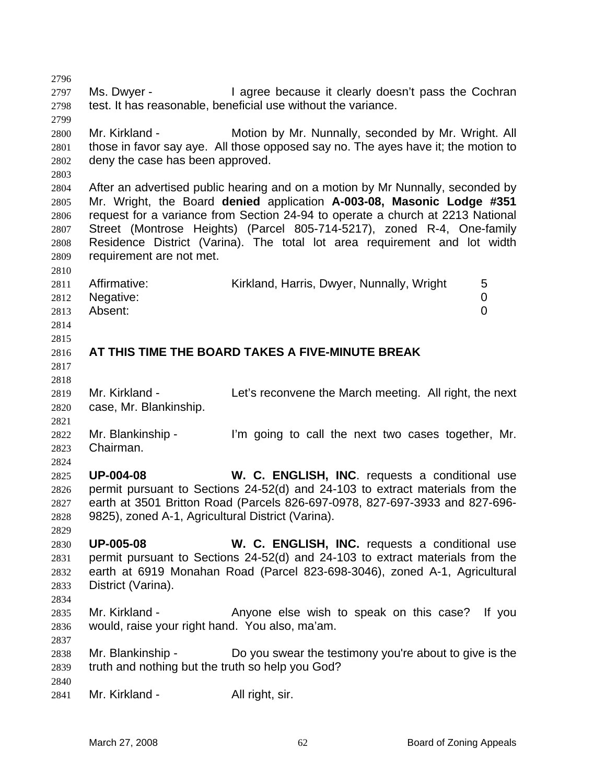2797 Ms. Dwyer - I agree because it clearly doesn't pass the Cochran test. It has reasonable, beneficial use without the variance. Mr. Kirkland - Motion by Mr. Nunnally, seconded by Mr. Wright. All those in favor say aye. All those opposed say no. The ayes have it; the motion to deny the case has been approved. After an advertised public hearing and on a motion by Mr Nunnally, seconded by Mr. Wright, the Board **denied** application **A-003-08, Masonic Lodge #351** request for a variance from Section 24-94 to operate a church at 2213 National Street (Montrose Heights) (Parcel 805-714-5217), zoned R-4, One-family Residence District (Varina). The total lot area requirement and lot width requirement are not met. 2811 Affirmative: Kirkland, Harris, Dwyer, Nunnally, Wright 5 Negative: 0 Absent: 0 **AT THIS TIME THE BOARD TAKES A FIVE-MINUTE BREAK**  2819 Mr. Kirkland - Let's reconvene the March meeting. All right, the next case, Mr. Blankinship. Mr. Blankinship - I'm going to call the next two cases together, Mr. Chairman. **UP-004-08 W. C. ENGLISH, INC**. requests a conditional use permit pursuant to Sections 24-52(d) and 24-103 to extract materials from the earth at 3501 Britton Road (Parcels 826-697-0978, 827-697-3933 and 827-696- 9825), zoned A-1, Agricultural District (Varina). **UP-005-08 W. C. ENGLISH, INC.** requests a conditional use permit pursuant to Sections 24-52(d) and 24-103 to extract materials from the earth at 6919 Monahan Road (Parcel 823-698-3046), zoned A-1, Agricultural District (Varina). Mr. Kirkland - Anyone else wish to speak on this case? If you would, raise your right hand. You also, ma'am. Mr. Blankinship - Do you swear the testimony you're about to give is the truth and nothing but the truth so help you God? 2841 Mr. Kirkland - All right, sir.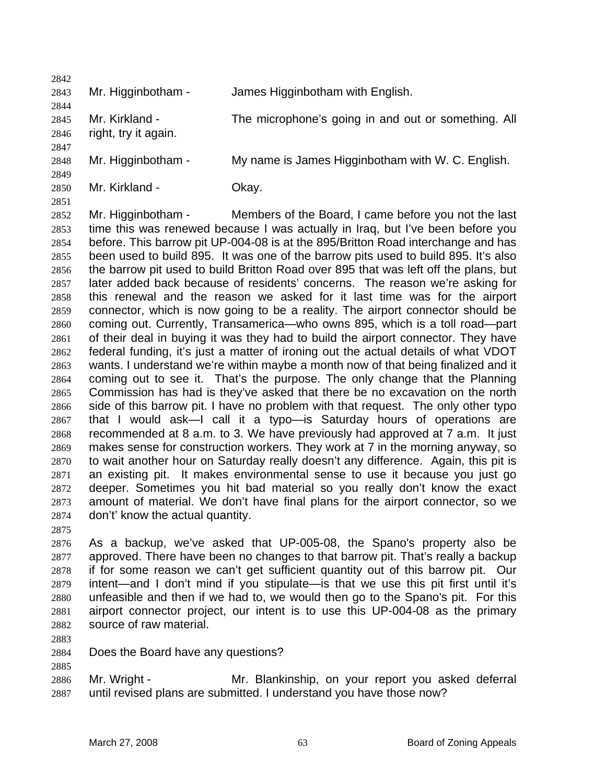| 2842 |                      |                                                     |
|------|----------------------|-----------------------------------------------------|
| 2843 | Mr. Higginbotham -   | James Higginbotham with English.                    |
| 2844 |                      |                                                     |
| 2845 | Mr. Kirkland -       | The microphone's going in and out or something. All |
| 2846 | right, try it again. |                                                     |
| 2847 |                      |                                                     |
| 2848 | Mr. Higginbotham -   | My name is James Higginbotham with W. C. English.   |
| 2849 |                      |                                                     |
| 2850 | Mr. Kirkland -       | Okay.                                               |

Mr. Higginbotham - Members of the Board, I came before you not the last time this was renewed because I was actually in Iraq, but I've been before you before. This barrow pit UP-004-08 is at the 895/Britton Road interchange and has been used to build 895. It was one of the barrow pits used to build 895. It's also the barrow pit used to build Britton Road over 895 that was left off the plans, but later added back because of residents' concerns. The reason we're asking for this renewal and the reason we asked for it last time was for the airport connector, which is now going to be a reality. The airport connector should be coming out. Currently, Transamerica—who owns 895, which is a toll road—part of their deal in buying it was they had to build the airport connector. They have federal funding, it's just a matter of ironing out the actual details of what VDOT wants. I understand we're within maybe a month now of that being finalized and it coming out to see it. That's the purpose. The only change that the Planning Commission has had is they've asked that there be no excavation on the north side of this barrow pit. I have no problem with that request. The only other typo that I would ask—I call it a typo—is Saturday hours of operations are recommended at 8 a.m. to 3. We have previously had approved at 7 a.m. It just makes sense for construction workers. They work at 7 in the morning anyway, so to wait another hour on Saturday really doesn't any difference. Again, this pit is an existing pit. It makes environmental sense to use it because you just go deeper. Sometimes you hit bad material so you really don't know the exact amount of material. We don't have final plans for the airport connector, so we don't' know the actual quantity.

As a backup, we've asked that UP-005-08, the Spano's property also be approved. There have been no changes to that barrow pit. That's really a backup if for some reason we can't get sufficient quantity out of this barrow pit. Our intent—and I don't mind if you stipulate—is that we use this pit first until it's unfeasible and then if we had to, we would then go to the Spano's pit. For this airport connector project, our intent is to use this UP-004-08 as the primary source of raw material.

Does the Board have any questions?

Mr. Wright - Mr. Blankinship, on your report you asked deferral until revised plans are submitted. I understand you have those now?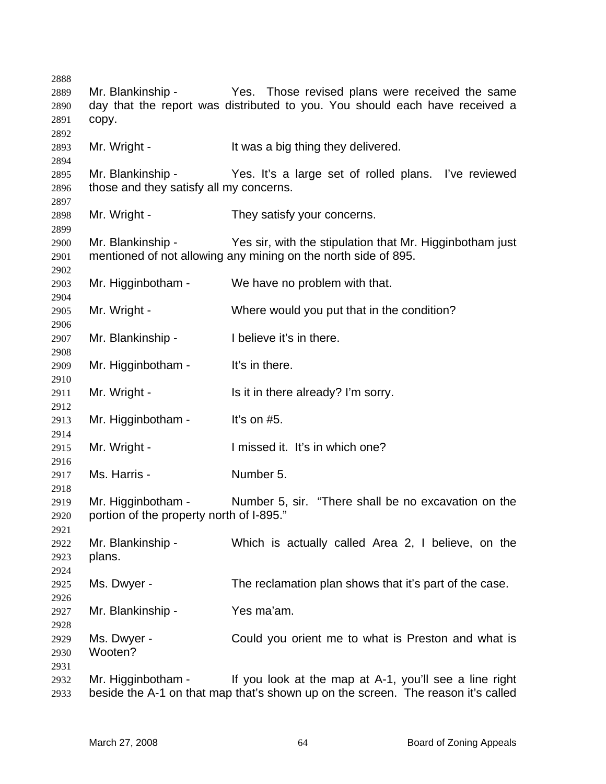| 2888 |                                          |                                                                                  |
|------|------------------------------------------|----------------------------------------------------------------------------------|
| 2889 | Mr. Blankinship -                        | Yes. Those revised plans were received the same                                  |
| 2890 |                                          | day that the report was distributed to you. You should each have received a      |
| 2891 | copy.                                    |                                                                                  |
| 2892 |                                          |                                                                                  |
| 2893 | Mr. Wright -                             | It was a big thing they delivered.                                               |
| 2894 |                                          |                                                                                  |
| 2895 | Mr. Blankinship -                        | Yes. It's a large set of rolled plans. I've reviewed                             |
| 2896 | those and they satisfy all my concerns.  |                                                                                  |
| 2897 |                                          |                                                                                  |
| 2898 | Mr. Wright -                             | They satisfy your concerns.                                                      |
| 2899 |                                          |                                                                                  |
| 2900 | Mr. Blankinship -                        | Yes sir, with the stipulation that Mr. Higginbotham just                         |
| 2901 |                                          | mentioned of not allowing any mining on the north side of 895.                   |
| 2902 |                                          |                                                                                  |
| 2903 | Mr. Higginbotham -                       | We have no problem with that.                                                    |
| 2904 |                                          |                                                                                  |
| 2905 | Mr. Wright -                             | Where would you put that in the condition?                                       |
| 2906 |                                          |                                                                                  |
| 2907 | Mr. Blankinship -                        | I believe it's in there.                                                         |
| 2908 |                                          |                                                                                  |
| 2909 | Mr. Higginbotham -                       | It's in there.                                                                   |
| 2910 |                                          |                                                                                  |
| 2911 | Mr. Wright -                             | Is it in there already? I'm sorry.                                               |
| 2912 |                                          |                                                                                  |
| 2913 | Mr. Higginbotham -                       | It's on $#5$ .                                                                   |
| 2914 |                                          |                                                                                  |
| 2915 | Mr. Wright -                             | I missed it. It's in which one?                                                  |
| 2916 |                                          |                                                                                  |
| 2917 | Ms. Harris -                             | Number 5.                                                                        |
| 2918 |                                          |                                                                                  |
| 2919 | Mr. Higginbotham -                       | Number 5, sir. "There shall be no excavation on the                              |
| 2920 | portion of the property north of I-895." |                                                                                  |
| 2921 |                                          |                                                                                  |
| 2922 | Mr. Blankinship -                        | Which is actually called Area 2, I believe, on the                               |
| 2923 | plans.                                   |                                                                                  |
| 2924 |                                          |                                                                                  |
| 2925 | Ms. Dwyer -                              | The reclamation plan shows that it's part of the case.                           |
| 2926 |                                          |                                                                                  |
| 2927 | Mr. Blankinship -                        | Yes ma'am.                                                                       |
| 2928 |                                          |                                                                                  |
| 2929 | Ms. Dwyer -                              | Could you orient me to what is Preston and what is                               |
| 2930 | Wooten?                                  |                                                                                  |
| 2931 |                                          |                                                                                  |
| 2932 | Mr. Higginbotham -                       | If you look at the map at A-1, you'll see a line right                           |
| 2933 |                                          | beside the A-1 on that map that's shown up on the screen. The reason it's called |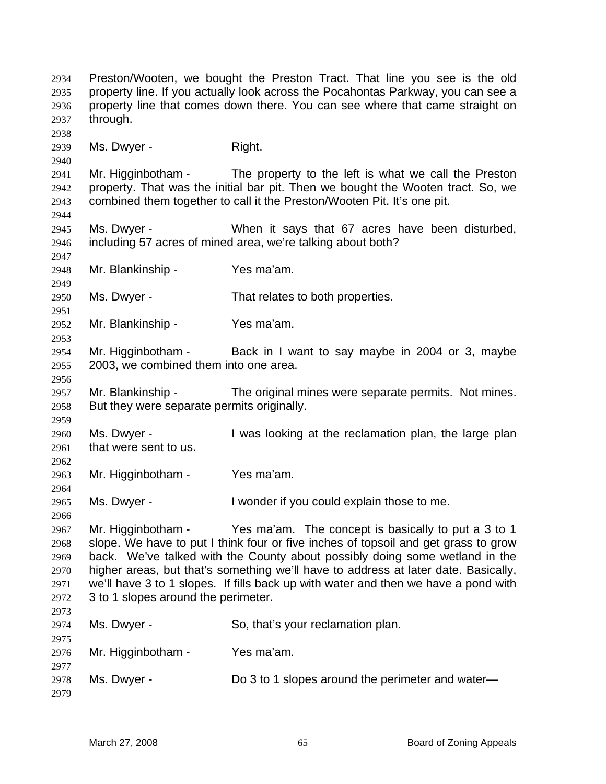Preston/Wooten, we bought the Preston Tract. That line you see is the old property line. If you actually look across the Pocahontas Parkway, you can see a property line that comes down there. You can see where that came straight on through. 2939 Ms. Dwyer - Right. Mr. Higginbotham - The property to the left is what we call the Preston property. That was the initial bar pit. Then we bought the Wooten tract. So, we combined them together to call it the Preston/Wooten Pit. It's one pit. Ms. Dwyer - When it says that 67 acres have been disturbed, including 57 acres of mined area, we're talking about both? Mr. Blankinship - Yes ma'am. Ms. Dwyer - That relates to both properties. Mr. Blankinship - Yes ma'am. Mr. Higginbotham - Back in I want to say maybe in 2004 or 3, maybe 2003, we combined them into one area. Mr. Blankinship - The original mines were separate permits. Not mines. But they were separate permits originally. Ms. Dwyer - I was looking at the reclamation plan, the large plan that were sent to us. Mr. Higginbotham - Yes ma'am. Ms. Dwyer - I wonder if you could explain those to me. Mr. Higginbotham - Yes ma'am. The concept is basically to put a 3 to 1 slope. We have to put I think four or five inches of topsoil and get grass to grow back. We've talked with the County about possibly doing some wetland in the higher areas, but that's something we'll have to address at later date. Basically, we'll have 3 to 1 slopes. If fills back up with water and then we have a pond with 3 to 1 slopes around the perimeter. Ms. Dwyer - So, that's your reclamation plan. Mr. Higginbotham - Yes ma'am. Ms. Dwyer - Do 3 to 1 slopes around the perimeter and water—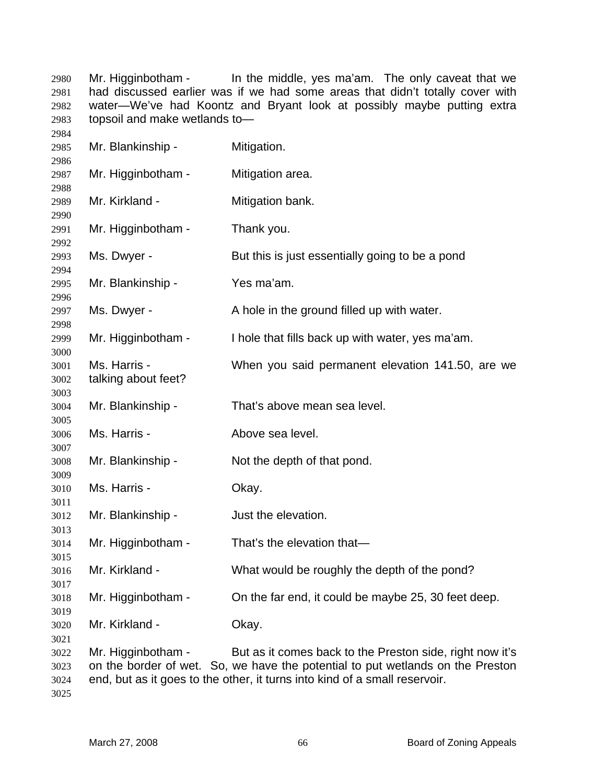Mr. Higginbotham - In the middle, yes ma'am. The only caveat that we had discussed earlier was if we had some areas that didn't totally cover with water—We've had Koontz and Bryant look at possibly maybe putting extra topsoil and make wetlands to— 

| 2985                                 | Mr. Blankinship -                   | Mitigation.                                                                                                                                                                                                              |
|--------------------------------------|-------------------------------------|--------------------------------------------------------------------------------------------------------------------------------------------------------------------------------------------------------------------------|
| 2986<br>2987                         | Mr. Higginbotham -                  | Mitigation area.                                                                                                                                                                                                         |
| 2988<br>2989                         | Mr. Kirkland -                      | Mitigation bank.                                                                                                                                                                                                         |
| 2990<br>2991                         | Mr. Higginbotham -                  | Thank you.                                                                                                                                                                                                               |
| 2992<br>2993                         | Ms. Dwyer -                         | But this is just essentially going to be a pond                                                                                                                                                                          |
| 2994<br>2995                         | Mr. Blankinship -                   | Yes ma'am.                                                                                                                                                                                                               |
| 2996<br>2997                         | Ms. Dwyer -                         | A hole in the ground filled up with water.                                                                                                                                                                               |
| 2998<br>2999                         | Mr. Higginbotham -                  | I hole that fills back up with water, yes ma'am.                                                                                                                                                                         |
| 3000<br>3001<br>3002                 | Ms. Harris -<br>talking about feet? | When you said permanent elevation 141.50, are we                                                                                                                                                                         |
| 3003<br>3004                         | Mr. Blankinship -                   | That's above mean sea level.                                                                                                                                                                                             |
| 3005<br>3006                         | Ms. Harris -                        | Above sea level.                                                                                                                                                                                                         |
| 3007<br>3008                         | Mr. Blankinship -                   | Not the depth of that pond.                                                                                                                                                                                              |
| 3009<br>3010                         | Ms. Harris -                        | Okay.                                                                                                                                                                                                                    |
| 3011<br>3012                         | Mr. Blankinship -                   | Just the elevation.                                                                                                                                                                                                      |
| 3013<br>3014                         | Mr. Higginbotham -                  | That's the elevation that-                                                                                                                                                                                               |
| 3015<br>3016                         | Mr. Kirkland -                      | What would be roughly the depth of the pond?                                                                                                                                                                             |
| 3017<br>3018                         | Mr. Higginbotham -                  | On the far end, it could be maybe 25, 30 feet deep.                                                                                                                                                                      |
| 3019<br>3020                         | Mr. Kirkland -                      | Okay.                                                                                                                                                                                                                    |
| 3021<br>3022<br>3023<br>3024<br>3025 | Mr. Higginbotham -                  | But as it comes back to the Preston side, right now it's<br>on the border of wet. So, we have the potential to put wetlands on the Preston<br>end, but as it goes to the other, it turns into kind of a small reservoir. |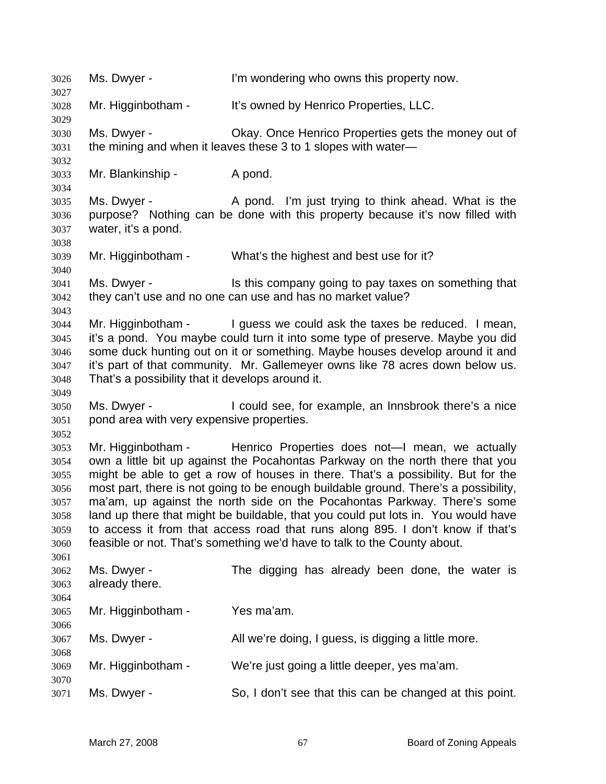Ms. Dwyer - I'm wondering who owns this property now. Mr. Higginbotham - It's owned by Henrico Properties, LLC. Ms. Dwyer - Okay. Once Henrico Properties gets the money out of the mining and when it leaves these 3 to 1 slopes with water— Mr. Blankinship - A pond. Ms. Dwyer - A pond. I'm just trying to think ahead. What is the purpose? Nothing can be done with this property because it's now filled with water, it's a pond. Mr. Higginbotham - What's the highest and best use for it? Ms. Dwyer - Is this company going to pay taxes on something that they can't use and no one can use and has no market value? Mr. Higginbotham - I guess we could ask the taxes be reduced. I mean, it's a pond. You maybe could turn it into some type of preserve. Maybe you did some duck hunting out on it or something. Maybe houses develop around it and it's part of that community. Mr. Gallemeyer owns like 78 acres down below us. That's a possibility that it develops around it. Ms. Dwyer - I could see, for example, an Innsbrook there's a nice pond area with very expensive properties. Mr. Higginbotham - Henrico Properties does not—I mean, we actually own a little bit up against the Pocahontas Parkway on the north there that you might be able to get a row of houses in there. That's a possibility. But for the most part, there is not going to be enough buildable ground. There's a possibility, ma'am, up against the north side on the Pocahontas Parkway. There's some land up there that might be buildable, that you could put lots in. You would have to access it from that access road that runs along 895. I don't know if that's feasible or not. That's something we'd have to talk to the County about. Ms. Dwyer - The digging has already been done, the water is already there. Mr. Higginbotham - Yes ma'am. Ms. Dwyer - All we're doing, I guess, is digging a little more. Mr. Higginbotham - We're just going a little deeper, yes ma'am. Ms. Dwyer - So, I don't see that this can be changed at this point.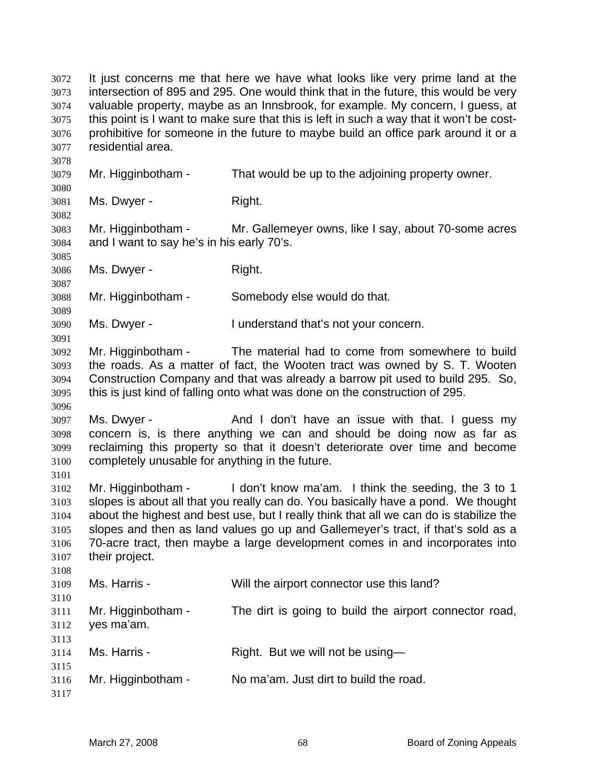It just concerns me that here we have what looks like very prime land at the intersection of 895 and 295. One would think that in the future, this would be very valuable property, maybe as an Innsbrook, for example. My concern, I guess, at this point is I want to make sure that this is left in such a way that it won't be cost-prohibitive for someone in the future to maybe build an office park around it or a residential area. Mr. Higginbotham - That would be up to the adjoining property owner. Ms. Dwyer - Right. Mr. Higginbotham - Mr. Gallemeyer owns, like I say, about 70-some acres and I want to say he's in his early 70's. Ms. Dwyer - Right. Mr. Higginbotham - Somebody else would do that. Ms. Dwyer - I understand that's not your concern. Mr. Higginbotham - The material had to come from somewhere to build the roads. As a matter of fact, the Wooten tract was owned by S. T. Wooten Construction Company and that was already a barrow pit used to build 295. So, this is just kind of falling onto what was done on the construction of 295. Ms. Dwyer - And I don't have an issue with that. I guess my concern is, is there anything we can and should be doing now as far as reclaiming this property so that it doesn't deteriorate over time and become completely unusable for anything in the future. Mr. Higginbotham - I don't know ma'am. I think the seeding, the 3 to 1 slopes is about all that you really can do. You basically have a pond. We thought about the highest and best use, but I really think that all we can do is stabilize the slopes and then as land values go up and Gallemeyer's tract, if that's sold as a 70-acre tract, then maybe a large development comes in and incorporates into their project. Ms. Harris - Will the airport connector use this land? Mr. Higginbotham - The dirt is going to build the airport connector road, yes ma'am. Ms. Harris - Right. But we will not be using— Mr. Higginbotham - No ma'am. Just dirt to build the road.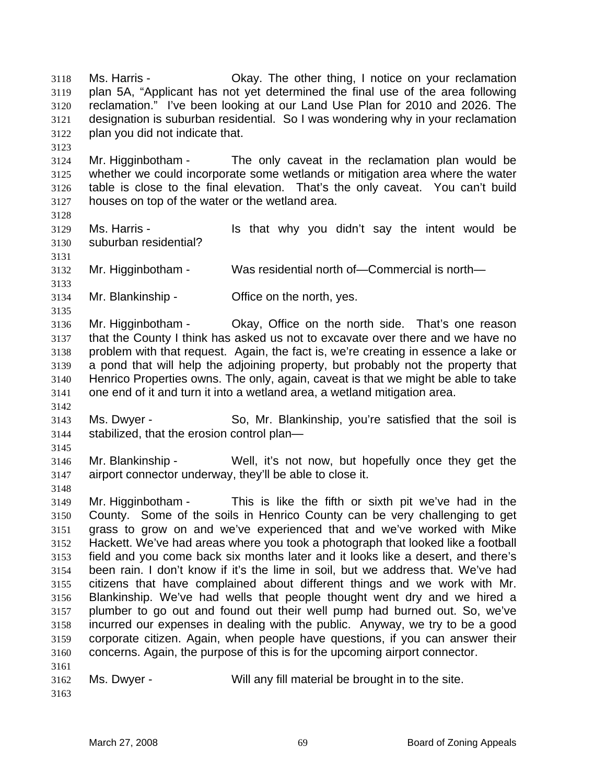Ms. Harris - Okay. The other thing, I notice on your reclamation plan 5A, "Applicant has not yet determined the final use of the area following reclamation." I've been looking at our Land Use Plan for 2010 and 2026. The designation is suburban residential. So I was wondering why in your reclamation plan you did not indicate that.

- Mr. Higginbotham The only caveat in the reclamation plan would be whether we could incorporate some wetlands or mitigation area where the water table is close to the final elevation. That's the only caveat. You can't build houses on top of the water or the wetland area.
- 

- Ms. Harris Is that why you didn't say the intent would be suburban residential?
- Mr. Higginbotham - Was residential north of—Commercial is north—
- 

- Mr. Blankinship Office on the north, yes.
- Mr. Higginbotham Okay, Office on the north side. That's one reason that the County I think has asked us not to excavate over there and we have no problem with that request. Again, the fact is, we're creating in essence a lake or a pond that will help the adjoining property, but probably not the property that Henrico Properties owns. The only, again, caveat is that we might be able to take one end of it and turn it into a wetland area, a wetland mitigation area.
- Ms. Dwyer So, Mr. Blankinship, you're satisfied that the soil is stabilized, that the erosion control plan—
- 

Mr. Blankinship - Well, it's not now, but hopefully once they get the airport connector underway, they'll be able to close it.

Mr. Higginbotham - This is like the fifth or sixth pit we've had in the County. Some of the soils in Henrico County can be very challenging to get grass to grow on and we've experienced that and we've worked with Mike Hackett. We've had areas where you took a photograph that looked like a football field and you come back six months later and it looks like a desert, and there's been rain. I don't know if it's the lime in soil, but we address that. We've had citizens that have complained about different things and we work with Mr. Blankinship. We've had wells that people thought went dry and we hired a plumber to go out and found out their well pump had burned out. So, we've incurred our expenses in dealing with the public. Anyway, we try to be a good corporate citizen. Again, when people have questions, if you can answer their concerns. Again, the purpose of this is for the upcoming airport connector. 

- Ms. Dwyer Will any fill material be brought in to the site.
-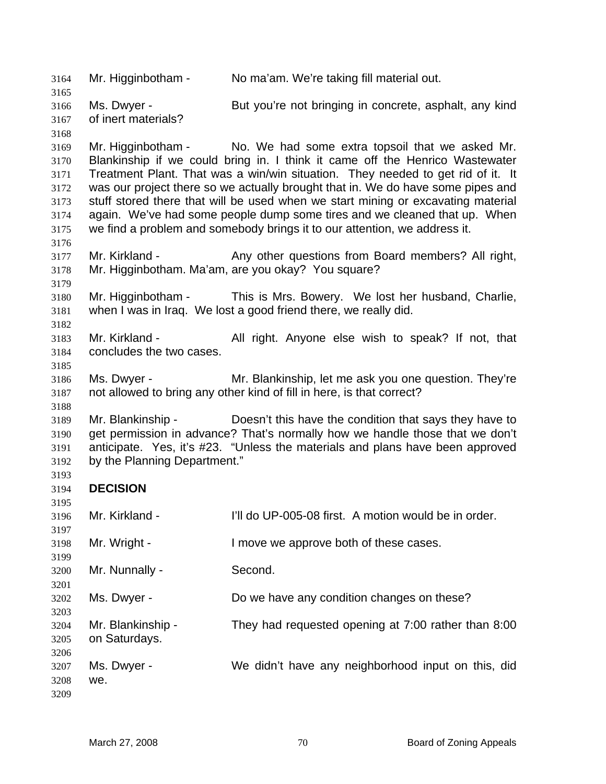Mr. Higginbotham - No ma'am. We're taking fill material out. Ms. Dwyer - But you're not bringing in concrete, asphalt, any kind of inert materials? Mr. Higginbotham - No. We had some extra topsoil that we asked Mr. Blankinship if we could bring in. I think it came off the Henrico Wastewater Treatment Plant. That was a win/win situation. They needed to get rid of it. It was our project there so we actually brought that in. We do have some pipes and stuff stored there that will be used when we start mining or excavating material again. We've had some people dump some tires and we cleaned that up. When we find a problem and somebody brings it to our attention, we address it. Mr. Kirkland - Any other questions from Board members? All right, Mr. Higginbotham. Ma'am, are you okay? You square? Mr. Higginbotham - This is Mrs. Bowery. We lost her husband, Charlie, when I was in Iraq. We lost a good friend there, we really did. Mr. Kirkland - All right. Anyone else wish to speak? If not, that concludes the two cases. Ms. Dwyer - Mr. Blankinship, let me ask you one question. They're not allowed to bring any other kind of fill in here, is that correct? Mr. Blankinship - Doesn't this have the condition that says they have to get permission in advance? That's normally how we handle those that we don't anticipate. Yes, it's #23. "Unless the materials and plans have been approved by the Planning Department." **DECISION**  Mr. Kirkland - I'll do UP-005-08 first. A motion would be in order. Mr. Wright - I move we approve both of these cases. Mr. Nunnally - Second. Ms. Dwyer - Do we have any condition changes on these? Mr. Blankinship - They had requested opening at 7:00 rather than 8:00 on Saturdays. Ms. Dwyer - We didn't have any neighborhood input on this, did we.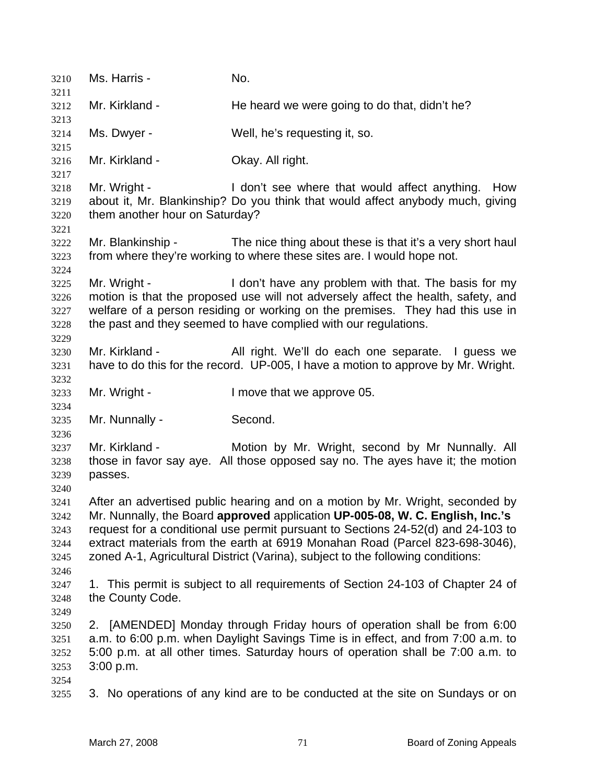| 3210         | Ms. Harris -                                                                                                                                                        | No.                                                                               |  |
|--------------|---------------------------------------------------------------------------------------------------------------------------------------------------------------------|-----------------------------------------------------------------------------------|--|
| 3211<br>3212 | Mr. Kirkland -                                                                                                                                                      | He heard we were going to do that, didn't he?                                     |  |
| 3213         |                                                                                                                                                                     |                                                                                   |  |
| 3214<br>3215 | Ms. Dwyer -                                                                                                                                                         | Well, he's requesting it, so.                                                     |  |
| 3216         | Mr. Kirkland -                                                                                                                                                      | Okay. All right.                                                                  |  |
| 3217         |                                                                                                                                                                     |                                                                                   |  |
| 3218         | Mr. Wright -                                                                                                                                                        | I don't see where that would affect anything. How                                 |  |
| 3219         |                                                                                                                                                                     | about it, Mr. Blankinship? Do you think that would affect anybody much, giving    |  |
| 3220         | them another hour on Saturday?                                                                                                                                      |                                                                                   |  |
| 3221         |                                                                                                                                                                     |                                                                                   |  |
| 3222         | Mr. Blankinship -                                                                                                                                                   | The nice thing about these is that it's a very short haul                         |  |
| 3223         |                                                                                                                                                                     | from where they're working to where these sites are. I would hope not.            |  |
| 3224         |                                                                                                                                                                     |                                                                                   |  |
| 3225         | Mr. Wright -                                                                                                                                                        | I don't have any problem with that. The basis for my                              |  |
| 3226         |                                                                                                                                                                     | motion is that the proposed use will not adversely affect the health, safety, and |  |
| 3227         | welfare of a person residing or working on the premises. They had this use in                                                                                       |                                                                                   |  |
| 3228         |                                                                                                                                                                     | the past and they seemed to have complied with our regulations.                   |  |
| 3229         |                                                                                                                                                                     |                                                                                   |  |
| 3230         | Mr. Kirkland -                                                                                                                                                      | All right. We'll do each one separate. I guess we                                 |  |
| 3231         |                                                                                                                                                                     | have to do this for the record. UP-005, I have a motion to approve by Mr. Wright. |  |
| 3232         |                                                                                                                                                                     |                                                                                   |  |
| 3233         | Mr. Wright -                                                                                                                                                        | I move that we approve 05.                                                        |  |
| 3234         |                                                                                                                                                                     |                                                                                   |  |
| 3235         | Mr. Nunnally -                                                                                                                                                      | Second.                                                                           |  |
| 3236         |                                                                                                                                                                     |                                                                                   |  |
| 3237         | Mr. Kirkland -                                                                                                                                                      | Motion by Mr. Wright, second by Mr Nunnally. All                                  |  |
| 3238         |                                                                                                                                                                     | those in favor say aye. All those opposed say no. The ayes have it; the motion    |  |
| 3239         | passes.                                                                                                                                                             |                                                                                   |  |
| 3240         |                                                                                                                                                                     |                                                                                   |  |
| 3241         |                                                                                                                                                                     | After an advertised public hearing and on a motion by Mr. Wright, seconded by     |  |
| 3242         | Mr. Nunnally, the Board approved application UP-005-08, W. C. English, Inc.'s                                                                                       |                                                                                   |  |
| 3243         | request for a conditional use permit pursuant to Sections 24-52(d) and 24-103 to                                                                                    |                                                                                   |  |
| 3244         | extract materials from the earth at 6919 Monahan Road (Parcel 823-698-3046),                                                                                        |                                                                                   |  |
| 3245         |                                                                                                                                                                     | zoned A-1, Agricultural District (Varina), subject to the following conditions:   |  |
| 3246         |                                                                                                                                                                     |                                                                                   |  |
| 3247         |                                                                                                                                                                     | 1. This permit is subject to all requirements of Section 24-103 of Chapter 24 of  |  |
| 3248         | the County Code.                                                                                                                                                    |                                                                                   |  |
| 3249         |                                                                                                                                                                     | 2. [AMENDED] Monday through Friday hours of operation shall be from 6:00          |  |
| 3250<br>3251 |                                                                                                                                                                     |                                                                                   |  |
| 3252         | a.m. to 6:00 p.m. when Daylight Savings Time is in effect, and from 7:00 a.m. to<br>5:00 p.m. at all other times. Saturday hours of operation shall be 7:00 a.m. to |                                                                                   |  |
| 3253         | 3:00 p.m.                                                                                                                                                           |                                                                                   |  |
| 3254         |                                                                                                                                                                     |                                                                                   |  |
| 3255         |                                                                                                                                                                     | 3. No operations of any kind are to be conducted at the site on Sundays or on     |  |
|              |                                                                                                                                                                     |                                                                                   |  |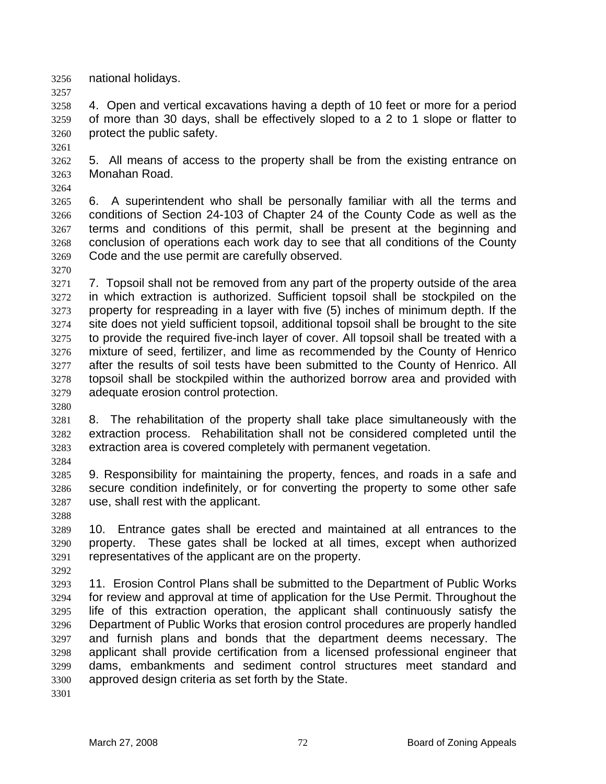national holidays.

4. Open and vertical excavations having a depth of 10 feet or more for a period of more than 30 days, shall be effectively sloped to a 2 to 1 slope or flatter to protect the public safety.

5. All means of access to the property shall be from the existing entrance on Monahan Road.

6. A superintendent who shall be personally familiar with all the terms and conditions of Section 24-103 of Chapter 24 of the County Code as well as the terms and conditions of this permit, shall be present at the beginning and conclusion of operations each work day to see that all conditions of the County Code and the use permit are carefully observed.

7. Topsoil shall not be removed from any part of the property outside of the area in which extraction is authorized. Sufficient topsoil shall be stockpiled on the property for respreading in a layer with five (5) inches of minimum depth. If the site does not yield sufficient topsoil, additional topsoil shall be brought to the site to provide the required five-inch layer of cover. All topsoil shall be treated with a mixture of seed, fertilizer, and lime as recommended by the County of Henrico after the results of soil tests have been submitted to the County of Henrico. All topsoil shall be stockpiled within the authorized borrow area and provided with adequate erosion control protection.

8. The rehabilitation of the property shall take place simultaneously with the extraction process. Rehabilitation shall not be considered completed until the extraction area is covered completely with permanent vegetation.

9. Responsibility for maintaining the property, fences, and roads in a safe and secure condition indefinitely, or for converting the property to some other safe use, shall rest with the applicant.

10. Entrance gates shall be erected and maintained at all entrances to the property. These gates shall be locked at all times, except when authorized representatives of the applicant are on the property.

11. Erosion Control Plans shall be submitted to the Department of Public Works for review and approval at time of application for the Use Permit. Throughout the life of this extraction operation, the applicant shall continuously satisfy the Department of Public Works that erosion control procedures are properly handled and furnish plans and bonds that the department deems necessary. The applicant shall provide certification from a licensed professional engineer that dams, embankments and sediment control structures meet standard and approved design criteria as set forth by the State.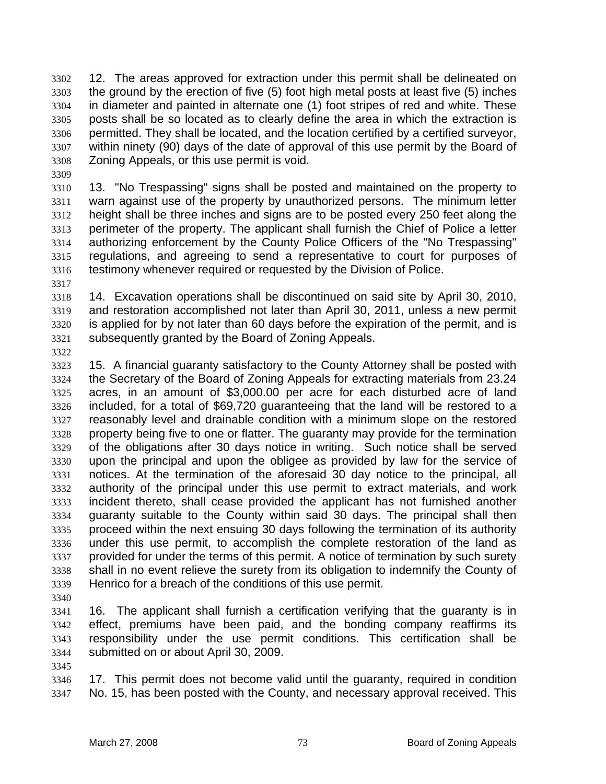12. The areas approved for extraction under this permit shall be delineated on the ground by the erection of five (5) foot high metal posts at least five (5) inches in diameter and painted in alternate one (1) foot stripes of red and white. These posts shall be so located as to clearly define the area in which the extraction is permitted. They shall be located, and the location certified by a certified surveyor, within ninety (90) days of the date of approval of this use permit by the Board of Zoning Appeals, or this use permit is void.

13. "No Trespassing" signs shall be posted and maintained on the property to warn against use of the property by unauthorized persons. The minimum letter height shall be three inches and signs are to be posted every 250 feet along the perimeter of the property. The applicant shall furnish the Chief of Police a letter authorizing enforcement by the County Police Officers of the "No Trespassing" regulations, and agreeing to send a representative to court for purposes of testimony whenever required or requested by the Division of Police.

14. Excavation operations shall be discontinued on said site by April 30, 2010, and restoration accomplished not later than April 30, 2011, unless a new permit is applied for by not later than 60 days before the expiration of the permit, and is subsequently granted by the Board of Zoning Appeals.

15. A financial guaranty satisfactory to the County Attorney shall be posted with the Secretary of the Board of Zoning Appeals for extracting materials from 23.24 acres, in an amount of \$3,000.00 per acre for each disturbed acre of land included, for a total of \$69,720 guaranteeing that the land will be restored to a reasonably level and drainable condition with a minimum slope on the restored property being five to one or flatter. The guaranty may provide for the termination of the obligations after 30 days notice in writing. Such notice shall be served upon the principal and upon the obligee as provided by law for the service of notices. At the termination of the aforesaid 30 day notice to the principal, all authority of the principal under this use permit to extract materials, and work incident thereto, shall cease provided the applicant has not furnished another guaranty suitable to the County within said 30 days. The principal shall then proceed within the next ensuing 30 days following the termination of its authority under this use permit, to accomplish the complete restoration of the land as provided for under the terms of this permit. A notice of termination by such surety shall in no event relieve the surety from its obligation to indemnify the County of Henrico for a breach of the conditions of this use permit.

16. The applicant shall furnish a certification verifying that the guaranty is in effect, premiums have been paid, and the bonding company reaffirms its responsibility under the use permit conditions. This certification shall be submitted on or about April 30, 2009.

17. This permit does not become valid until the guaranty, required in condition No. 15, has been posted with the County, and necessary approval received. This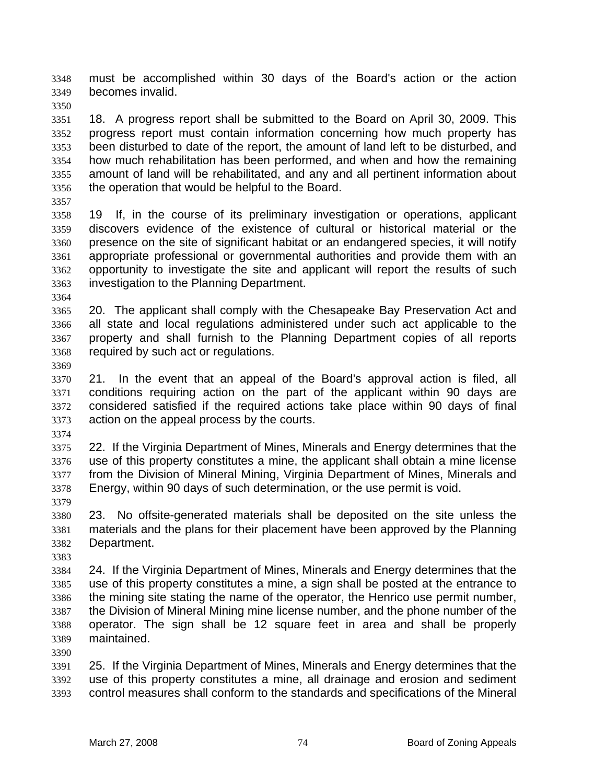must be accomplished within 30 days of the Board's action or the action becomes invalid.

18. A progress report shall be submitted to the Board on April 30, 2009. This progress report must contain information concerning how much property has been disturbed to date of the report, the amount of land left to be disturbed, and how much rehabilitation has been performed, and when and how the remaining amount of land will be rehabilitated, and any and all pertinent information about the operation that would be helpful to the Board.

19 If, in the course of its preliminary investigation or operations, applicant discovers evidence of the existence of cultural or historical material or the presence on the site of significant habitat or an endangered species, it will notify appropriate professional or governmental authorities and provide them with an opportunity to investigate the site and applicant will report the results of such investigation to the Planning Department.

20. The applicant shall comply with the Chesapeake Bay Preservation Act and all state and local regulations administered under such act applicable to the property and shall furnish to the Planning Department copies of all reports required by such act or regulations.

21. In the event that an appeal of the Board's approval action is filed, all conditions requiring action on the part of the applicant within 90 days are considered satisfied if the required actions take place within 90 days of final action on the appeal process by the courts.

22. If the Virginia Department of Mines, Minerals and Energy determines that the use of this property constitutes a mine, the applicant shall obtain a mine license from the Division of Mineral Mining, Virginia Department of Mines, Minerals and Energy, within 90 days of such determination, or the use permit is void.

23. No offsite-generated materials shall be deposited on the site unless the materials and the plans for their placement have been approved by the Planning Department.

24. If the Virginia Department of Mines, Minerals and Energy determines that the use of this property constitutes a mine, a sign shall be posted at the entrance to the mining site stating the name of the operator, the Henrico use permit number, the Division of Mineral Mining mine license number, and the phone number of the operator. The sign shall be 12 square feet in area and shall be properly maintained.

25. If the Virginia Department of Mines, Minerals and Energy determines that the use of this property constitutes a mine, all drainage and erosion and sediment control measures shall conform to the standards and specifications of the Mineral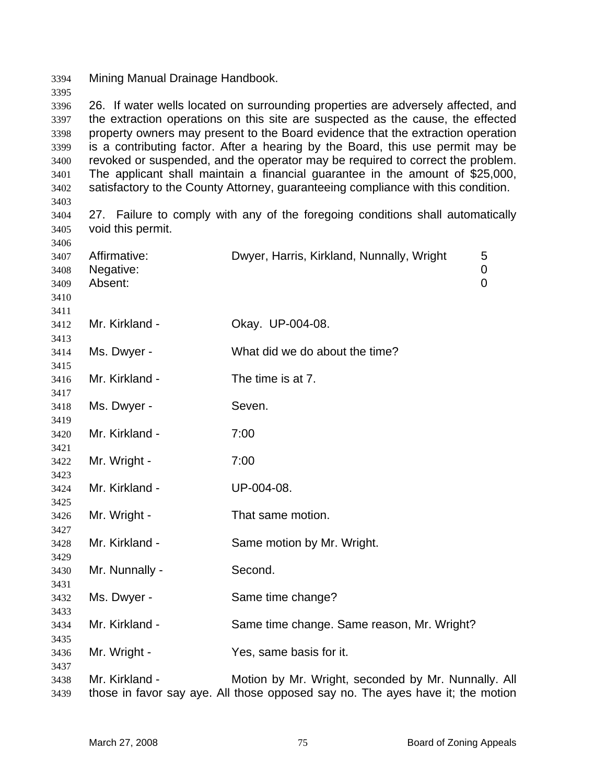Mining Manual Drainage Handbook.

26. If water wells located on surrounding properties are adversely affected, and the extraction operations on this site are suspected as the cause, the effected property owners may present to the Board evidence that the extraction operation is a contributing factor. After a hearing by the Board, this use permit may be revoked or suspended, and the operator may be required to correct the problem. The applicant shall maintain a financial guarantee in the amount of \$25,000, satisfactory to the County Attorney, guaranteeing compliance with this condition. 

27. Failure to comply with any of the foregoing conditions shall automatically void this permit.

| 3407         | Affirmative:   | Dwyer, Harris, Kirkland, Nunnally, Wright                                      | 5 |
|--------------|----------------|--------------------------------------------------------------------------------|---|
| 3408         | Negative:      |                                                                                | 0 |
| 3409         | Absent:        |                                                                                | 0 |
| 3410         |                |                                                                                |   |
| 3411         |                |                                                                                |   |
| 3412         | Mr. Kirkland - | Okay. UP-004-08.                                                               |   |
| 3413         |                |                                                                                |   |
| 3414         | Ms. Dwyer -    | What did we do about the time?                                                 |   |
| 3415         | Mr. Kirkland - | The time is at 7.                                                              |   |
| 3416         |                |                                                                                |   |
| 3417<br>3418 | Ms. Dwyer -    | Seven.                                                                         |   |
| 3419         |                |                                                                                |   |
| 3420         | Mr. Kirkland - | 7:00                                                                           |   |
| 3421         |                |                                                                                |   |
| 3422         | Mr. Wright -   | 7:00                                                                           |   |
| 3423         |                |                                                                                |   |
| 3424         | Mr. Kirkland - | UP-004-08.                                                                     |   |
| 3425         |                |                                                                                |   |
| 3426         | Mr. Wright -   | That same motion.                                                              |   |
| 3427         |                |                                                                                |   |
| 3428         | Mr. Kirkland - | Same motion by Mr. Wright.                                                     |   |
| 3429         |                |                                                                                |   |
| 3430         | Mr. Nunnally - | Second.                                                                        |   |
| 3431         |                |                                                                                |   |
| 3432         | Ms. Dwyer -    | Same time change?                                                              |   |
| 3433         |                |                                                                                |   |
| 3434         | Mr. Kirkland - | Same time change. Same reason, Mr. Wright?                                     |   |
| 3435         |                |                                                                                |   |
| 3436         | Mr. Wright -   | Yes, same basis for it.                                                        |   |
| 3437         |                |                                                                                |   |
| 3438         | Mr. Kirkland - | Motion by Mr. Wright, seconded by Mr. Nunnally. All                            |   |
| 3439         |                | those in favor say aye. All those opposed say no. The ayes have it; the motion |   |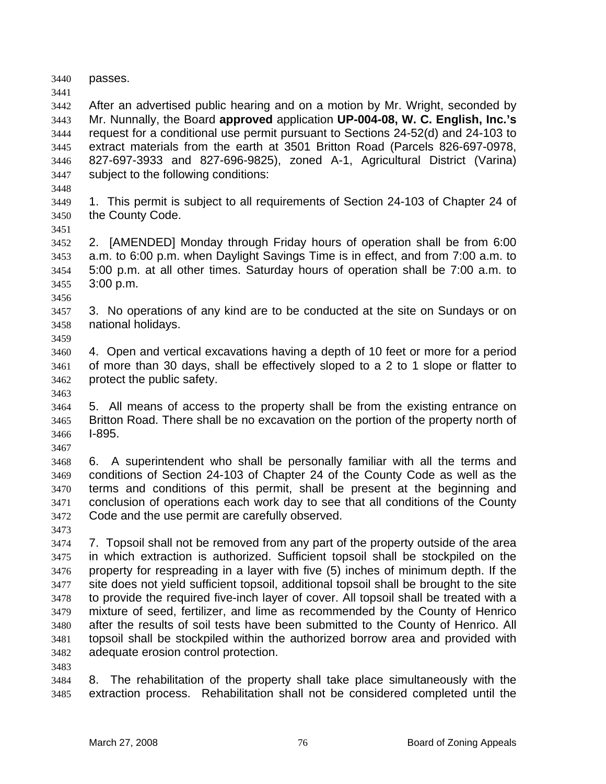passes.

After an advertised public hearing and on a motion by Mr. Wright, seconded by Mr. Nunnally, the Board **approved** application **UP-004-08, W. C. English, Inc.'s** request for a conditional use permit pursuant to Sections 24-52(d) and 24-103 to extract materials from the earth at 3501 Britton Road (Parcels 826-697-0978, 827-697-3933 and 827-696-9825), zoned A-1, Agricultural District (Varina) subject to the following conditions:

1. This permit is subject to all requirements of Section 24-103 of Chapter 24 of the County Code.

2. [AMENDED] Monday through Friday hours of operation shall be from 6:00 a.m. to 6:00 p.m. when Daylight Savings Time is in effect, and from 7:00 a.m. to 5:00 p.m. at all other times. Saturday hours of operation shall be 7:00 a.m. to 3:00 p.m.

3. No operations of any kind are to be conducted at the site on Sundays or on national holidays.

4. Open and vertical excavations having a depth of 10 feet or more for a period of more than 30 days, shall be effectively sloped to a 2 to 1 slope or flatter to protect the public safety.

5. All means of access to the property shall be from the existing entrance on Britton Road. There shall be no excavation on the portion of the property north of I-895.

6. A superintendent who shall be personally familiar with all the terms and conditions of Section 24-103 of Chapter 24 of the County Code as well as the terms and conditions of this permit, shall be present at the beginning and conclusion of operations each work day to see that all conditions of the County Code and the use permit are carefully observed.

7. Topsoil shall not be removed from any part of the property outside of the area in which extraction is authorized. Sufficient topsoil shall be stockpiled on the property for respreading in a layer with five (5) inches of minimum depth. If the site does not yield sufficient topsoil, additional topsoil shall be brought to the site to provide the required five-inch layer of cover. All topsoil shall be treated with a mixture of seed, fertilizer, and lime as recommended by the County of Henrico after the results of soil tests have been submitted to the County of Henrico. All topsoil shall be stockpiled within the authorized borrow area and provided with adequate erosion control protection.

8. The rehabilitation of the property shall take place simultaneously with the extraction process. Rehabilitation shall not be considered completed until the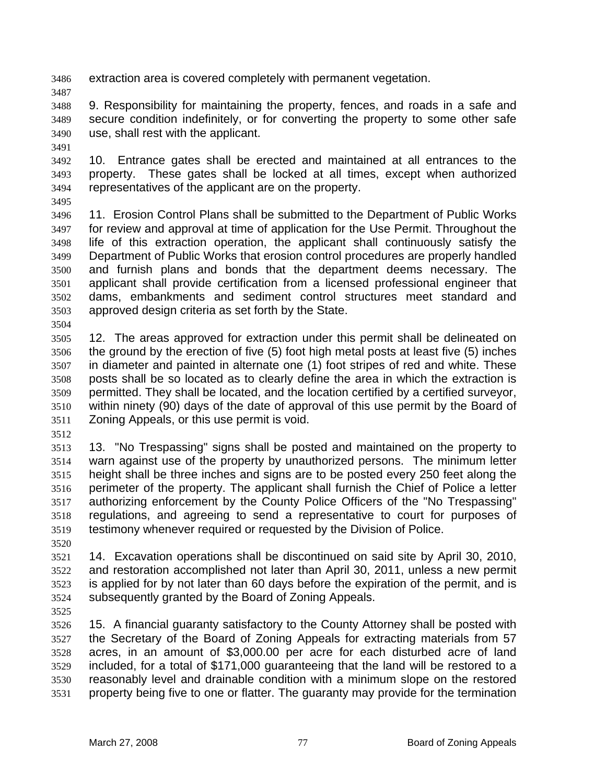extraction area is covered completely with permanent vegetation.

9. Responsibility for maintaining the property, fences, and roads in a safe and secure condition indefinitely, or for converting the property to some other safe use, shall rest with the applicant.

10. Entrance gates shall be erected and maintained at all entrances to the property. These gates shall be locked at all times, except when authorized representatives of the applicant are on the property.

11. Erosion Control Plans shall be submitted to the Department of Public Works for review and approval at time of application for the Use Permit. Throughout the life of this extraction operation, the applicant shall continuously satisfy the Department of Public Works that erosion control procedures are properly handled and furnish plans and bonds that the department deems necessary. The applicant shall provide certification from a licensed professional engineer that dams, embankments and sediment control structures meet standard and approved design criteria as set forth by the State.

12. The areas approved for extraction under this permit shall be delineated on the ground by the erection of five (5) foot high metal posts at least five (5) inches in diameter and painted in alternate one (1) foot stripes of red and white. These posts shall be so located as to clearly define the area in which the extraction is permitted. They shall be located, and the location certified by a certified surveyor, within ninety (90) days of the date of approval of this use permit by the Board of Zoning Appeals, or this use permit is void.

13. "No Trespassing" signs shall be posted and maintained on the property to warn against use of the property by unauthorized persons. The minimum letter height shall be three inches and signs are to be posted every 250 feet along the perimeter of the property. The applicant shall furnish the Chief of Police a letter authorizing enforcement by the County Police Officers of the "No Trespassing" regulations, and agreeing to send a representative to court for purposes of testimony whenever required or requested by the Division of Police.

14. Excavation operations shall be discontinued on said site by April 30, 2010, and restoration accomplished not later than April 30, 2011, unless a new permit is applied for by not later than 60 days before the expiration of the permit, and is subsequently granted by the Board of Zoning Appeals.

15. A financial guaranty satisfactory to the County Attorney shall be posted with the Secretary of the Board of Zoning Appeals for extracting materials from 57 acres, in an amount of \$3,000.00 per acre for each disturbed acre of land included, for a total of \$171,000 guaranteeing that the land will be restored to a reasonably level and drainable condition with a minimum slope on the restored property being five to one or flatter. The guaranty may provide for the termination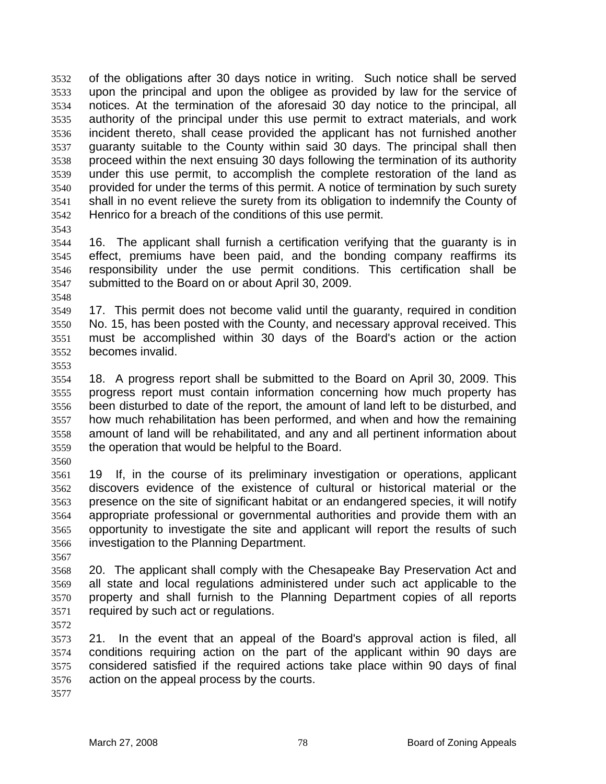of the obligations after 30 days notice in writing. Such notice shall be served upon the principal and upon the obligee as provided by law for the service of notices. At the termination of the aforesaid 30 day notice to the principal, all authority of the principal under this use permit to extract materials, and work incident thereto, shall cease provided the applicant has not furnished another guaranty suitable to the County within said 30 days. The principal shall then proceed within the next ensuing 30 days following the termination of its authority under this use permit, to accomplish the complete restoration of the land as provided for under the terms of this permit. A notice of termination by such surety shall in no event relieve the surety from its obligation to indemnify the County of Henrico for a breach of the conditions of this use permit.

16. The applicant shall furnish a certification verifying that the guaranty is in effect, premiums have been paid, and the bonding company reaffirms its responsibility under the use permit conditions. This certification shall be submitted to the Board on or about April 30, 2009.

17. This permit does not become valid until the guaranty, required in condition No. 15, has been posted with the County, and necessary approval received. This must be accomplished within 30 days of the Board's action or the action becomes invalid.

18. A progress report shall be submitted to the Board on April 30, 2009. This progress report must contain information concerning how much property has been disturbed to date of the report, the amount of land left to be disturbed, and how much rehabilitation has been performed, and when and how the remaining amount of land will be rehabilitated, and any and all pertinent information about the operation that would be helpful to the Board.

19 If, in the course of its preliminary investigation or operations, applicant discovers evidence of the existence of cultural or historical material or the presence on the site of significant habitat or an endangered species, it will notify appropriate professional or governmental authorities and provide them with an opportunity to investigate the site and applicant will report the results of such investigation to the Planning Department.

20. The applicant shall comply with the Chesapeake Bay Preservation Act and all state and local regulations administered under such act applicable to the property and shall furnish to the Planning Department copies of all reports required by such act or regulations.

21. In the event that an appeal of the Board's approval action is filed, all conditions requiring action on the part of the applicant within 90 days are considered satisfied if the required actions take place within 90 days of final action on the appeal process by the courts.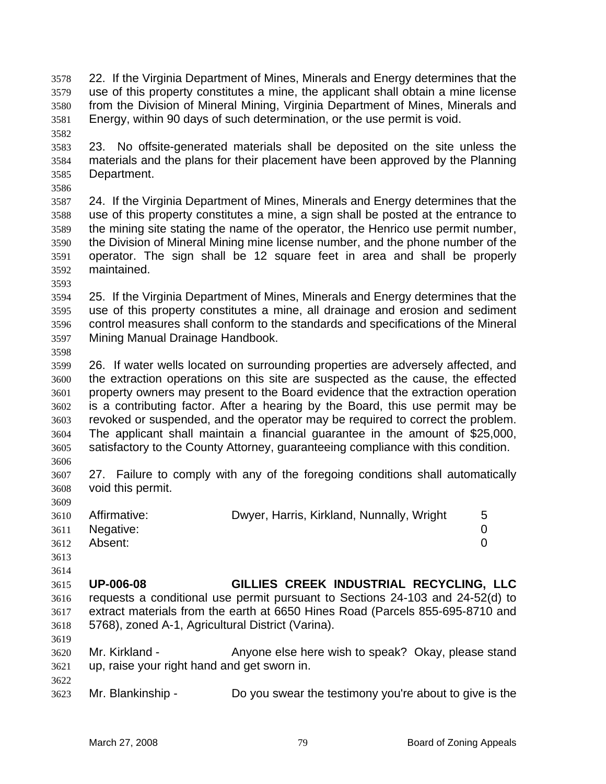22. If the Virginia Department of Mines, Minerals and Energy determines that the use of this property constitutes a mine, the applicant shall obtain a mine license from the Division of Mineral Mining, Virginia Department of Mines, Minerals and Energy, within 90 days of such determination, or the use permit is void.

23. No offsite-generated materials shall be deposited on the site unless the materials and the plans for their placement have been approved by the Planning Department.

24. If the Virginia Department of Mines, Minerals and Energy determines that the use of this property constitutes a mine, a sign shall be posted at the entrance to the mining site stating the name of the operator, the Henrico use permit number, the Division of Mineral Mining mine license number, and the phone number of the operator. The sign shall be 12 square feet in area and shall be properly maintained.

- 25. If the Virginia Department of Mines, Minerals and Energy determines that the use of this property constitutes a mine, all drainage and erosion and sediment control measures shall conform to the standards and specifications of the Mineral Mining Manual Drainage Handbook.
- 26. If water wells located on surrounding properties are adversely affected, and the extraction operations on this site are suspected as the cause, the effected property owners may present to the Board evidence that the extraction operation is a contributing factor. After a hearing by the Board, this use permit may be revoked or suspended, and the operator may be required to correct the problem. The applicant shall maintain a financial guarantee in the amount of \$25,000, satisfactory to the County Attorney, guaranteeing compliance with this condition.
- 27. Failure to comply with any of the foregoing conditions shall automatically void this permit.
- Affirmative: Dwyer, Harris, Kirkland, Nunnally, Wright 5 Negative: 0 Absent: 0
- **UP-006-08 GILLIES CREEK INDUSTRIAL RECYCLING, LLC**  requests a conditional use permit pursuant to Sections 24-103 and 24-52(d) to extract materials from the earth at 6650 Hines Road (Parcels 855-695-8710 and 5768), zoned A-1, Agricultural District (Varina).
- Mr. Kirkland Anyone else here wish to speak? Okay, please stand up, raise your right hand and get sworn in.
- Mr. Blankinship Do you swear the testimony you're about to give is the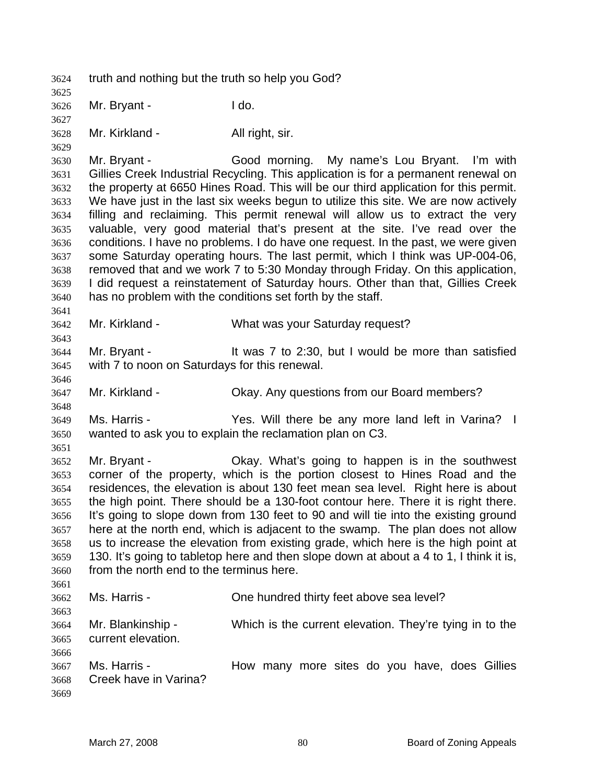truth and nothing but the truth so help you God? Mr. Bryant - I do. Mr. Kirkland - All right, sir. Mr. Bryant - Good morning. My name's Lou Bryant. I'm with Gillies Creek Industrial Recycling. This application is for a permanent renewal on the property at 6650 Hines Road. This will be our third application for this permit. We have just in the last six weeks begun to utilize this site. We are now actively filling and reclaiming. This permit renewal will allow us to extract the very valuable, very good material that's present at the site. I've read over the conditions. I have no problems. I do have one request. In the past, we were given some Saturday operating hours. The last permit, which I think was UP-004-06, removed that and we work 7 to 5:30 Monday through Friday. On this application, I did request a reinstatement of Saturday hours. Other than that, Gillies Creek has no problem with the conditions set forth by the staff. Mr. Kirkland - What was your Saturday request? Mr. Bryant - It was 7 to 2:30, but I would be more than satisfied with 7 to noon on Saturdays for this renewal. Mr. Kirkland - Okay. Any questions from our Board members? Ms. Harris - Yes. Will there be any more land left in Varina? I wanted to ask you to explain the reclamation plan on C3. Mr. Bryant - Okay. What's going to happen is in the southwest corner of the property, which is the portion closest to Hines Road and the residences, the elevation is about 130 feet mean sea level. Right here is about the high point. There should be a 130-foot contour here. There it is right there. It's going to slope down from 130 feet to 90 and will tie into the existing ground here at the north end, which is adjacent to the swamp. The plan does not allow us to increase the elevation from existing grade, which here is the high point at 130. It's going to tabletop here and then slope down at about a 4 to 1, I think it is, from the north end to the terminus here. Ms. Harris - One hundred thirty feet above sea level? Mr. Blankinship - Which is the current elevation. They're tying in to the current elevation. Ms. Harris - How many more sites do you have, does Gillies Creek have in Varina?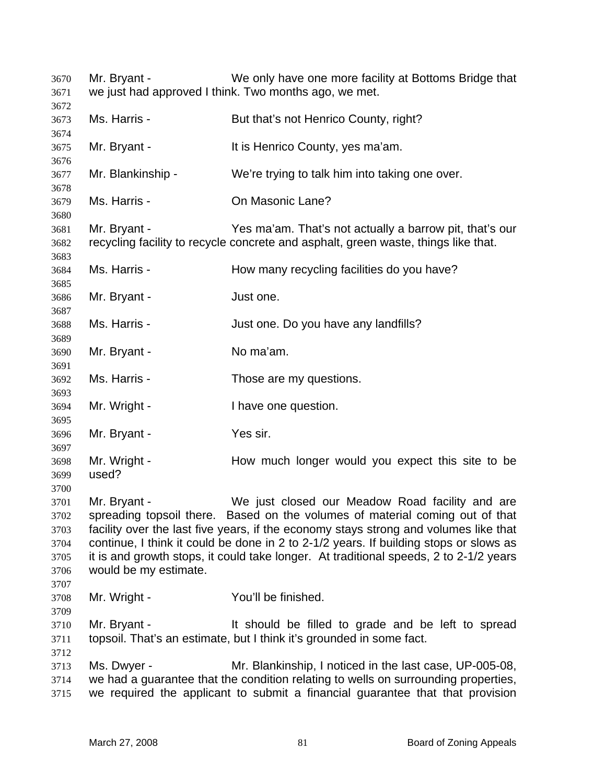Mr. Bryant - We only have one more facility at Bottoms Bridge that we just had approved I think. Two months ago, we met. Ms. Harris - But that's not Henrico County, right? Mr. Bryant - It is Henrico County, yes ma'am. Mr. Blankinship - We're trying to talk him into taking one over. Ms. Harris - On Masonic Lane? Mr. Bryant - Yes ma'am. That's not actually a barrow pit, that's our recycling facility to recycle concrete and asphalt, green waste, things like that. Ms. Harris - How many recycling facilities do you have? Mr. Bryant - Just one. Ms. Harris - Just one. Do you have any landfills? Mr. Bryant - No ma'am. Ms. Harris - Those are my questions. Mr. Wright - I have one question. Mr. Bryant - Yes sir. Mr. Wright - How much longer would you expect this site to be used? Mr. Bryant - We just closed our Meadow Road facility and are spreading topsoil there. Based on the volumes of material coming out of that facility over the last five years, if the economy stays strong and volumes like that continue, I think it could be done in 2 to 2-1/2 years. If building stops or slows as it is and growth stops, it could take longer. At traditional speeds, 2 to 2-1/2 years would be my estimate. Mr. Wright - You'll be finished. Mr. Bryant - It should be filled to grade and be left to spread topsoil. That's an estimate, but I think it's grounded in some fact. Ms. Dwyer - Mr. Blankinship, I noticed in the last case, UP-005-08, we had a guarantee that the condition relating to wells on surrounding properties, we required the applicant to submit a financial guarantee that that provision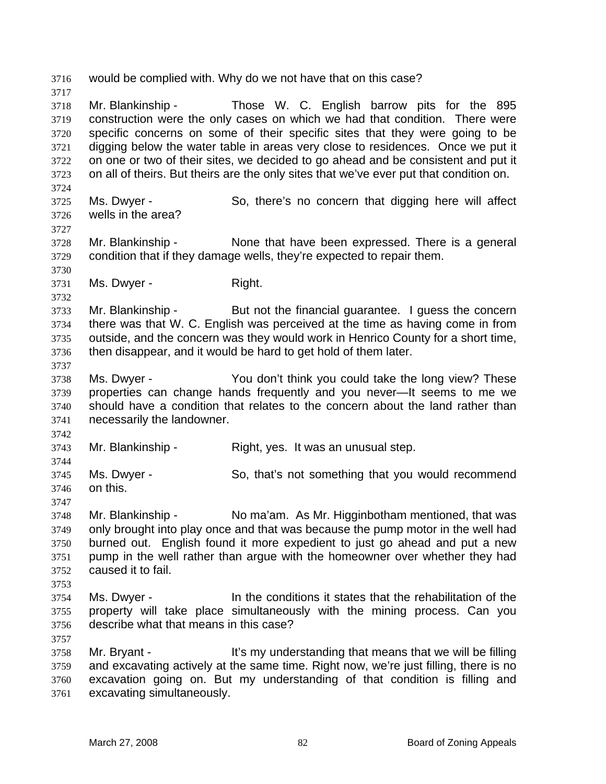would be complied with. Why do we not have that on this case? 

Mr. Blankinship - Those W. C. English barrow pits for the 895

construction were the only cases on which we had that condition. There were specific concerns on some of their specific sites that they were going to be digging below the water table in areas very close to residences. Once we put it on one or two of their sites, we decided to go ahead and be consistent and put it on all of theirs. But theirs are the only sites that we've ever put that condition on. Ms. Dwyer - So, there's no concern that digging here will affect wells in the area? Mr. Blankinship - None that have been expressed. There is a general condition that if they damage wells, they're expected to repair them. Ms. Dwyer - Right. Mr. Blankinship - But not the financial guarantee. I guess the concern there was that W. C. English was perceived at the time as having come in from outside, and the concern was they would work in Henrico County for a short time, then disappear, and it would be hard to get hold of them later. Ms. Dwyer - You don't think you could take the long view? These properties can change hands frequently and you never—It seems to me we should have a condition that relates to the concern about the land rather than necessarily the landowner. Mr. Blankinship - Right, yes. It was an unusual step. Ms. Dwyer - So, that's not something that you would recommend on this. Mr. Blankinship - No ma'am. As Mr. Higginbotham mentioned, that was only brought into play once and that was because the pump motor in the well had burned out. English found it more expedient to just go ahead and put a new pump in the well rather than argue with the homeowner over whether they had caused it to fail. Ms. Dwyer - In the conditions it states that the rehabilitation of the property will take place simultaneously with the mining process. Can you describe what that means in this case? Mr. Bryant - It's my understanding that means that we will be filling and excavating actively at the same time. Right now, we're just filling, there is no

excavation going on. But my understanding of that condition is filling and excavating simultaneously.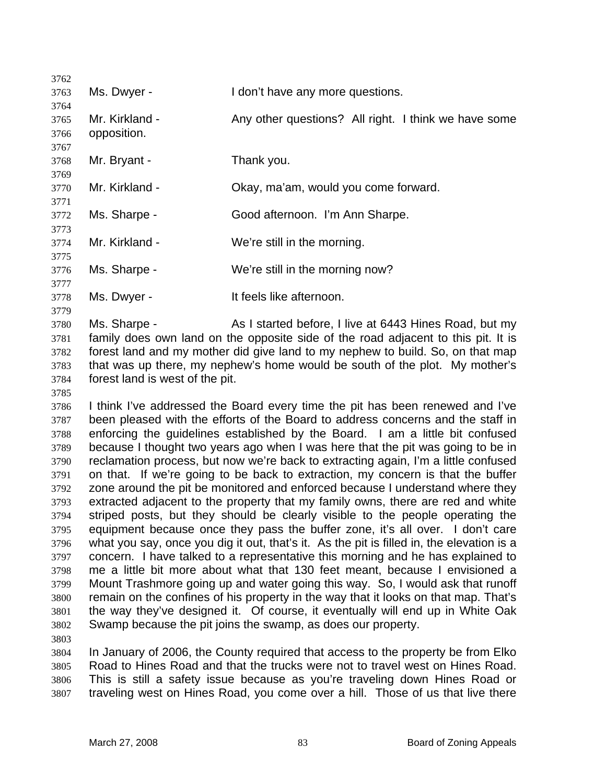| 3762         |                                 |                                                                                                                                                                     |
|--------------|---------------------------------|---------------------------------------------------------------------------------------------------------------------------------------------------------------------|
| 3763         | Ms. Dwyer -                     | I don't have any more questions.                                                                                                                                    |
| 3764         |                                 |                                                                                                                                                                     |
| 3765         | Mr. Kirkland -                  | Any other questions? All right. I think we have some                                                                                                                |
| 3766         | opposition.                     |                                                                                                                                                                     |
| 3767         |                                 |                                                                                                                                                                     |
| 3768         | Mr. Bryant -                    | Thank you.                                                                                                                                                          |
| 3769<br>3770 | Mr. Kirkland -                  | Okay, ma'am, would you come forward.                                                                                                                                |
| 3771         |                                 |                                                                                                                                                                     |
| 3772         | Ms. Sharpe -                    | Good afternoon. I'm Ann Sharpe.                                                                                                                                     |
| 3773         |                                 |                                                                                                                                                                     |
| 3774         | Mr. Kirkland -                  | We're still in the morning.                                                                                                                                         |
| 3775         |                                 |                                                                                                                                                                     |
| 3776         | Ms. Sharpe -                    | We're still in the morning now?                                                                                                                                     |
| 3777         |                                 |                                                                                                                                                                     |
| 3778         | Ms. Dwyer -                     | It feels like afternoon.                                                                                                                                            |
| 3779         |                                 |                                                                                                                                                                     |
| 3780         | Ms. Sharpe -                    | As I started before, I live at 6443 Hines Road, but my                                                                                                              |
| 3781         |                                 | family does own land on the opposite side of the road adjacent to this pit. It is<br>forest land and my mother did give land to my nephew to build. So, on that map |
| 3782<br>3783 |                                 | that was up there, my nephew's home would be south of the plot. My mother's                                                                                         |
| 3784         | forest land is west of the pit. |                                                                                                                                                                     |
| 3785         |                                 |                                                                                                                                                                     |
| 3786         |                                 | I think I've addressed the Board every time the pit has been renewed and I've                                                                                       |
| 3787         |                                 | been pleased with the efforts of the Board to address concerns and the staff in                                                                                     |
| 3788         |                                 | enforcing the guidelines established by the Board. I am a little bit confused                                                                                       |
| 3789         |                                 | because I thought two years ago when I was here that the pit was going to be in                                                                                     |
|              |                                 | the contract of the contract of the contract of the contract of the contract of the contract of the contract of                                                     |

reclamation process, but now we're back to extracting again, I'm a little confused on that. If we're going to be back to extraction, my concern is that the buffer zone around the pit be monitored and enforced because I understand where they extracted adjacent to the property that my family owns, there are red and white striped posts, but they should be clearly visible to the people operating the equipment because once they pass the buffer zone, it's all over. I don't care what you say, once you dig it out, that's it. As the pit is filled in, the elevation is a concern. I have talked to a representative this morning and he has explained to me a little bit more about what that 130 feet meant, because I envisioned a Mount Trashmore going up and water going this way. So, I would ask that runoff remain on the confines of his property in the way that it looks on that map. That's the way they've designed it. Of course, it eventually will end up in White Oak Swamp because the pit joins the swamp, as does our property. 

In January of 2006, the County required that access to the property be from Elko Road to Hines Road and that the trucks were not to travel west on Hines Road. This is still a safety issue because as you're traveling down Hines Road or traveling west on Hines Road, you come over a hill. Those of us that live there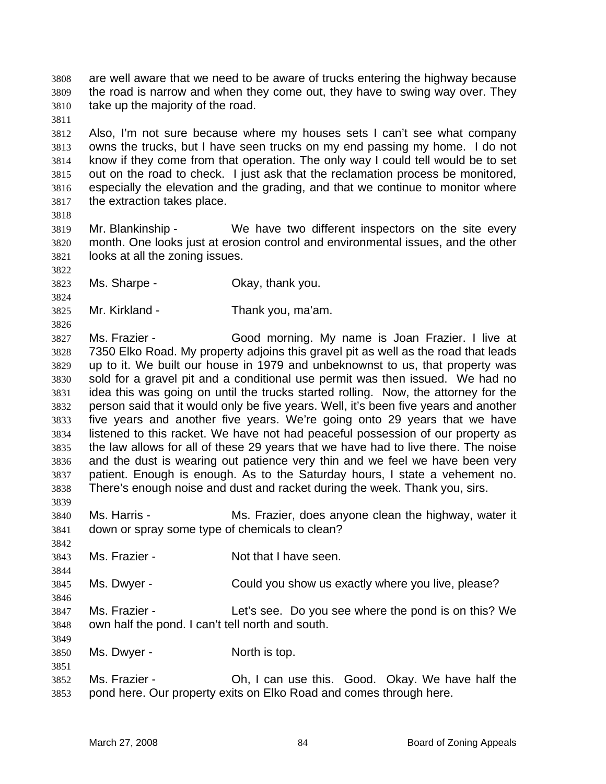are well aware that we need to be aware of trucks entering the highway because the road is narrow and when they come out, they have to swing way over. They take up the majority of the road.

Also, I'm not sure because where my houses sets I can't see what company owns the trucks, but I have seen trucks on my end passing my home. I do not know if they come from that operation. The only way I could tell would be to set out on the road to check. I just ask that the reclamation process be monitored, especially the elevation and the grading, and that we continue to monitor where the extraction takes place.

Mr. Blankinship - We have two different inspectors on the site every month. One looks just at erosion control and environmental issues, and the other looks at all the zoning issues.

- Ms. Sharpe Okay, thank you.
- Mr. Kirkland Thank you, ma'am.

Ms. Frazier - Good morning. My name is Joan Frazier. I live at 7350 Elko Road. My property adjoins this gravel pit as well as the road that leads up to it. We built our house in 1979 and unbeknownst to us, that property was sold for a gravel pit and a conditional use permit was then issued. We had no idea this was going on until the trucks started rolling. Now, the attorney for the person said that it would only be five years. Well, it's been five years and another five years and another five years. We're going onto 29 years that we have listened to this racket. We have not had peaceful possession of our property as the law allows for all of these 29 years that we have had to live there. The noise and the dust is wearing out patience very thin and we feel we have been very patient. Enough is enough. As to the Saturday hours, I state a vehement no. There's enough noise and dust and racket during the week. Thank you, sirs. 

Ms. Harris - Ms. Frazier, does anyone clean the highway, water it down or spray some type of chemicals to clean?

Ms. Frazier - Not that I have seen.

Ms. Dwyer - Could you show us exactly where you live, please?

Ms. Frazier - Let's see. Do you see where the pond is on this? We own half the pond. I can't tell north and south.

Ms. Dwyer - North is top.

Ms. Frazier - Oh, I can use this. Good. Okay. We have half the pond here. Our property exits on Elko Road and comes through here.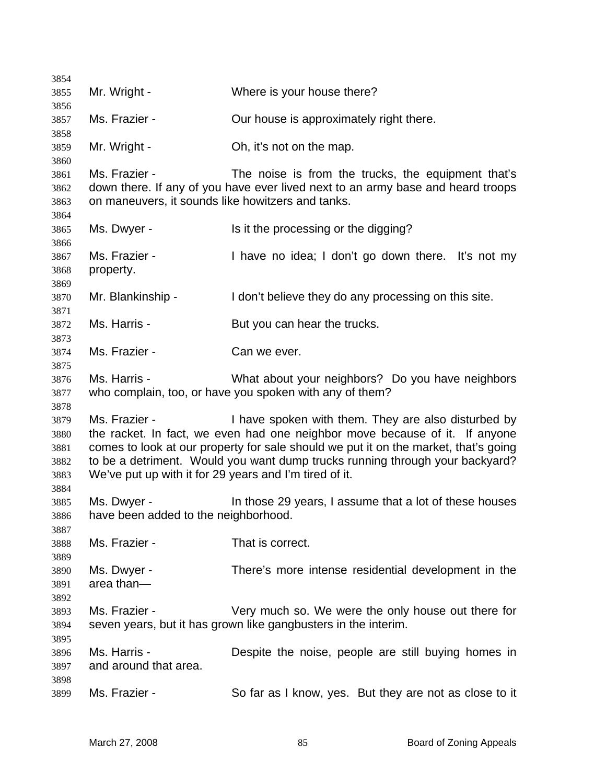| 3854                                 |                                                                         |                                                                                                                                                                                                                                                                                                           |
|--------------------------------------|-------------------------------------------------------------------------|-----------------------------------------------------------------------------------------------------------------------------------------------------------------------------------------------------------------------------------------------------------------------------------------------------------|
| 3855                                 | Mr. Wright -                                                            | Where is your house there?                                                                                                                                                                                                                                                                                |
| 3856<br>3857                         | Ms. Frazier -                                                           | Our house is approximately right there.                                                                                                                                                                                                                                                                   |
| 3858                                 |                                                                         |                                                                                                                                                                                                                                                                                                           |
| 3859                                 | Mr. Wright -                                                            | Oh, it's not on the map.                                                                                                                                                                                                                                                                                  |
| 3860<br>3861                         | Ms. Frazier -                                                           | The noise is from the trucks, the equipment that's                                                                                                                                                                                                                                                        |
| 3862<br>3863                         | on maneuvers, it sounds like howitzers and tanks.                       | down there. If any of you have ever lived next to an army base and heard troops                                                                                                                                                                                                                           |
| 3864                                 |                                                                         |                                                                                                                                                                                                                                                                                                           |
| 3865<br>3866                         | Ms. Dwyer -                                                             | Is it the processing or the digging?                                                                                                                                                                                                                                                                      |
| 3867<br>3868<br>3869                 | Ms. Frazier -<br>property.                                              | I have no idea; I don't go down there. It's not my                                                                                                                                                                                                                                                        |
| 3870                                 | Mr. Blankinship -                                                       | I don't believe they do any processing on this site.                                                                                                                                                                                                                                                      |
| 3871                                 |                                                                         |                                                                                                                                                                                                                                                                                                           |
| 3872<br>3873                         | Ms. Harris -                                                            | But you can hear the trucks.                                                                                                                                                                                                                                                                              |
| 3874                                 | Ms. Frazier -                                                           | Can we ever.                                                                                                                                                                                                                                                                                              |
| 3875                                 |                                                                         |                                                                                                                                                                                                                                                                                                           |
| 3876                                 | Ms. Harris -                                                            | What about your neighbors? Do you have neighbors                                                                                                                                                                                                                                                          |
| 3877                                 |                                                                         | who complain, too, or have you spoken with any of them?                                                                                                                                                                                                                                                   |
| 3878                                 |                                                                         |                                                                                                                                                                                                                                                                                                           |
| 3879<br>3880<br>3881<br>3882<br>3883 | Ms. Frazier -<br>We've put up with it for 29 years and I'm tired of it. | I have spoken with them. They are also disturbed by<br>the racket. In fact, we even had one neighbor move because of it. If anyone<br>comes to look at our property for sale should we put it on the market, that's going<br>to be a detriment. Would you want dump trucks running through your backyard? |
| 3884                                 |                                                                         |                                                                                                                                                                                                                                                                                                           |
| 3885<br>3886                         | Ms. Dwyer -<br>have been added to the neighborhood.                     | In those 29 years, I assume that a lot of these houses                                                                                                                                                                                                                                                    |
| 3887<br>3888                         | Ms. Frazier -                                                           | That is correct.                                                                                                                                                                                                                                                                                          |
| 3889                                 |                                                                         |                                                                                                                                                                                                                                                                                                           |
| 3890                                 | Ms. Dwyer -                                                             | There's more intense residential development in the                                                                                                                                                                                                                                                       |
| 3891                                 | area than-                                                              |                                                                                                                                                                                                                                                                                                           |
| 3892                                 |                                                                         |                                                                                                                                                                                                                                                                                                           |
| 3893<br>3894                         | Ms. Frazier -                                                           | Very much so. We were the only house out there for<br>seven years, but it has grown like gangbusters in the interim.                                                                                                                                                                                      |
| 3895<br>3896                         | Ms. Harris -                                                            | Despite the noise, people are still buying homes in                                                                                                                                                                                                                                                       |
| 3897                                 | and around that area.                                                   |                                                                                                                                                                                                                                                                                                           |
| 3898                                 |                                                                         |                                                                                                                                                                                                                                                                                                           |
| 3899                                 | Ms. Frazier -                                                           | So far as I know, yes. But they are not as close to it                                                                                                                                                                                                                                                    |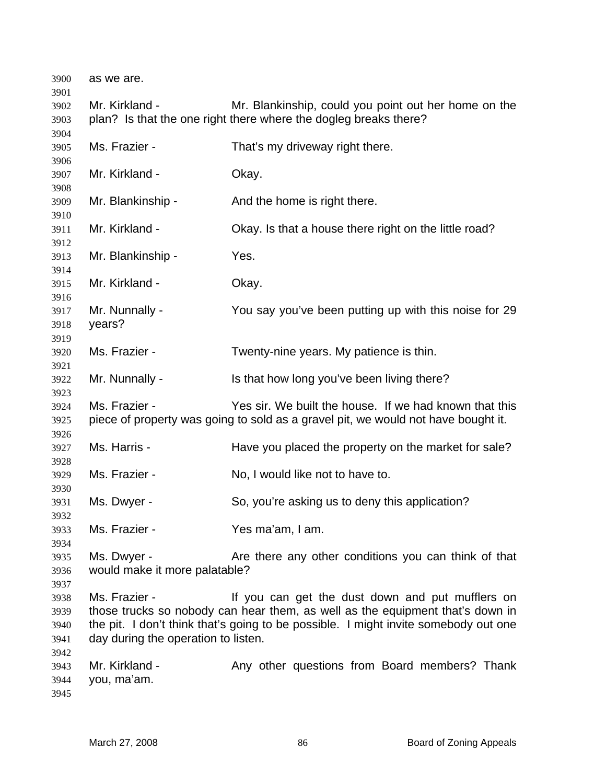| 3900                                 | as we are.                                           |                                                                                                                                                                                                                          |
|--------------------------------------|------------------------------------------------------|--------------------------------------------------------------------------------------------------------------------------------------------------------------------------------------------------------------------------|
| 3901<br>3902<br>3903                 | Mr. Kirkland -                                       | Mr. Blankinship, could you point out her home on the<br>plan? Is that the one right there where the dogleg breaks there?                                                                                                 |
| 3904<br>3905                         | Ms. Frazier -                                        | That's my driveway right there.                                                                                                                                                                                          |
| 3906<br>3907                         | Mr. Kirkland -                                       | Okay.                                                                                                                                                                                                                    |
| 3908<br>3909                         | Mr. Blankinship -                                    | And the home is right there.                                                                                                                                                                                             |
| 3910<br>3911                         | Mr. Kirkland -                                       | Okay. Is that a house there right on the little road?                                                                                                                                                                    |
| 3912<br>3913                         | Mr. Blankinship -                                    | Yes.                                                                                                                                                                                                                     |
| 3914<br>3915                         | Mr. Kirkland -                                       | Okay.                                                                                                                                                                                                                    |
| 3916<br>3917<br>3918                 | Mr. Nunnally -<br>years?                             | You say you've been putting up with this noise for 29                                                                                                                                                                    |
| 3919<br>3920                         | Ms. Frazier -                                        | Twenty-nine years. My patience is thin.                                                                                                                                                                                  |
| 3921<br>3922                         | Mr. Nunnally -                                       | Is that how long you've been living there?                                                                                                                                                                               |
| 3923<br>3924<br>3925                 | Ms. Frazier -                                        | Yes sir. We built the house. If we had known that this<br>piece of property was going to sold as a gravel pit, we would not have bought it.                                                                              |
| 3926<br>3927                         | Ms. Harris -                                         | Have you placed the property on the market for sale?                                                                                                                                                                     |
| 3928<br>3929                         | Ms. Frazier -                                        | No, I would like not to have to.                                                                                                                                                                                         |
| 3930<br>3931                         | Ms. Dwyer -                                          | So, you're asking us to deny this application?                                                                                                                                                                           |
| 3932<br>3933<br>3934                 | Ms. Frazier -                                        | Yes ma'am, I am.                                                                                                                                                                                                         |
| 3935<br>3936<br>3937                 | Ms. Dwyer -<br>would make it more palatable?         | Are there any other conditions you can think of that                                                                                                                                                                     |
| 3938<br>3939<br>3940<br>3941<br>3942 | Ms. Frazier -<br>day during the operation to listen. | If you can get the dust down and put mufflers on<br>those trucks so nobody can hear them, as well as the equipment that's down in<br>the pit. I don't think that's going to be possible. I might invite somebody out one |
| 3943<br>3944<br>3945                 | Mr. Kirkland -<br>you, ma'am.                        | Any other questions from Board members? Thank                                                                                                                                                                            |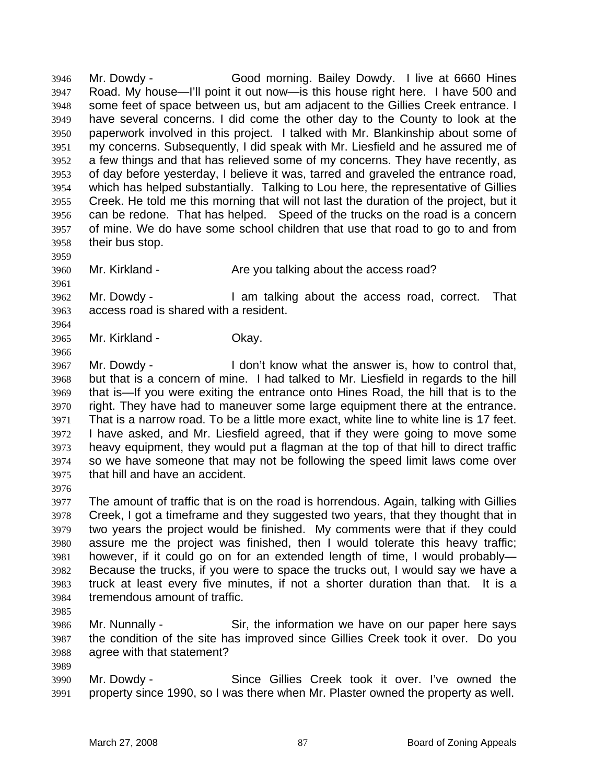Mr. Dowdy - Good morning. Bailey Dowdy. I live at 6660 Hines Road. My house—I'll point it out now—is this house right here. I have 500 and some feet of space between us, but am adjacent to the Gillies Creek entrance. I have several concerns. I did come the other day to the County to look at the paperwork involved in this project. I talked with Mr. Blankinship about some of my concerns. Subsequently, I did speak with Mr. Liesfield and he assured me of a few things and that has relieved some of my concerns. They have recently, as of day before yesterday, I believe it was, tarred and graveled the entrance road, which has helped substantially. Talking to Lou here, the representative of Gillies Creek. He told me this morning that will not last the duration of the project, but it can be redone. That has helped. Speed of the trucks on the road is a concern of mine. We do have some school children that use that road to go to and from their bus stop. 

Mr. Kirkland - Are you talking about the access road?

Mr. Dowdy - I am talking about the access road, correct. That access road is shared with a resident.

Mr. Kirkland - Okay.

Mr. Dowdy - I don't know what the answer is, how to control that, but that is a concern of mine. I had talked to Mr. Liesfield in regards to the hill that is—If you were exiting the entrance onto Hines Road, the hill that is to the right. They have had to maneuver some large equipment there at the entrance. That is a narrow road. To be a little more exact, white line to white line is 17 feet. I have asked, and Mr. Liesfield agreed, that if they were going to move some heavy equipment, they would put a flagman at the top of that hill to direct traffic so we have someone that may not be following the speed limit laws come over that hill and have an accident.

The amount of traffic that is on the road is horrendous. Again, talking with Gillies Creek, I got a timeframe and they suggested two years, that they thought that in two years the project would be finished. My comments were that if they could assure me the project was finished, then I would tolerate this heavy traffic; however, if it could go on for an extended length of time, I would probably— Because the trucks, if you were to space the trucks out, I would say we have a truck at least every five minutes, if not a shorter duration than that. It is a tremendous amount of traffic.

Mr. Nunnally - Sir, the information we have on our paper here says the condition of the site has improved since Gillies Creek took it over. Do you agree with that statement?

Mr. Dowdy - Since Gillies Creek took it over. I've owned the property since 1990, so I was there when Mr. Plaster owned the property as well.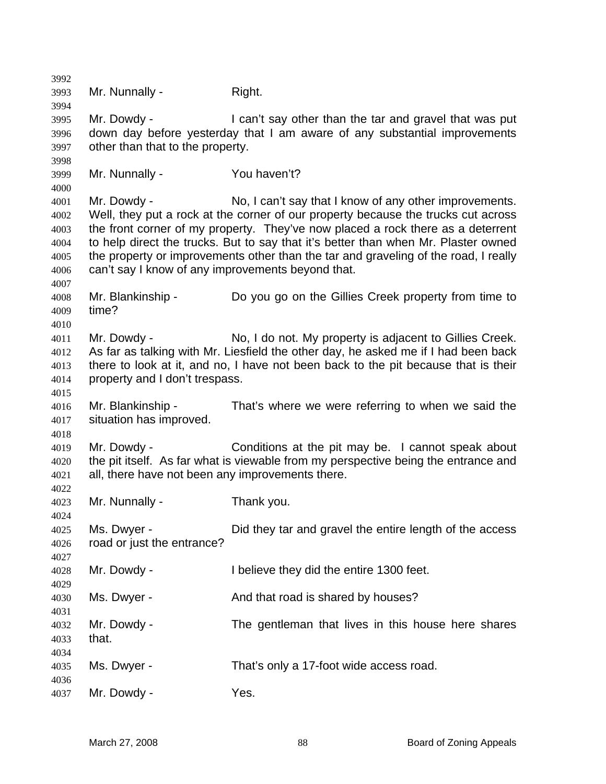| 3992                                                 |                                                                  |                                                                                                                                                                                                                                                                                                                                                                                                             |
|------------------------------------------------------|------------------------------------------------------------------|-------------------------------------------------------------------------------------------------------------------------------------------------------------------------------------------------------------------------------------------------------------------------------------------------------------------------------------------------------------------------------------------------------------|
| 3993<br>3994                                         | Mr. Nunnally -                                                   | Right.                                                                                                                                                                                                                                                                                                                                                                                                      |
| 3995<br>3996<br>3997                                 | Mr. Dowdy -<br>other than that to the property.                  | I can't say other than the tar and gravel that was put<br>down day before yesterday that I am aware of any substantial improvements                                                                                                                                                                                                                                                                         |
| 3998<br>3999<br>4000                                 | Mr. Nunnally -                                                   | You haven't?                                                                                                                                                                                                                                                                                                                                                                                                |
| 4001<br>4002<br>4003<br>4004<br>4005<br>4006<br>4007 | Mr. Dowdy -<br>can't say I know of any improvements beyond that. | No, I can't say that I know of any other improvements.<br>Well, they put a rock at the corner of our property because the trucks cut across<br>the front corner of my property. They've now placed a rock there as a deterrent<br>to help direct the trucks. But to say that it's better than when Mr. Plaster owned<br>the property or improvements other than the tar and graveling of the road, I really |
| 4008<br>4009                                         | Mr. Blankinship -<br>time?                                       | Do you go on the Gillies Creek property from time to                                                                                                                                                                                                                                                                                                                                                        |
| 4010<br>4011<br>4012<br>4013<br>4014<br>4015         | Mr. Dowdy -<br>property and I don't trespass.                    | No, I do not. My property is adjacent to Gillies Creek.<br>As far as talking with Mr. Liesfield the other day, he asked me if I had been back<br>there to look at it, and no, I have not been back to the pit because that is their                                                                                                                                                                         |
| 4016<br>4017                                         | Mr. Blankinship -<br>situation has improved.                     | That's where we were referring to when we said the                                                                                                                                                                                                                                                                                                                                                          |
| 4018<br>4019<br>4020<br>4021                         | Mr. Dowdy -<br>all, there have not been any improvements there.  | Conditions at the pit may be. I cannot speak about<br>the pit itself. As far what is viewable from my perspective being the entrance and                                                                                                                                                                                                                                                                    |
| 4022<br>4023<br>4024                                 | Mr. Nunnally -                                                   | Thank you.                                                                                                                                                                                                                                                                                                                                                                                                  |
| 4025<br>4026<br>4027                                 | Ms. Dwyer -<br>road or just the entrance?                        | Did they tar and gravel the entire length of the access                                                                                                                                                                                                                                                                                                                                                     |
| 4028<br>4029                                         | Mr. Dowdy -                                                      | I believe they did the entire 1300 feet.                                                                                                                                                                                                                                                                                                                                                                    |
| 4030<br>4031                                         | Ms. Dwyer -                                                      | And that road is shared by houses?                                                                                                                                                                                                                                                                                                                                                                          |
| 4032<br>4033<br>4034                                 | Mr. Dowdy -<br>that.                                             | The gentleman that lives in this house here shares                                                                                                                                                                                                                                                                                                                                                          |
| 4035<br>4036                                         | Ms. Dwyer -                                                      | That's only a 17-foot wide access road.                                                                                                                                                                                                                                                                                                                                                                     |
| 4037                                                 | Mr. Dowdy -                                                      | Yes.                                                                                                                                                                                                                                                                                                                                                                                                        |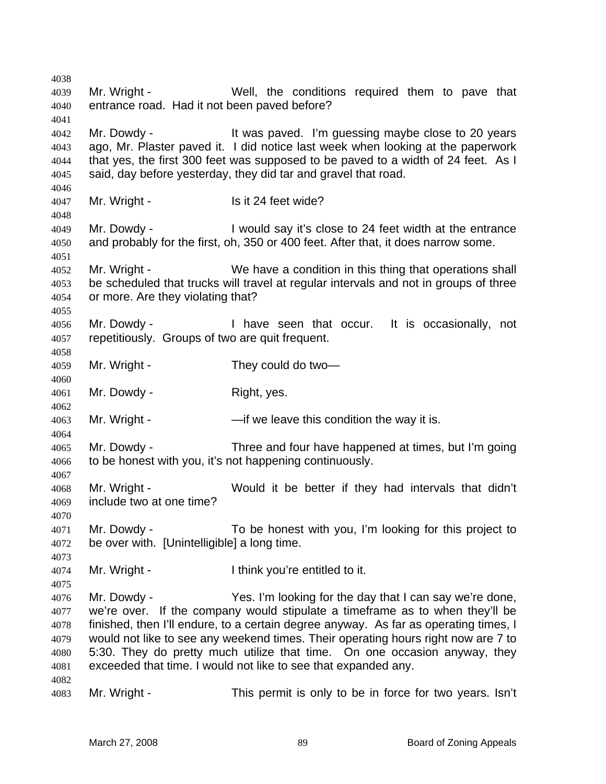Mr. Wright - Well, the conditions required them to pave that entrance road. Had it not been paved before? Mr. Dowdy - It was paved. I'm guessing maybe close to 20 years ago, Mr. Plaster paved it. I did notice last week when looking at the paperwork that yes, the first 300 feet was supposed to be paved to a width of 24 feet. As I said, day before yesterday, they did tar and gravel that road. 4047 Mr. Wright - Is it 24 feet wide? Mr. Dowdy - I would say it's close to 24 feet width at the entrance and probably for the first, oh, 350 or 400 feet. After that, it does narrow some. Mr. Wright - We have a condition in this thing that operations shall be scheduled that trucks will travel at regular intervals and not in groups of three or more. Are they violating that? Mr. Dowdy - I have seen that occur. It is occasionally, not repetitiously. Groups of two are quit frequent. Mr. Wright - They could do two— Mr. Dowdy - Right, yes. 4063 Mr. Wright - — —if we leave this condition the way it is. Mr. Dowdy - Three and four have happened at times, but I'm going to be honest with you, it's not happening continuously. Mr. Wright - Would it be better if they had intervals that didn't include two at one time? Mr. Dowdy - To be honest with you, I'm looking for this project to be over with. [Unintelligible] a long time. Mr. Wright - I think you're entitled to it. Mr. Dowdy - Yes. I'm looking for the day that I can say we're done, we're over. If the company would stipulate a timeframe as to when they'll be finished, then I'll endure, to a certain degree anyway. As far as operating times, I would not like to see any weekend times. Their operating hours right now are 7 to 5:30. They do pretty much utilize that time. On one occasion anyway, they exceeded that time. I would not like to see that expanded any. Mr. Wright - This permit is only to be in force for two years. Isn't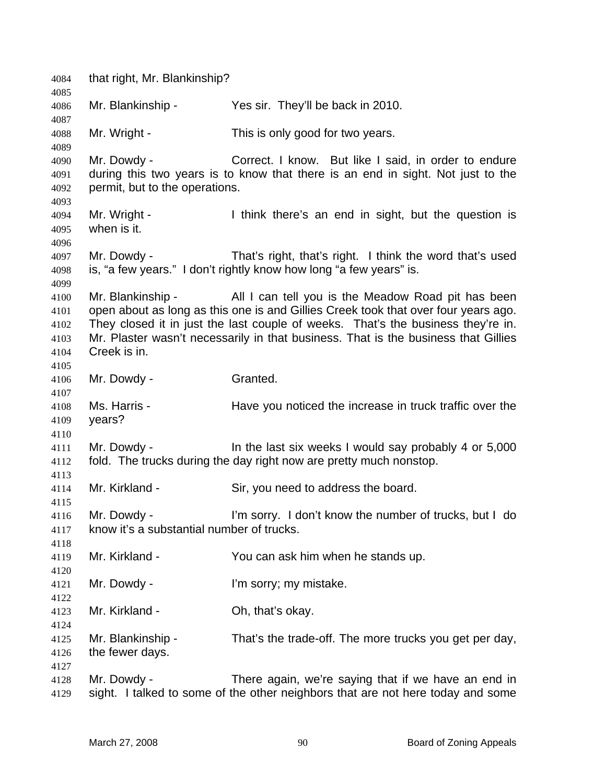that right, Mr. Blankinship? Mr. Blankinship - Yes sir. They'll be back in 2010. Mr. Wright - This is only good for two years. Mr. Dowdy - Correct. I know. But like I said, in order to endure during this two years is to know that there is an end in sight. Not just to the permit, but to the operations. Mr. Wright - I think there's an end in sight, but the question is when is it. Mr. Dowdy - That's right, that's right. I think the word that's used is, "a few years." I don't rightly know how long "a few years" is. Mr. Blankinship - All I can tell you is the Meadow Road pit has been open about as long as this one is and Gillies Creek took that over four years ago. They closed it in just the last couple of weeks. That's the business they're in. Mr. Plaster wasn't necessarily in that business. That is the business that Gillies Creek is in. Mr. Dowdy - Granted. Ms. Harris - Have you noticed the increase in truck traffic over the years? Mr. Dowdy - In the last six weeks I would say probably 4 or 5,000 fold. The trucks during the day right now are pretty much nonstop. Mr. Kirkland - Sir, you need to address the board. Mr. Dowdy - I'm sorry. I don't know the number of trucks, but I do know it's a substantial number of trucks. Mr. Kirkland - You can ask him when he stands up. Mr. Dowdy - I'm sorry; my mistake. Mr. Kirkland - Oh, that's okay. Mr. Blankinship - That's the trade-off. The more trucks you get per day, the fewer days. Mr. Dowdy - There again, we're saying that if we have an end in sight. I talked to some of the other neighbors that are not here today and some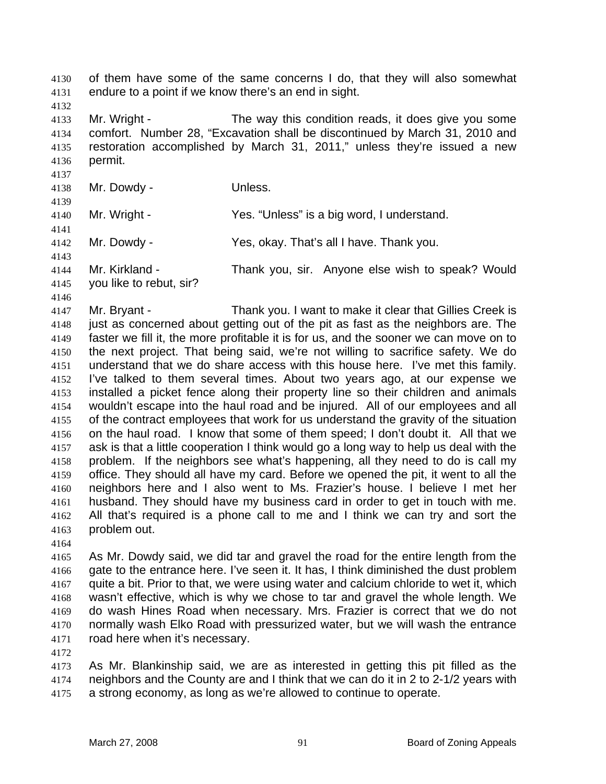of them have some of the same concerns I do, that they will also somewhat endure to a point if we know there's an end in sight.

Mr. Wright - The way this condition reads, it does give you some comfort. Number 28, "Excavation shall be discontinued by March 31, 2010 and restoration accomplished by March 31, 2011," unless they're issued a new permit.

Mr. Dowdy - Unless.

- Mr. Wright Yes. "Unless" is a big word, I understand.
- Mr. Dowdy Yes, okay. That's all I have. Thank you.
- 
- Mr. Kirkland Thank you, sir. Anyone else wish to speak? Would you like to rebut, sir?
- 

Mr. Bryant - Thank you. I want to make it clear that Gillies Creek is just as concerned about getting out of the pit as fast as the neighbors are. The faster we fill it, the more profitable it is for us, and the sooner we can move on to the next project. That being said, we're not willing to sacrifice safety. We do understand that we do share access with this house here. I've met this family. I've talked to them several times. About two years ago, at our expense we installed a picket fence along their property line so their children and animals wouldn't escape into the haul road and be injured. All of our employees and all of the contract employees that work for us understand the gravity of the situation on the haul road. I know that some of them speed; I don't doubt it. All that we ask is that a little cooperation I think would go a long way to help us deal with the problem. If the neighbors see what's happening, all they need to do is call my office. They should all have my card. Before we opened the pit, it went to all the neighbors here and I also went to Ms. Frazier's house. I believe I met her husband. They should have my business card in order to get in touch with me. All that's required is a phone call to me and I think we can try and sort the problem out.

As Mr. Dowdy said, we did tar and gravel the road for the entire length from the gate to the entrance here. I've seen it. It has, I think diminished the dust problem quite a bit. Prior to that, we were using water and calcium chloride to wet it, which wasn't effective, which is why we chose to tar and gravel the whole length. We do wash Hines Road when necessary. Mrs. Frazier is correct that we do not normally wash Elko Road with pressurized water, but we will wash the entrance road here when it's necessary.

As Mr. Blankinship said, we are as interested in getting this pit filled as the neighbors and the County are and I think that we can do it in 2 to 2-1/2 years with a strong economy, as long as we're allowed to continue to operate.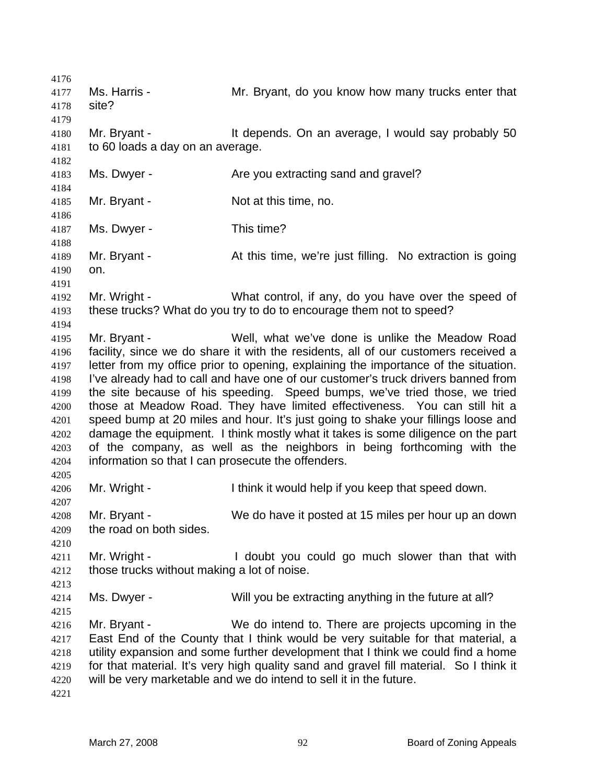Ms. Harris - Mr. Bryant, do you know how many trucks enter that site? 4180 Mr. Bryant - It depends. On an average, I would say probably 50 to 60 loads a day on an average. 4183 Ms. Dwyer - Are you extracting sand and gravel? Mr. Bryant - Not at this time, no. Ms. Dwyer - This time? Mr. Bryant - At this time, we're just filling. No extraction is going on. Mr. Wright - What control, if any, do you have over the speed of these trucks? What do you try to do to encourage them not to speed? Mr. Bryant - Well, what we've done is unlike the Meadow Road facility, since we do share it with the residents, all of our customers received a letter from my office prior to opening, explaining the importance of the situation. I've already had to call and have one of our customer's truck drivers banned from the site because of his speeding. Speed bumps, we've tried those, we tried those at Meadow Road. They have limited effectiveness. You can still hit a speed bump at 20 miles and hour. It's just going to shake your fillings loose and damage the equipment. I think mostly what it takes is some diligence on the part of the company, as well as the neighbors in being forthcoming with the information so that I can prosecute the offenders. Mr. Wright - I think it would help if you keep that speed down. Mr. Bryant - We do have it posted at 15 miles per hour up an down the road on both sides. Mr. Wright - I doubt you could go much slower than that with those trucks without making a lot of noise. Ms. Dwyer - Will you be extracting anything in the future at all? Mr. Bryant - We do intend to. There are projects upcoming in the East End of the County that I think would be very suitable for that material, a utility expansion and some further development that I think we could find a home for that material. It's very high quality sand and gravel fill material. So I think it will be very marketable and we do intend to sell it in the future.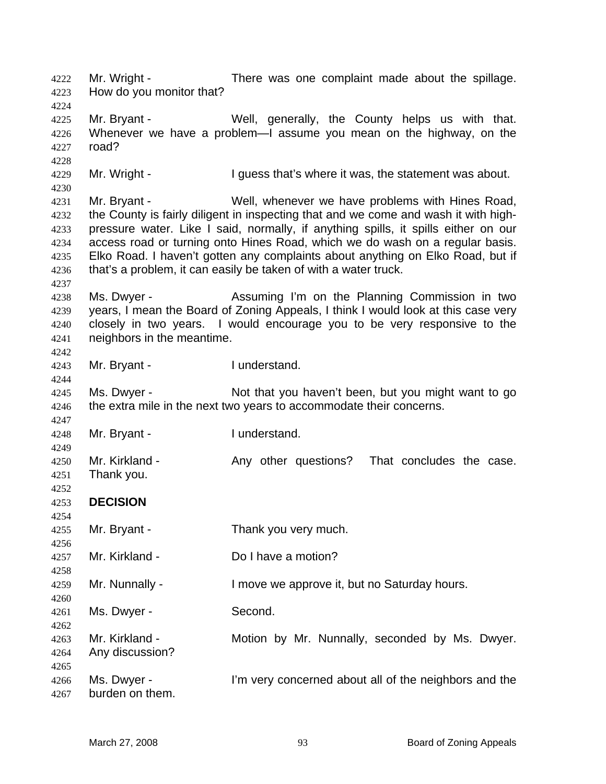Mr. Wright - There was one complaint made about the spillage. How do you monitor that? Mr. Bryant - Well, generally, the County helps us with that. Whenever we have a problem—I assume you mean on the highway, on the road? 4229 Mr. Wright - I guess that's where it was, the statement was about. Mr. Bryant - Well, whenever we have problems with Hines Road, the County is fairly diligent in inspecting that and we come and wash it with high-pressure water. Like I said, normally, if anything spills, it spills either on our access road or turning onto Hines Road, which we do wash on a regular basis. Elko Road. I haven't gotten any complaints about anything on Elko Road, but if that's a problem, it can easily be taken of with a water truck. Ms. Dwyer - Assuming I'm on the Planning Commission in two years, I mean the Board of Zoning Appeals, I think I would look at this case very closely in two years. I would encourage you to be very responsive to the neighbors in the meantime. Mr. Bryant - I understand. Ms. Dwyer - Not that you haven't been, but you might want to go 4246 the extra mile in the next two years to accommodate their concerns. Mr. Bryant - I understand. Mr. Kirkland - Any other questions? That concludes the case. Thank you. **DECISION** Mr. Bryant - Thank you very much. Mr. Kirkland - Do I have a motion? Mr. Nunnally - I move we approve it, but no Saturday hours. Ms. Dwyer - Second. Mr. Kirkland - Motion by Mr. Nunnally, seconded by Ms. Dwyer. Any discussion? Ms. Dwyer - I'm very concerned about all of the neighbors and the burden on them.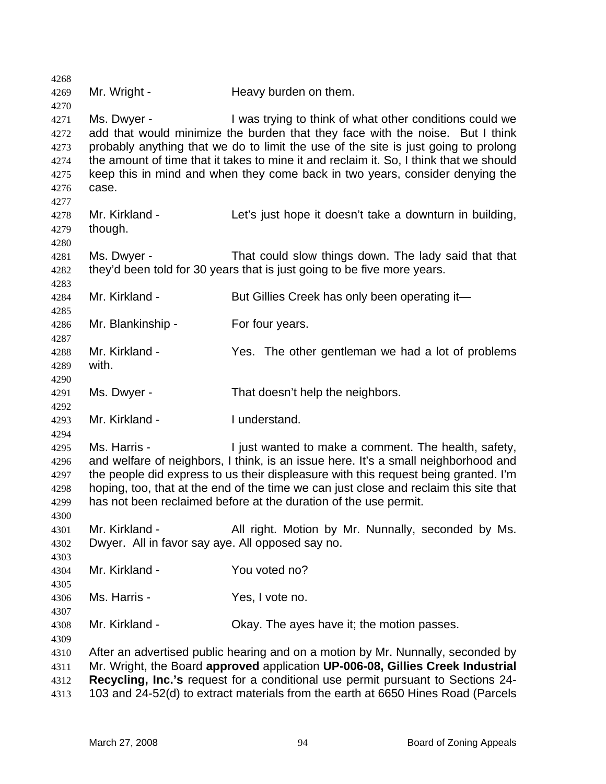| 4268         |                                                  |                                                                                        |
|--------------|--------------------------------------------------|----------------------------------------------------------------------------------------|
| 4269         | Mr. Wright -                                     | Heavy burden on them.                                                                  |
| 4270         |                                                  |                                                                                        |
| 4271         | Ms. Dwyer -                                      | I was trying to think of what other conditions could we                                |
| 4272         |                                                  | add that would minimize the burden that they face with the noise. But I think          |
| 4273         |                                                  | probably anything that we do to limit the use of the site is just going to prolong     |
| 4274         |                                                  | the amount of time that it takes to mine it and reclaim it. So, I think that we should |
| 4275         |                                                  | keep this in mind and when they come back in two years, consider denying the           |
| 4276         | case.                                            |                                                                                        |
| 4277<br>4278 | Mr. Kirkland -                                   | Let's just hope it doesn't take a downturn in building,                                |
| 4279         | though.                                          |                                                                                        |
| 4280         |                                                  |                                                                                        |
| 4281         | Ms. Dwyer -                                      | That could slow things down. The lady said that that                                   |
| 4282         |                                                  | they'd been told for 30 years that is just going to be five more years.                |
| 4283         |                                                  |                                                                                        |
| 4284         | Mr. Kirkland -                                   | But Gillies Creek has only been operating it-                                          |
| 4285         |                                                  |                                                                                        |
| 4286         | Mr. Blankinship -                                | For four years.                                                                        |
| 4287         |                                                  |                                                                                        |
| 4288         | Mr. Kirkland -                                   | Yes. The other gentleman we had a lot of problems                                      |
| 4289         | with.                                            |                                                                                        |
| 4290         |                                                  |                                                                                        |
| 4291         | Ms. Dwyer -                                      | That doesn't help the neighbors.                                                       |
| 4292<br>4293 | Mr. Kirkland -                                   | I understand.                                                                          |
| 4294         |                                                  |                                                                                        |
| 4295         | Ms. Harris -                                     | I just wanted to make a comment. The health, safety,                                   |
| 4296         |                                                  | and welfare of neighbors, I think, is an issue here. It's a small neighborhood and     |
| 4297         |                                                  | the people did express to us their displeasure with this request being granted. I'm    |
| 4298         |                                                  | hoping, too, that at the end of the time we can just close and reclaim this site that  |
| 4299         |                                                  | has not been reclaimed before at the duration of the use permit.                       |
| 4300         |                                                  |                                                                                        |
| 4301         | Mr. Kirkland -                                   | All right. Motion by Mr. Nunnally, seconded by Ms.                                     |
| 4302         | Dwyer. All in favor say aye. All opposed say no. |                                                                                        |
| 4303         |                                                  |                                                                                        |
| 4304         | Mr. Kirkland -                                   | You voted no?                                                                          |
| 4305         |                                                  |                                                                                        |
| 4306         | Ms. Harris -                                     | Yes, I vote no.                                                                        |
| 4307         |                                                  |                                                                                        |
| 4308         | Mr. Kirkland -                                   | Okay. The ayes have it; the motion passes.                                             |
| 4309         |                                                  |                                                                                        |
| 4310         |                                                  | After an advertised public hearing and on a motion by Mr. Nunnally, seconded by        |
| 4311         |                                                  | Mr. Wright, the Board approved application UP-006-08, Gillies Creek Industrial         |
| 4312         |                                                  | Recycling, Inc.'s request for a conditional use permit pursuant to Sections 24-        |
| 4313         |                                                  | 103 and 24-52(d) to extract materials from the earth at 6650 Hines Road (Parcels       |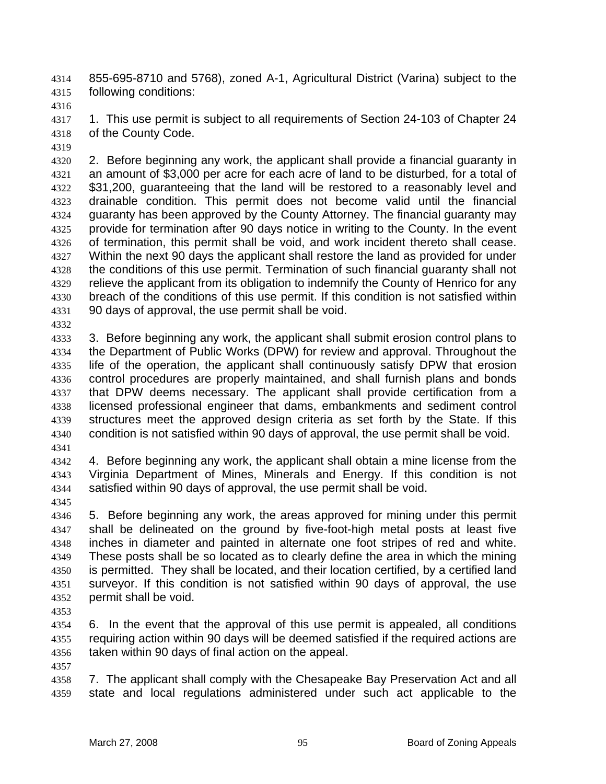855-695-8710 and 5768), zoned A-1, Agricultural District (Varina) subject to the following conditions:

4317 1. This use permit is subject to all requirements of Section 24-103 of Chapter 24 of the County Code.

2. Before beginning any work, the applicant shall provide a financial guaranty in an amount of \$3,000 per acre for each acre of land to be disturbed, for a total of \$31,200, guaranteeing that the land will be restored to a reasonably level and drainable condition. This permit does not become valid until the financial guaranty has been approved by the County Attorney. The financial guaranty may provide for termination after 90 days notice in writing to the County. In the event of termination, this permit shall be void, and work incident thereto shall cease. Within the next 90 days the applicant shall restore the land as provided for under the conditions of this use permit. Termination of such financial guaranty shall not 4329 relieve the applicant from its obligation to indemnify the County of Henrico for any breach of the conditions of this use permit. If this condition is not satisfied within 90 days of approval, the use permit shall be void.

3. Before beginning any work, the applicant shall submit erosion control plans to the Department of Public Works (DPW) for review and approval. Throughout the life of the operation, the applicant shall continuously satisfy DPW that erosion control procedures are properly maintained, and shall furnish plans and bonds that DPW deems necessary. The applicant shall provide certification from a licensed professional engineer that dams, embankments and sediment control structures meet the approved design criteria as set forth by the State. If this condition is not satisfied within 90 days of approval, the use permit shall be void.

4. Before beginning any work, the applicant shall obtain a mine license from the Virginia Department of Mines, Minerals and Energy. If this condition is not satisfied within 90 days of approval, the use permit shall be void.

5. Before beginning any work, the areas approved for mining under this permit shall be delineated on the ground by five-foot-high metal posts at least five inches in diameter and painted in alternate one foot stripes of red and white. These posts shall be so located as to clearly define the area in which the mining is permitted. They shall be located, and their location certified, by a certified land surveyor. If this condition is not satisfied within 90 days of approval, the use permit shall be void.

6. In the event that the approval of this use permit is appealed, all conditions requiring action within 90 days will be deemed satisfied if the required actions are taken within 90 days of final action on the appeal.

7. The applicant shall comply with the Chesapeake Bay Preservation Act and all state and local regulations administered under such act applicable to the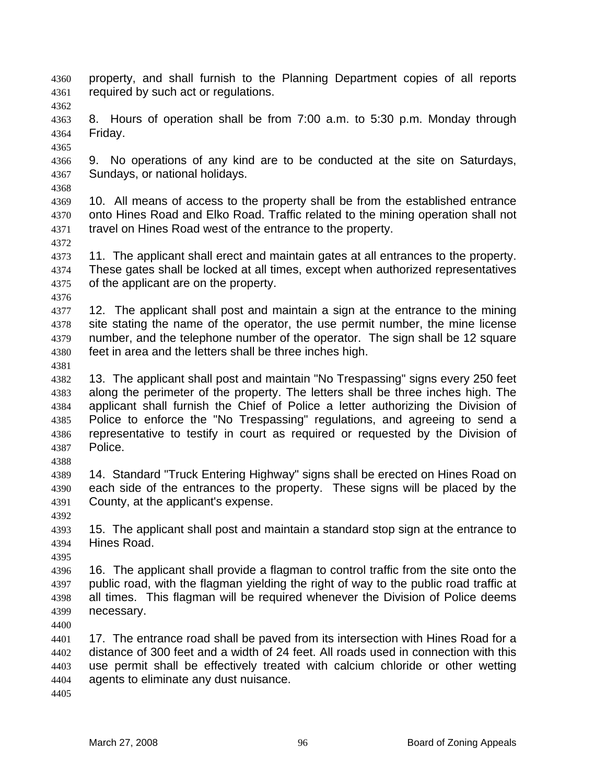- property, and shall furnish to the Planning Department copies of all reports required by such act or regulations.
- 

8. Hours of operation shall be from 7:00 a.m. to 5:30 p.m. Monday through Friday. 

- 9. No operations of any kind are to be conducted at the site on Saturdays, Sundays, or national holidays.
- 

10. All means of access to the property shall be from the established entrance onto Hines Road and Elko Road. Traffic related to the mining operation shall not travel on Hines Road west of the entrance to the property.

- 11. The applicant shall erect and maintain gates at all entrances to the property. These gates shall be locked at all times, except when authorized representatives of the applicant are on the property.
- 

4377 12. The applicant shall post and maintain a sign at the entrance to the mining 4378 site stating the name of the operator, the use permit number, the mine license number, and the telephone number of the operator. The sign shall be 12 square feet in area and the letters shall be three inches high.

- 
- 13. The applicant shall post and maintain "No Trespassing" signs every 250 feet along the perimeter of the property. The letters shall be three inches high. The applicant shall furnish the Chief of Police a letter authorizing the Division of Police to enforce the "No Trespassing" regulations, and agreeing to send a representative to testify in court as required or requested by the Division of Police.
- 

14. Standard "Truck Entering Highway" signs shall be erected on Hines Road on each side of the entrances to the property. These signs will be placed by the County, at the applicant's expense.

- 
- 15. The applicant shall post and maintain a standard stop sign at the entrance to Hines Road.
- 

16. The applicant shall provide a flagman to control traffic from the site onto the public road, with the flagman yielding the right of way to the public road traffic at all times. This flagman will be required whenever the Division of Police deems necessary.

17. The entrance road shall be paved from its intersection with Hines Road for a distance of 300 feet and a width of 24 feet. All roads used in connection with this use permit shall be effectively treated with calcium chloride or other wetting agents to eliminate any dust nuisance.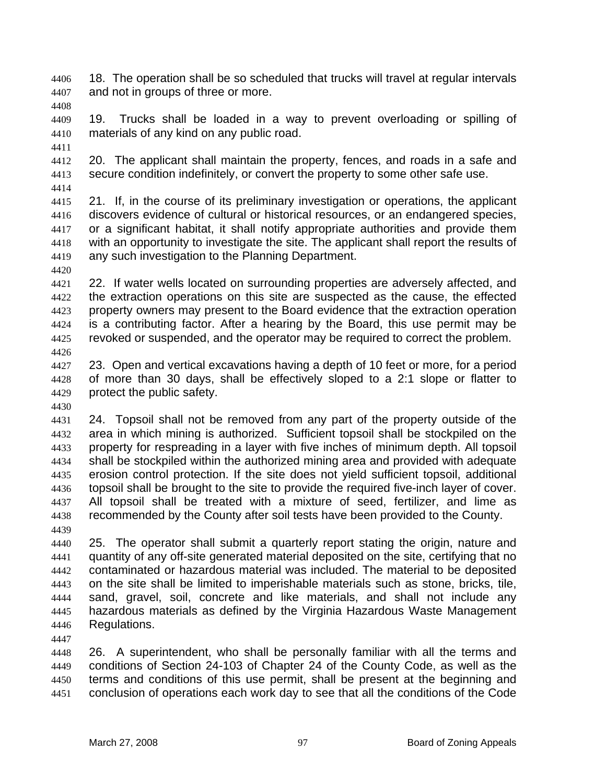18. The operation shall be so scheduled that trucks will travel at regular intervals and not in groups of three or more.

19. Trucks shall be loaded in a way to prevent overloading or spilling of materials of any kind on any public road.

20. The applicant shall maintain the property, fences, and roads in a safe and secure condition indefinitely, or convert the property to some other safe use.

21. If, in the course of its preliminary investigation or operations, the applicant discovers evidence of cultural or historical resources, or an endangered species, or a significant habitat, it shall notify appropriate authorities and provide them with an opportunity to investigate the site. The applicant shall report the results of any such investigation to the Planning Department.

22. If water wells located on surrounding properties are adversely affected, and the extraction operations on this site are suspected as the cause, the effected property owners may present to the Board evidence that the extraction operation is a contributing factor. After a hearing by the Board, this use permit may be revoked or suspended, and the operator may be required to correct the problem. 

23. Open and vertical excavations having a depth of 10 feet or more, for a period of more than 30 days, shall be effectively sloped to a 2:1 slope or flatter to protect the public safety.

24. Topsoil shall not be removed from any part of the property outside of the area in which mining is authorized. Sufficient topsoil shall be stockpiled on the property for respreading in a layer with five inches of minimum depth. All topsoil shall be stockpiled within the authorized mining area and provided with adequate erosion control protection. If the site does not yield sufficient topsoil, additional topsoil shall be brought to the site to provide the required five-inch layer of cover. All topsoil shall be treated with a mixture of seed, fertilizer, and lime as recommended by the County after soil tests have been provided to the County.

25. The operator shall submit a quarterly report stating the origin, nature and quantity of any off-site generated material deposited on the site, certifying that no contaminated or hazardous material was included. The material to be deposited on the site shall be limited to imperishable materials such as stone, bricks, tile, sand, gravel, soil, concrete and like materials, and shall not include any hazardous materials as defined by the Virginia Hazardous Waste Management Regulations.

26. A superintendent, who shall be personally familiar with all the terms and conditions of Section 24-103 of Chapter 24 of the County Code, as well as the terms and conditions of this use permit, shall be present at the beginning and conclusion of operations each work day to see that all the conditions of the Code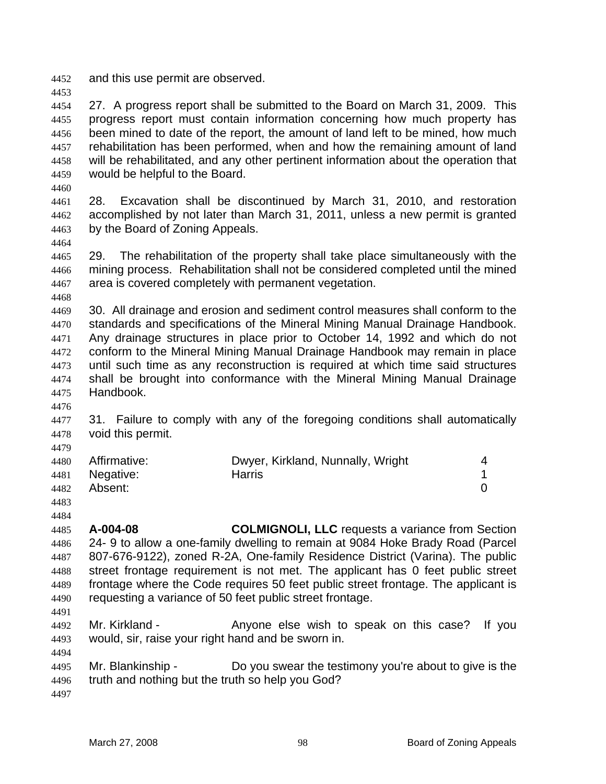and this use permit are observed.

27. A progress report shall be submitted to the Board on March 31, 2009. This progress report must contain information concerning how much property has been mined to date of the report, the amount of land left to be mined, how much rehabilitation has been performed, when and how the remaining amount of land will be rehabilitated, and any other pertinent information about the operation that would be helpful to the Board.

28. Excavation shall be discontinued by March 31, 2010, and restoration accomplished by not later than March 31, 2011, unless a new permit is granted by the Board of Zoning Appeals.

29. The rehabilitation of the property shall take place simultaneously with the mining process. Rehabilitation shall not be considered completed until the mined area is covered completely with permanent vegetation.

30. All drainage and erosion and sediment control measures shall conform to the standards and specifications of the Mineral Mining Manual Drainage Handbook. Any drainage structures in place prior to October 14, 1992 and which do not conform to the Mineral Mining Manual Drainage Handbook may remain in place until such time as any reconstruction is required at which time said structures shall be brought into conformance with the Mineral Mining Manual Drainage Handbook.

4477 31. Failure to comply with any of the foregoing conditions shall automatically void this permit.

| 4480 Affirmative: | Dwyer, Kirkland, Nunnally, Wright |  |
|-------------------|-----------------------------------|--|
| 4481 Negative:    | Harris                            |  |
| 4482 Absent:      |                                   |  |

 

**A-004-08 COLMIGNOLI, LLC** requests a variance from Section 24- 9 to allow a one-family dwelling to remain at 9084 Hoke Brady Road (Parcel 807-676-9122), zoned R-2A, One-family Residence District (Varina). The public street frontage requirement is not met. The applicant has 0 feet public street frontage where the Code requires 50 feet public street frontage. The applicant is requesting a variance of 50 feet public street frontage.

Mr. Kirkland - Anyone else wish to speak on this case? If you would, sir, raise your right hand and be sworn in. 

Mr. Blankinship - Do you swear the testimony you're about to give is the truth and nothing but the truth so help you God?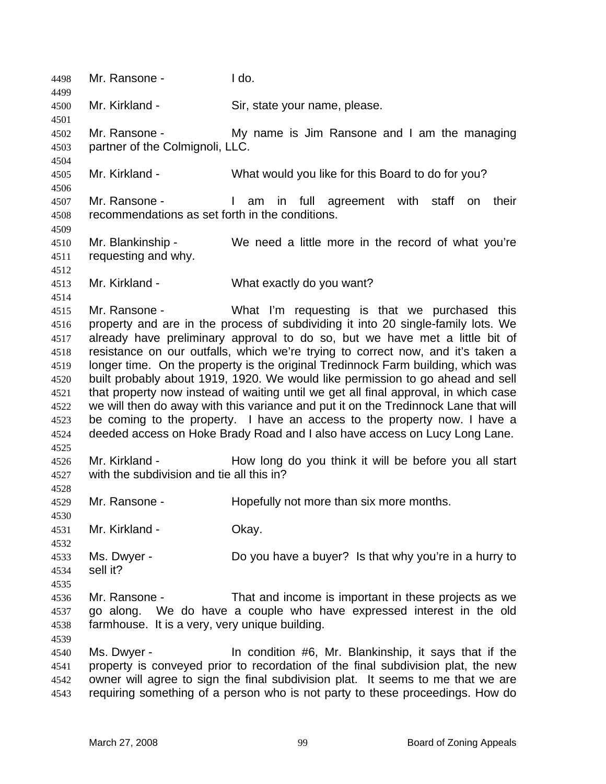Mr. Ransone - I do. Mr. Kirkland - Sir, state your name, please. Mr. Ransone - My name is Jim Ransone and I am the managing partner of the Colmignoli, LLC. Mr. Kirkland - What would you like for this Board to do for you? Mr. Ransone - I am in full agreement with staff on their recommendations as set forth in the conditions. Mr. Blankinship - We need a little more in the record of what you're requesting and why. Mr. Kirkland - What exactly do you want? Mr. Ransone - What I'm requesting is that we purchased this property and are in the process of subdividing it into 20 single-family lots. We already have preliminary approval to do so, but we have met a little bit of resistance on our outfalls, which we're trying to correct now, and it's taken a longer time. On the property is the original Tredinnock Farm building, which was built probably about 1919, 1920. We would like permission to go ahead and sell that property now instead of waiting until we get all final approval, in which case we will then do away with this variance and put it on the Tredinnock Lane that will be coming to the property. I have an access to the property now. I have a deeded access on Hoke Brady Road and I also have access on Lucy Long Lane. Mr. Kirkland - How long do you think it will be before you all start with the subdivision and tie all this in? Mr. Ransone - Hopefully not more than six more months. Mr. Kirkland - Okay. Ms. Dwyer - Do you have a buyer? Is that why you're in a hurry to sell it? Mr. Ransone - That and income is important in these projects as we go along. We do have a couple who have expressed interest in the old farmhouse. It is a very, very unique building. Ms. Dwyer - In condition #6, Mr. Blankinship, it says that if the property is conveyed prior to recordation of the final subdivision plat, the new owner will agree to sign the final subdivision plat. It seems to me that we are requiring something of a person who is not party to these proceedings. How do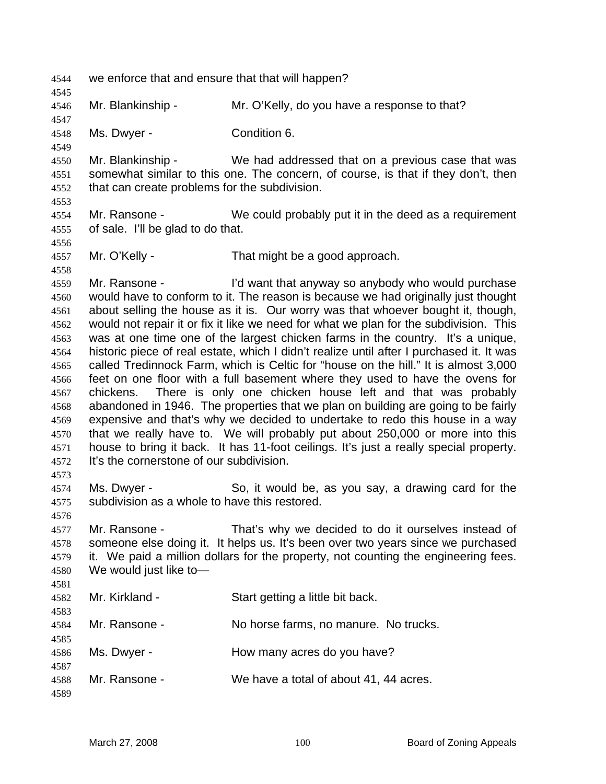we enforce that and ensure that that will happen? Mr. Blankinship - Mr. O'Kelly, do you have a response to that? Ms. Dwyer - Condition 6. Mr. Blankinship - We had addressed that on a previous case that was somewhat similar to this one. The concern, of course, is that if they don't, then that can create problems for the subdivision. Mr. Ransone - We could probably put it in the deed as a requirement of sale. I'll be glad to do that. Mr. O'Kelly - That might be a good approach. Mr. Ransone - I'd want that anyway so anybody who would purchase would have to conform to it. The reason is because we had originally just thought about selling the house as it is. Our worry was that whoever bought it, though, would not repair it or fix it like we need for what we plan for the subdivision. This was at one time one of the largest chicken farms in the country. It's a unique, historic piece of real estate, which I didn't realize until after I purchased it. It was called Tredinnock Farm, which is Celtic for "house on the hill." It is almost 3,000 feet on one floor with a full basement where they used to have the ovens for chickens. There is only one chicken house left and that was probably abandoned in 1946. The properties that we plan on building are going to be fairly expensive and that's why we decided to undertake to redo this house in a way that we really have to. We will probably put about 250,000 or more into this house to bring it back. It has 11-foot ceilings. It's just a really special property. It's the cornerstone of our subdivision. Ms. Dwyer - So, it would be, as you say, a drawing card for the subdivision as a whole to have this restored. Mr. Ransone - That's why we decided to do it ourselves instead of someone else doing it. It helps us. It's been over two years since we purchased it. We paid a million dollars for the property, not counting the engineering fees. We would just like to— Mr. Kirkland - Start getting a little bit back. Mr. Ransone - No horse farms, no manure. No trucks. 4586 Ms. Dwyer - How many acres do you have? Mr. Ransone - We have a total of about 41, 44 acres.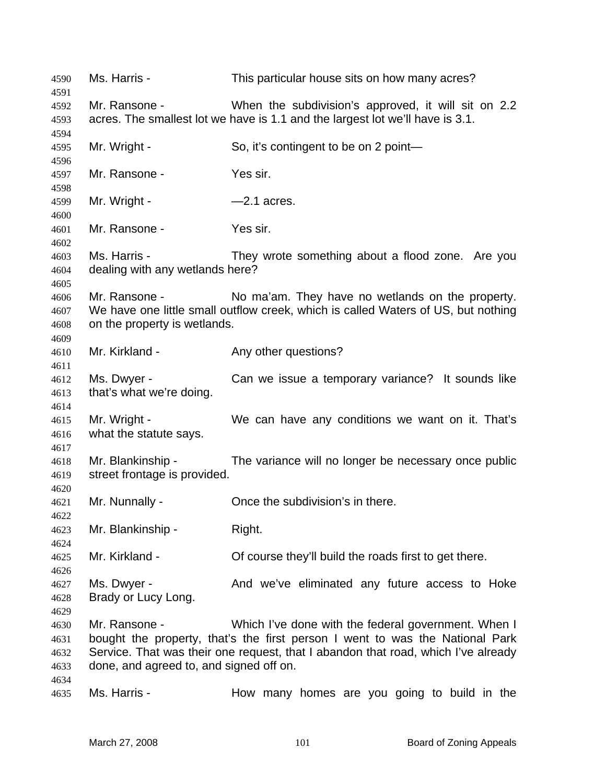| 4590                         | Ms. Harris -                                             | This particular house sits on how many acres?                                                                                                                                                                            |
|------------------------------|----------------------------------------------------------|--------------------------------------------------------------------------------------------------------------------------------------------------------------------------------------------------------------------------|
| 4591                         | Mr. Ransone -                                            | When the subdivision's approved, it will sit on 2.2                                                                                                                                                                      |
| 4592<br>4593                 |                                                          | acres. The smallest lot we have is 1.1 and the largest lot we'll have is 3.1.                                                                                                                                            |
| 4594<br>4595<br>4596         | Mr. Wright -                                             | So, it's contingent to be on 2 point-                                                                                                                                                                                    |
| 4597<br>4598                 | Mr. Ransone -                                            | Yes sir.                                                                                                                                                                                                                 |
| 4599<br>4600                 | Mr. Wright -                                             | $-2.1$ acres.                                                                                                                                                                                                            |
| 4601<br>4602                 | Mr. Ransone -                                            | Yes sir.                                                                                                                                                                                                                 |
| 4603<br>4604<br>4605         | Ms. Harris -<br>dealing with any wetlands here?          | They wrote something about a flood zone. Are you                                                                                                                                                                         |
| 4606<br>4607<br>4608<br>4609 | Mr. Ransone -<br>on the property is wetlands.            | No ma'am. They have no wetlands on the property.<br>We have one little small outflow creek, which is called Waters of US, but nothing                                                                                    |
| 4610<br>4611                 | Mr. Kirkland -                                           | Any other questions?                                                                                                                                                                                                     |
| 4612<br>4613<br>4614         | Ms. Dwyer -<br>that's what we're doing.                  | Can we issue a temporary variance? It sounds like                                                                                                                                                                        |
| 4615<br>4616                 | Mr. Wright -<br>what the statute says.                   | We can have any conditions we want on it. That's                                                                                                                                                                         |
| 4617<br>4618<br>4619         | Mr. Blankinship -<br>street frontage is provided.        | The variance will no longer be necessary once public                                                                                                                                                                     |
| 4620<br>4621<br>4622         | Mr. Nunnally -                                           | Once the subdivision's in there.                                                                                                                                                                                         |
| 4623<br>4624                 | Mr. Blankinship -                                        | Right.                                                                                                                                                                                                                   |
| 4625<br>4626                 | Mr. Kirkland -                                           | Of course they'll build the roads first to get there.                                                                                                                                                                    |
| 4627<br>4628<br>4629         | Ms. Dwyer -<br>Brady or Lucy Long.                       | And we've eliminated any future access to Hoke                                                                                                                                                                           |
| 4630<br>4631<br>4632<br>4633 | Mr. Ransone -<br>done, and agreed to, and signed off on. | Which I've done with the federal government. When I<br>bought the property, that's the first person I went to was the National Park<br>Service. That was their one request, that I abandon that road, which I've already |
| 4634<br>4635                 | Ms. Harris -                                             | How many homes are you going to build in the                                                                                                                                                                             |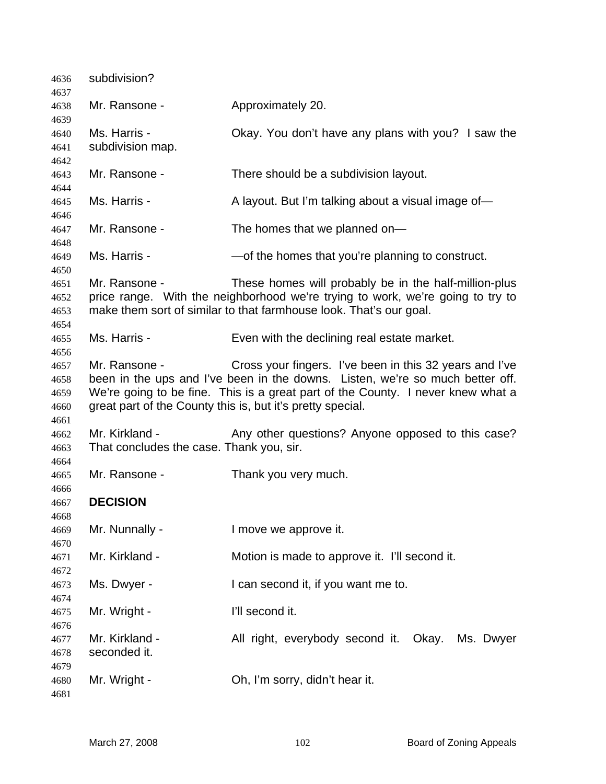| 4636                                 | subdivision?                                               |                                                                                                                                                                                                                                                                                           |
|--------------------------------------|------------------------------------------------------------|-------------------------------------------------------------------------------------------------------------------------------------------------------------------------------------------------------------------------------------------------------------------------------------------|
| 4637<br>4638                         | Mr. Ransone -                                              | Approximately 20.                                                                                                                                                                                                                                                                         |
| 4639<br>4640<br>4641                 | Ms. Harris -<br>subdivision map.                           | Okay. You don't have any plans with you? I saw the                                                                                                                                                                                                                                        |
| 4642<br>4643                         | Mr. Ransone -                                              | There should be a subdivision layout.                                                                                                                                                                                                                                                     |
| 4644<br>4645                         | Ms. Harris -                                               | A layout. But I'm talking about a visual image of-                                                                                                                                                                                                                                        |
| 4646<br>4647                         | Mr. Ransone -                                              | The homes that we planned on-                                                                                                                                                                                                                                                             |
| 4648<br>4649                         | Ms. Harris -                                               | -of the homes that you're planning to construct.                                                                                                                                                                                                                                          |
| 4650<br>4651<br>4652<br>4653         | Mr. Ransone -                                              | These homes will probably be in the half-million-plus<br>price range. With the neighborhood we're trying to work, we're going to try to<br>make them sort of similar to that farmhouse look. That's our goal.                                                                             |
| 4654<br>4655<br>4656                 | Ms. Harris -                                               | Even with the declining real estate market.                                                                                                                                                                                                                                               |
| 4657<br>4658<br>4659<br>4660<br>4661 | Mr. Ransone -                                              | Cross your fingers. I've been in this 32 years and I've<br>been in the ups and I've been in the downs. Listen, we're so much better off.<br>We're going to be fine. This is a great part of the County. I never knew what a<br>great part of the County this is, but it's pretty special. |
| 4662<br>4663                         | Mr. Kirkland -<br>That concludes the case. Thank you, sir. | Any other questions? Anyone opposed to this case?                                                                                                                                                                                                                                         |
| 4664<br>4665                         | Mr. Ransone -                                              | Thank you very much.                                                                                                                                                                                                                                                                      |
| 4666<br>4667                         | <b>DECISION</b>                                            |                                                                                                                                                                                                                                                                                           |
| 4668<br>4669                         | Mr. Nunnally -                                             | I move we approve it.                                                                                                                                                                                                                                                                     |
| 4670<br>4671                         | Mr. Kirkland -                                             | Motion is made to approve it. I'll second it.                                                                                                                                                                                                                                             |
| 4672<br>4673                         | Ms. Dwyer -                                                | I can second it, if you want me to.                                                                                                                                                                                                                                                       |
| 4674<br>4675                         | Mr. Wright -                                               | I'll second it.                                                                                                                                                                                                                                                                           |
| 4676<br>4677<br>4678                 | Mr. Kirkland -<br>seconded it.                             | All right, everybody second it. Okay. Ms. Dwyer                                                                                                                                                                                                                                           |
| 4679<br>4680<br>4681                 | Mr. Wright -                                               | Oh, I'm sorry, didn't hear it.                                                                                                                                                                                                                                                            |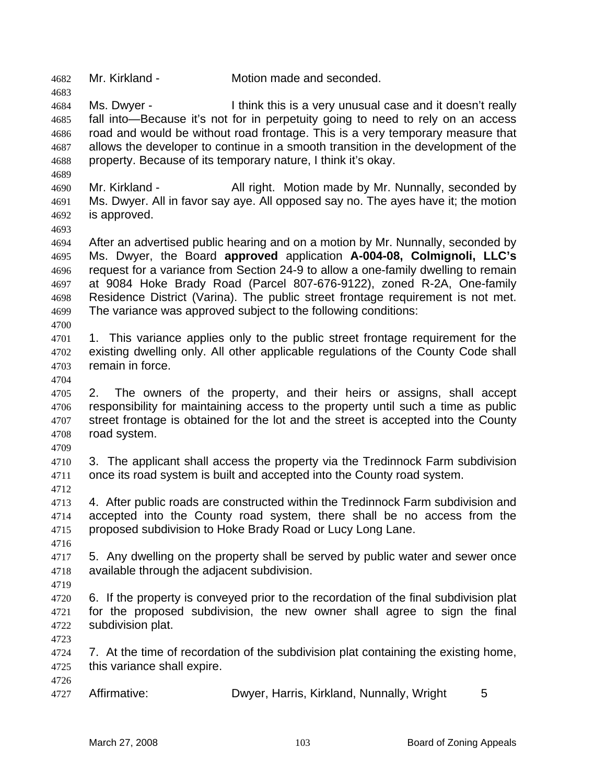Mr. Kirkland - Motion made and seconded.

Ms. Dwyer - I think this is a very unusual case and it doesn't really fall into—Because it's not for in perpetuity going to need to rely on an access road and would be without road frontage. This is a very temporary measure that allows the developer to continue in a smooth transition in the development of the property. Because of its temporary nature, I think it's okay.

Mr. Kirkland - All right. Motion made by Mr. Nunnally, seconded by Ms. Dwyer. All in favor say aye. All opposed say no. The ayes have it; the motion is approved.

After an advertised public hearing and on a motion by Mr. Nunnally, seconded by Ms. Dwyer, the Board **approved** application **A-004-08, Colmignoli, LLC's** request for a variance from Section 24-9 to allow a one-family dwelling to remain at 9084 Hoke Brady Road (Parcel 807-676-9122), zoned R-2A, One-family Residence District (Varina). The public street frontage requirement is not met. The variance was approved subject to the following conditions:

- 4701 1. This variance applies only to the public street frontage requirement for the existing dwelling only. All other applicable regulations of the County Code shall remain in force.
- 

2. The owners of the property, and their heirs or assigns, shall accept responsibility for maintaining access to the property until such a time as public 4707 street frontage is obtained for the lot and the street is accepted into the County road system.

3. The applicant shall access the property via the Tredinnock Farm subdivision once its road system is built and accepted into the County road system.

4. After public roads are constructed within the Tredinnock Farm subdivision and accepted into the County road system, there shall be no access from the proposed subdivision to Hoke Brady Road or Lucy Long Lane.

5. Any dwelling on the property shall be served by public water and sewer once available through the adjacent subdivision.

6. If the property is conveyed prior to the recordation of the final subdivision plat for the proposed subdivision, the new owner shall agree to sign the final subdivision plat.

7. At the time of recordation of the subdivision plat containing the existing home, this variance shall expire. 

Affirmative: Dwyer, Harris, Kirkland, Nunnally, Wright 5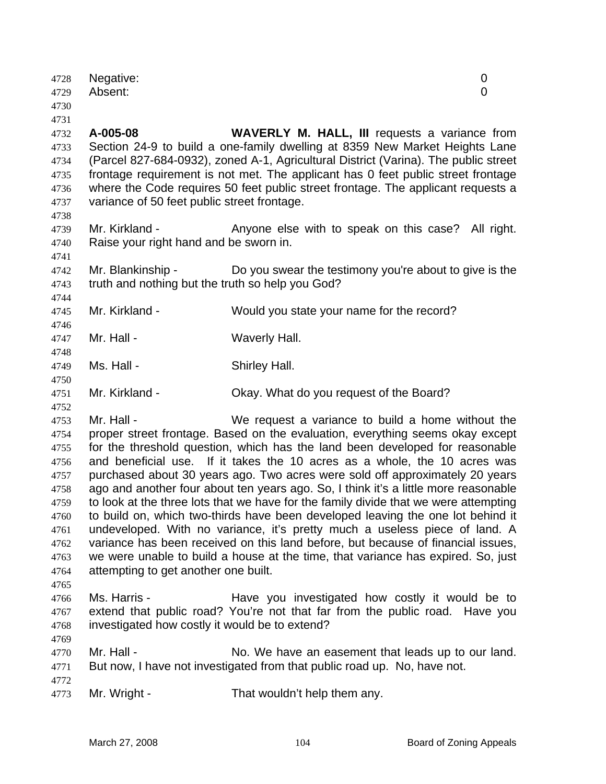| 4728<br>4729<br>4730                                                                                 | Negative:<br>Absent:                                                      |                                                                                                                                                                                                                                                                                                                                                                                                                                                                                                                                                                                                                                                                                                                                                                                                                                                                                     | 0<br>$\overline{0}$ |
|------------------------------------------------------------------------------------------------------|---------------------------------------------------------------------------|-------------------------------------------------------------------------------------------------------------------------------------------------------------------------------------------------------------------------------------------------------------------------------------------------------------------------------------------------------------------------------------------------------------------------------------------------------------------------------------------------------------------------------------------------------------------------------------------------------------------------------------------------------------------------------------------------------------------------------------------------------------------------------------------------------------------------------------------------------------------------------------|---------------------|
| 4731<br>4732<br>4733<br>4734<br>4735<br>4736<br>4737                                                 | A-005-08<br>variance of 50 feet public street frontage.                   | WAVERLY M. HALL, III requests a variance from<br>Section 24-9 to build a one-family dwelling at 8359 New Market Heights Lane<br>(Parcel 827-684-0932), zoned A-1, Agricultural District (Varina). The public street<br>frontage requirement is not met. The applicant has 0 feet public street frontage<br>where the Code requires 50 feet public street frontage. The applicant requests a                                                                                                                                                                                                                                                                                                                                                                                                                                                                                         |                     |
| 4738<br>4739<br>4740                                                                                 | Mr. Kirkland -<br>Raise your right hand and be sworn in.                  | Anyone else with to speak on this case? All right.                                                                                                                                                                                                                                                                                                                                                                                                                                                                                                                                                                                                                                                                                                                                                                                                                                  |                     |
| 4741<br>4742<br>4743                                                                                 | Mr. Blankinship -<br>truth and nothing but the truth so help you God?     | Do you swear the testimony you're about to give is the                                                                                                                                                                                                                                                                                                                                                                                                                                                                                                                                                                                                                                                                                                                                                                                                                              |                     |
| 4744<br>4745                                                                                         | Mr. Kirkland -                                                            | Would you state your name for the record?                                                                                                                                                                                                                                                                                                                                                                                                                                                                                                                                                                                                                                                                                                                                                                                                                                           |                     |
| 4746<br>4747                                                                                         | Mr. Hall -                                                                | Waverly Hall.                                                                                                                                                                                                                                                                                                                                                                                                                                                                                                                                                                                                                                                                                                                                                                                                                                                                       |                     |
| 4748<br>4749                                                                                         | Ms. Hall -                                                                | Shirley Hall.                                                                                                                                                                                                                                                                                                                                                                                                                                                                                                                                                                                                                                                                                                                                                                                                                                                                       |                     |
| 4750<br>4751                                                                                         | Mr. Kirkland -                                                            | Okay. What do you request of the Board?                                                                                                                                                                                                                                                                                                                                                                                                                                                                                                                                                                                                                                                                                                                                                                                                                                             |                     |
| 4752<br>4753<br>4754<br>4755<br>4756<br>4757<br>4758<br>4759<br>4760<br>4761<br>4762<br>4763<br>4764 | Mr. Hall -<br>and beneficial use.<br>attempting to get another one built. | We request a variance to build a home without the<br>proper street frontage. Based on the evaluation, everything seems okay except<br>for the threshold question, which has the land been developed for reasonable<br>If it takes the 10 acres as a whole, the 10 acres was<br>purchased about 30 years ago. Two acres were sold off approximately 20 years<br>ago and another four about ten years ago. So, I think it's a little more reasonable<br>to look at the three lots that we have for the family divide that we were attempting<br>to build on, which two-thirds have been developed leaving the one lot behind it<br>undeveloped. With no variance, it's pretty much a useless piece of land. A<br>variance has been received on this land before, but because of financial issues,<br>we were unable to build a house at the time, that variance has expired. So, just |                     |
| 4765<br>4766<br>4767<br>4768                                                                         | Ms. Harris -<br>investigated how costly it would be to extend?            | Have you investigated how costly it would be to<br>extend that public road? You're not that far from the public road. Have you                                                                                                                                                                                                                                                                                                                                                                                                                                                                                                                                                                                                                                                                                                                                                      |                     |
| 4769<br>4770<br>4771                                                                                 | Mr. Hall -                                                                | No. We have an easement that leads up to our land.<br>But now, I have not investigated from that public road up. No, have not.                                                                                                                                                                                                                                                                                                                                                                                                                                                                                                                                                                                                                                                                                                                                                      |                     |
| 4772<br>4773                                                                                         | Mr. Wright -                                                              | That wouldn't help them any.                                                                                                                                                                                                                                                                                                                                                                                                                                                                                                                                                                                                                                                                                                                                                                                                                                                        |                     |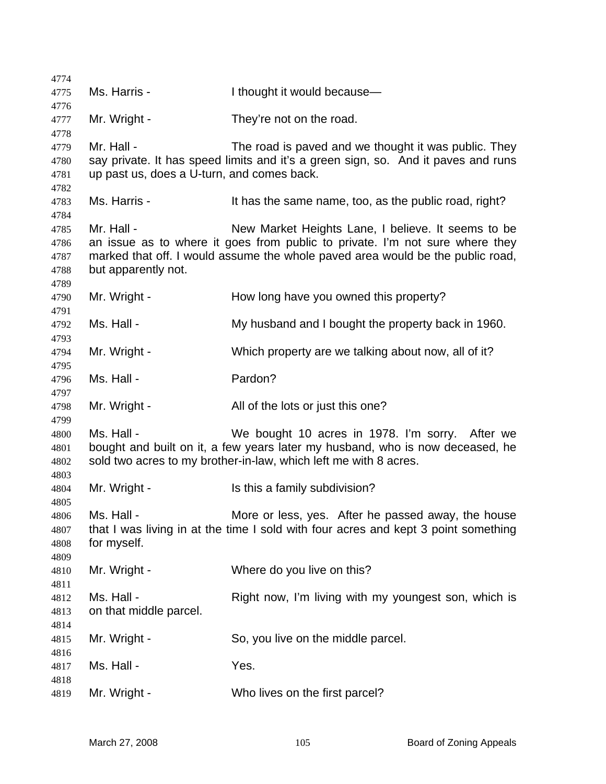| 4774                 |                                            |                                                                                                                                                   |
|----------------------|--------------------------------------------|---------------------------------------------------------------------------------------------------------------------------------------------------|
| 4775                 | Ms. Harris -                               | I thought it would because-                                                                                                                       |
| 4776<br>4777         | Mr. Wright -                               | They're not on the road.                                                                                                                          |
| 4778                 |                                            |                                                                                                                                                   |
| 4779                 | Mr. Hall -                                 | The road is paved and we thought it was public. They                                                                                              |
| 4780                 |                                            | say private. It has speed limits and it's a green sign, so. And it paves and runs                                                                 |
| 4781<br>4782         | up past us, does a U-turn, and comes back. |                                                                                                                                                   |
| 4783<br>4784         | Ms. Harris -                               | It has the same name, too, as the public road, right?                                                                                             |
| 4785                 | Mr. Hall -                                 | New Market Heights Lane, I believe. It seems to be                                                                                                |
| 4786                 |                                            | an issue as to where it goes from public to private. I'm not sure where they                                                                      |
| 4787                 |                                            | marked that off. I would assume the whole paved area would be the public road,                                                                    |
| 4788<br>4789         | but apparently not.                        |                                                                                                                                                   |
| 4790<br>4791         | Mr. Wright -                               | How long have you owned this property?                                                                                                            |
| 4792<br>4793         | Ms. Hall -                                 | My husband and I bought the property back in 1960.                                                                                                |
| 4794<br>4795         | Mr. Wright -                               | Which property are we talking about now, all of it?                                                                                               |
| 4796<br>4797         | Ms. Hall -                                 | Pardon?                                                                                                                                           |
| 4798                 | Mr. Wright -                               | All of the lots or just this one?                                                                                                                 |
| 4799<br>4800         | Ms. Hall -                                 | We bought 10 acres in 1978. I'm sorry. After we                                                                                                   |
| 4801<br>4802         |                                            | bought and built on it, a few years later my husband, who is now deceased, he<br>sold two acres to my brother-in-law, which left me with 8 acres. |
| 4803<br>4804         | Mr. Wright -                               | Is this a family subdivision?                                                                                                                     |
| 4805<br>4806<br>4807 | Ms. Hall -                                 | More or less, yes. After he passed away, the house<br>that I was living in at the time I sold with four acres and kept 3 point something          |
| 4808                 | for myself.                                |                                                                                                                                                   |
| 4809<br>4810         | Mr. Wright -                               | Where do you live on this?                                                                                                                        |
| 4811                 |                                            |                                                                                                                                                   |
| 4812                 | Ms. Hall -                                 | Right now, I'm living with my youngest son, which is                                                                                              |
| 4813                 | on that middle parcel.                     |                                                                                                                                                   |
| 4814                 |                                            |                                                                                                                                                   |
| 4815<br>4816         | Mr. Wright -                               | So, you live on the middle parcel.                                                                                                                |
| 4817                 | Ms. Hall -                                 | Yes.                                                                                                                                              |
| 4818                 |                                            |                                                                                                                                                   |
| 4819                 | Mr. Wright -                               | Who lives on the first parcel?                                                                                                                    |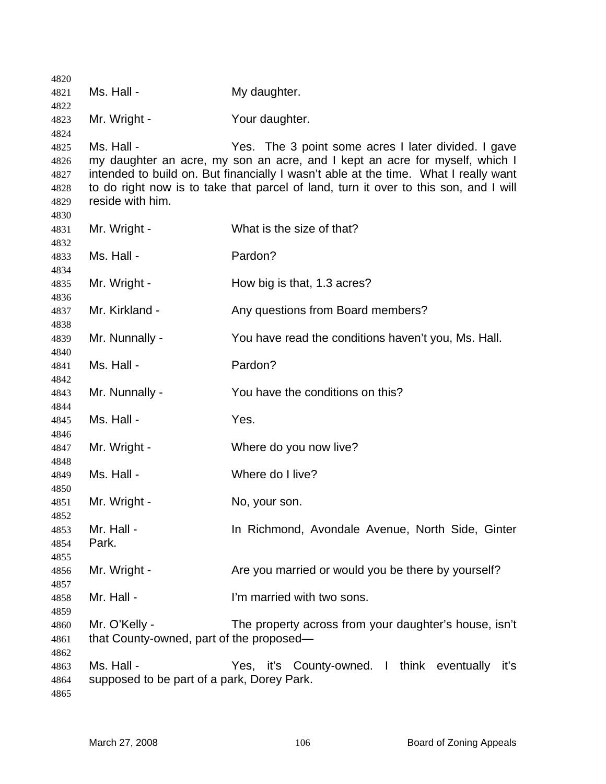| 4820         |                                            |                                                                                      |
|--------------|--------------------------------------------|--------------------------------------------------------------------------------------|
| 4821         | Ms. Hall -                                 | My daughter.                                                                         |
| 4822         |                                            |                                                                                      |
| 4823<br>4824 | Mr. Wright -                               | Your daughter.                                                                       |
| 4825         | Ms. Hall -                                 | Yes. The 3 point some acres I later divided. I gave                                  |
| 4826         |                                            | my daughter an acre, my son an acre, and I kept an acre for myself, which I          |
| 4827         |                                            | intended to build on. But financially I wasn't able at the time. What I really want  |
| 4828         |                                            | to do right now is to take that parcel of land, turn it over to this son, and I will |
| 4829         | reside with him.                           |                                                                                      |
| 4830         |                                            |                                                                                      |
| 4831         | Mr. Wright -                               | What is the size of that?                                                            |
| 4832<br>4833 | Ms. Hall -                                 | Pardon?                                                                              |
| 4834         |                                            |                                                                                      |
| 4835         | Mr. Wright -                               | How big is that, 1.3 acres?                                                          |
| 4836         |                                            |                                                                                      |
| 4837         | Mr. Kirkland -                             | Any questions from Board members?                                                    |
| 4838         |                                            |                                                                                      |
| 4839         | Mr. Nunnally -                             | You have read the conditions haven't you, Ms. Hall.                                  |
| 4840         | Ms. Hall -                                 | Pardon?                                                                              |
| 4841<br>4842 |                                            |                                                                                      |
| 4843         | Mr. Nunnally -                             | You have the conditions on this?                                                     |
| 4844         |                                            |                                                                                      |
| 4845         | Ms. Hall -                                 | Yes.                                                                                 |
| 4846         |                                            |                                                                                      |
| 4847         | Mr. Wright -                               | Where do you now live?                                                               |
| 4848<br>4849 | Ms. Hall -                                 | Where do I live?                                                                     |
| 4850         |                                            |                                                                                      |
| 4851         | Mr. Wright -                               | No, your son.                                                                        |
| 4852         |                                            |                                                                                      |
| 4853         | Mr. Hall -                                 | In Richmond, Avondale Avenue, North Side, Ginter                                     |
| 4854         | Park.                                      |                                                                                      |
| 4855         |                                            |                                                                                      |
| 4856<br>4857 | Mr. Wright -                               | Are you married or would you be there by yourself?                                   |
| 4858         | Mr. Hall -                                 | I'm married with two sons.                                                           |
| 4859         |                                            |                                                                                      |
| 4860         | Mr. O'Kelly -                              | The property across from your daughter's house, isn't                                |
| 4861         | that County-owned, part of the proposed—   |                                                                                      |
| 4862         |                                            |                                                                                      |
| 4863         | Ms. Hall -                                 | Yes, it's County-owned. I think eventually<br>iť's                                   |
| 4864         | supposed to be part of a park, Dorey Park. |                                                                                      |
| 4865         |                                            |                                                                                      |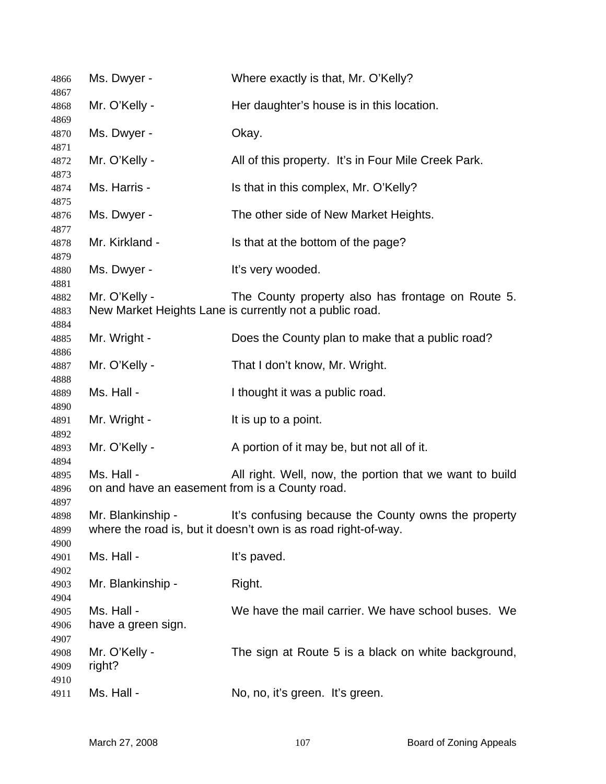| 4866                 | Ms. Dwyer -                                                  | Where exactly is that, Mr. O'Kelly?                                                                                   |
|----------------------|--------------------------------------------------------------|-----------------------------------------------------------------------------------------------------------------------|
| 4867<br>4868         | Mr. O'Kelly -                                                | Her daughter's house is in this location.                                                                             |
| 4869<br>4870         | Ms. Dwyer -                                                  | Okay.                                                                                                                 |
| 4871<br>4872         | Mr. O'Kelly -                                                | All of this property. It's in Four Mile Creek Park.                                                                   |
| 4873<br>4874         | Ms. Harris -                                                 | Is that in this complex, Mr. O'Kelly?                                                                                 |
| 4875<br>4876         | Ms. Dwyer -                                                  | The other side of New Market Heights.                                                                                 |
| 4877<br>4878         | Mr. Kirkland -                                               | Is that at the bottom of the page?                                                                                    |
| 4879<br>4880         | Ms. Dwyer -                                                  | It's very wooded.                                                                                                     |
| 4881<br>4882<br>4883 | Mr. O'Kelly -                                                | The County property also has frontage on Route 5.<br>New Market Heights Lane is currently not a public road.          |
| 4884<br>4885         | Mr. Wright -                                                 | Does the County plan to make that a public road?                                                                      |
| 4886<br>4887         | Mr. O'Kelly -                                                | That I don't know, Mr. Wright.                                                                                        |
| 4888<br>4889         | Ms. Hall -                                                   | I thought it was a public road.                                                                                       |
| 4890<br>4891         | Mr. Wright -                                                 | It is up to a point.                                                                                                  |
| 4892<br>4893         | Mr. O'Kelly -                                                | A portion of it may be, but not all of it.                                                                            |
| 4894<br>4895<br>4896 | Ms. Hall -<br>on and have an easement from is a County road. | All right. Well, now, the portion that we want to build                                                               |
| 4897<br>4898<br>4899 | Mr. Blankinship -                                            | It's confusing because the County owns the property<br>where the road is, but it doesn't own is as road right-of-way. |
| 4900<br>4901         | Ms. Hall -                                                   | It's paved.                                                                                                           |
| 4902<br>4903         | Mr. Blankinship -                                            | Right.                                                                                                                |
| 4904<br>4905<br>4906 | Ms. Hall -<br>have a green sign.                             | We have the mail carrier. We have school buses. We                                                                    |
| 4907<br>4908<br>4909 | Mr. O'Kelly -<br>right?                                      | The sign at Route 5 is a black on white background,                                                                   |
| 4910<br>4911         | Ms. Hall -                                                   | No, no, it's green. It's green.                                                                                       |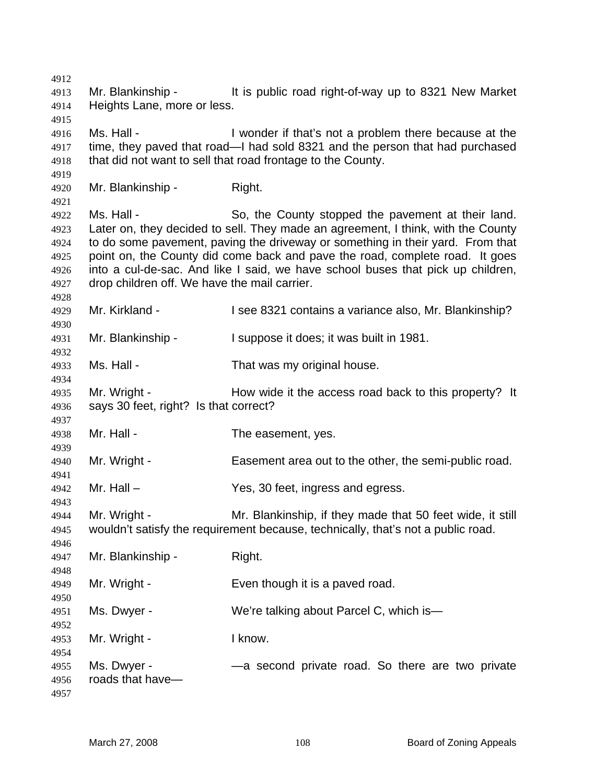Mr. Blankinship - It is public road right-of-way up to 8321 New Market Heights Lane, more or less. Ms. Hall - I wonder if that's not a problem there because at the time, they paved that road—I had sold 8321 and the person that had purchased that did not want to sell that road frontage to the County. Mr. Blankinship - Right. Ms. Hall - So, the County stopped the pavement at their land. Later on, they decided to sell. They made an agreement, I think, with the County to do some pavement, paving the driveway or something in their yard. From that point on, the County did come back and pave the road, complete road. It goes into a cul-de-sac. And like I said, we have school buses that pick up children, drop children off. We have the mail carrier. Mr. Kirkland - I see 8321 contains a variance also, Mr. Blankinship? Mr. Blankinship - I suppose it does; it was built in 1981. Ms. Hall - That was my original house. Mr. Wright - How wide it the access road back to this property? It says 30 feet, right? Is that correct? Mr. Hall - The easement, yes. Mr. Wright - Easement area out to the other, the semi-public road. Mr. Hall – Yes, 30 feet, ingress and egress. Mr. Wright - Mr. Blankinship, if they made that 50 feet wide, it still wouldn't satisfy the requirement because, technically, that's not a public road. Mr. Blankinship - Right. Mr. Wright - Even though it is a paved road. Ms. Dwyer - We're talking about Parcel C, which is— 4953 Mr. Wright - Iknow. Ms. Dwyer - —a second private road. So there are two private roads that have—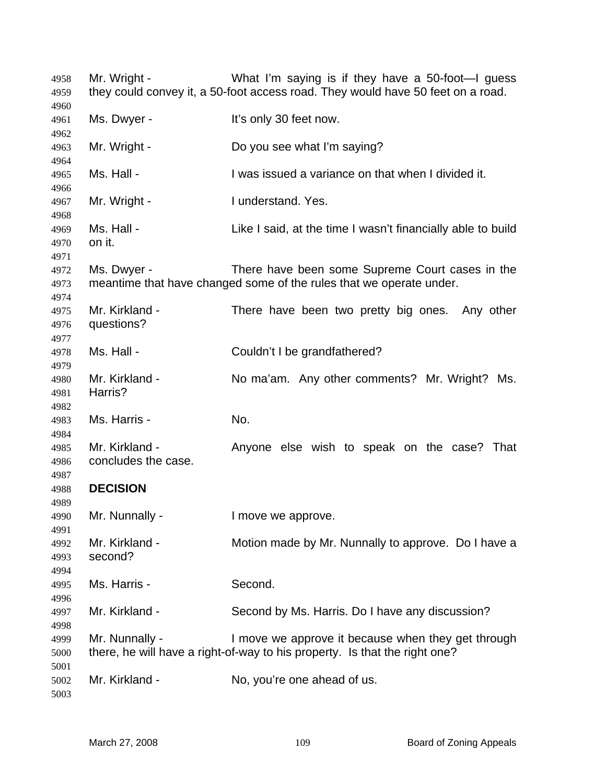Mr. Wright - What I'm saying is if they have a 50-foot—I guess 4959 they could convey it, a 50-foot access road. They would have 50 feet on a road. 4961 Ms. Dwyer - It's only 30 feet now. Mr. Wright - Do you see what I'm saying? Ms. Hall - I was issued a variance on that when I divided it. 4967 Mr. Wright - I understand. Yes. 4969 Ms. Hall - Like I said, at the time I wasn't financially able to build on it. Ms. Dwyer - There have been some Supreme Court cases in the meantime that have changed some of the rules that we operate under. Mr. Kirkland - There have been two pretty big ones. Any other questions? Ms. Hall - Couldn't I be grandfathered? Mr. Kirkland - No ma'am. Any other comments? Mr. Wright? Ms. Harris? Ms. Harris - No. Mr. Kirkland - Anyone else wish to speak on the case? That concludes the case. **DECISION**  Mr. Nunnally - I move we approve. Mr. Kirkland - Motion made by Mr. Nunnally to approve. Do I have a second? Ms. Harris - Second. Mr. Kirkland - Second by Ms. Harris. Do I have any discussion? Mr. Nunnally - I move we approve it because when they get through there, he will have a right-of-way to his property. Is that the right one? Mr. Kirkland - No, you're one ahead of us.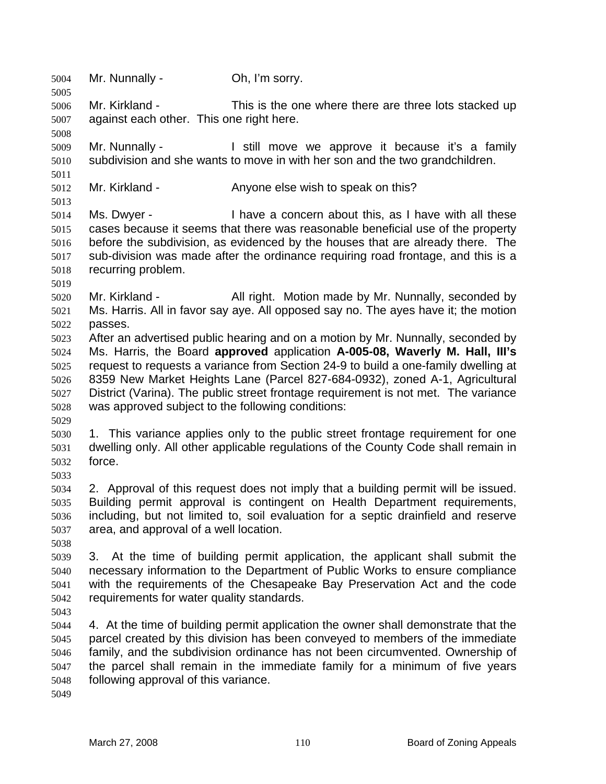Mr. Nunnally - Oh, I'm sorry. Mr. Kirkland - This is the one where there are three lots stacked up against each other. This one right here. Mr. Nunnally - I still move we approve it because it's a family subdivision and she wants to move in with her son and the two grandchildren. Mr. Kirkland - Anyone else wish to speak on this? Ms. Dwyer - I have a concern about this, as I have with all these cases because it seems that there was reasonable beneficial use of the property before the subdivision, as evidenced by the houses that are already there. The sub-division was made after the ordinance requiring road frontage, and this is a recurring problem. Mr. Kirkland - All right. Motion made by Mr. Nunnally, seconded by Ms. Harris. All in favor say aye. All opposed say no. The ayes have it; the motion passes. After an advertised public hearing and on a motion by Mr. Nunnally, seconded by Ms. Harris, the Board **approved** application **A-005-08, Waverly M. Hall, III's** request to requests a variance from Section 24-9 to build a one-family dwelling at 8359 New Market Heights Lane (Parcel 827-684-0932), zoned A-1, Agricultural District (Varina). The public street frontage requirement is not met. The variance was approved subject to the following conditions: 1. This variance applies only to the public street frontage requirement for one dwelling only. All other applicable regulations of the County Code shall remain in force. 2. Approval of this request does not imply that a building permit will be issued. Building permit approval is contingent on Health Department requirements, including, but not limited to, soil evaluation for a septic drainfield and reserve area, and approval of a well location. 3. At the time of building permit application, the applicant shall submit the necessary information to the Department of Public Works to ensure compliance with the requirements of the Chesapeake Bay Preservation Act and the code requirements for water quality standards. 4. At the time of building permit application the owner shall demonstrate that the parcel created by this division has been conveyed to members of the immediate family, and the subdivision ordinance has not been circumvented. Ownership of the parcel shall remain in the immediate family for a minimum of five years following approval of this variance.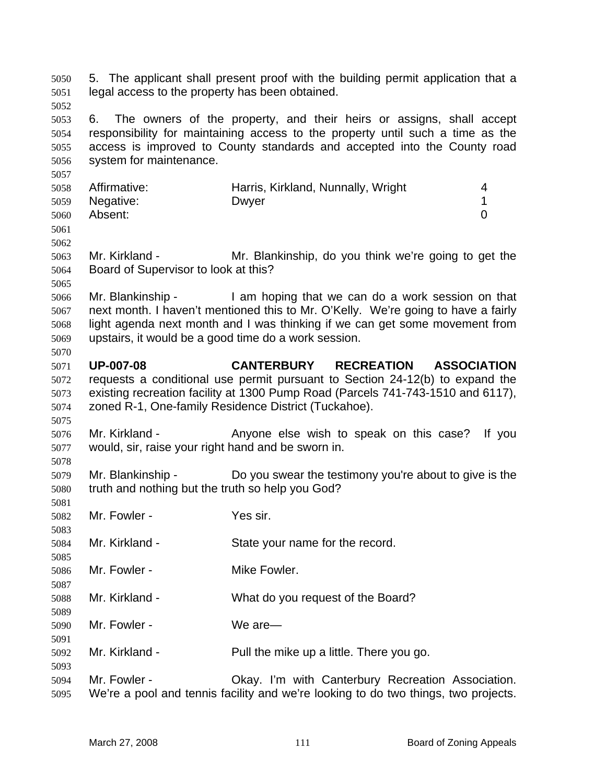5. The applicant shall present proof with the building permit application that a legal access to the property has been obtained. 6. The owners of the property, and their heirs or assigns, shall accept responsibility for maintaining access to the property until such a time as the access is improved to County standards and accepted into the County road system for maintenance. Affirmative: Harris, Kirkland, Nunnally, Wright 4 Negative: Dwyer 1 Absent: 0 Mr. Kirkland - Mr. Blankinship, do you think we're going to get the Board of Supervisor to look at this? Mr. Blankinship - I am hoping that we can do a work session on that next month. I haven't mentioned this to Mr. O'Kelly. We're going to have a fairly light agenda next month and I was thinking if we can get some movement from upstairs, it would be a good time do a work session. **UP-007-08 CANTERBURY RECREATION ASSOCIATION** requests a conditional use permit pursuant to Section 24-12(b) to expand the existing recreation facility at 1300 Pump Road (Parcels 741-743-1510 and 6117), zoned R-1, One-family Residence District (Tuckahoe). Mr. Kirkland - Anyone else wish to speak on this case? If you would, sir, raise your right hand and be sworn in. Mr. Blankinship - Do you swear the testimony you're about to give is the truth and nothing but the truth so help you God? Mr. Fowler - Yes sir. Mr. Kirkland - State your name for the record. Mr. Fowler - Mike Fowler. Mr. Kirkland - What do you request of the Board? Mr. Fowler - We are— Mr. Kirkland - Pull the mike up a little. There you go. Mr. Fowler - Okay. I'm with Canterbury Recreation Association. We're a pool and tennis facility and we're looking to do two things, two projects.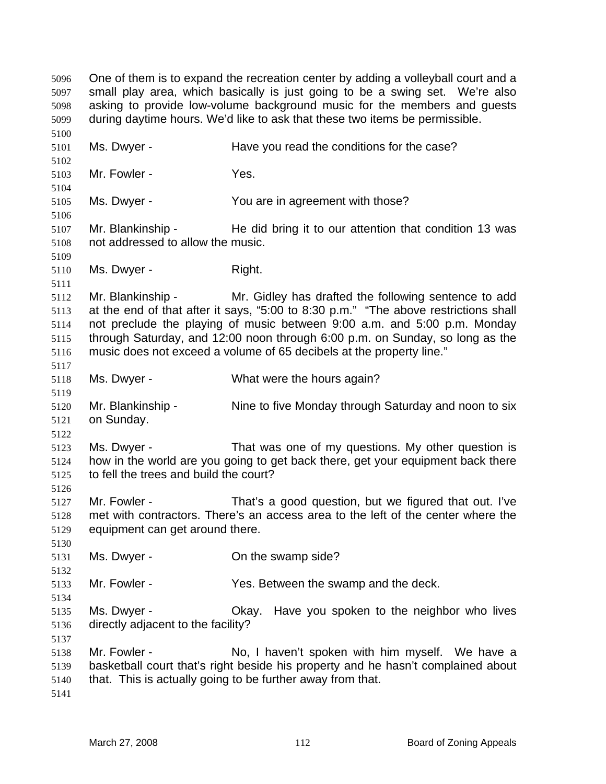One of them is to expand the recreation center by adding a volleyball court and a small play area, which basically is just going to be a swing set. We're also asking to provide low-volume background music for the members and guests during daytime hours. We'd like to ask that these two items be permissible. Ms. Dwyer - Have you read the conditions for the case? Mr. Fowler - Yes. Ms. Dwyer - You are in agreement with those? 5107 Mr. Blankinship - He did bring it to our attention that condition 13 was not addressed to allow the music. 5110 Ms. Dwyer - Right. Mr. Blankinship - Mr. Gidley has drafted the following sentence to add at the end of that after it says, "5:00 to 8:30 p.m." "The above restrictions shall not preclude the playing of music between 9:00 a.m. and 5:00 p.m. Monday through Saturday, and 12:00 noon through 6:00 p.m. on Sunday, so long as the music does not exceed a volume of 65 decibels at the property line." Ms. Dwyer - What were the hours again? Mr. Blankinship - Nine to five Monday through Saturday and noon to six on Sunday. Ms. Dwyer - That was one of my questions. My other question is how in the world are you going to get back there, get your equipment back there to fell the trees and build the court? Mr. Fowler - That's a good question, but we figured that out. I've met with contractors. There's an access area to the left of the center where the equipment can get around there. Ms. Dwyer - On the swamp side? Mr. Fowler - Yes. Between the swamp and the deck. Ms. Dwyer - Okay. Have you spoken to the neighbor who lives directly adjacent to the facility? Mr. Fowler - No, I haven't spoken with him myself. We have a basketball court that's right beside his property and he hasn't complained about that. This is actually going to be further away from that.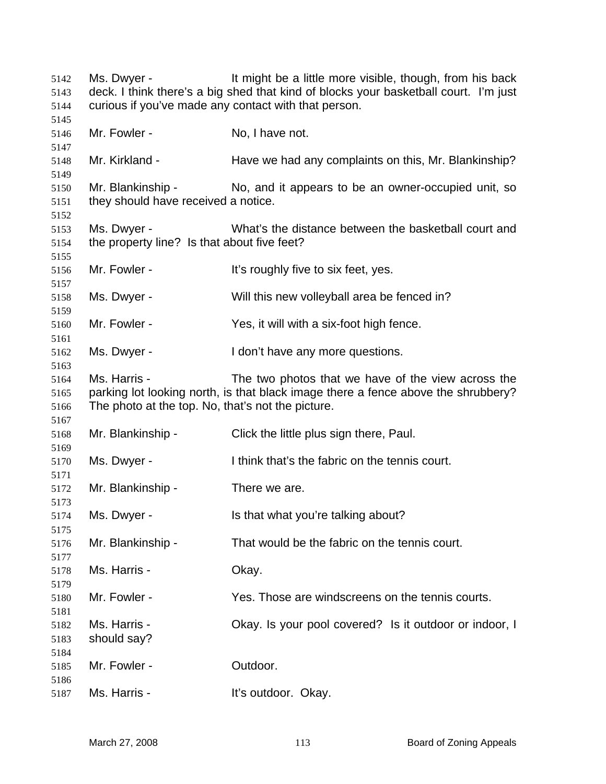Ms. Dwyer - It might be a little more visible, though, from his back deck. I think there's a big shed that kind of blocks your basketball court. I'm just curious if you've made any contact with that person. Mr. Fowler - No, I have not. Mr. Kirkland - Have we had any complaints on this, Mr. Blankinship? Mr. Blankinship - No, and it appears to be an owner-occupied unit, so they should have received a notice. Ms. Dwyer - What's the distance between the basketball court and the property line? Is that about five feet? 5156 Mr. Fowler - It's roughly five to six feet, yes. Ms. Dwyer - Will this new volleyball area be fenced in? Mr. Fowler - Yes, it will with a six-foot high fence. Ms. Dwyer - I don't have any more questions. Ms. Harris - The two photos that we have of the view across the parking lot looking north, is that black image there a fence above the shrubbery? The photo at the top. No, that's not the picture. Mr. Blankinship - Click the little plus sign there, Paul. Ms. Dwyer - I think that's the fabric on the tennis court. Mr. Blankinship - There we are. Ms. Dwyer - Is that what you're talking about? Mr. Blankinship - That would be the fabric on the tennis court. Ms. Harris - Okay. Mr. Fowler - Yes. Those are windscreens on the tennis courts. Ms. Harris - Okay. Is your pool covered? Is it outdoor or indoor, I should say? Mr. Fowler - Outdoor. Ms. Harris - It's outdoor. Okay.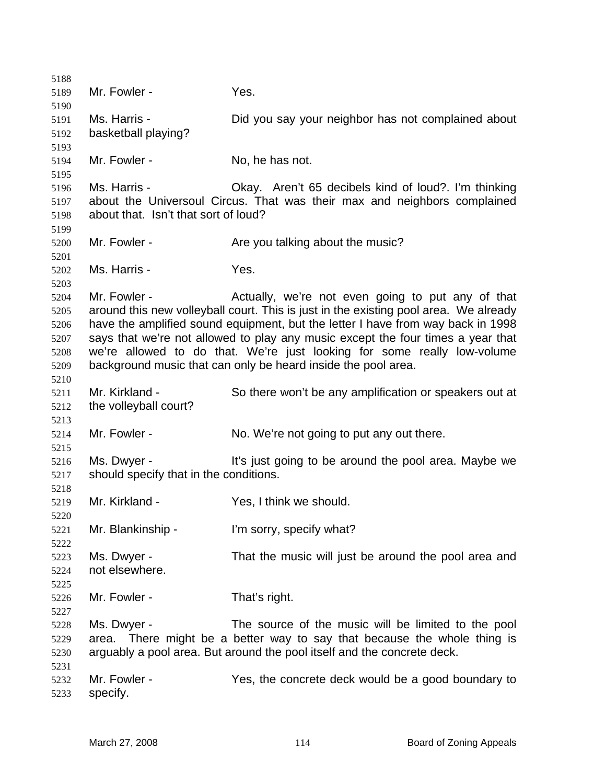| 5188 |                                                                                 |                                                                                      |
|------|---------------------------------------------------------------------------------|--------------------------------------------------------------------------------------|
| 5189 | Mr. Fowler -                                                                    | Yes.                                                                                 |
| 5190 |                                                                                 |                                                                                      |
| 5191 | Ms. Harris -                                                                    | Did you say your neighbor has not complained about                                   |
| 5192 | basketball playing?                                                             |                                                                                      |
| 5193 |                                                                                 |                                                                                      |
| 5194 | Mr. Fowler -                                                                    | No, he has not.                                                                      |
| 5195 |                                                                                 |                                                                                      |
| 5196 | Ms. Harris -                                                                    | Okay. Aren't 65 decibels kind of loud?. I'm thinking                                 |
| 5197 |                                                                                 | about the Universoul Circus. That was their max and neighbors complained             |
| 5198 | about that. Isn't that sort of loud?                                            |                                                                                      |
| 5199 |                                                                                 |                                                                                      |
| 5200 | Mr. Fowler -                                                                    | Are you talking about the music?                                                     |
| 5201 |                                                                                 |                                                                                      |
| 5202 | Ms. Harris -                                                                    | Yes.                                                                                 |
| 5203 |                                                                                 |                                                                                      |
| 5204 | Mr. Fowler -                                                                    | Actually, we're not even going to put any of that                                    |
| 5205 |                                                                                 | around this new volleyball court. This is just in the existing pool area. We already |
| 5206 |                                                                                 | have the amplified sound equipment, but the letter I have from way back in 1998      |
| 5207 | says that we're not allowed to play any music except the four times a year that |                                                                                      |
| 5208 |                                                                                 | we're allowed to do that. We're just looking for some really low-volume              |
| 5209 |                                                                                 | background music that can only be heard inside the pool area.                        |
| 5210 |                                                                                 |                                                                                      |
| 5211 | Mr. Kirkland -                                                                  | So there won't be any amplification or speakers out at                               |
| 5212 | the volleyball court?                                                           |                                                                                      |
| 5213 |                                                                                 |                                                                                      |
| 5214 | Mr. Fowler -                                                                    | No. We're not going to put any out there.                                            |
| 5215 |                                                                                 |                                                                                      |
| 5216 | Ms. Dwyer -                                                                     | It's just going to be around the pool area. Maybe we                                 |
| 5217 | should specify that in the conditions.                                          |                                                                                      |
| 5218 |                                                                                 |                                                                                      |
| 5219 | Mr. Kirkland -                                                                  | Yes, I think we should.                                                              |
| 5220 |                                                                                 |                                                                                      |
| 5221 | Mr. Blankinship -                                                               | I'm sorry, specify what?                                                             |
| 5222 |                                                                                 |                                                                                      |
| 5223 | Ms. Dwyer -                                                                     | That the music will just be around the pool area and                                 |
| 5224 | not elsewhere.                                                                  |                                                                                      |
| 5225 |                                                                                 |                                                                                      |
|      | Mr. Fowler -                                                                    | That's right.                                                                        |
| 5226 |                                                                                 |                                                                                      |
| 5227 | Ms. Dwyer -                                                                     | The source of the music will be limited to the pool                                  |
| 5228 | area.                                                                           |                                                                                      |
| 5229 |                                                                                 | There might be a better way to say that because the whole thing is                   |
| 5230 |                                                                                 | arguably a pool area. But around the pool itself and the concrete deck.              |
| 5231 | Mr. Fowler -                                                                    |                                                                                      |
| 5232 |                                                                                 | Yes, the concrete deck would be a good boundary to                                   |
| 5233 | specify.                                                                        |                                                                                      |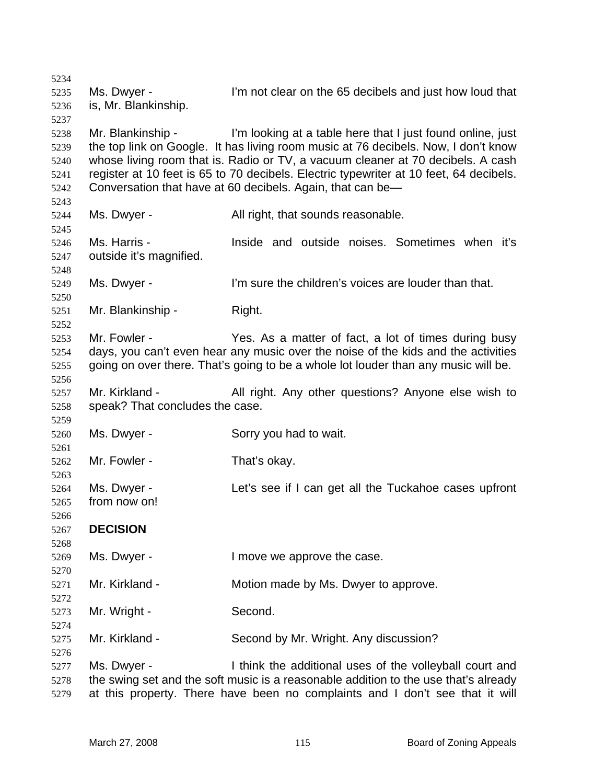Ms. Dwyer - I'm not clear on the 65 decibels and just how loud that is, Mr. Blankinship. Mr. Blankinship - I'm looking at a table here that I just found online, just the top link on Google. It has living room music at 76 decibels. Now, I don't know whose living room that is. Radio or TV, a vacuum cleaner at 70 decibels. A cash register at 10 feet is 65 to 70 decibels. Electric typewriter at 10 feet, 64 decibels. Conversation that have at 60 decibels. Again, that can be— Ms. Dwyer - All right, that sounds reasonable. Ms. Harris - Inside and outside noises. Sometimes when it's outside it's magnified. Ms. Dwyer - I'm sure the children's voices are louder than that. Mr. Blankinship - Right. Mr. Fowler - Yes. As a matter of fact, a lot of times during busy days, you can't even hear any music over the noise of the kids and the activities going on over there. That's going to be a whole lot louder than any music will be. Mr. Kirkland - All right. Any other questions? Anyone else wish to speak? That concludes the case. Ms. Dwyer - Sorry you had to wait. Mr. Fowler - That's okay. Ms. Dwyer - Let's see if I can get all the Tuckahoe cases upfront from now on! **DECISION**  Ms. Dwyer - I move we approve the case. Mr. Kirkland - Motion made by Ms. Dwyer to approve. 5273 Mr. Wright - Second. Mr. Kirkland - Second by Mr. Wright. Any discussion? Ms. Dwyer - I think the additional uses of the volleyball court and the swing set and the soft music is a reasonable addition to the use that's already at this property. There have been no complaints and I don't see that it will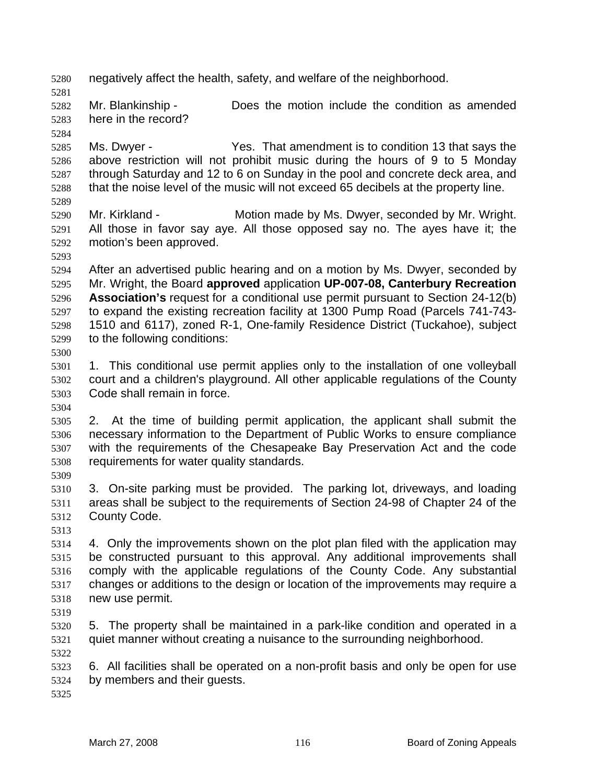negatively affect the health, safety, and welfare of the neighborhood. Mr. Blankinship - Does the motion include the condition as amended here in the record? Ms. Dwyer - Yes. That amendment is to condition 13 that says the above restriction will not prohibit music during the hours of 9 to 5 Monday through Saturday and 12 to 6 on Sunday in the pool and concrete deck area, and that the noise level of the music will not exceed 65 decibels at the property line. Mr. Kirkland - Motion made by Ms. Dwyer, seconded by Mr. Wright. All those in favor say aye. All those opposed say no. The ayes have it; the motion's been approved. After an advertised public hearing and on a motion by Ms. Dwyer, seconded by Mr. Wright, the Board **approved** application **UP-007-08, Canterbury Recreation Association's** request for a conditional use permit pursuant to Section 24-12(b) to expand the existing recreation facility at 1300 Pump Road (Parcels 741-743- 1510 and 6117), zoned R-1, One-family Residence District (Tuckahoe), subject to the following conditions: 1. This conditional use permit applies only to the installation of one volleyball court and a children's playground. All other applicable regulations of the County Code shall remain in force. 2. At the time of building permit application, the applicant shall submit the necessary information to the Department of Public Works to ensure compliance with the requirements of the Chesapeake Bay Preservation Act and the code requirements for water quality standards. 3. On-site parking must be provided. The parking lot, driveways, and loading areas shall be subject to the requirements of Section 24-98 of Chapter 24 of the County Code. 4. Only the improvements shown on the plot plan filed with the application may be constructed pursuant to this approval. Any additional improvements shall comply with the applicable regulations of the County Code. Any substantial changes or additions to the design or location of the improvements may require a new use permit. 5. The property shall be maintained in a park-like condition and operated in a quiet manner without creating a nuisance to the surrounding neighborhood. 6. All facilities shall be operated on a non-profit basis and only be open for use by members and their guests.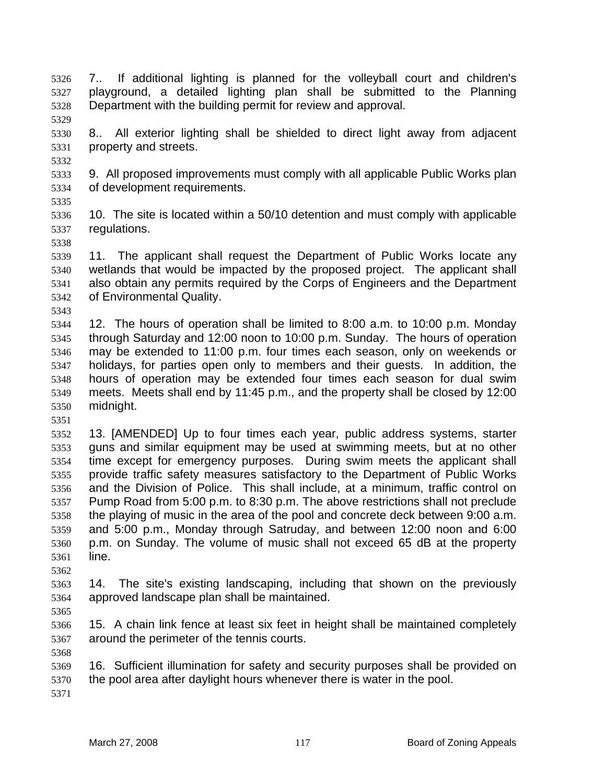- 7.. If additional lighting is planned for the volleyball court and children's playground, a detailed lighting plan shall be submitted to the Planning Department with the building permit for review and approval.
- 8.. All exterior lighting shall be shielded to direct light away from adjacent property and streets.
- 9. All proposed improvements must comply with all applicable Public Works plan of development requirements.
- 

- 10. The site is located within a 50/10 detention and must comply with applicable regulations.
- 11. The applicant shall request the Department of Public Works locate any wetlands that would be impacted by the proposed project. The applicant shall also obtain any permits required by the Corps of Engineers and the Department of Environmental Quality.
- 12. The hours of operation shall be limited to 8:00 a.m. to 10:00 p.m. Monday through Saturday and 12:00 noon to 10:00 p.m. Sunday. The hours of operation may be extended to 11:00 p.m. four times each season, only on weekends or holidays, for parties open only to members and their guests. In addition, the hours of operation may be extended four times each season for dual swim meets. Meets shall end by 11:45 p.m., and the property shall be closed by 12:00 midnight.
- 13. [AMENDED] Up to four times each year, public address systems, starter guns and similar equipment may be used at swimming meets, but at no other time except for emergency purposes. During swim meets the applicant shall provide traffic safety measures satisfactory to the Department of Public Works and the Division of Police. This shall include, at a minimum, traffic control on Pump Road from 5:00 p.m. to 8:30 p.m. The above restrictions shall not preclude the playing of music in the area of the pool and concrete deck between 9:00 a.m. and 5:00 p.m., Monday through Satruday, and between 12:00 noon and 6:00 p.m. on Sunday. The volume of music shall not exceed 65 dB at the property line.
- 14. The site's existing landscaping, including that shown on the previously approved landscape plan shall be maintained.
- 

- 15. A chain link fence at least six feet in height shall be maintained completely around the perimeter of the tennis courts.
- 16. Sufficient illumination for safety and security purposes shall be provided on the pool area after daylight hours whenever there is water in the pool.
	-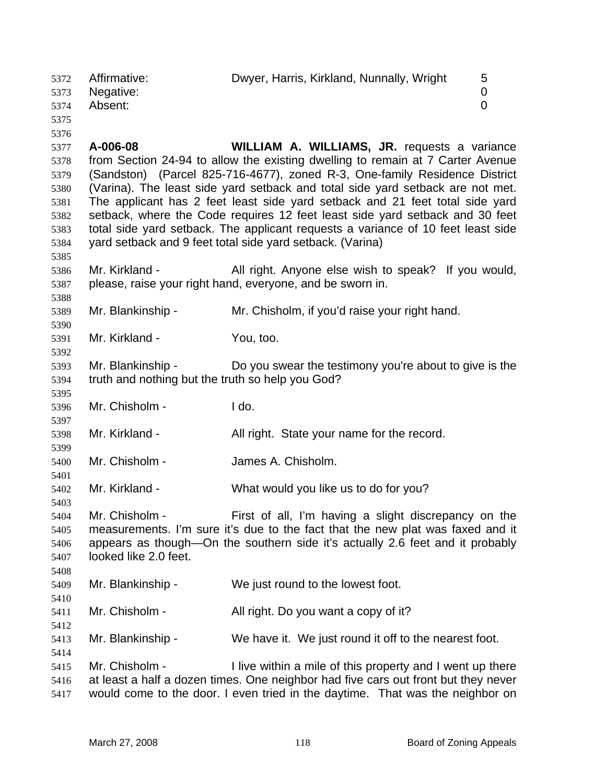| 5372<br>5373<br>5374<br>5375                                                 | Affirmative:<br>Negative:<br>Absent:                                  | Dwyer, Harris, Kirkland, Nunnally, Wright                                                                                                                                                                                                                                                                                                                                                                                                                                                                                                                                                                              | 5<br>$\mathbf 0$<br>$\overline{0}$ |
|------------------------------------------------------------------------------|-----------------------------------------------------------------------|------------------------------------------------------------------------------------------------------------------------------------------------------------------------------------------------------------------------------------------------------------------------------------------------------------------------------------------------------------------------------------------------------------------------------------------------------------------------------------------------------------------------------------------------------------------------------------------------------------------------|------------------------------------|
| 5376<br>5377<br>5378<br>5379<br>5380<br>5381<br>5382<br>5383<br>5384<br>5385 | A-006-08                                                              | <b>WILLIAM A. WILLIAMS, JR. requests a variance</b><br>from Section 24-94 to allow the existing dwelling to remain at 7 Carter Avenue<br>(Sandston) (Parcel 825-716-4677), zoned R-3, One-family Residence District<br>(Varina). The least side yard setback and total side yard setback are not met.<br>The applicant has 2 feet least side yard setback and 21 feet total side yard<br>setback, where the Code requires 12 feet least side yard setback and 30 feet<br>total side yard setback. The applicant requests a variance of 10 feet least side<br>yard setback and 9 feet total side yard setback. (Varina) |                                    |
| 5386<br>5387                                                                 | Mr. Kirkland -                                                        | All right. Anyone else wish to speak? If you would,<br>please, raise your right hand, everyone, and be sworn in.                                                                                                                                                                                                                                                                                                                                                                                                                                                                                                       |                                    |
| 5388<br>5389                                                                 | Mr. Blankinship -                                                     | Mr. Chisholm, if you'd raise your right hand.                                                                                                                                                                                                                                                                                                                                                                                                                                                                                                                                                                          |                                    |
| 5390<br>5391<br>5392                                                         | Mr. Kirkland -                                                        | You, too.                                                                                                                                                                                                                                                                                                                                                                                                                                                                                                                                                                                                              |                                    |
| 5393<br>5394<br>5395                                                         | Mr. Blankinship -<br>truth and nothing but the truth so help you God? | Do you swear the testimony you're about to give is the                                                                                                                                                                                                                                                                                                                                                                                                                                                                                                                                                                 |                                    |
| 5396<br>5397                                                                 | Mr. Chisholm -                                                        | I do.                                                                                                                                                                                                                                                                                                                                                                                                                                                                                                                                                                                                                  |                                    |
| 5398<br>5399                                                                 | Mr. Kirkland -                                                        | All right. State your name for the record.                                                                                                                                                                                                                                                                                                                                                                                                                                                                                                                                                                             |                                    |
| 5400<br>5401                                                                 | Mr. Chisholm -                                                        | James A. Chisholm.                                                                                                                                                                                                                                                                                                                                                                                                                                                                                                                                                                                                     |                                    |
| 5402<br>5403                                                                 | Mr. Kirkland -                                                        | What would you like us to do for you?                                                                                                                                                                                                                                                                                                                                                                                                                                                                                                                                                                                  |                                    |
| 5404<br>5405<br>5406<br>5407<br>5408                                         | Mr. Chisholm -<br>looked like 2.0 feet.                               | First of all, I'm having a slight discrepancy on the<br>measurements. I'm sure it's due to the fact that the new plat was faxed and it<br>appears as though—On the southern side it's actually 2.6 feet and it probably                                                                                                                                                                                                                                                                                                                                                                                                |                                    |
| 5409<br>5410                                                                 | Mr. Blankinship -                                                     | We just round to the lowest foot.                                                                                                                                                                                                                                                                                                                                                                                                                                                                                                                                                                                      |                                    |
| 5411<br>5412                                                                 | Mr. Chisholm -                                                        | All right. Do you want a copy of it?                                                                                                                                                                                                                                                                                                                                                                                                                                                                                                                                                                                   |                                    |
| 5413<br>5414                                                                 | Mr. Blankinship -                                                     | We have it. We just round it off to the nearest foot.                                                                                                                                                                                                                                                                                                                                                                                                                                                                                                                                                                  |                                    |
| 5415<br>5416<br>5417                                                         | Mr. Chisholm -                                                        | I live within a mile of this property and I went up there<br>at least a half a dozen times. One neighbor had five cars out front but they never<br>would come to the door. I even tried in the daytime. That was the neighbor on                                                                                                                                                                                                                                                                                                                                                                                       |                                    |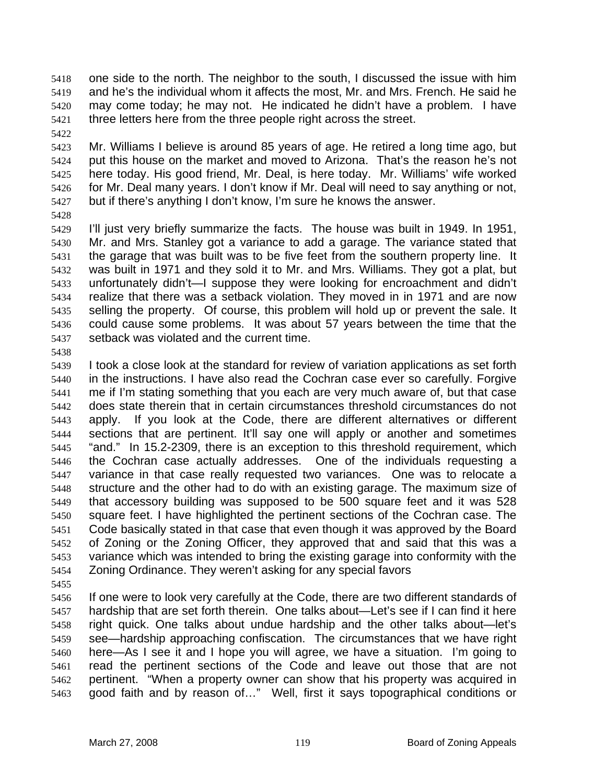one side to the north. The neighbor to the south, I discussed the issue with him and he's the individual whom it affects the most, Mr. and Mrs. French. He said he may come today; he may not. He indicated he didn't have a problem. I have three letters here from the three people right across the street.

Mr. Williams I believe is around 85 years of age. He retired a long time ago, but put this house on the market and moved to Arizona. That's the reason he's not here today. His good friend, Mr. Deal, is here today. Mr. Williams' wife worked for Mr. Deal many years. I don't know if Mr. Deal will need to say anything or not, but if there's anything I don't know, I'm sure he knows the answer.

I'll just very briefly summarize the facts. The house was built in 1949. In 1951, Mr. and Mrs. Stanley got a variance to add a garage. The variance stated that the garage that was built was to be five feet from the southern property line. It was built in 1971 and they sold it to Mr. and Mrs. Williams. They got a plat, but unfortunately didn't—I suppose they were looking for encroachment and didn't realize that there was a setback violation. They moved in in 1971 and are now selling the property. Of course, this problem will hold up or prevent the sale. It could cause some problems. It was about 57 years between the time that the setback was violated and the current time.

I took a close look at the standard for review of variation applications as set forth in the instructions. I have also read the Cochran case ever so carefully. Forgive me if I'm stating something that you each are very much aware of, but that case does state therein that in certain circumstances threshold circumstances do not apply. If you look at the Code, there are different alternatives or different sections that are pertinent. It'll say one will apply or another and sometimes "and." In 15.2-2309, there is an exception to this threshold requirement, which the Cochran case actually addresses. One of the individuals requesting a variance in that case really requested two variances. One was to relocate a structure and the other had to do with an existing garage. The maximum size of that accessory building was supposed to be 500 square feet and it was 528 square feet. I have highlighted the pertinent sections of the Cochran case. The Code basically stated in that case that even though it was approved by the Board of Zoning or the Zoning Officer, they approved that and said that this was a variance which was intended to bring the existing garage into conformity with the Zoning Ordinance. They weren't asking for any special favors

If one were to look very carefully at the Code, there are two different standards of hardship that are set forth therein. One talks about—Let's see if I can find it here right quick. One talks about undue hardship and the other talks about—let's see—hardship approaching confiscation. The circumstances that we have right here—As I see it and I hope you will agree, we have a situation. I'm going to read the pertinent sections of the Code and leave out those that are not pertinent. "When a property owner can show that his property was acquired in good faith and by reason of…" Well, first it says topographical conditions or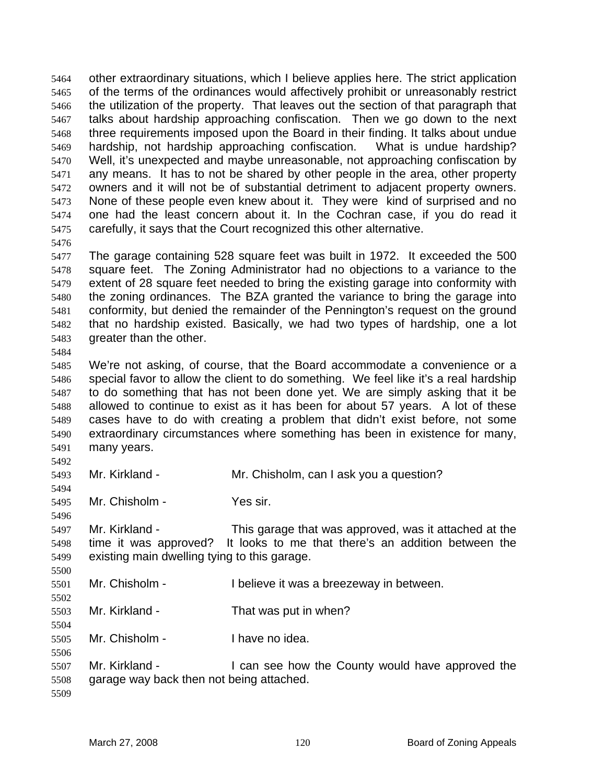other extraordinary situations, which I believe applies here. The strict application of the terms of the ordinances would affectively prohibit or unreasonably restrict the utilization of the property. That leaves out the section of that paragraph that talks about hardship approaching confiscation. Then we go down to the next three requirements imposed upon the Board in their finding. It talks about undue hardship, not hardship approaching confiscation. What is undue hardship? Well, it's unexpected and maybe unreasonable, not approaching confiscation by any means. It has to not be shared by other people in the area, other property owners and it will not be of substantial detriment to adjacent property owners. None of these people even knew about it. They were kind of surprised and no one had the least concern about it. In the Cochran case, if you do read it carefully, it says that the Court recognized this other alternative.

The garage containing 528 square feet was built in 1972. It exceeded the 500 square feet. The Zoning Administrator had no objections to a variance to the extent of 28 square feet needed to bring the existing garage into conformity with the zoning ordinances. The BZA granted the variance to bring the garage into conformity, but denied the remainder of the Pennington's request on the ground that no hardship existed. Basically, we had two types of hardship, one a lot greater than the other.

We're not asking, of course, that the Board accommodate a convenience or a special favor to allow the client to do something. We feel like it's a real hardship to do something that has not been done yet. We are simply asking that it be allowed to continue to exist as it has been for about 57 years. A lot of these cases have to do with creating a problem that didn't exist before, not some extraordinary circumstances where something has been in existence for many, many years.

Mr. Kirkland - Mr. Chisholm, can I ask you a question?

Mr. Chisholm - Yes sir.

Mr. Kirkland - This garage that was approved, was it attached at the time it was approved? It looks to me that there's an addition between the existing main dwelling tying to this garage.

- Mr. Chisholm I believe it was a breezeway in between.
- Mr. Kirkland That was put in when?

Mr. Chisholm - I have no idea.

Mr. Kirkland - I can see how the County would have approved the garage way back then not being attached.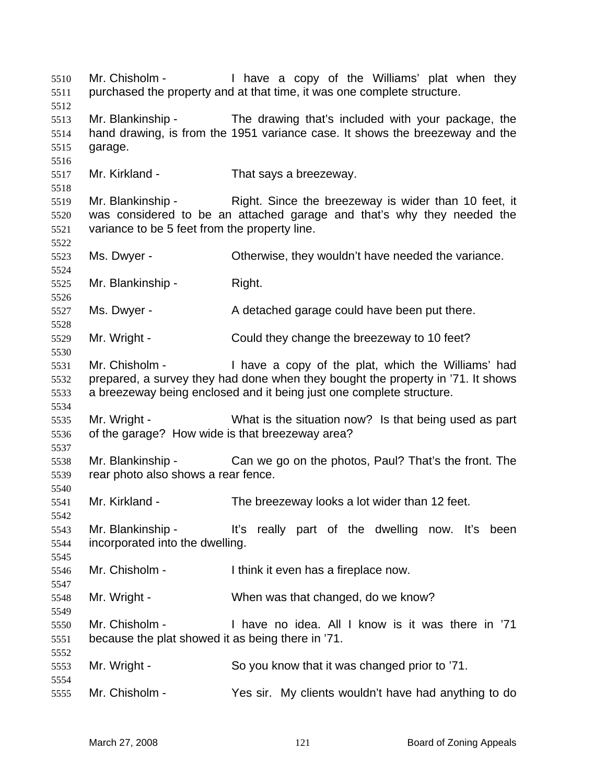Mr. Chisholm - I have a copy of the Williams' plat when they purchased the property and at that time, it was one complete structure. Mr. Blankinship - The drawing that's included with your package, the hand drawing, is from the 1951 variance case. It shows the breezeway and the garage. Mr. Kirkland - That says a breezeway. Mr. Blankinship - Right. Since the breezeway is wider than 10 feet, it was considered to be an attached garage and that's why they needed the variance to be 5 feet from the property line. Ms. Dwyer - Otherwise, they wouldn't have needed the variance. Mr. Blankinship - Right. Ms. Dwyer - A detached garage could have been put there. Mr. Wright - Could they change the breezeway to 10 feet? Mr. Chisholm - I have a copy of the plat, which the Williams' had prepared, a survey they had done when they bought the property in '71. It shows a breezeway being enclosed and it being just one complete structure. Mr. Wright - What is the situation now? Is that being used as part of the garage? How wide is that breezeway area? Mr. Blankinship - Can we go on the photos, Paul? That's the front. The rear photo also shows a rear fence. Mr. Kirkland - The breezeway looks a lot wider than 12 feet. Mr. Blankinship - It's really part of the dwelling now. It's been incorporated into the dwelling. Mr. Chisholm - I think it even has a fireplace now. Mr. Wright - When was that changed, do we know? Mr. Chisholm - I have no idea. All I know is it was there in '71 because the plat showed it as being there in '71. Mr. Wright - So you know that it was changed prior to '71. Mr. Chisholm - Yes sir. My clients wouldn't have had anything to do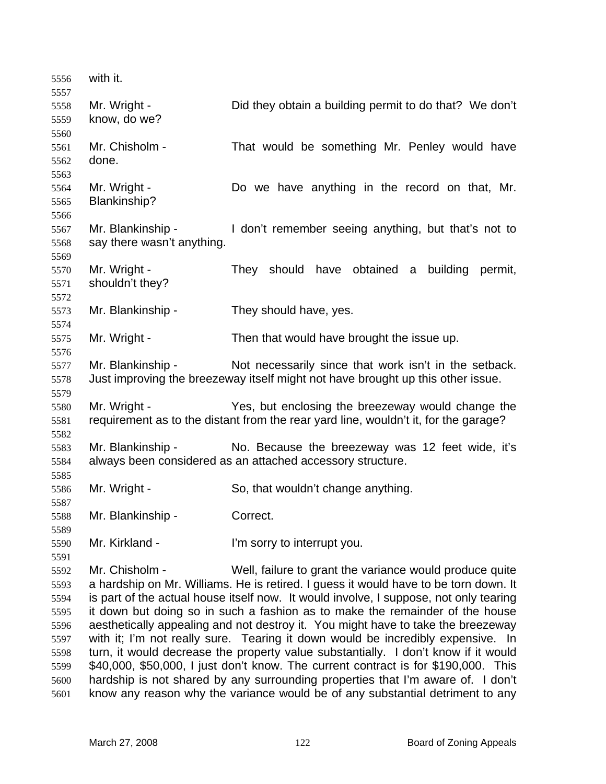| 5556         | with it.                                                                         |                                                                                       |
|--------------|----------------------------------------------------------------------------------|---------------------------------------------------------------------------------------|
| 5557         |                                                                                  |                                                                                       |
| 5558         | Mr. Wright -                                                                     | Did they obtain a building permit to do that? We don't                                |
| 5559         | know, do we?                                                                     |                                                                                       |
| 5560         |                                                                                  |                                                                                       |
| 5561         | Mr. Chisholm -                                                                   | That would be something Mr. Penley would have                                         |
| 5562         | done.                                                                            |                                                                                       |
| 5563         | Mr. Wright -                                                                     | Do we have anything in the record on that, Mr.                                        |
| 5564         | Blankinship?                                                                     |                                                                                       |
| 5565         |                                                                                  |                                                                                       |
| 5566<br>5567 | Mr. Blankinship -                                                                | I don't remember seeing anything, but that's not to                                   |
|              | say there wasn't anything.                                                       |                                                                                       |
| 5568<br>5569 |                                                                                  |                                                                                       |
| 5570         | Mr. Wright -                                                                     | They should have obtained a<br>building<br>permit,                                    |
|              | shouldn't they?                                                                  |                                                                                       |
| 5571<br>5572 |                                                                                  |                                                                                       |
| 5573         | Mr. Blankinship -                                                                | They should have, yes.                                                                |
| 5574         |                                                                                  |                                                                                       |
| 5575         | Mr. Wright -                                                                     | Then that would have brought the issue up.                                            |
| 5576         |                                                                                  |                                                                                       |
| 5577         | Mr. Blankinship -                                                                | Not necessarily since that work isn't in the setback.                                 |
| 5578         |                                                                                  | Just improving the breezeway itself might not have brought up this other issue.       |
| 5579         |                                                                                  |                                                                                       |
| 5580         | Mr. Wright -                                                                     | Yes, but enclosing the breezeway would change the                                     |
| 5581         |                                                                                  | requirement as to the distant from the rear yard line, wouldn't it, for the garage?   |
| 5582         |                                                                                  |                                                                                       |
| 5583         | Mr. Blankinship -                                                                | No. Because the breezeway was 12 feet wide, it's                                      |
| 5584         |                                                                                  | always been considered as an attached accessory structure.                            |
| 5585         |                                                                                  |                                                                                       |
| 5586         | Mr. Wright -                                                                     | So, that wouldn't change anything.                                                    |
| 5587         |                                                                                  |                                                                                       |
| 5588         | Mr. Blankinship -                                                                | Correct.                                                                              |
| 5589         |                                                                                  |                                                                                       |
| 5590         | Mr. Kirkland -                                                                   | I'm sorry to interrupt you.                                                           |
| 5591         |                                                                                  |                                                                                       |
| 5592         | Mr. Chisholm -                                                                   | Well, failure to grant the variance would produce quite                               |
| 5593         |                                                                                  | a hardship on Mr. Williams. He is retired. I guess it would have to be torn down. It  |
| 5594         |                                                                                  | is part of the actual house itself now. It would involve, I suppose, not only tearing |
| 5595         |                                                                                  | it down but doing so in such a fashion as to make the remainder of the house          |
| 5596         | aesthetically appealing and not destroy it. You might have to take the breezeway |                                                                                       |
| 5597         |                                                                                  | with it; I'm not really sure. Tearing it down would be incredibly expensive. In       |
| 5598         |                                                                                  | turn, it would decrease the property value substantially. I don't know if it would    |
| 5599         |                                                                                  | \$40,000, \$50,000, I just don't know. The current contract is for \$190,000. This    |
| 5600         |                                                                                  | hardship is not shared by any surrounding properties that I'm aware of. I don't       |
| 5601         |                                                                                  | know any reason why the variance would be of any substantial detriment to any         |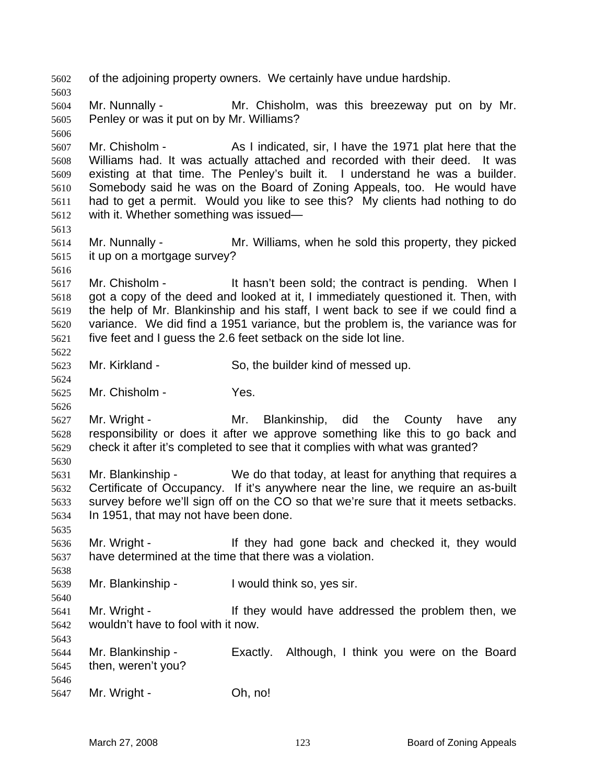of the adjoining property owners. We certainly have undue hardship. Mr. Nunnally - Mr. Chisholm, was this breezeway put on by Mr. Penley or was it put on by Mr. Williams? Mr. Chisholm - As I indicated, sir, I have the 1971 plat here that the Williams had. It was actually attached and recorded with their deed. It was existing at that time. The Penley's built it. I understand he was a builder. Somebody said he was on the Board of Zoning Appeals, too. He would have had to get a permit. Would you like to see this? My clients had nothing to do with it. Whether something was issued— Mr. Nunnally - Mr. Williams, when he sold this property, they picked it up on a mortgage survey? 5617 Mr. Chisholm - It hasn't been sold; the contract is pending. When I got a copy of the deed and looked at it, I immediately questioned it. Then, with the help of Mr. Blankinship and his staff, I went back to see if we could find a variance. We did find a 1951 variance, but the problem is, the variance was for five feet and I guess the 2.6 feet setback on the side lot line. Mr. Kirkland - So, the builder kind of messed up. Mr. Chisholm - Yes. Mr. Wright - Mr. Blankinship, did the County have any responsibility or does it after we approve something like this to go back and check it after it's completed to see that it complies with what was granted? Mr. Blankinship - We do that today, at least for anything that requires a Certificate of Occupancy. If it's anywhere near the line, we require an as-built survey before we'll sign off on the CO so that we're sure that it meets setbacks. In 1951, that may not have been done. Mr. Wright - If they had gone back and checked it, they would have determined at the time that there was a violation. Mr. Blankinship - I would think so, yes sir. Mr. Wright - If they would have addressed the problem then, we wouldn't have to fool with it now. Mr. Blankinship - Exactly. Although, I think you were on the Board then, weren't you? 5647 Mr. Wright - **Oh, no!**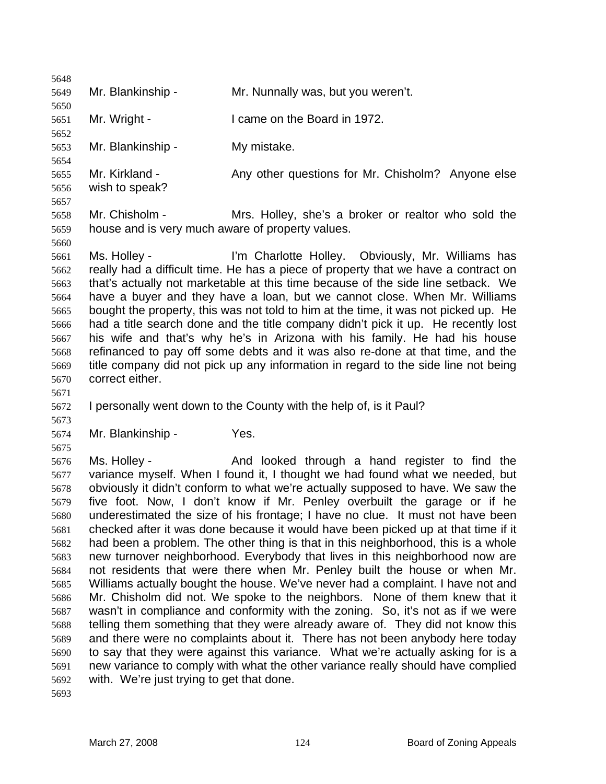| 5648         |                                                  |                                                                                                                                                                  |
|--------------|--------------------------------------------------|------------------------------------------------------------------------------------------------------------------------------------------------------------------|
| 5649         | Mr. Blankinship -                                | Mr. Nunnally was, but you weren't.                                                                                                                               |
| 5650<br>5651 | Mr. Wright -                                     | I came on the Board in 1972.                                                                                                                                     |
| 5652         |                                                  |                                                                                                                                                                  |
| 5653         | Mr. Blankinship -                                | My mistake.                                                                                                                                                      |
| 5654<br>5655 | Mr. Kirkland -                                   | Any other questions for Mr. Chisholm? Anyone else                                                                                                                |
| 5656         | wish to speak?                                   |                                                                                                                                                                  |
| 5657         |                                                  |                                                                                                                                                                  |
| 5658         | Mr. Chisholm -                                   | Mrs. Holley, she's a broker or realtor who sold the                                                                                                              |
| 5659         | house and is very much aware of property values. |                                                                                                                                                                  |
| 5660         |                                                  |                                                                                                                                                                  |
| 5661         | Ms. Holley -                                     | I'm Charlotte Holley. Obviously, Mr. Williams has                                                                                                                |
| 5662         |                                                  | really had a difficult time. He has a piece of property that we have a contract on                                                                               |
| 5663         |                                                  | that's actually not marketable at this time because of the side line setback. We                                                                                 |
| 5664         |                                                  | have a buyer and they have a loan, but we cannot close. When Mr. Williams                                                                                        |
| 5665         |                                                  | bought the property, this was not told to him at the time, it was not picked up. He                                                                              |
| 5666         |                                                  | had a title search done and the title company didn't pick it up. He recently lost                                                                                |
| 5667         |                                                  | his wife and that's why he's in Arizona with his family. He had his house                                                                                        |
| 5668         |                                                  | refinanced to pay off some debts and it was also re-done at that time, and the                                                                                   |
| 5669         |                                                  | title company did not pick up any information in regard to the side line not being                                                                               |
| 5670         | correct either.                                  |                                                                                                                                                                  |
| 5671<br>5672 |                                                  | I personally went down to the County with the help of, is it Paul?                                                                                               |
| 5673         |                                                  |                                                                                                                                                                  |
| 5674         | Mr. Blankinship -                                | Yes.                                                                                                                                                             |
| 5675         |                                                  |                                                                                                                                                                  |
| 5676         | Ms. Holley -                                     | And looked through a hand register to find the                                                                                                                   |
| 5677         |                                                  | variance myself. When I found it, I thought we had found what we needed, but                                                                                     |
| 5678         |                                                  | obviously it didn't conform to what we're actually supposed to have. We saw the                                                                                  |
| 5679         |                                                  | five foot. Now, I don't know if Mr. Penley overbuilt the garage or if he                                                                                         |
| 5680         |                                                  | underestimated the size of his frontage; I have no clue. It must not have been                                                                                   |
| 5681         |                                                  | checked after it was done because it would have been picked up at that time if it                                                                                |
| 5682         |                                                  | had been a problem. The other thing is that in this neighborhood, this is a whole                                                                                |
| 5683         |                                                  | new turnover neighborhood. Everybody that lives in this neighborhood now are                                                                                     |
| 5684         |                                                  | not residents that were there when Mr. Penley built the house or when Mr.                                                                                        |
| 5685         |                                                  | Williams actually bought the house. We've never had a complaint. I have not and                                                                                  |
| 5686         |                                                  | Mr. Chisholm did not. We spoke to the neighbors. None of them knew that it                                                                                       |
| 5687         |                                                  | wasn't in compliance and conformity with the zoning. So, it's not as if we were                                                                                  |
| 5688         |                                                  | telling them something that they were already aware of. They did not know this                                                                                   |
| 5689<br>5690 |                                                  | and there were no complaints about it. There has not been anybody here today<br>to say that they were against this variance. What we're actually asking for is a |
| 5691         |                                                  | new variance to comply with what the other variance really should have complied                                                                                  |
| 5692         | with. We're just trying to get that done.        |                                                                                                                                                                  |
| 5693         |                                                  |                                                                                                                                                                  |
|              |                                                  |                                                                                                                                                                  |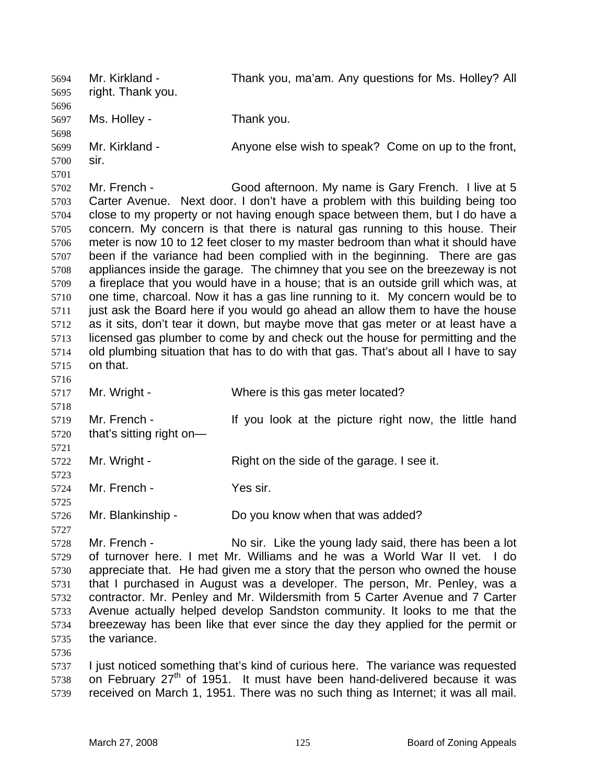Mr. Kirkland - Thank you, ma'am. Any questions for Ms. Holley? All right. Thank you. Ms. Holley - Thank you. Mr. Kirkland - Anyone else wish to speak? Come on up to the front, sir. Mr. French - Good afternoon. My name is Gary French. I live at 5 Carter Avenue. Next door. I don't have a problem with this building being too close to my property or not having enough space between them, but I do have a concern. My concern is that there is natural gas running to this house. Their meter is now 10 to 12 feet closer to my master bedroom than what it should have been if the variance had been complied with in the beginning. There are gas appliances inside the garage. The chimney that you see on the breezeway is not a fireplace that you would have in a house; that is an outside grill which was, at one time, charcoal. Now it has a gas line running to it. My concern would be to just ask the Board here if you would go ahead an allow them to have the house as it sits, don't tear it down, but maybe move that gas meter or at least have a licensed gas plumber to come by and check out the house for permitting and the old plumbing situation that has to do with that gas. That's about all I have to say on that. Mr. Wright - Where is this gas meter located? Mr. French - If you look at the picture right now, the little hand that's sitting right on— 5722 Mr. Wright - Right on the side of the garage. I see it. Mr. French - Yes sir. Mr. Blankinship - Do you know when that was added? Mr. French - No sir. Like the young lady said, there has been a lot of turnover here. I met Mr. Williams and he was a World War II vet. I do appreciate that. He had given me a story that the person who owned the house that I purchased in August was a developer. The person, Mr. Penley, was a contractor. Mr. Penley and Mr. Wildersmith from 5 Carter Avenue and 7 Carter Avenue actually helped develop Sandston community. It looks to me that the breezeway has been like that ever since the day they applied for the permit or the variance. I just noticed something that's kind of curious here. The variance was requested 5738 on February  $27<sup>th</sup>$  of 1951. It must have been hand-delivered because it was received on March 1, 1951. There was no such thing as Internet; it was all mail.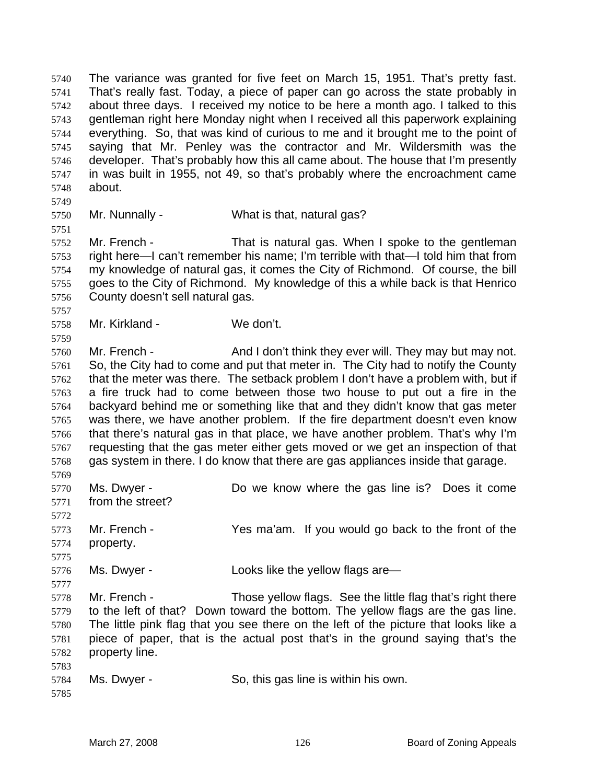The variance was granted for five feet on March 15, 1951. That's pretty fast. That's really fast. Today, a piece of paper can go across the state probably in about three days. I received my notice to be here a month ago. I talked to this gentleman right here Monday night when I received all this paperwork explaining everything. So, that was kind of curious to me and it brought me to the point of saying that Mr. Penley was the contractor and Mr. Wildersmith was the developer. That's probably how this all came about. The house that I'm presently in was built in 1955, not 49, so that's probably where the encroachment came about.

Mr. Nunnally - What is that, natural gas?

Mr. French - That is natural gas. When I spoke to the gentleman right here—I can't remember his name; I'm terrible with that—I told him that from my knowledge of natural gas, it comes the City of Richmond. Of course, the bill goes to the City of Richmond. My knowledge of this a while back is that Henrico County doesn't sell natural gas.

Mr. Kirkland - We don't.

5760 Mr. French - And I don't think they ever will. They may but may not. So, the City had to come and put that meter in. The City had to notify the County that the meter was there. The setback problem I don't have a problem with, but if a fire truck had to come between those two house to put out a fire in the backyard behind me or something like that and they didn't know that gas meter was there, we have another problem. If the fire department doesn't even know that there's natural gas in that place, we have another problem. That's why I'm requesting that the gas meter either gets moved or we get an inspection of that gas system in there. I do know that there are gas appliances inside that garage. 

Ms. Dwyer - Do we know where the gas line is? Does it come from the street? Mr. French - Yes ma'am. If you would go back to the front of the property.

Ms. Dwyer - Looks like the yellow flags are—

Mr. French - Those yellow flags. See the little flag that's right there to the left of that? Down toward the bottom. The yellow flags are the gas line. The little pink flag that you see there on the left of the picture that looks like a piece of paper, that is the actual post that's in the ground saying that's the property line. 

| 5784 Ms. Dwyer - | So, this gas line is within his own. |
|------------------|--------------------------------------|
|------------------|--------------------------------------|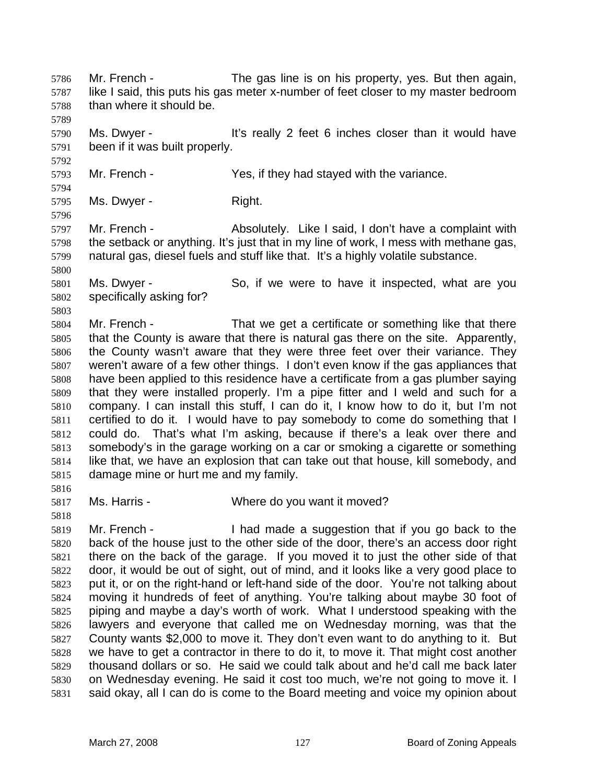Mr. French - The gas line is on his property, yes. But then again, like I said, this puts his gas meter x-number of feet closer to my master bedroom than where it should be. Ms. Dwyer - It's really 2 feet 6 inches closer than it would have been if it was built properly. Mr. French - Yes, if they had stayed with the variance. Ms. Dwyer - Right. Mr. French - Absolutely. Like I said, I don't have a complaint with the setback or anything. It's just that in my line of work, I mess with methane gas, natural gas, diesel fuels and stuff like that. It's a highly volatile substance. Ms. Dwyer - So, if we were to have it inspected, what are you specifically asking for? Mr. French - That we get a certificate or something like that there that the County is aware that there is natural gas there on the site. Apparently, the County wasn't aware that they were three feet over their variance. They weren't aware of a few other things. I don't even know if the gas appliances that have been applied to this residence have a certificate from a gas plumber saying that they were installed properly. I'm a pipe fitter and I weld and such for a company. I can install this stuff, I can do it, I know how to do it, but I'm not certified to do it. I would have to pay somebody to come do something that I could do. That's what I'm asking, because if there's a leak over there and somebody's in the garage working on a car or smoking a cigarette or something like that, we have an explosion that can take out that house, kill somebody, and damage mine or hurt me and my family. Ms. Harris - Where do you want it moved? Mr. French - I had made a suggestion that if you go back to the back of the house just to the other side of the door, there's an access door right there on the back of the garage. If you moved it to just the other side of that door, it would be out of sight, out of mind, and it looks like a very good place to put it, or on the right-hand or left-hand side of the door. You're not talking about moving it hundreds of feet of anything. You're talking about maybe 30 foot of piping and maybe a day's worth of work. What I understood speaking with the lawyers and everyone that called me on Wednesday morning, was that the County wants \$2,000 to move it. They don't even want to do anything to it. But we have to get a contractor in there to do it, to move it. That might cost another thousand dollars or so. He said we could talk about and he'd call me back later

on Wednesday evening. He said it cost too much, we're not going to move it. I said okay, all I can do is come to the Board meeting and voice my opinion about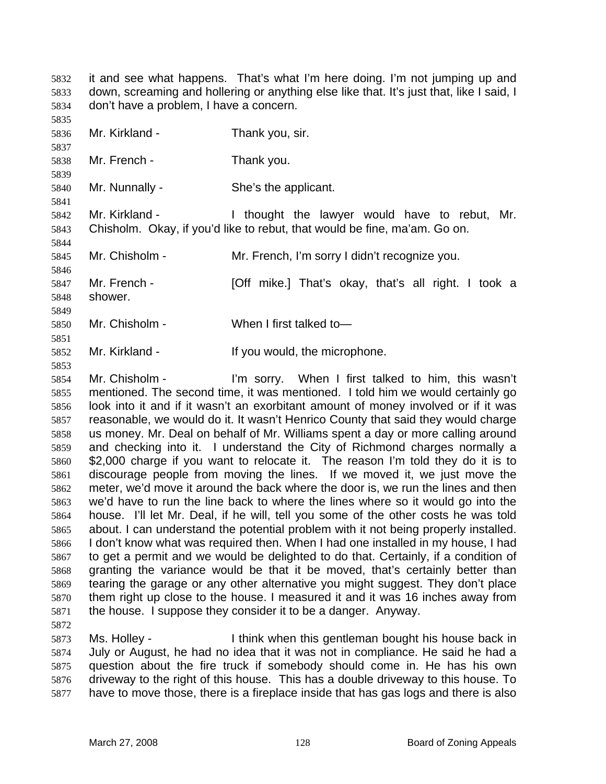it and see what happens. That's what I'm here doing. I'm not jumping up and down, screaming and hollering or anything else like that. It's just that, like I said, I don't have a problem, I have a concern.

 

Mr. Kirkland - Thank you, sir.

Mr. French - Thank you.

Mr. Nunnally - She's the applicant.

Mr. Kirkland - I thought the lawyer would have to rebut, Mr. Chisholm. Okay, if you'd like to rebut, that would be fine, ma'am. Go on.

Mr. Chisholm - Mr. French, I'm sorry I didn't recognize you.

Mr. French - [Off mike.] That's okay, that's all right. I took a

shower. 

Mr. Chisholm - When I first talked to—

Mr. Kirkland - If you would, the microphone.

Mr. Chisholm - I'm sorry. When I first talked to him, this wasn't mentioned. The second time, it was mentioned. I told him we would certainly go look into it and if it wasn't an exorbitant amount of money involved or if it was reasonable, we would do it. It wasn't Henrico County that said they would charge us money. Mr. Deal on behalf of Mr. Williams spent a day or more calling around and checking into it. I understand the City of Richmond charges normally a \$2,000 charge if you want to relocate it. The reason I'm told they do it is to discourage people from moving the lines. If we moved it, we just move the meter, we'd move it around the back where the door is, we run the lines and then we'd have to run the line back to where the lines where so it would go into the house. I'll let Mr. Deal, if he will, tell you some of the other costs he was told about. I can understand the potential problem with it not being properly installed. I don't know what was required then. When I had one installed in my house, I had to get a permit and we would be delighted to do that. Certainly, if a condition of granting the variance would be that it be moved, that's certainly better than tearing the garage or any other alternative you might suggest. They don't place them right up close to the house. I measured it and it was 16 inches away from the house. I suppose they consider it to be a danger. Anyway.

Ms. Holley - I think when this gentleman bought his house back in July or August, he had no idea that it was not in compliance. He said he had a question about the fire truck if somebody should come in. He has his own driveway to the right of this house. This has a double driveway to this house. To have to move those, there is a fireplace inside that has gas logs and there is also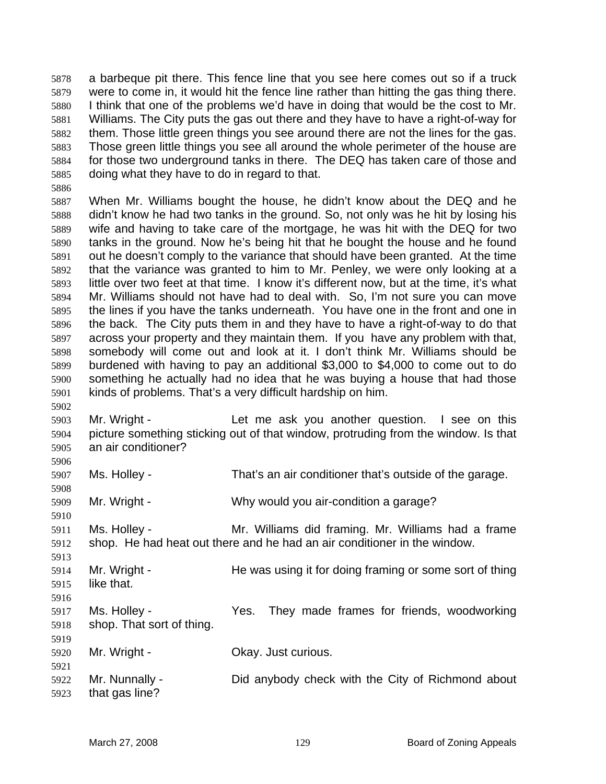a barbeque pit there. This fence line that you see here comes out so if a truck were to come in, it would hit the fence line rather than hitting the gas thing there. I think that one of the problems we'd have in doing that would be the cost to Mr. Williams. The City puts the gas out there and they have to have a right-of-way for them. Those little green things you see around there are not the lines for the gas. Those green little things you see all around the whole perimeter of the house are for those two underground tanks in there. The DEQ has taken care of those and doing what they have to do in regard to that.

When Mr. Williams bought the house, he didn't know about the DEQ and he didn't know he had two tanks in the ground. So, not only was he hit by losing his wife and having to take care of the mortgage, he was hit with the DEQ for two tanks in the ground. Now he's being hit that he bought the house and he found out he doesn't comply to the variance that should have been granted. At the time that the variance was granted to him to Mr. Penley, we were only looking at a little over two feet at that time. I know it's different now, but at the time, it's what Mr. Williams should not have had to deal with. So, I'm not sure you can move the lines if you have the tanks underneath. You have one in the front and one in the back. The City puts them in and they have to have a right-of-way to do that across your property and they maintain them. If you have any problem with that, somebody will come out and look at it. I don't think Mr. Williams should be burdened with having to pay an additional \$3,000 to \$4,000 to come out to do something he actually had no idea that he was buying a house that had those kinds of problems. That's a very difficult hardship on him.

Mr. Wright - Let me ask you another question. I see on this picture something sticking out of that window, protruding from the window. Is that an air conditioner?

Ms. Holley - That's an air conditioner that's outside of the garage.

Mr. Wright - Why would you air-condition a garage?

Ms. Holley - Mr. Williams did framing. Mr. Williams had a frame shop. He had heat out there and he had an air conditioner in the window.

- 5914 Mr. Wright - He was using it for doing framing or some sort of thing like that.
- Ms. Holley Yes. They made frames for friends, woodworking shop. That sort of thing.
- Mr. Wright Okay. Just curious.
- Mr. Nunnally - Did anybody check with the City of Richmond about that gas line?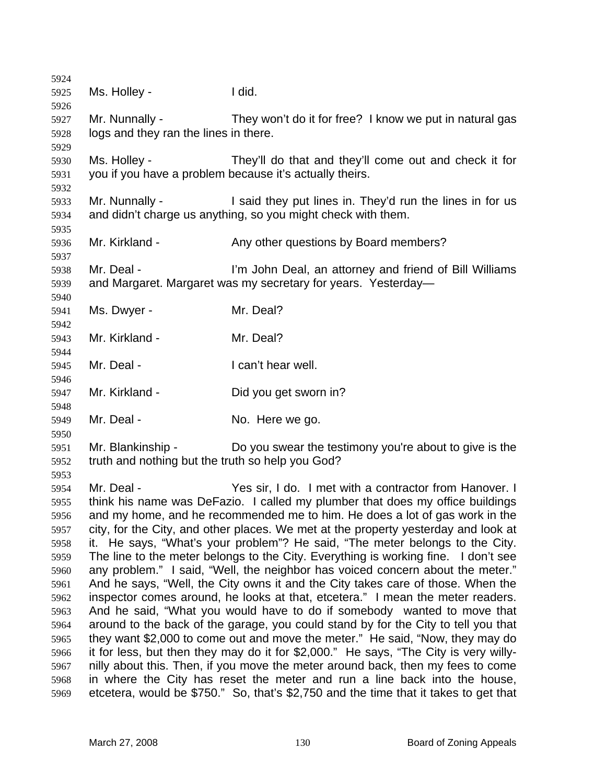| 5924         |                                                                                                                                                                         |                                                                                      |  |
|--------------|-------------------------------------------------------------------------------------------------------------------------------------------------------------------------|--------------------------------------------------------------------------------------|--|
| 5925         | Ms. Holley -                                                                                                                                                            | I did.                                                                               |  |
| 5926         |                                                                                                                                                                         |                                                                                      |  |
| 5927         | Mr. Nunnally -                                                                                                                                                          | They won't do it for free? I know we put in natural gas                              |  |
| 5928         | logs and they ran the lines in there.                                                                                                                                   |                                                                                      |  |
| 5929         |                                                                                                                                                                         |                                                                                      |  |
| 5930         | Ms. Holley -                                                                                                                                                            | They'll do that and they'll come out and check it for                                |  |
| 5931         |                                                                                                                                                                         | you if you have a problem because it's actually theirs.                              |  |
| 5932         |                                                                                                                                                                         |                                                                                      |  |
| 5933         | Mr. Nunnally -                                                                                                                                                          | I said they put lines in. They'd run the lines in for us                             |  |
| 5934         |                                                                                                                                                                         | and didn't charge us anything, so you might check with them.                         |  |
| 5935         | Mr. Kirkland -                                                                                                                                                          | Any other questions by Board members?                                                |  |
| 5936<br>5937 |                                                                                                                                                                         |                                                                                      |  |
| 5938         | Mr. Deal -                                                                                                                                                              | I'm John Deal, an attorney and friend of Bill Williams                               |  |
| 5939         |                                                                                                                                                                         | and Margaret. Margaret was my secretary for years. Yesterday-                        |  |
| 5940         |                                                                                                                                                                         |                                                                                      |  |
| 5941         | Ms. Dwyer -                                                                                                                                                             | Mr. Deal?                                                                            |  |
| 5942         |                                                                                                                                                                         |                                                                                      |  |
| 5943         | Mr. Kirkland -                                                                                                                                                          | Mr. Deal?                                                                            |  |
| 5944         |                                                                                                                                                                         |                                                                                      |  |
| 5945         | Mr. Deal -                                                                                                                                                              | I can't hear well.                                                                   |  |
| 5946         |                                                                                                                                                                         |                                                                                      |  |
| 5947         | Mr. Kirkland -                                                                                                                                                          | Did you get sworn in?                                                                |  |
| 5948         |                                                                                                                                                                         |                                                                                      |  |
| 5949         | Mr. Deal -                                                                                                                                                              | No. Here we go.                                                                      |  |
| 5950         |                                                                                                                                                                         |                                                                                      |  |
| 5951         | Mr. Blankinship -                                                                                                                                                       | Do you swear the testimony you're about to give is the                               |  |
| 5952         | truth and nothing but the truth so help you God?                                                                                                                        |                                                                                      |  |
| 5953         |                                                                                                                                                                         |                                                                                      |  |
| 5954         | Mr. Deal -                                                                                                                                                              | Yes sir, I do. I met with a contractor from Hanover. I                               |  |
| 5955         |                                                                                                                                                                         | think his name was DeFazio. I called my plumber that does my office buildings        |  |
| 5956         | and my home, and he recommended me to him. He does a lot of gas work in the                                                                                             |                                                                                      |  |
| 5957         | city, for the City, and other places. We met at the property yesterday and look at                                                                                      |                                                                                      |  |
| 5958<br>5959 | He says, "What's your problem"? He said, "The meter belongs to the City.<br>it.                                                                                         |                                                                                      |  |
| 5960         | The line to the meter belongs to the City. Everything is working fine.<br>I don't see<br>any problem." I said, "Well, the neighbor has voiced concern about the meter." |                                                                                      |  |
| 5961         | And he says, "Well, the City owns it and the City takes care of those. When the                                                                                         |                                                                                      |  |
| 5962         | inspector comes around, he looks at that, etcetera." I mean the meter readers.                                                                                          |                                                                                      |  |
| 5963         |                                                                                                                                                                         | And he said, "What you would have to do if somebody wanted to move that              |  |
| 5964         | around to the back of the garage, you could stand by for the City to tell you that                                                                                      |                                                                                      |  |
| 5965         |                                                                                                                                                                         | they want \$2,000 to come out and move the meter." He said, "Now, they may do        |  |
| 5966         |                                                                                                                                                                         | it for less, but then they may do it for \$2,000." He says, "The City is very willy- |  |
| 5967         |                                                                                                                                                                         | nilly about this. Then, if you move the meter around back, then my fees to come      |  |
| 5968         |                                                                                                                                                                         | in where the City has reset the meter and run a line back into the house,            |  |
| 5969         |                                                                                                                                                                         | etcetera, would be \$750." So, that's \$2,750 and the time that it takes to get that |  |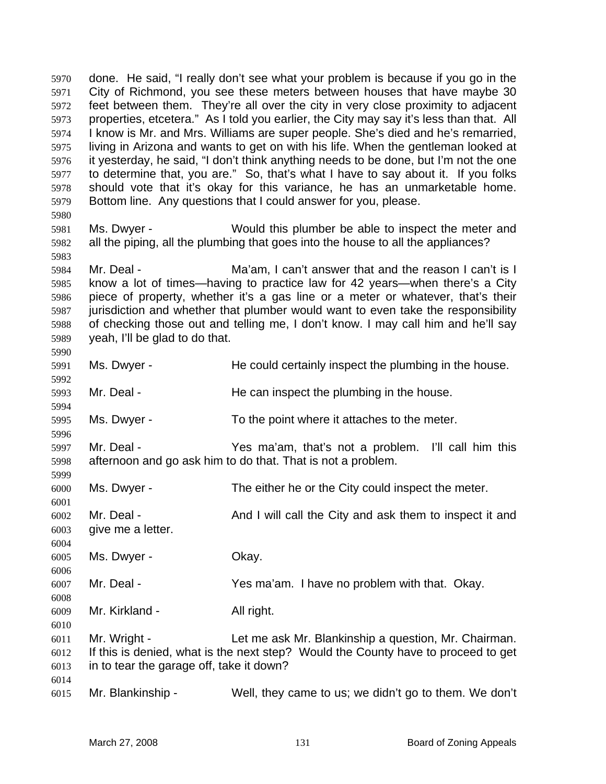done. He said, "I really don't see what your problem is because if you go in the City of Richmond, you see these meters between houses that have maybe 30 feet between them. They're all over the city in very close proximity to adjacent properties, etcetera." As I told you earlier, the City may say it's less than that. All I know is Mr. and Mrs. Williams are super people. She's died and he's remarried, living in Arizona and wants to get on with his life. When the gentleman looked at it yesterday, he said, "I don't think anything needs to be done, but I'm not the one to determine that, you are." So, that's what I have to say about it. If you folks should vote that it's okay for this variance, he has an unmarketable home. Bottom line. Any questions that I could answer for you, please. Ms. Dwyer - Would this plumber be able to inspect the meter and all the piping, all the plumbing that goes into the house to all the appliances? Mr. Deal - Ma'am, I can't answer that and the reason I can't is I know a lot of times—having to practice law for 42 years—when there's a City piece of property, whether it's a gas line or a meter or whatever, that's their jurisdiction and whether that plumber would want to even take the responsibility of checking those out and telling me, I don't know. I may call him and he'll say yeah, I'll be glad to do that. Ms. Dwyer - He could certainly inspect the plumbing in the house. 5993 Mr. Deal - He can inspect the plumbing in the house. Ms. Dwyer - To the point where it attaches to the meter. Mr. Deal - Yes ma'am, that's not a problem. I'll call him this afternoon and go ask him to do that. That is not a problem. Ms. Dwyer - The either he or the City could inspect the meter. Mr. Deal - And I will call the City and ask them to inspect it and give me a letter. Ms. Dwyer - Okay. Mr. Deal - Yes ma'am. I have no problem with that. Okay. Mr. Kirkland - All right. Mr. Wright - Let me ask Mr. Blankinship a question, Mr. Chairman. If this is denied, what is the next step? Would the County have to proceed to get in to tear the garage off, take it down? Mr. Blankinship - Well, they came to us; we didn't go to them. We don't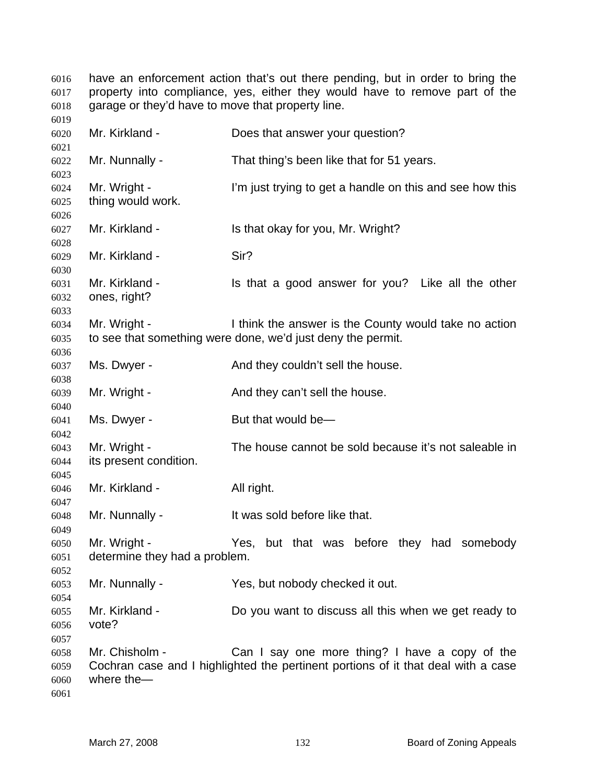have an enforcement action that's out there pending, but in order to bring the property into compliance, yes, either they would have to remove part of the garage or they'd have to move that property line.

 Mr. Kirkland - Does that answer your question? Mr. Nunnally - That thing's been like that for 51 years. Mr. Wright - I'm just trying to get a handle on this and see how this thing would work. Mr. Kirkland - Is that okay for you, Mr. Wright? Mr. Kirkland - Sir? Mr. Kirkland - Is that a good answer for you? Like all the other ones, right? Mr. Wright - I think the answer is the County would take no action to see that something were done, we'd just deny the permit. 6037 Ms. Dwyer - And they couldn't sell the house. Mr. Wright - And they can't sell the house. 6041 Ms. Dwyer - But that would be— Mr. Wright - The house cannot be sold because it's not saleable in its present condition. Mr. Kirkland - All right. Mr. Nunnally - It was sold before like that. Mr. Wright - Yes, but that was before they had somebody determine they had a problem. Mr. Nunnally - Yes, but nobody checked it out. Mr. Kirkland - Do you want to discuss all this when we get ready to vote? Mr. Chisholm - Can I say one more thing? I have a copy of the Cochran case and I highlighted the pertinent portions of it that deal with a case where the—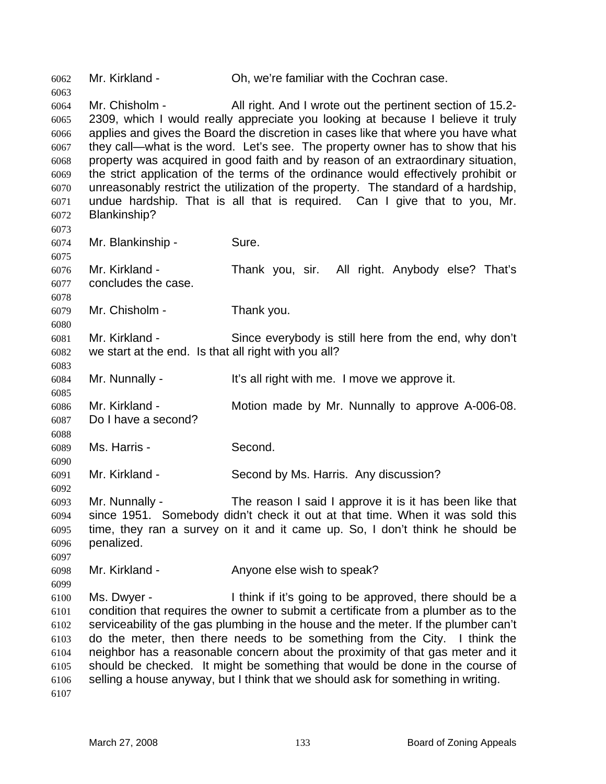Mr. Kirkland - Oh, we're familiar with the Cochran case. Mr. Chisholm - All right. And I wrote out the pertinent section of 15.2- 2309, which I would really appreciate you looking at because I believe it truly applies and gives the Board the discretion in cases like that where you have what they call—what is the word. Let's see. The property owner has to show that his property was acquired in good faith and by reason of an extraordinary situation, the strict application of the terms of the ordinance would effectively prohibit or unreasonably restrict the utilization of the property. The standard of a hardship, undue hardship. That is all that is required. Can I give that to you, Mr. Blankinship? Mr. Blankinship - Sure. Mr. Kirkland - Thank you, sir. All right. Anybody else? That's concludes the case. Mr. Chisholm - Thank you. Mr. Kirkland - Since everybody is still here from the end, why don't we start at the end. Is that all right with you all? Mr. Nunnally - It's all right with me. I move we approve it. Mr. Kirkland - Motion made by Mr. Nunnally to approve A-006-08. Do I have a second? Ms. Harris - Second. Mr. Kirkland - Second by Ms. Harris. Any discussion? Mr. Nunnally - The reason I said I approve it is it has been like that since 1951. Somebody didn't check it out at that time. When it was sold this time, they ran a survey on it and it came up. So, I don't think he should be penalized. Mr. Kirkland - Anyone else wish to speak? Ms. Dwyer - I think if it's going to be approved, there should be a condition that requires the owner to submit a certificate from a plumber as to the serviceability of the gas plumbing in the house and the meter. If the plumber can't do the meter, then there needs to be something from the City. I think the neighbor has a reasonable concern about the proximity of that gas meter and it should be checked. It might be something that would be done in the course of selling a house anyway, but I think that we should ask for something in writing.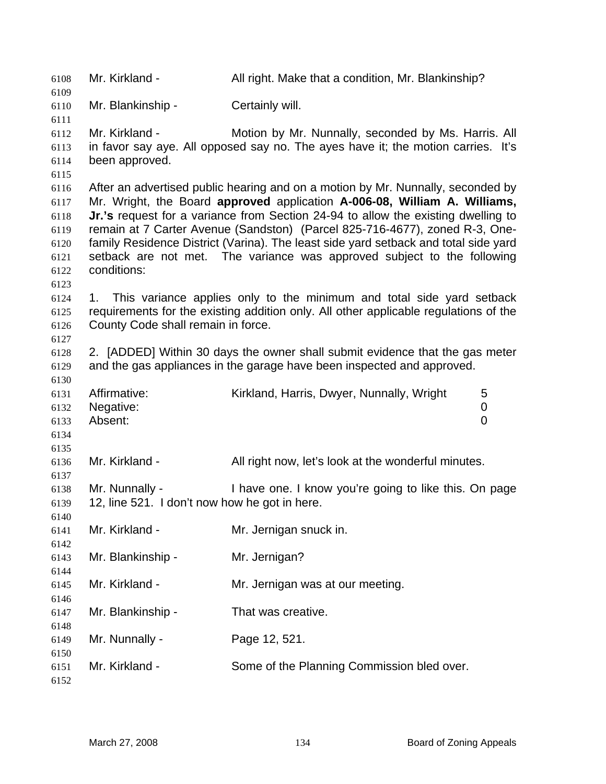Mr. Kirkland - All right. Make that a condition, Mr. Blankinship? Mr. Blankinship - Certainly will. Mr. Kirkland - Motion by Mr. Nunnally, seconded by Ms. Harris. All in favor say aye. All opposed say no. The ayes have it; the motion carries. It's been approved. After an advertised public hearing and on a motion by Mr. Nunnally, seconded by Mr. Wright, the Board **approved** application **A-006-08, William A. Williams, Jr.'s** request for a variance from Section 24-94 to allow the existing dwelling to remain at 7 Carter Avenue (Sandston) (Parcel 825-716-4677), zoned R-3, One-family Residence District (Varina). The least side yard setback and total side yard setback are not met. The variance was approved subject to the following conditions: 1. This variance applies only to the minimum and total side yard setback requirements for the existing addition only. All other applicable regulations of the County Code shall remain in force. 2. [ADDED] Within 30 days the owner shall submit evidence that the gas meter and the gas appliances in the garage have been inspected and approved. Affirmative: Kirkland, Harris, Dwyer, Nunnally, Wright 5 Negative: 0 Absent: 0 Mr. Kirkland - All right now, let's look at the wonderful minutes. Mr. Nunnally - I have one. I know you're going to like this. On page 12, line 521. I don't now how he got in here. Mr. Kirkland - Mr. Jernigan snuck in. Mr. Blankinship - Mr. Jernigan? Mr. Kirkland - Mr. Jernigan was at our meeting. Mr. Blankinship - That was creative. Mr. Nunnally - Page 12, 521. Mr. Kirkland - Some of the Planning Commission bled over.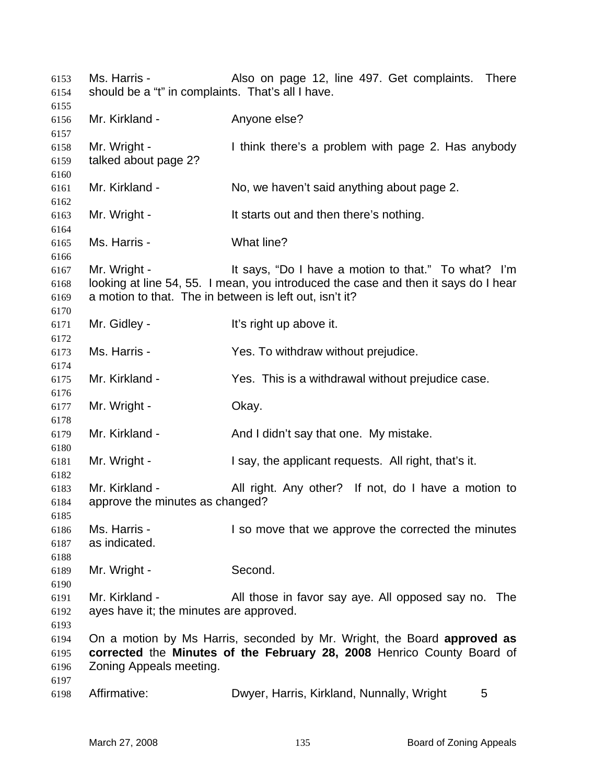Ms. Harris - Also on page 12, line 497. Get complaints. There should be a "t" in complaints. That's all I have. Mr. Kirkland - Anyone else? Mr. Wright - I think there's a problem with page 2. Has anybody talked about page 2? Mr. Kirkland - No, we haven't said anything about page 2. Mr. Wright - It starts out and then there's nothing. Ms. Harris - What line? Mr. Wright - It says, "Do I have a motion to that." To what? I'm looking at line 54, 55. I mean, you introduced the case and then it says do I hear a motion to that. The in between is left out, isn't it? Mr. Gidley - It's right up above it. Ms. Harris - Yes. To withdraw without prejudice. Mr. Kirkland - Yes. This is a withdrawal without prejudice case. Mr. Wright - Okay. Mr. Kirkland - And I didn't say that one. My mistake. Mr. Wright - I say, the applicant requests. All right, that's it. Mr. Kirkland - All right. Any other? If not, do I have a motion to approve the minutes as changed? Ms. Harris - I so move that we approve the corrected the minutes as indicated. Mr. Wright - Second. Mr. Kirkland - All those in favor say aye. All opposed say no. The ayes have it; the minutes are approved. On a motion by Ms Harris, seconded by Mr. Wright, the Board **approved as corrected** the **Minutes of the February 28, 2008** Henrico County Board of Zoning Appeals meeting. Affirmative: Dwyer, Harris, Kirkland, Nunnally, Wright 5